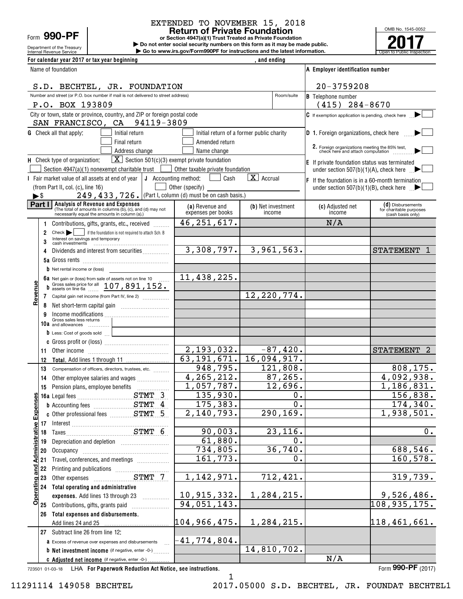Department of the Treasury Form **990-PF**

# EXTENDED TO NOVEMBER 15, 2018

**or Section 4947(a)(1) Trust Treated as Private Foundation Return of Private Foundation**

**| Do not enter social security numbers on this form as it may be made public.**

Internal Revenue Service **Number 19th Construction Constructions and the latest information.** The Service of Public Inspection **| Go to www.irs.gov/Form990PF for instructions and the latest information.**



| For calendar year 2017 or tax year beginning                                                                                                                                                                        |                                       | , and ending                              |                                                                                     |                                                                   |
|---------------------------------------------------------------------------------------------------------------------------------------------------------------------------------------------------------------------|---------------------------------------|-------------------------------------------|-------------------------------------------------------------------------------------|-------------------------------------------------------------------|
| Name of foundation                                                                                                                                                                                                  |                                       |                                           | A Employer identification number                                                    |                                                                   |
| S.D. BECHTEL, JR. FOUNDATION                                                                                                                                                                                        |                                       |                                           | $20 - 3759208$                                                                      |                                                                   |
| Number and street (or P.O. box number if mail is not delivered to street address)<br>P.O. BOX 193809                                                                                                                |                                       | Room/suite                                | <b>B</b> Telephone number<br>$(415)$ 284-8670                                       |                                                                   |
| City or town, state or province, country, and ZIP or foreign postal code                                                                                                                                            |                                       |                                           | C If exemption application is pending, check here                                   |                                                                   |
| SAN FRANCISCO, CA 94119-3809                                                                                                                                                                                        |                                       |                                           |                                                                                     |                                                                   |
| Initial return<br><b>G</b> Check all that apply:<br>Final return                                                                                                                                                    | Amended return                        | Initial return of a former public charity | <b>D</b> 1. Foreign organizations, check here $\ldots$                              |                                                                   |
| Address change                                                                                                                                                                                                      | Name change                           |                                           | 2. Foreign organizations meeting the 85% test,<br>check here and attach computation |                                                                   |
| $\boxed{\mathbf{X}}$ Section 501(c)(3) exempt private foundation<br>H Check type of organization:                                                                                                                   |                                       |                                           | E If private foundation status was terminated                                       |                                                                   |
| Section 4947(a)(1) nonexempt charitable trust $\Box$ Other taxable private foundation                                                                                                                               |                                       |                                           | under section 507(b)(1)(A), check here $\mathbb{R}$                                 |                                                                   |
| I Fair market value of all assets at end of year $\vert \mathbf{J} \vert$ Accounting method:                                                                                                                        | l Cash                                | $\boxed{\mathbf{X}}$ Accrual              | $\mathsf F$ If the foundation is in a 60-month termination                          |                                                                   |
| (from Part II, col. (c), line 16)<br>249, 433, 726. (Part I, column (d) must be on cash basis.)<br>►\$                                                                                                              | Other (specify)                       |                                           | under section $507(b)(1)(B)$ , check here $\blacksquare$                            |                                                                   |
| Part I<br><b>Analysis of Revenue and Expenses</b><br>(The total of amounts in columns (b), (c), and (d) may not<br>necessarily equal the amounts in column (a).)                                                    | (a) Revenue and<br>expenses per books | (b) Net investment<br>income              | (c) Adjusted net<br>income                                                          | (d) Disbursements<br>for charitable purposes<br>(cash basis only) |
| Contributions, gifts, grants, etc., received                                                                                                                                                                        | 46, 251, 617.                         |                                           | N/A                                                                                 |                                                                   |
| Check     if the foundation is not required to attach Sch. B<br>2<br>Interest on savings and temporary<br>3<br>cash investments <b>cash</b> investments <b>cash</b> investments <b>cash</b> investments <b>cash</b> |                                       |                                           |                                                                                     |                                                                   |
| Dividends and interest from securities<br>4                                                                                                                                                                         | 3,308,797.                            | 3,961,563.                                |                                                                                     | <b>STATEMENT</b>                                                  |
|                                                                                                                                                                                                                     |                                       |                                           |                                                                                     |                                                                   |
| <b>b</b> Net rental income or (loss)                                                                                                                                                                                | 11,438,225.                           |                                           |                                                                                     |                                                                   |
| 6a Net gain or (loss) from sale of assets not on line 10<br>b Gross sales price for all 107, 891, 152.                                                                                                              |                                       |                                           |                                                                                     |                                                                   |
| Revenu<br>Capital gain net income (from Part IV, line 2)<br>7                                                                                                                                                       |                                       | 12, 220, 774.                             |                                                                                     |                                                                   |
| 8                                                                                                                                                                                                                   |                                       |                                           |                                                                                     |                                                                   |
| Income modifications<br>Gross sales less returns<br>9                                                                                                                                                               |                                       |                                           |                                                                                     |                                                                   |
| 10a and allowances<br><u> 1980 - Johann Barn, mars ann an t-</u><br>D Less: Cost of goods sold                                                                                                                      |                                       |                                           |                                                                                     |                                                                   |
|                                                                                                                                                                                                                     |                                       |                                           |                                                                                     |                                                                   |
| 11                                                                                                                                                                                                                  | $\overline{2,193,032}$ .              | $-87,420.$                                |                                                                                     | STATEMENT 2                                                       |
| 12                                                                                                                                                                                                                  | 63, 191, 671.                         | 16,094,917.                               |                                                                                     |                                                                   |
| 13<br>Compensation of officers, directors, trustees, etc.                                                                                                                                                           | 948,795.                              | 121,808.                                  |                                                                                     | 808,175.                                                          |
| Other employee salaries and wages<br>14                                                                                                                                                                             | 4, 265, 212.<br>1,057,787.            | 87, 265.<br>12,696.                       |                                                                                     | 4,092,938.<br>1,186,831.                                          |
| 15 Pension plans, employee benefits<br>STMT 3<br>ဖာျ                                                                                                                                                                | 135,930.                              | $\overline{\mathbf{0}}$ .                 |                                                                                     | 156,838.                                                          |
| <b>b</b> Accounting fees STMT 4                                                                                                                                                                                     | 175,383.                              | 0.                                        |                                                                                     | 174, 340.                                                         |
| Expense                                                                                                                                                                                                             | 2,140,793.                            | 290,169.                                  |                                                                                     | 1,938,501.                                                        |
| 17 Interest<br>18 Taxes                                                                                                                                                                                             |                                       |                                           |                                                                                     |                                                                   |
|                                                                                                                                                                                                                     | 90,003.                               | 23,116.                                   |                                                                                     | 0.                                                                |
| Depreciation and depletion [111] [11] Depreciation and depletion<br>19                                                                                                                                              | 61,880.<br>734,805.                   | 0.<br>36,740.                             |                                                                                     | 688,546.                                                          |
| <b>Administrative</b><br>20<br>Travel, conferences, and meetings<br>21                                                                                                                                              | 161,773.                              | 0.                                        |                                                                                     | 160, 578.                                                         |
| and<br>all<br>22                                                                                                                                                                                                    |                                       |                                           |                                                                                     |                                                                   |
| Printing and publications<br>Other expenses<br>COMPLET STAT 7<br>23                                                                                                                                                 | 1, 142, 971.                          | 712,421.                                  |                                                                                     | 319,739.                                                          |
| 24 Total operating and administrative                                                                                                                                                                               |                                       |                                           |                                                                                     |                                                                   |
| <b>Operating</b><br>expenses. Add lines 13 through 23                                                                                                                                                               | 10,915,332.                           | 1,284,215.                                |                                                                                     | 9,526,486.                                                        |
| 25 Contributions, gifts, grants paid                                                                                                                                                                                | 94,051,143.                           |                                           |                                                                                     | 108, 935, 175.                                                    |
| 26 Total expenses and disbursements.                                                                                                                                                                                | 104,966,475.                          | 1,284,215.                                |                                                                                     | 118, 461, 661.                                                    |
| 27 Subtract line 26 from line 12:                                                                                                                                                                                   |                                       |                                           |                                                                                     |                                                                   |
| <b>a</b> Excess of revenue over expenses and disbursements                                                                                                                                                          | $-41,774,804$ .                       |                                           |                                                                                     |                                                                   |
| <b>b</b> Net investment income (if negative, enter -0-)                                                                                                                                                             |                                       | 14,810,702.                               |                                                                                     |                                                                   |
| C Adjusted net income (if negative, enter -0-)                                                                                                                                                                      |                                       |                                           | N/A                                                                                 |                                                                   |

723501 01-03-18 **For Paperwork Reduction Act Notice, see instructions.** LHA Form (2017)

**990-PF**

1

11291114 149058 BECHTEL 2017.05000 S.D. BECHTEL, JR. FOUNDAT BECHTEL1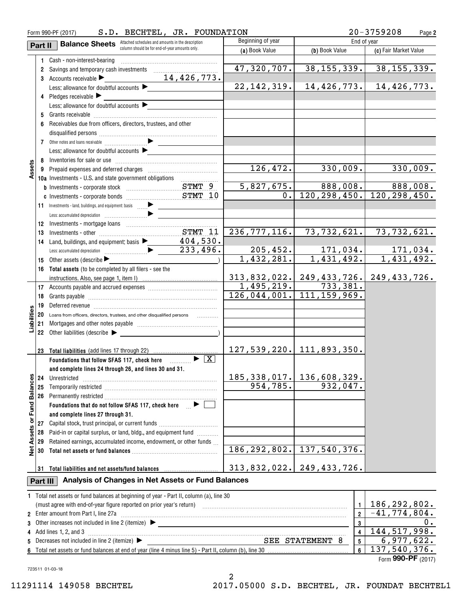|                  | Form 990-PF (2017) | $20 - 3759208$                                                                                                                                                | Page 2                      |                                    |                             |          |
|------------------|--------------------|---------------------------------------------------------------------------------------------------------------------------------------------------------------|-----------------------------|------------------------------------|-----------------------------|----------|
|                  | Part II            | <b>Balance Sheets</b> Attached schedules and amounts in the description                                                                                       | Beginning of year           |                                    | End of year                 |          |
|                  |                    | column should be for end-of-year amounts only.                                                                                                                | (a) Book Value              | (b) Book Value                     | (c) Fair Market Value       |          |
|                  |                    | 1 Cash - non-interest-bearing                                                                                                                                 |                             |                                    |                             |          |
|                  |                    |                                                                                                                                                               | 47,320,707.                 | 38, 155, 339.                      | 38, 155, 339.               |          |
|                  |                    | 14,426,773.<br>3 Accounts receivable $\blacktriangleright$                                                                                                    |                             |                                    |                             |          |
|                  |                    | Less: allowance for doubtful accounts $\blacktriangleright$                                                                                                   | 22, 142, 319.               | 14,426,773.                        | 14,426,773.                 |          |
|                  |                    | 4 Pledges receivable                                                                                                                                          |                             |                                    |                             |          |
|                  |                    | Less: allowance for doubtful accounts $\blacktriangleright$                                                                                                   |                             |                                    |                             |          |
|                  |                    |                                                                                                                                                               |                             |                                    |                             |          |
|                  |                    | 6 Receivables due from officers, directors, trustees, and other                                                                                               |                             |                                    |                             |          |
|                  |                    |                                                                                                                                                               |                             |                                    |                             |          |
|                  |                    |                                                                                                                                                               |                             |                                    |                             |          |
|                  |                    | Less: allowance for doubtful accounts                                                                                                                         |                             |                                    |                             |          |
|                  |                    |                                                                                                                                                               | 126, 472.                   | 330,009.                           |                             | 330,009. |
| Assets           |                    | 10a Investments - U.S. and state government obligations                                                                                                       |                             |                                    |                             |          |
|                  |                    |                                                                                                                                                               | 5,827,675.                  | 888,008.                           |                             | 888,008. |
|                  |                    |                                                                                                                                                               | 0.                          | $120, 298, 450.$ 120, 298, 450.    |                             |          |
|                  |                    |                                                                                                                                                               |                             |                                    |                             |          |
|                  |                    | $\mathcal{L}^{\text{max}}_{\text{max}}$ , where $\mathcal{L}^{\text{max}}_{\text{max}}$                                                                       |                             |                                    |                             |          |
|                  |                    |                                                                                                                                                               |                             |                                    |                             |          |
|                  | 13                 |                                                                                                                                                               | 236, 777, 116.              | 73,732,621.                        | 73, 732, 621.               |          |
|                  |                    | 14 Land, buildings, and equipment: basis > 404, 530.                                                                                                          |                             |                                    |                             |          |
|                  |                    |                                                                                                                                                               | 205, 452.                   | 171,034.                           |                             | 171,034. |
|                  |                    | 15 Other assets (describe $\blacktriangleright$                                                                                                               | 1,432,281.                  | 1,431,492.                         | 1,431,492.                  |          |
|                  |                    | 16 Total assets (to be completed by all filers - see the                                                                                                      |                             |                                    |                             |          |
|                  |                    |                                                                                                                                                               |                             | $313,832,022.$   249,433,726.      | 249,433,726.                |          |
|                  |                    |                                                                                                                                                               | 1,495,219.                  | 733,381.                           |                             |          |
|                  |                    |                                                                                                                                                               | $\overline{126,044,001.}$   | 111, 159, 969.                     |                             |          |
|                  |                    |                                                                                                                                                               |                             |                                    |                             |          |
| Liabilities      |                    | 20 Loans from officers, directors, trustees, and other disqualified persons                                                                                   |                             |                                    |                             |          |
|                  |                    |                                                                                                                                                               |                             |                                    |                             |          |
|                  |                    | 22 Other liabilities (describe $\blacktriangleright$                                                                                                          |                             |                                    |                             |          |
|                  |                    |                                                                                                                                                               |                             |                                    |                             |          |
|                  |                    | 23 Total liabilities (add lines 17 through 22)                                                                                                                |                             | $127,539,220.$ 111,893,350.        |                             |          |
|                  |                    | Foundations that follow SFAS 117, check here $\Box$                                                                                                           |                             |                                    |                             |          |
|                  |                    | and complete lines 24 through 26, and lines 30 and 31.                                                                                                        |                             | $185, 338, 017.$ 136, 608, 329.    |                             |          |
|                  | 24<br>25           | Unrestricted                                                                                                                                                  | 954, 785.                   | 932,047.                           |                             |          |
|                  |                    |                                                                                                                                                               |                             |                                    |                             |          |
| or Fund Balances |                    | Foundations that do not follow SFAS 117, check here $\Box$                                                                                                    |                             |                                    |                             |          |
|                  |                    | and complete lines 27 through 31.                                                                                                                             |                             |                                    |                             |          |
|                  | 27                 | Capital stock, trust principal, or current funds                                                                                                              |                             |                                    |                             |          |
| Assets           | 28                 | Paid-in or capital surplus, or land, bldg., and equipment fund                                                                                                |                             |                                    |                             |          |
|                  | 29                 | Retained earnings, accumulated income, endowment, or other funds                                                                                              |                             |                                    |                             |          |
| ğ                | 30                 |                                                                                                                                                               |                             | 186, 292, 802. 137, 540, 376.      |                             |          |
|                  |                    |                                                                                                                                                               |                             |                                    |                             |          |
|                  |                    | 31 Total liabilities and net assets/fund balances                                                                                                             | 313,832,022.   249,433,726. |                                    |                             |          |
|                  | Part III           | Analysis of Changes in Net Assets or Fund Balances                                                                                                            |                             |                                    |                             |          |
|                  |                    | 1 Total net assets or fund balances at beginning of year - Part II, column (a), line 30                                                                       |                             |                                    |                             |          |
|                  |                    | (must agree with end-of-year figure reported on prior year's return) with an accommutation and agree with end-of-year figure reported on prior year's return) |                             | $\mathbf{1}$                       | 186, 292, 802.              |          |
|                  |                    | 2 Enter amount from Part I, line 27a <b>contract the COVID-100</b> Enter a model of the COVID-100 Part I, line 27a                                            |                             | $\overline{\mathbf{2}}$            | $\overline{-41,774,804}$ .  |          |
| 3                |                    |                                                                                                                                                               |                             | $\overline{\mathbf{3}}$            |                             | 0.       |
|                  |                    | 4 Add lines 1, 2, and 3                                                                                                                                       |                             | $\overline{\mathbf{4}}$            | 144, 517, 998.              |          |
| 5                |                    | Decreases not included in line 2 (itemize) $\blacktriangleright$                                                                                              |                             | $5\overline{)}$<br>SEE STATEMENT 8 | 6,977,622.                  |          |
|                  |                    |                                                                                                                                                               |                             | 6                                  | $\overline{137,540}$ , 376. |          |

**5** Decreases not included in line 2 (itemize)  $\blacktriangleright$  **6**Total net assets or fund balances at end of year (line 4 minus line 5) - Part II, column (b), line 30 **5** Form (2017) **990-PF** SEE STATEMENT 8 6,977,622. 137,540,376.

723511 01-03-18

2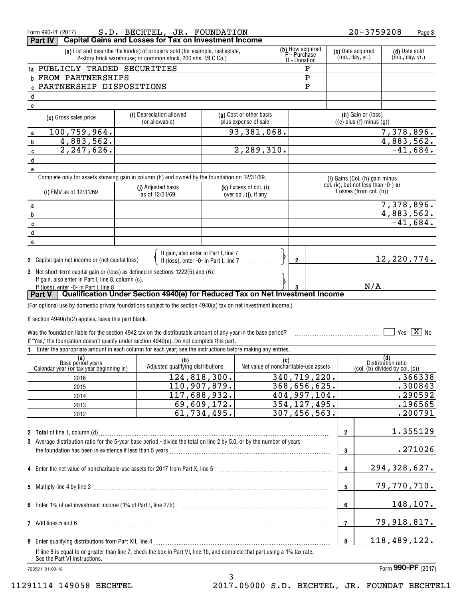| S.D. BECHTEL, JR. FOUNDATION<br>Form 990-PF (2017)                                                                                                                                               |                                                                                                                                                               |  |                                                                                 |             |                                                   |     |                                                         | 20-3759208     |                | Page 3                                                                      |                           |                                             |
|--------------------------------------------------------------------------------------------------------------------------------------------------------------------------------------------------|---------------------------------------------------------------------------------------------------------------------------------------------------------------|--|---------------------------------------------------------------------------------|-------------|---------------------------------------------------|-----|---------------------------------------------------------|----------------|----------------|-----------------------------------------------------------------------------|---------------------------|---------------------------------------------|
| <b>Capital Gains and Losses for Tax on Investment Income</b><br>Part IV                                                                                                                          |                                                                                                                                                               |  |                                                                                 |             |                                                   |     |                                                         |                |                |                                                                             |                           |                                             |
| (b) How acquired<br>P - Purchase<br>(a) List and describe the kind(s) of property sold (for example, real estate,<br>2-story brick warehouse; or common stock, 200 shs. MLC Co.)<br>D - Donation |                                                                                                                                                               |  |                                                                                 |             |                                                   |     | (c) Date acquired<br>(mo., day, yr.)<br>(mo., day, yr.) |                | (d) Date sold  |                                                                             |                           |                                             |
|                                                                                                                                                                                                  | 1a PUBLICLY TRADED SECURITIES                                                                                                                                 |  |                                                                                 |             |                                                   |     |                                                         | Ρ              |                |                                                                             |                           |                                             |
|                                                                                                                                                                                                  | <b>b FROM PARTNERSHIPS</b>                                                                                                                                    |  |                                                                                 |             |                                                   |     |                                                         | ${\bf P}$      |                |                                                                             |                           |                                             |
|                                                                                                                                                                                                  | <b>C PARTNERSHIP DISPOSITIONS</b>                                                                                                                             |  |                                                                                 |             |                                                   |     |                                                         | $\mathbf P$    |                |                                                                             |                           |                                             |
|                                                                                                                                                                                                  | d                                                                                                                                                             |  |                                                                                 |             |                                                   |     |                                                         |                |                |                                                                             |                           |                                             |
| e                                                                                                                                                                                                |                                                                                                                                                               |  |                                                                                 |             |                                                   |     |                                                         |                |                |                                                                             |                           |                                             |
|                                                                                                                                                                                                  | (e) Gross sales price                                                                                                                                         |  | (f) Depreciation allowed<br>(or allowable)                                      |             | (g) Cost or other basis<br>plus expense of sale   |     |                                                         |                |                | (h) Gain or (loss)<br>$((e)$ plus $(f)$ minus $(g)$ )                       |                           |                                             |
|                                                                                                                                                                                                  | 100,759,964.<br>a                                                                                                                                             |  |                                                                                 |             | 93,381,068.                                       |     |                                                         |                |                |                                                                             |                           |                                             |
| b                                                                                                                                                                                                | 4,883,562.                                                                                                                                                    |  |                                                                                 |             |                                                   |     |                                                         |                |                |                                                                             |                           | $\frac{7,378,896.}{4,883,562.}$<br>-41,684. |
| C                                                                                                                                                                                                | 2,247,626.                                                                                                                                                    |  |                                                                                 |             | 2,289,310.                                        |     |                                                         |                |                |                                                                             |                           |                                             |
|                                                                                                                                                                                                  | d                                                                                                                                                             |  |                                                                                 |             |                                                   |     |                                                         |                |                |                                                                             |                           |                                             |
| e                                                                                                                                                                                                |                                                                                                                                                               |  |                                                                                 |             |                                                   |     |                                                         |                |                |                                                                             |                           |                                             |
|                                                                                                                                                                                                  | Complete only for assets showing gain in column (h) and owned by the foundation on 12/31/69.                                                                  |  |                                                                                 |             |                                                   |     |                                                         |                |                | (I) Gains (Col. (h) gain minus                                              |                           |                                             |
|                                                                                                                                                                                                  | (i) FMV as of 12/31/69                                                                                                                                        |  | (i) Adjusted basis<br>as of 12/31/69                                            |             | $(k)$ Excess of col. (i)<br>over col. (j), if any |     |                                                         |                |                | col. (k), but not less than $-0$ -) or<br>Losses (from col. (h))            |                           |                                             |
|                                                                                                                                                                                                  |                                                                                                                                                               |  |                                                                                 |             |                                                   |     |                                                         |                |                |                                                                             |                           |                                             |
| b                                                                                                                                                                                                | a                                                                                                                                                             |  |                                                                                 |             |                                                   |     |                                                         |                |                |                                                                             |                           | $\frac{7,378,896.}{4,883,562.}$<br>-41,684. |
|                                                                                                                                                                                                  |                                                                                                                                                               |  |                                                                                 |             |                                                   |     |                                                         |                |                |                                                                             |                           |                                             |
|                                                                                                                                                                                                  | C                                                                                                                                                             |  |                                                                                 |             |                                                   |     |                                                         |                |                |                                                                             |                           |                                             |
|                                                                                                                                                                                                  | d                                                                                                                                                             |  |                                                                                 |             |                                                   |     |                                                         |                |                |                                                                             |                           |                                             |
| e                                                                                                                                                                                                |                                                                                                                                                               |  |                                                                                 |             |                                                   |     |                                                         |                |                |                                                                             |                           |                                             |
|                                                                                                                                                                                                  | 2 Capital gain net income or (net capital loss)                                                                                                               |  | If gain, also enter in Part I, line 7<br>If (loss), enter -0- in Part I, line 7 |             |                                                   |     | $\overline{\mathbf{2}}$                                 |                |                |                                                                             | 12, 220, 774.             |                                             |
|                                                                                                                                                                                                  | 3 Net short-term capital gain or (loss) as defined in sections 1222(5) and (6):                                                                               |  |                                                                                 |             |                                                   |     |                                                         |                |                |                                                                             |                           |                                             |
|                                                                                                                                                                                                  | If gain, also enter in Part I, line 8, column (c).                                                                                                            |  |                                                                                 |             |                                                   |     |                                                         |                |                |                                                                             |                           |                                             |
|                                                                                                                                                                                                  | If (loss), enter -0- in Part I, line 8.                                                                                                                       |  |                                                                                 |             |                                                   |     |                                                         |                |                | N/A                                                                         |                           |                                             |
|                                                                                                                                                                                                  | Part V                                                                                                                                                        |  | Qualification Under Section 4940(e) for Reduced Tax on Net Investment Income    |             |                                                   |     |                                                         |                |                |                                                                             |                           |                                             |
|                                                                                                                                                                                                  | (For optional use by domestic private foundations subject to the section 4940(a) tax on net investment income.)                                               |  |                                                                                 |             |                                                   |     |                                                         |                |                |                                                                             |                           |                                             |
|                                                                                                                                                                                                  | If section $4940(d)(2)$ applies, leave this part blank.                                                                                                       |  |                                                                                 |             |                                                   |     |                                                         |                |                |                                                                             |                           |                                             |
|                                                                                                                                                                                                  |                                                                                                                                                               |  |                                                                                 |             |                                                   |     |                                                         |                |                |                                                                             |                           |                                             |
|                                                                                                                                                                                                  | Was the foundation liable for the section 4942 tax on the distributable amount of any year in the base period?                                                |  |                                                                                 |             |                                                   |     |                                                         |                |                |                                                                             |                           | Yes $X$ No                                  |
|                                                                                                                                                                                                  | If "Yes," the foundation doesn't qualify under section 4940(e). Do not complete this part.                                                                    |  |                                                                                 |             |                                                   |     |                                                         |                |                |                                                                             |                           |                                             |
|                                                                                                                                                                                                  | Enter the appropriate amount in each column for each year; see the instructions before making any entries.                                                    |  |                                                                                 |             |                                                   |     |                                                         |                |                |                                                                             |                           |                                             |
|                                                                                                                                                                                                  | (a)<br>Base period years                                                                                                                                      |  | (b)                                                                             |             |                                                   | (c) |                                                         |                |                |                                                                             | (d)<br>Distribution ratio |                                             |
|                                                                                                                                                                                                  | Calendar year (or tax year beginning in)                                                                                                                      |  | Adjusted qualifying distributions                                               |             | Net value of noncharitable-use assets             |     |                                                         |                |                | $\left(\text{col.}(\mathbf{b})\right)$ divided by $\text{col.}(\mathbf{c})$ |                           |                                             |
|                                                                                                                                                                                                  | 2016                                                                                                                                                          |  | 124, 818, 300.                                                                  |             |                                                   |     |                                                         | 340, 719, 220. |                |                                                                             |                           | .366338                                     |
|                                                                                                                                                                                                  | 2015                                                                                                                                                          |  | 110,907,879.                                                                    |             |                                                   |     |                                                         | 368,656,625.   |                |                                                                             |                           | .300843                                     |
|                                                                                                                                                                                                  | 2014                                                                                                                                                          |  | 117,688,932.                                                                    |             |                                                   |     |                                                         | 404,997,104.   |                |                                                                             |                           | .290592                                     |
|                                                                                                                                                                                                  | 2013                                                                                                                                                          |  |                                                                                 | 69,609,172. |                                                   |     |                                                         | 354, 127, 495. |                |                                                                             |                           | .196565                                     |
|                                                                                                                                                                                                  | 2012                                                                                                                                                          |  |                                                                                 | 61,734,495. |                                                   |     |                                                         | 307,456,563.   |                |                                                                             |                           | .200791                                     |
|                                                                                                                                                                                                  |                                                                                                                                                               |  |                                                                                 |             |                                                   |     |                                                         |                |                |                                                                             |                           |                                             |
|                                                                                                                                                                                                  |                                                                                                                                                               |  |                                                                                 |             |                                                   |     |                                                         |                | $\overline{2}$ |                                                                             |                           | 1.355129                                    |
|                                                                                                                                                                                                  | 3 Average distribution ratio for the 5-year base period - divide the total on line 2 by 5.0, or by the number of years                                        |  |                                                                                 |             |                                                   |     |                                                         |                |                |                                                                             |                           |                                             |
|                                                                                                                                                                                                  |                                                                                                                                                               |  |                                                                                 |             |                                                   |     |                                                         |                | 3              |                                                                             |                           | .271026                                     |
|                                                                                                                                                                                                  |                                                                                                                                                               |  |                                                                                 |             |                                                   |     |                                                         |                |                |                                                                             |                           |                                             |
|                                                                                                                                                                                                  |                                                                                                                                                               |  |                                                                                 |             | 4                                                 |     | 294,328,627.                                            |                |                |                                                                             |                           |                                             |
|                                                                                                                                                                                                  |                                                                                                                                                               |  |                                                                                 |             | 5                                                 |     | 79,770,710.                                             |                |                |                                                                             |                           |                                             |
|                                                                                                                                                                                                  |                                                                                                                                                               |  |                                                                                 | 6           |                                                   |     | 148,107.                                                |                |                |                                                                             |                           |                                             |
|                                                                                                                                                                                                  |                                                                                                                                                               |  |                                                                                 |             |                                                   |     |                                                         |                |                |                                                                             |                           |                                             |
|                                                                                                                                                                                                  | 7 Add lines 5 and 6                                                                                                                                           |  |                                                                                 |             |                                                   |     |                                                         |                | $\overline{7}$ |                                                                             | 79,918,817.               |                                             |
|                                                                                                                                                                                                  |                                                                                                                                                               |  |                                                                                 |             |                                                   |     |                                                         |                | 8              |                                                                             | 118,489,122.              |                                             |
|                                                                                                                                                                                                  | If line 8 is equal to or greater than line 7, check the box in Part VI, line 1b, and complete that part using a 1% tax rate.<br>See the Part VI instructions. |  |                                                                                 |             |                                                   |     |                                                         |                |                |                                                                             |                           |                                             |

723521 01-03-18

Form (2017) **990-PF**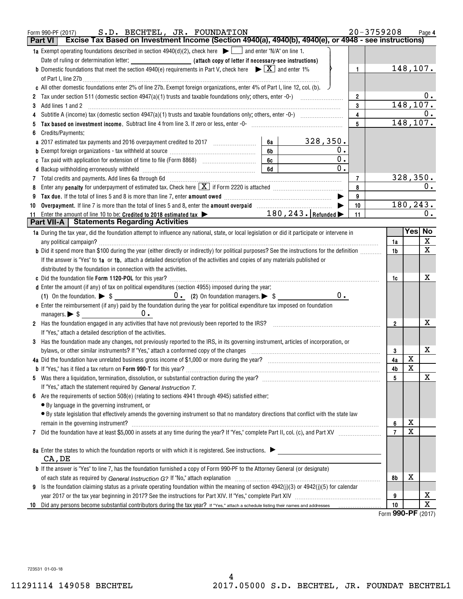|    | S.D. BECHTEL, JR. FOUNDATION<br>Form 990-PF (2017)                                                                                                                                                                             |                         | $20 - 3759208$ |                         | Page 4 |
|----|--------------------------------------------------------------------------------------------------------------------------------------------------------------------------------------------------------------------------------|-------------------------|----------------|-------------------------|--------|
|    | Excise Tax Based on Investment Income (Section 4940(a), 4940(b), 4940(e), or 4948 - see instructions)<br>Part VI                                                                                                               |                         |                |                         |        |
|    | <b>1a</b> Exempt operating foundations described in section $4940(d)(2)$ , check here $\Box$ and enter "N/A" on line 1.                                                                                                        |                         |                |                         |        |
|    |                                                                                                                                                                                                                                |                         |                |                         |        |
|    | <b>b</b> Domestic foundations that meet the section 4940(e) requirements in Part V, check here $\blacktriangleright \boxed{X}$ and enter 1%                                                                                    | $\mathbf{1}$            |                | 148,107.                |        |
|    |                                                                                                                                                                                                                                |                         |                |                         |        |
|    | c All other domestic foundations enter 2% of line 27b. Exempt foreign organizations, enter 4% of Part I, line 12, col. (b).                                                                                                    |                         |                |                         |        |
|    |                                                                                                                                                                                                                                | $\overline{2}$          |                |                         | $0$ .  |
| 3  | Add lines 1 and 2                                                                                                                                                                                                              | 3                       |                | 148,107.                |        |
|    |                                                                                                                                                                                                                                | $\overline{\mathbf{4}}$ |                |                         | 0.     |
|    |                                                                                                                                                                                                                                | 5                       |                | 148, 107.               |        |
|    | Credits/Payments:                                                                                                                                                                                                              |                         |                |                         |        |
|    | 328, 350.<br>6а                                                                                                                                                                                                                |                         |                |                         |        |
|    | 0.<br>6 <b>b</b>                                                                                                                                                                                                               |                         |                |                         |        |
|    | 0.<br>6c                                                                                                                                                                                                                       |                         |                |                         |        |
|    | $0$ .<br>6d                                                                                                                                                                                                                    |                         |                |                         |        |
|    | 7 Total credits and payments. Add lines 6a through 6d [11] [12] Total Conservation contracts and payments. Add lines 6a through 6d [11] [12] Total Credits and payments. Add lines 6a through 6d [12] [12] [12] [12] [12] [12] | 7                       |                | 328, 350.               |        |
|    | Enter any <b>penalty</b> for underpayment of estimated tax. Check here $X$ if Form 2220 is attached $\ldots$                                                                                                                   | 8                       |                |                         | υ.     |
|    |                                                                                                                                                                                                                                | 9                       |                |                         |        |
| 10 |                                                                                                                                                                                                                                | 10                      |                | 180, 243.               |        |
| 11 | $180$ , $243$ . Refunded $\blacktriangleright$<br>Enter the amount of line 10 to be: Credited to 2018 estimated tax >                                                                                                          | 11                      |                |                         | 0.     |
|    | <b>Part VII-A   Statements Regarding Activities</b>                                                                                                                                                                            |                         |                |                         |        |
|    | 1a During the tax year, did the foundation attempt to influence any national, state, or local legislation or did it participate or intervene in                                                                                |                         |                |                         | Yes No |
|    |                                                                                                                                                                                                                                |                         | 1a             |                         | X      |
|    | b Did it spend more than \$100 during the year (either directly or indirectly) for political purposes? See the instructions for the definition                                                                                 |                         | 1b             |                         | X      |
|    | If the answer is "Yes" to 1a or 1b, attach a detailed description of the activities and copies of any materials published or                                                                                                   |                         |                |                         |        |
|    | distributed by the foundation in connection with the activities.                                                                                                                                                               |                         |                |                         |        |
|    |                                                                                                                                                                                                                                |                         | 1c             |                         | x      |
|    | d Enter the amount (if any) of tax on political expenditures (section 4955) imposed during the year:                                                                                                                           |                         |                |                         |        |
|    | 0.                                                                                                                                                                                                                             |                         |                |                         |        |
|    | e Enter the reimbursement (if any) paid by the foundation during the year for political expenditure tax imposed on foundation                                                                                                  |                         |                |                         |        |
|    | managers. $\triangleright$ \$ $\_\_\_\_\_\_\_\_\_\_\_\_\_\_\_\_\_\_\_\_\_\_\_\_\_\_\_\_$<br>$0$ .                                                                                                                              |                         |                |                         |        |
|    | 2 Has the foundation engaged in any activities that have not previously been reported to the IRS?                                                                                                                              |                         | $\overline{2}$ |                         | x      |
|    | If "Yes," attach a detailed description of the activities.                                                                                                                                                                     |                         |                |                         |        |
|    | 3 Has the foundation made any changes, not previously reported to the IRS, in its governing instrument, articles of incorporation, or                                                                                          |                         |                |                         |        |
|    | bylaws, or other similar instruments? If "Yes," attach a conformed copy of the changes                                                                                                                                         |                         | 3              |                         | х      |
|    |                                                                                                                                                                                                                                |                         | 4a             | X                       |        |
|    |                                                                                                                                                                                                                                |                         | 4 <sub>b</sub> | $\overline{\mathbf{X}}$ |        |
|    |                                                                                                                                                                                                                                |                         | 5              |                         | х      |
|    | If "Yes," attach the statement required by General Instruction T.                                                                                                                                                              |                         |                |                         |        |
|    | 6 Are the requirements of section 508(e) (relating to sections 4941 through 4945) satisfied either:                                                                                                                            |                         |                |                         |        |
|    | • By language in the governing instrument, or                                                                                                                                                                                  |                         |                |                         |        |
|    | · By state legislation that effectively amends the governing instrument so that no mandatory directions that conflict with the state law                                                                                       |                         |                |                         |        |
|    | remain in the governing instrument?                                                                                                                                                                                            |                         | 6              | х                       |        |
| 7  |                                                                                                                                                                                                                                |                         | $\overline{7}$ | X                       |        |
|    |                                                                                                                                                                                                                                |                         |                |                         |        |
|    | 8a Enter the states to which the foundation reports or with which it is registered. See instructions. $\blacktriangleright$                                                                                                    |                         |                |                         |        |
|    | CA, DE                                                                                                                                                                                                                         |                         |                |                         |        |
|    | <b>b</b> If the answer is "Yes" to line 7, has the foundation furnished a copy of Form 990-PF to the Attorney General (or designate)                                                                                           |                         |                |                         |        |
|    |                                                                                                                                                                                                                                |                         | 8b             | х                       |        |
|    | 9 Is the foundation claiming status as a private operating foundation within the meaning of section $4942(j)(3)$ or $4942(j)(5)$ for calendar                                                                                  |                         |                |                         |        |
|    |                                                                                                                                                                                                                                |                         | 9              |                         | x      |
| 10 |                                                                                                                                                                                                                                |                         | 10             |                         | X      |
|    |                                                                                                                                                                                                                                |                         |                |                         |        |

Form (2017) **990-PF**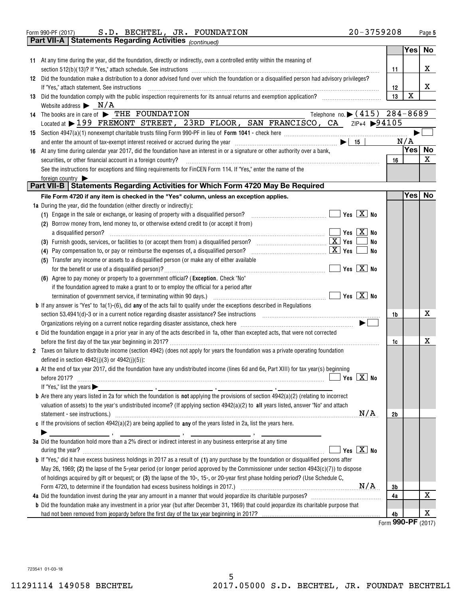| Form 990-PF (2017) |  | S.D. BECHTEL, JR. FOUNDATION | $20 - 3759208$ | Page |
|--------------------|--|------------------------------|----------------|------|
|                    |  |                              |                |      |

|    |                                              | <b>Part VII-A   Statements Regarding Activities (continued)</b>                                                                                                                  |              |                              |             |  |  |
|----|----------------------------------------------|----------------------------------------------------------------------------------------------------------------------------------------------------------------------------------|--------------|------------------------------|-------------|--|--|
|    |                                              |                                                                                                                                                                                  |              | Yes                          | No          |  |  |
|    |                                              | 11 At any time during the year, did the foundation, directly or indirectly, own a controlled entity within the meaning of                                                        |              |                              |             |  |  |
|    |                                              |                                                                                                                                                                                  | 11           |                              | X           |  |  |
|    |                                              | 12 Did the foundation make a distribution to a donor advised fund over which the foundation or a disqualified person had advisory privileges?                                    |              |                              |             |  |  |
|    | If "Yes," attach statement. See instructions |                                                                                                                                                                                  |              |                              |             |  |  |
|    |                                              | 13 Did the foundation comply with the public inspection requirements for its annual returns and exemption application?                                                           | 12<br>13     | $\mathbf X$                  | X           |  |  |
|    |                                              | Website address $\triangleright$ N/A                                                                                                                                             |              |                              |             |  |  |
|    |                                              | Telephone no. $\blacktriangleright$ (415)<br>14 The books are in care of FUHE FOUNDATION                                                                                         | $284 - 8689$ |                              |             |  |  |
|    |                                              | Located at > 199 FREMONT STREET, 23RD FLOOR, SAN FRANCISCO, CA ZIP+4 > 94105                                                                                                     |              |                              |             |  |  |
|    |                                              |                                                                                                                                                                                  |              |                              |             |  |  |
|    |                                              |                                                                                                                                                                                  |              | N/A                          |             |  |  |
|    |                                              |                                                                                                                                                                                  |              | Yes                          | No          |  |  |
| 16 |                                              | At any time during calendar year 2017, did the foundation have an interest in or a signature or other authority over a bank,                                                     | 16           |                              | $\mathbf X$ |  |  |
|    |                                              | securities, or other financial account in a foreign country?<br>See the instructions for exceptions and filing requirements for FinCEN Form 114. If "Yes," enter the name of the |              |                              |             |  |  |
|    |                                              |                                                                                                                                                                                  |              |                              |             |  |  |
|    | foreign country                              | Part VII-B   Statements Regarding Activities for Which Form 4720 May Be Required                                                                                                 |              |                              |             |  |  |
|    |                                              | File Form 4720 if any item is checked in the "Yes" column, unless an exception applies.                                                                                          |              | Yes <sub>1</sub>             | No          |  |  |
|    |                                              | 1a During the year, did the foundation (either directly or indirectly):                                                                                                          |              |                              |             |  |  |
|    |                                              | (1) Engage in the sale or exchange, or leasing of property with a disqualified person?                                                                                           |              |                              |             |  |  |
|    |                                              | (2) Borrow money from, lend money to, or otherwise extend credit to (or accept it from)                                                                                          |              |                              |             |  |  |
|    |                                              | $Yes \ \overline{X}$ No<br>a disqualified person?                                                                                                                                |              |                              |             |  |  |
|    |                                              | No                                                                                                                                                                               |              |                              |             |  |  |
|    |                                              | <u>x   Yes</u><br>No<br>(4) Pay compensation to, or pay or reimburse the expenses of, a disqualified person?                                                                     |              |                              |             |  |  |
|    |                                              | (5) Transfer any income or assets to a disqualified person (or make any of either available                                                                                      |              |                              |             |  |  |
|    |                                              | $\boxed{\phantom{1}}$ Yes $\boxed{\text{X}}$ No                                                                                                                                  |              |                              |             |  |  |
|    |                                              | (6) Agree to pay money or property to a government official? (Exception. Check "No"                                                                                              |              |                              |             |  |  |
|    |                                              | if the foundation agreed to make a grant to or to employ the official for a period after                                                                                         |              |                              |             |  |  |
|    |                                              |                                                                                                                                                                                  |              |                              |             |  |  |
|    |                                              | <b>b</b> If any answer is "Yes" to $1a(1)-(6)$ , did any of the acts fail to qualify under the exceptions described in Regulations                                               |              |                              |             |  |  |
|    |                                              |                                                                                                                                                                                  | 1b           |                              | x           |  |  |
|    |                                              |                                                                                                                                                                                  |              |                              |             |  |  |
|    |                                              | c Did the foundation engage in a prior year in any of the acts described in 1a, other than excepted acts, that were not corrected                                                |              |                              |             |  |  |
|    |                                              |                                                                                                                                                                                  | 1c           |                              | X           |  |  |
|    |                                              | 2 Taxes on failure to distribute income (section 4942) (does not apply for years the foundation was a private operating foundation                                               |              |                              |             |  |  |
|    |                                              | defined in section $4942(j)(3)$ or $4942(j)(5)$ :                                                                                                                                |              |                              |             |  |  |
|    |                                              | a At the end of tax year 2017, did the foundation have any undistributed income (lines 6d and 6e, Part XIII) for tax year(s) beginning                                           |              |                              |             |  |  |
|    |                                              |                                                                                                                                                                                  |              |                              |             |  |  |
|    |                                              | If "Yes," list the years $\blacktriangleright$                                                                                                                                   |              |                              |             |  |  |
|    |                                              | <b>b</b> Are there any years listed in 2a for which the foundation is <b>not</b> applying the provisions of section $4942(a)(2)$ (relating to incorrect                          |              |                              |             |  |  |
|    |                                              | valuation of assets) to the year's undistributed income? (If applying section $4942(a)(2)$ to all years listed, answer "No" and attach                                           |              |                              |             |  |  |
|    |                                              | N/A                                                                                                                                                                              | 2b           |                              |             |  |  |
|    |                                              | c If the provisions of section $4942(a)(2)$ are being applied to any of the years listed in 2a, list the years here.                                                             |              |                              |             |  |  |
|    |                                              |                                                                                                                                                                                  |              |                              |             |  |  |
|    |                                              | 3a Did the foundation hold more than a 2% direct or indirect interest in any business enterprise at any time                                                                     |              |                              |             |  |  |
|    |                                              | Yes $X$ No                                                                                                                                                                       |              |                              |             |  |  |
|    |                                              | <b>b</b> If "Yes," did it have excess business holdings in 2017 as a result of (1) any purchase by the foundation or disqualified persons after                                  |              |                              |             |  |  |
|    |                                              | May 26, 1969; (2) the lapse of the 5-year period (or longer period approved by the Commissioner under section $4943(c)(7)$ ) to dispose                                          |              |                              |             |  |  |
|    |                                              | of holdings acquired by gift or bequest; or (3) the lapse of the 10-, 15-, or 20-year first phase holding period? (Use Schedule C,                                               |              |                              |             |  |  |
|    |                                              |                                                                                                                                                                                  | 3b           |                              |             |  |  |
|    |                                              | 4a Did the foundation invest during the year any amount in a manner that would jeopardize its charitable purposes?                                                               | 4a           |                              | х           |  |  |
|    |                                              | <b>b</b> Did the foundation make any investment in a prior year (but after December 31, 1969) that could jeopardize its charitable purpose that                                  |              |                              |             |  |  |
|    |                                              |                                                                                                                                                                                  | 4b           |                              | х           |  |  |
|    |                                              |                                                                                                                                                                                  |              | $QQ$ $Q$ $QQ$ $QQ$ $QQ$ $QQ$ |             |  |  |

Form (2017) **990-PF**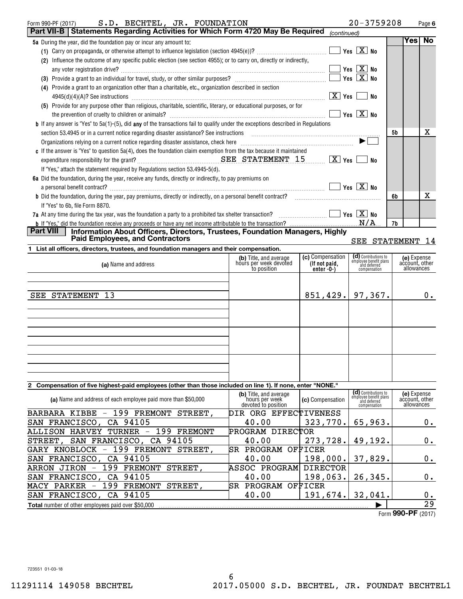| S.D. BECHTEL, JR. FOUNDATION<br>Form 990-PF (2017)                                                                                                                     |                                                  |                                   | $20 - 3759208$                                                 |                               | Page 6          |
|------------------------------------------------------------------------------------------------------------------------------------------------------------------------|--------------------------------------------------|-----------------------------------|----------------------------------------------------------------|-------------------------------|-----------------|
| Part VII-B   Statements Regarding Activities for Which Form 4720 May Be Required                                                                                       |                                                  | (continued)                       |                                                                |                               |                 |
| 5a During the year, did the foundation pay or incur any amount to:                                                                                                     |                                                  |                                   |                                                                | Yesl                          | $\overline{N}$  |
|                                                                                                                                                                        |                                                  |                                   |                                                                |                               |                 |
| (2) Influence the outcome of any specific public election (see section 4955); or to carry on, directly or indirectly,                                                  |                                                  |                                   |                                                                |                               |                 |
|                                                                                                                                                                        |                                                  |                                   | $\sqrt{}$ Yes $\sqrt{X}$ No                                    |                               |                 |
|                                                                                                                                                                        |                                                  |                                   | $\blacksquare$ Yes $\boxed{\text{X}}$ No                       |                               |                 |
| (4) Provide a grant to an organization other than a charitable, etc., organization described in section                                                                |                                                  |                                   |                                                                |                               |                 |
|                                                                                                                                                                        |                                                  |                                   | $\boxed{\text{X}}$ Yes $\boxed{\phantom{0}}$ No                |                               |                 |
| (5) Provide for any purpose other than religious, charitable, scientific, literary, or educational purposes, or for                                                    |                                                  |                                   |                                                                |                               |                 |
| the prevention of cruelty to children or animals? [11] matter contains a series of the prevention of cruelty to children or animals?                                   |                                                  |                                   | $\Box$ Yes $\boxed{\mathrm{X}}$ No                             |                               |                 |
| <b>b</b> If any answer is "Yes" to 5a(1)-(5), did any of the transactions fail to qualify under the exceptions described in Regulations                                |                                                  |                                   |                                                                |                               |                 |
|                                                                                                                                                                        |                                                  |                                   |                                                                | 5b                            | Х               |
|                                                                                                                                                                        |                                                  |                                   |                                                                |                               |                 |
| Organizations relying on a current notice regarding disaster assistance, check here <b>construct the construct of the construct of the construct of the constraint</b> |                                                  |                                   |                                                                |                               |                 |
| c If the answer is "Yes" to question 5a(4), does the foundation claim exemption from the tax because it maintained                                                     |                                                  |                                   |                                                                |                               |                 |
|                                                                                                                                                                        |                                                  |                                   |                                                                |                               |                 |
| If "Yes," attach the statement required by Regulations section 53.4945-5(d).                                                                                           |                                                  |                                   |                                                                |                               |                 |
| 6a Did the foundation, during the year, receive any funds, directly or indirectly, to pay premiums on                                                                  |                                                  |                                   |                                                                |                               |                 |
|                                                                                                                                                                        |                                                  |                                   |                                                                |                               |                 |
|                                                                                                                                                                        |                                                  |                                   |                                                                | 6b                            | Х               |
| If "Yes" to 6b, file Form 8870.                                                                                                                                        |                                                  |                                   |                                                                |                               |                 |
| 7a At any time during the tax year, was the foundation a party to a prohibited tax shelter transaction? $\ldots$ $\ldots$ $\ldots$                                     |                                                  |                                   |                                                                |                               |                 |
|                                                                                                                                                                        |                                                  |                                   |                                                                | 7b                            |                 |
| <b>Part VIII</b><br>Information About Officers, Directors, Trustees, Foundation Managers, Highly                                                                       |                                                  |                                   |                                                                |                               |                 |
| <b>Paid Employees, and Contractors</b>                                                                                                                                 |                                                  |                                   | SEE STATEMENT 14                                               |                               |                 |
| 1 List all officers, directors, trustees, and foundation managers and their compensation.                                                                              |                                                  |                                   |                                                                |                               |                 |
| (a) Name and address                                                                                                                                                   | (b) Title, and average<br>hours per week devoted | (c) Compensation<br>(If not paid, | (d) Contributions to<br>employee benefit plans<br>and deferred | (e) Expense<br>account, other |                 |
|                                                                                                                                                                        | to position                                      | enter $-0$ - $)$                  | compensation                                                   | allowances                    |                 |
|                                                                                                                                                                        |                                                  |                                   |                                                                |                               |                 |
|                                                                                                                                                                        |                                                  |                                   |                                                                |                               |                 |
| SEE STATEMENT 13                                                                                                                                                       |                                                  | $851, 429.$ 97, 367.              |                                                                |                               | $0$ .           |
|                                                                                                                                                                        |                                                  |                                   |                                                                |                               |                 |
|                                                                                                                                                                        |                                                  |                                   |                                                                |                               |                 |
|                                                                                                                                                                        |                                                  |                                   |                                                                |                               |                 |
|                                                                                                                                                                        |                                                  |                                   |                                                                |                               |                 |
|                                                                                                                                                                        |                                                  |                                   |                                                                |                               |                 |
|                                                                                                                                                                        |                                                  |                                   |                                                                |                               |                 |
|                                                                                                                                                                        |                                                  |                                   |                                                                |                               |                 |
|                                                                                                                                                                        |                                                  |                                   |                                                                |                               |                 |
|                                                                                                                                                                        |                                                  |                                   |                                                                |                               |                 |
| 2 Compensation of five highest-paid employees (other than those included on line 1). If none, enter "NONE."                                                            |                                                  |                                   |                                                                |                               |                 |
|                                                                                                                                                                        | (b) Title, and average                           |                                   | <b>(d)</b> Contributions to<br>employee benefit plans          | (e) Expense                   |                 |
| (a) Name and address of each employee paid more than \$50,000                                                                                                          | hours per week<br>devoted to position            | (c) Compensation                  | and deferred                                                   | account, other<br>allowances  |                 |
| BARBARA KIBBE - 199 FREMONT STREET,                                                                                                                                    | DIR ORG EFFECTIVENESS                            |                                   | compensation                                                   |                               |                 |
| CA 94105<br>SAN FRANCISCO,                                                                                                                                             | 40.00                                            | 323,770.                          | 65,963.                                                        |                               | 0.              |
| TURNER -<br>199 FREMONT<br><b>ALLISON HARVEY</b>                                                                                                                       | PROGRAM DIRECTOR                                 |                                   |                                                                |                               |                 |
|                                                                                                                                                                        |                                                  |                                   |                                                                |                               |                 |
| SAN FRANCISCO,<br>CA 94105<br>STREET,                                                                                                                                  | 40.00                                            | 273,728.                          | 49,192.                                                        |                               | 0.              |
| GARY KNOBLOCK - 199 FREMONT STREET,                                                                                                                                    | SR PROGRAM OFFICER                               |                                   |                                                                |                               |                 |
| CA 94105<br>SAN FRANCISCO,                                                                                                                                             | 40.00                                            | 198,000.                          | 37,829.                                                        |                               | 0.              |
| ARRON JIRON - 199 FREMONT<br>STREET,                                                                                                                                   | ASSOC PROGRAM                                    | <b>DIRECTOR</b>                   |                                                                |                               |                 |
| SAN FRANCISCO,<br>CA<br>94105                                                                                                                                          | 40.00                                            | 198,063.                          | 26,345.                                                        |                               | $0$ .           |
| 199<br>MACY PARKER -<br>FREMONT<br>STREET,                                                                                                                             | SR PROGRAM OFFICER                               |                                   |                                                                |                               |                 |
| SAN FRANCISCO,<br>CA 94105                                                                                                                                             | 40.00                                            | 191,674.                          | 32,041.                                                        |                               | $0 \cdot$       |
| <b>Total</b> number of other employees paid over \$50,000                                                                                                              |                                                  |                                   |                                                                |                               | $\overline{29}$ |
|                                                                                                                                                                        |                                                  |                                   |                                                                | Form 990-PF (2017)            |                 |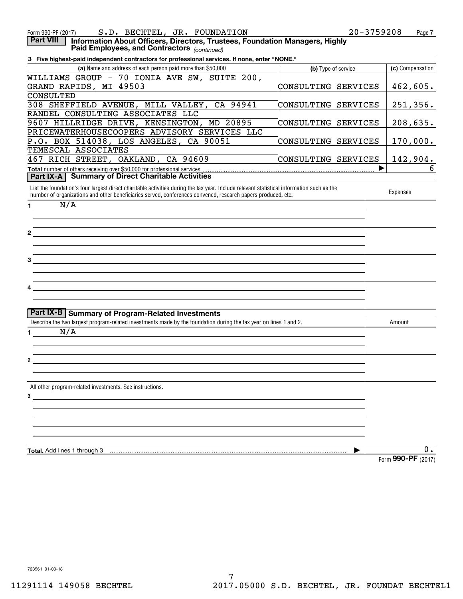| S.D. BECHTEL, JR. FOUNDATION<br>Form 990-PF (2017)                                                                                                                                                                                                        |                     | $20 - 3759208$<br>Page 7 |
|-----------------------------------------------------------------------------------------------------------------------------------------------------------------------------------------------------------------------------------------------------------|---------------------|--------------------------|
| <b>Part VIII</b><br>Information About Officers, Directors, Trustees, Foundation Managers, Highly<br>Paid Employees, and Contractors (continued)                                                                                                           |                     |                          |
| 3 Five highest-paid independent contractors for professional services. If none, enter "NONE."                                                                                                                                                             |                     |                          |
| (a) Name and address of each person paid more than \$50,000                                                                                                                                                                                               | (b) Type of service | (c) Compensation         |
| WILLIAMS GROUP - 70 IONIA AVE SW, SUITE 200,                                                                                                                                                                                                              |                     |                          |
| GRAND RAPIDS, MI 49503                                                                                                                                                                                                                                    | CONSULTING SERVICES | 462,605.                 |
| CONSULTED<br>308 SHEFFIELD AVENUE, MILL VALLEY, CA 94941                                                                                                                                                                                                  | CONSULTING SERVICES | 251,356.                 |
| RANDEL CONSULTING ASSOCIATES LLC                                                                                                                                                                                                                          |                     |                          |
| 9607 HILLRIDGE DRIVE, KENSINGTON, MD 20895                                                                                                                                                                                                                | CONSULTING SERVICES | 208,635.                 |
| PRICEWATERHOUSECOOPERS ADVISORY SERVICES LLC                                                                                                                                                                                                              |                     |                          |
| P.O. BOX 514038, LOS ANGELES, CA 90051                                                                                                                                                                                                                    | CONSULTING SERVICES | 170,000.                 |
| TEMESCAL ASSOCIATES                                                                                                                                                                                                                                       |                     |                          |
| 467 RICH STREET, OAKLAND, CA 94609                                                                                                                                                                                                                        | CONSULTING SERVICES | <u> 142,904.</u>         |
| <b>Part IX-A   Summary of Direct Charitable Activities</b>                                                                                                                                                                                                |                     | 6<br>▶                   |
| List the foundation's four largest direct charitable activities during the tax year. Include relevant statistical information such as the<br>number of organizations and other beneficiaries served, conferences convened, research papers produced, etc. |                     | Expenses                 |
| N/A<br>$\mathbf 1$                                                                                                                                                                                                                                        |                     |                          |
|                                                                                                                                                                                                                                                           |                     |                          |
|                                                                                                                                                                                                                                                           |                     |                          |
|                                                                                                                                                                                                                                                           |                     |                          |
|                                                                                                                                                                                                                                                           |                     |                          |
|                                                                                                                                                                                                                                                           |                     |                          |
| $\overline{\mathbf{3}}$ $\overline{\mathbf{1}}$                                                                                                                                                                                                           |                     |                          |
|                                                                                                                                                                                                                                                           |                     |                          |
|                                                                                                                                                                                                                                                           |                     |                          |
| <u> 1980 - Jan Sterling Sterling (d. 1980)</u>                                                                                                                                                                                                            |                     |                          |
|                                                                                                                                                                                                                                                           |                     |                          |
| Part IX-B Summary of Program-Related Investments                                                                                                                                                                                                          |                     |                          |
| Describe the two largest program-related investments made by the foundation during the tax year on lines 1 and 2.                                                                                                                                         |                     | Amount                   |
| N/A                                                                                                                                                                                                                                                       |                     |                          |
|                                                                                                                                                                                                                                                           |                     |                          |
|                                                                                                                                                                                                                                                           |                     |                          |
|                                                                                                                                                                                                                                                           |                     |                          |
|                                                                                                                                                                                                                                                           |                     |                          |
|                                                                                                                                                                                                                                                           |                     |                          |
| All other program-related investments. See instructions.                                                                                                                                                                                                  |                     |                          |
| 3                                                                                                                                                                                                                                                         |                     |                          |
|                                                                                                                                                                                                                                                           |                     |                          |
|                                                                                                                                                                                                                                                           |                     |                          |
|                                                                                                                                                                                                                                                           |                     |                          |
|                                                                                                                                                                                                                                                           |                     |                          |
|                                                                                                                                                                                                                                                           |                     |                          |
| Total. Add lines 1 through 3                                                                                                                                                                                                                              |                     | 0.<br>000 DE             |

Form (2017) **990-PF**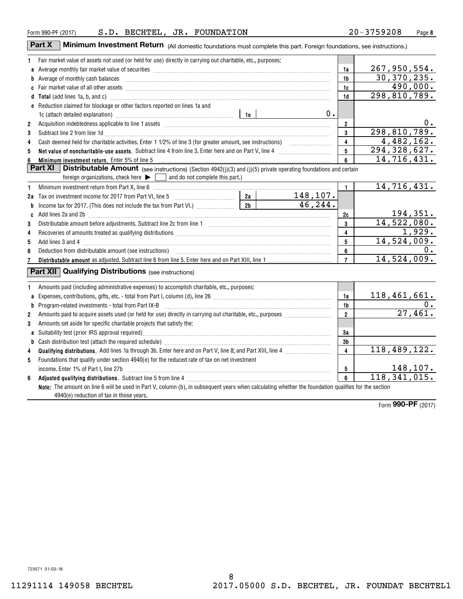|                         | Part X<br><b>Minimum Investment Return</b> (All domestic foundations must complete this part. Foreign foundations, see instructions.)                                                                                          |                         |                             |
|-------------------------|--------------------------------------------------------------------------------------------------------------------------------------------------------------------------------------------------------------------------------|-------------------------|-----------------------------|
| 1                       | Fair market value of assets not used (or held for use) directly in carrying out charitable, etc., purposes:                                                                                                                    |                         |                             |
|                         |                                                                                                                                                                                                                                | 1a                      | 267,950,554.                |
|                         | b Average of monthly cash balances <b>constructed and all and all and all an</b> Average of monthly cash balances                                                                                                              | 1 <sub>b</sub>          | 30,370,235.                 |
|                         |                                                                                                                                                                                                                                | 1c                      | 490,000.                    |
|                         | d Total (add lines 1a, b, and c) manufactured and control and control of the control of the control of the control of the control of the control of the control of the control of the control of the control of the control of | 1 <sub>d</sub>          | 298,810,789.                |
|                         | <b>e</b> Reduction claimed for blockage or other factors reported on lines 1a and                                                                                                                                              |                         |                             |
|                         | 0.<br>1c (attach detailed explanation) manufacture and the settlement of the settlement of the settlement of the set                                                                                                           |                         |                             |
| $\overline{\mathbf{2}}$ |                                                                                                                                                                                                                                | $\overline{\mathbf{2}}$ | 0.                          |
| 3                       | Subtract line 2 from line 1d <b>Machinese and Contract Line 2</b> from line 1d <b>machinese and contract line 2</b> from line 1d                                                                                               | $\mathbf{3}$            | 298,810,789.                |
| 4                       | Cash deemed held for charitable activities. Enter 1 1/2% of line 3 (for greater amount, see instructions)                                                                                                                      | $\overline{\mathbf{4}}$ | 4,482,162.                  |
| 5                       | Net value of noncharitable-use assets. Subtract line 4 from line 3. Enter here and on Part V, line 4 [111] [11] Net reasonal mass                                                                                              | 5                       | 294,328,627.                |
| 6                       | Minimum investment return. Enter 5% of line 5                                                                                                                                                                                  | 6                       | $\overline{14}$ , 716, 431. |
|                         | <b>Part XI</b><br><b>Distributable Amount</b> (see instructions) (Section 4942(j)(3) and (j)(5) private operating foundations and certain                                                                                      |                         |                             |
|                         | foreign organizations, check here $\blacktriangleright \Box$ and do not complete this part.)                                                                                                                                   |                         |                             |
| 1                       |                                                                                                                                                                                                                                | $\mathbf{1}$            | 14,716,431.                 |
|                         | 148, 107.                                                                                                                                                                                                                      |                         |                             |
| b                       | 46, 244.                                                                                                                                                                                                                       |                         |                             |
|                         | c Add lines 2a and 2b [[[[[[[[[[[[[[[[[[[[]]]]]]]]]]] C Add lines 2a and 2b                                                                                                                                                    | 2c                      | 194,351.                    |
| 3                       |                                                                                                                                                                                                                                | 3                       | 14,522,080.                 |
| 4                       |                                                                                                                                                                                                                                | 4                       | 1,929.                      |
| 5                       |                                                                                                                                                                                                                                | 5                       | 14,524,009.                 |
| 6                       |                                                                                                                                                                                                                                | 6                       |                             |
| 7                       |                                                                                                                                                                                                                                | $\overline{7}$          | 14,524,009.                 |
|                         | <b>Part XII Qualifying Distributions</b> (see instructions)                                                                                                                                                                    |                         |                             |
| 1                       | Amounts paid (including administrative expenses) to accomplish charitable, etc., purposes:                                                                                                                                     |                         |                             |
| a                       |                                                                                                                                                                                                                                | 1a                      | 118,461,661.                |
| b                       |                                                                                                                                                                                                                                | 1b                      |                             |
| $\overline{2}$          |                                                                                                                                                                                                                                | $\overline{2}$          | 27,461.                     |
| 3                       | Amounts set aside for specific charitable projects that satisfy the:                                                                                                                                                           |                         |                             |
|                         |                                                                                                                                                                                                                                | 3a                      |                             |
| b                       |                                                                                                                                                                                                                                | 3b                      |                             |
| 4                       |                                                                                                                                                                                                                                | $\overline{\mathbf{4}}$ | 118,489,122.                |
| 5                       | Foundations that qualify under section 4940(e) for the reduced rate of tax on net investment                                                                                                                                   |                         |                             |
|                         |                                                                                                                                                                                                                                | 5                       | <u>148,107.</u>             |
| 6                       |                                                                                                                                                                                                                                | 6                       | 118, 341, 015.              |
|                         | Note: The amount on line 6 will be used in Part V, column (b), in subsequent years when calculating whether the foundation qualifies for the section                                                                           |                         |                             |
|                         | 4940(e) reduction of tax in those years.                                                                                                                                                                                       |                         | $\overline{000}$            |

Form (2017) **990-PF**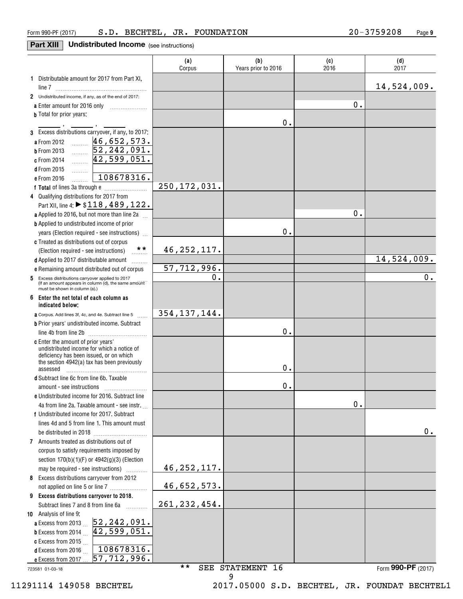## **Part XIII** Undistributed Income (see instructions)

|                                                                                                   | (a)<br>Corpus  | (b)<br>Years prior to 2016 | (c)<br>2016 | (d)<br>2017        |
|---------------------------------------------------------------------------------------------------|----------------|----------------------------|-------------|--------------------|
| 1 Distributable amount for 2017 from Part XI,                                                     |                |                            |             |                    |
|                                                                                                   |                |                            |             | 14,524,009.        |
| 2 Undistributed income, if any, as of the end of 2017:                                            |                |                            |             |                    |
|                                                                                                   |                |                            | 0.          |                    |
| <b>b</b> Total for prior years:                                                                   |                | 0.                         |             |                    |
| 3 Excess distributions carryover, if any, to 2017:                                                |                |                            |             |                    |
| $\frac{46,652,573.}{52,242,091.}$ $\frac{42,599,051.}{42,599,051.}$<br>a From 2012                |                |                            |             |                    |
| <b>b</b> From 2013                                                                                |                |                            |             |                    |
| c From 2014                                                                                       |                |                            |             |                    |
| <b>d</b> From 2015<br>.                                                                           |                |                            |             |                    |
| 108678316.<br>e From 2016                                                                         |                |                            |             |                    |
|                                                                                                   | 250, 172, 031. |                            |             |                    |
| 4 Qualifying distributions for 2017 from                                                          |                |                            |             |                    |
| Part XII, line 4: $\triangleright$ \$118, 489, 122.                                               |                |                            |             |                    |
| a Applied to 2016, but not more than line 2a                                                      |                |                            | 0.          |                    |
| <b>b</b> Applied to undistributed income of prior<br>years (Election required - see instructions) |                | 0.                         |             |                    |
| c Treated as distributions out of corpus                                                          |                |                            |             |                    |
| $\star \star$<br>(Election required - see instructions)                                           | 46, 252, 117.  |                            |             |                    |
| d Applied to 2017 distributable amount                                                            |                |                            |             | 14,524,009.        |
| e Remaining amount distributed out of corpus                                                      | 57,712,996.    |                            |             |                    |
| 5 Excess distributions carryover applied to 2017                                                  | Ο.             |                            |             | 0.                 |
| (If an amount appears in column (d), the same amount<br>must be shown in column (a).)             |                |                            |             |                    |
| 6 Enter the net total of each column as<br>indicated below:                                       |                |                            |             |                    |
| <b>a</b> Corpus. Add lines 3f, 4c, and 4e. Subtract line 5                                        | 354, 137, 144. |                            |             |                    |
| <b>b</b> Prior years' undistributed income. Subtract                                              |                |                            |             |                    |
| line 4b from line 2b                                                                              |                | 0.                         |             |                    |
| c Enter the amount of prior years'                                                                |                |                            |             |                    |
| undistributed income for which a notice of<br>deficiency has been issued, or on which             |                |                            |             |                    |
| the section 4942(a) tax has been previously                                                       |                |                            |             |                    |
| assessed                                                                                          |                | 0.                         |             |                    |
| <b>d</b> Subtract line 6c from line 6b. Taxable                                                   |                | 0.                         |             |                    |
| e Undistributed income for 2016. Subtract line                                                    |                |                            |             |                    |
| 4a from line 2a. Taxable amount - see instr.                                                      |                |                            | 0.          |                    |
| f Undistributed income for 2017. Subtract                                                         |                |                            |             |                    |
| lines 4d and 5 from line 1. This amount must                                                      |                |                            |             |                    |
|                                                                                                   |                |                            |             | 0.                 |
| 7 Amounts treated as distributions out of                                                         |                |                            |             |                    |
| corpus to satisfy requirements imposed by                                                         |                |                            |             |                    |
| section $170(b)(1)(F)$ or $4942(g)(3)$ (Election                                                  |                |                            |             |                    |
| may be required - see instructions)                                                               | 46, 252, 117.  |                            |             |                    |
| 8 Excess distributions carryover from 2012                                                        | 46,652,573.    |                            |             |                    |
| not applied on line 5 or line 7<br>9 Excess distributions carryover to 2018.                      |                |                            |             |                    |
| Subtract lines 7 and 8 from line 6a                                                               | 261, 232, 454. |                            |             |                    |
| 10 Analysis of line 9:                                                                            |                |                            |             |                    |
|                                                                                                   |                |                            |             |                    |
| a Excess from 2013  52, 242, 091.<br>b Excess from 2014  42, 599, 051.                            |                |                            |             |                    |
| c Excess from 2015                                                                                |                |                            |             |                    |
| 108678316.<br><b>d</b> Excess from 2016                                                           |                |                            |             |                    |
| 57,712,996.<br>e Excess from 2017                                                                 | * *            |                            |             |                    |
| 723581 01-03-18                                                                                   |                | SEE STATEMENT 16<br>9      |             | Form 990-PF (2017) |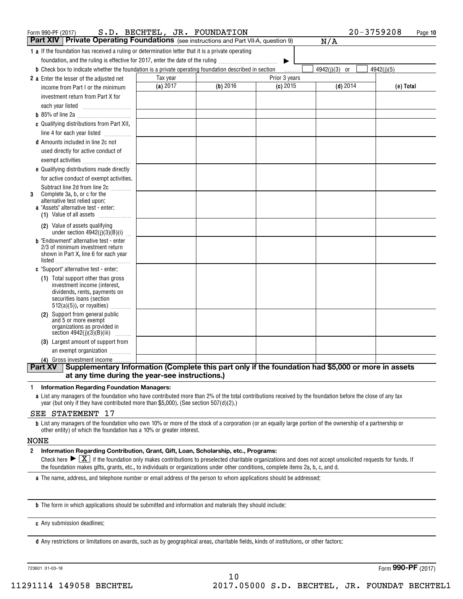| Form 990-PF (2017)                                                                                                                                                     | S.D. BECHTEL, JR. FOUNDATION |            |               | $20 - 3759208$ | Page 10    |
|------------------------------------------------------------------------------------------------------------------------------------------------------------------------|------------------------------|------------|---------------|----------------|------------|
| <b>Part XIV</b> Private Operating Foundations (see instructions and Part VII-A, question 9)                                                                            |                              |            |               | N/A            |            |
| 1 a If the foundation has received a ruling or determination letter that it is a private operating                                                                     |                              |            |               |                |            |
| foundation, and the ruling is effective for 2017, enter the date of the ruling                                                                                         |                              |            | ▶             |                |            |
| <b>b</b> Check box to indicate whether the foundation is a private operating foundation described in section                                                           |                              |            | 1.1.1.1.1.1   | 4942(j)(3) or  | 4942(j)(5) |
| 2 a Enter the lesser of the adjusted net                                                                                                                               | Tax year                     |            | Prior 3 years |                |            |
| income from Part I or the minimum                                                                                                                                      | (a) 2017                     | $(b)$ 2016 | $(c)$ 2015    | $(d)$ 2014     | (e) Total  |
| investment return from Part X for                                                                                                                                      |                              |            |               |                |            |
|                                                                                                                                                                        |                              |            |               |                |            |
|                                                                                                                                                                        |                              |            |               |                |            |
| c Qualifying distributions from Part XII,                                                                                                                              |                              |            |               |                |            |
| line 4 for each year listed                                                                                                                                            |                              |            |               |                |            |
| <b>d</b> Amounts included in line 2c not                                                                                                                               |                              |            |               |                |            |
| used directly for active conduct of                                                                                                                                    |                              |            |               |                |            |
| exempt activities                                                                                                                                                      |                              |            |               |                |            |
| e Qualifying distributions made directly                                                                                                                               |                              |            |               |                |            |
| for active conduct of exempt activities.                                                                                                                               |                              |            |               |                |            |
| Subtract line 2d from line 2c                                                                                                                                          |                              |            |               |                |            |
| Complete 3a, b, or c for the<br>3<br>alternative test relied upon:                                                                                                     |                              |            |               |                |            |
| <b>a</b> "Assets" alternative test - enter:                                                                                                                            |                              |            |               |                |            |
| (1) Value of all assets $\ldots$                                                                                                                                       |                              |            |               |                |            |
| (2) Value of assets qualifying                                                                                                                                         |                              |            |               |                |            |
| under section $4942(j)(3)(B)(i)$                                                                                                                                       |                              |            |               |                |            |
| <b>b</b> "Endowment" alternative test - enter<br>2/3 of minimum investment return                                                                                      |                              |            |               |                |            |
| shown in Part X, line 6 for each year                                                                                                                                  |                              |            |               |                |            |
| listed                                                                                                                                                                 |                              |            |               |                |            |
| c "Support" alternative test - enter:                                                                                                                                  |                              |            |               |                |            |
| (1) Total support other than gross                                                                                                                                     |                              |            |               |                |            |
| investment income (interest,<br>dividends, rents, payments on                                                                                                          |                              |            |               |                |            |
| securities loans (section                                                                                                                                              |                              |            |               |                |            |
| $512(a)(5)$ , or royalties)                                                                                                                                            |                              |            |               |                |            |
| (2) Support from general public<br>and 5 or more exempt                                                                                                                |                              |            |               |                |            |
| organizations as provided in                                                                                                                                           |                              |            |               |                |            |
| section $4942(j)(3)(B)(iii)$<br>.                                                                                                                                      |                              |            |               |                |            |
| (3) Largest amount of support from                                                                                                                                     |                              |            |               |                |            |
| an exempt organization                                                                                                                                                 |                              |            |               |                |            |
| (4) Gross investment income                                                                                                                                            |                              |            |               |                |            |
| Supplementary Information (Complete this part only if the foundation had \$5,000 or more in assets<br><b>Part XV</b><br>at any time during the year-see instructions.) |                              |            |               |                |            |
|                                                                                                                                                                        |                              |            |               |                |            |

#### **1Information Regarding Foundation Managers:**

**a**List any managers of the foundation who have contributed more than 2% of the total contributions received by the foundation before the close of any tax year (but only if they have contributed more than \$5,000). (See section 507(d)(2).)

### SEE STATEMENT 17

**b**List any managers of the foundation who own 10% or more of the stock of a corporation (or an equally large portion of the ownership of a partnership or other entity) of which the foundation has a 10% or greater interest.

### NONE

### **2Information Regarding Contribution, Grant, Gift, Loan, Scholarship, etc., Programs:**

Check here  $\blacktriangleright\lceil\frac{\mathbf{X}}{\mathbf{X}}\rceil$  if the foundation only makes contributions to preselected charitable organizations and does not accept unsolicited requests for funds. If the foundation makes gifts, grants, etc., to individuals or organizations under other conditions, complete items 2a, b, c, and d.

**a**The name, address, and telephone number or email address of the person to whom applications should be addressed:

**b**The form in which applications should be submitted and information and materials they should include:

**c**Any submission deadlines:

**d** Any restrictions or limitations on awards, such as by geographical areas, charitable fields, kinds of institutions, or other factors:

723601 01-03-18

Form (2017) **990-PF**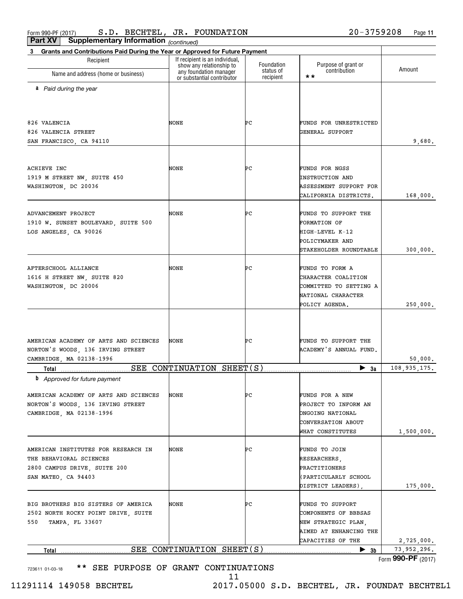**Part XV Supplementary Information**

*(continued)*

| If recipient is an individual,<br>Recipient<br>Foundation<br>Purpose of grant or<br>show any relationship to<br>contribution<br>status of<br>any foundation manager<br>Name and address (home or business)<br>$\star \star$<br>recipient<br>or substantial contributor<br>a Paid during the year<br>826 VALENCIA<br>NONE<br>FUNDS FOR UNRESTRICTED<br>PС<br>826 VALENCIA STREET<br>GENERAL SUPPORT<br>SAN FRANCISCO, CA 94110<br>NONE<br>ÞС<br><b>ACHIEVE INC</b><br>FUNDS FOR NGSS<br>1919 M STREET NW, SUITE 450<br><b>INSTRUCTION AND</b><br>WASHINGTON, DC 20036<br>ASSESSMENT SUPPORT FOR<br>CALIFORNIA DISTRICTS.<br>NONE<br>ÞС<br>FUNDS TO SUPPORT THE<br>ADVANCEMENT PROJECT<br>1910 W. SUNSET BOULEVARD, SUITE 500<br><b>FORMATION OF</b><br>LOS ANGELES, CA 90026<br>HIGH-LEVEL K-12<br>POLICYMAKER AND<br>STAKEHOLDER ROUNDTABLE<br>NONE<br>ÞС<br>AFTERSCHOOL ALLIANCE<br>FUNDS TO FORM A<br>1616 H STREET NW, SUITE 820<br>CHARACTER COALITION<br>WASHINGTON, DC 20006<br>COMMITTED TO SETTING A<br>NATIONAL CHARACTER<br>POLICY AGENDA.<br>AMERICAN ACADEMY OF ARTS AND SCIENCES<br>NONE<br>ÞС<br>FUNDS TO SUPPORT THE<br>ACADEMY'S ANNUAL FUND.<br>NORTON'S WOODS, 136 IRVING STREET<br>CAMBRIDGE, MA 02138-1996<br>SEE CONTINUATION SHEET(S)<br>$\blacktriangleright$ 3a<br>Total<br><b>b</b> Approved for future payment<br>AMERICAN ACADEMY OF ARTS AND SCIENCES<br>NONE<br>PС<br>FUNDS FOR A NEW<br>NORTON'S WOODS, 136 IRVING STREET<br>PROJECT TO INFORM AN<br>CAMBRIDGE, MA 02138-1996<br>ONGOING NATIONAL<br>CONVERSATION ABOUT<br>WHAT CONSTITUTES<br>AMERICAN INSTITUTES FOR RESEARCH IN<br>NONE<br>PС<br>FUNDS TO JOIN<br>THE BEHAVIORAL SCIENCES<br>RESEARCHERS,<br>2800 CAMPUS DRIVE, SUITE 200<br><b>PRACTITIONERS</b><br>SAN MATEO, CA 94403<br>(PARTICULARLY SCHOOL)<br>DISTRICT LEADERS),<br>BIG BROTHERS BIG SISTERS OF AMERICA<br>NONE<br>PС<br>FUNDS TO SUPPORT | Grants and Contributions Paid During the Year or Approved for Future Payment<br>3 |  |                                     |
|---------------------------------------------------------------------------------------------------------------------------------------------------------------------------------------------------------------------------------------------------------------------------------------------------------------------------------------------------------------------------------------------------------------------------------------------------------------------------------------------------------------------------------------------------------------------------------------------------------------------------------------------------------------------------------------------------------------------------------------------------------------------------------------------------------------------------------------------------------------------------------------------------------------------------------------------------------------------------------------------------------------------------------------------------------------------------------------------------------------------------------------------------------------------------------------------------------------------------------------------------------------------------------------------------------------------------------------------------------------------------------------------------------------------------------------------------------------------------------------------------------------------------------------------------------------------------------------------------------------------------------------------------------------------------------------------------------------------------------------------------------------------------------------------------------------------------------------------------------------------------------------------------|-----------------------------------------------------------------------------------|--|-------------------------------------|
|                                                                                                                                                                                                                                                                                                                                                                                                                                                                                                                                                                                                                                                                                                                                                                                                                                                                                                                                                                                                                                                                                                                                                                                                                                                                                                                                                                                                                                                                                                                                                                                                                                                                                                                                                                                                                                                                                                   |                                                                                   |  | Amount                              |
|                                                                                                                                                                                                                                                                                                                                                                                                                                                                                                                                                                                                                                                                                                                                                                                                                                                                                                                                                                                                                                                                                                                                                                                                                                                                                                                                                                                                                                                                                                                                                                                                                                                                                                                                                                                                                                                                                                   |                                                                                   |  |                                     |
|                                                                                                                                                                                                                                                                                                                                                                                                                                                                                                                                                                                                                                                                                                                                                                                                                                                                                                                                                                                                                                                                                                                                                                                                                                                                                                                                                                                                                                                                                                                                                                                                                                                                                                                                                                                                                                                                                                   |                                                                                   |  |                                     |
|                                                                                                                                                                                                                                                                                                                                                                                                                                                                                                                                                                                                                                                                                                                                                                                                                                                                                                                                                                                                                                                                                                                                                                                                                                                                                                                                                                                                                                                                                                                                                                                                                                                                                                                                                                                                                                                                                                   |                                                                                   |  | 9,680.                              |
|                                                                                                                                                                                                                                                                                                                                                                                                                                                                                                                                                                                                                                                                                                                                                                                                                                                                                                                                                                                                                                                                                                                                                                                                                                                                                                                                                                                                                                                                                                                                                                                                                                                                                                                                                                                                                                                                                                   |                                                                                   |  |                                     |
|                                                                                                                                                                                                                                                                                                                                                                                                                                                                                                                                                                                                                                                                                                                                                                                                                                                                                                                                                                                                                                                                                                                                                                                                                                                                                                                                                                                                                                                                                                                                                                                                                                                                                                                                                                                                                                                                                                   |                                                                                   |  | 168,000.                            |
|                                                                                                                                                                                                                                                                                                                                                                                                                                                                                                                                                                                                                                                                                                                                                                                                                                                                                                                                                                                                                                                                                                                                                                                                                                                                                                                                                                                                                                                                                                                                                                                                                                                                                                                                                                                                                                                                                                   |                                                                                   |  | 300,000.                            |
|                                                                                                                                                                                                                                                                                                                                                                                                                                                                                                                                                                                                                                                                                                                                                                                                                                                                                                                                                                                                                                                                                                                                                                                                                                                                                                                                                                                                                                                                                                                                                                                                                                                                                                                                                                                                                                                                                                   |                                                                                   |  | 250,000.                            |
|                                                                                                                                                                                                                                                                                                                                                                                                                                                                                                                                                                                                                                                                                                                                                                                                                                                                                                                                                                                                                                                                                                                                                                                                                                                                                                                                                                                                                                                                                                                                                                                                                                                                                                                                                                                                                                                                                                   |                                                                                   |  | 50,000.                             |
|                                                                                                                                                                                                                                                                                                                                                                                                                                                                                                                                                                                                                                                                                                                                                                                                                                                                                                                                                                                                                                                                                                                                                                                                                                                                                                                                                                                                                                                                                                                                                                                                                                                                                                                                                                                                                                                                                                   |                                                                                   |  | 108, 935, 175.                      |
|                                                                                                                                                                                                                                                                                                                                                                                                                                                                                                                                                                                                                                                                                                                                                                                                                                                                                                                                                                                                                                                                                                                                                                                                                                                                                                                                                                                                                                                                                                                                                                                                                                                                                                                                                                                                                                                                                                   |                                                                                   |  |                                     |
|                                                                                                                                                                                                                                                                                                                                                                                                                                                                                                                                                                                                                                                                                                                                                                                                                                                                                                                                                                                                                                                                                                                                                                                                                                                                                                                                                                                                                                                                                                                                                                                                                                                                                                                                                                                                                                                                                                   |                                                                                   |  | 1,500,000.                          |
|                                                                                                                                                                                                                                                                                                                                                                                                                                                                                                                                                                                                                                                                                                                                                                                                                                                                                                                                                                                                                                                                                                                                                                                                                                                                                                                                                                                                                                                                                                                                                                                                                                                                                                                                                                                                                                                                                                   |                                                                                   |  | 175,000.                            |
| 2502 NORTH ROCKY POINT DRIVE, SUITE<br>COMPONENTS OF BBBSAS<br>550 TAMPA, FL 33607<br>NEW STRATEGIC PLAN,<br>AIMED AT ENHANCING THE<br>CAPACITIES OF THE                                                                                                                                                                                                                                                                                                                                                                                                                                                                                                                                                                                                                                                                                                                                                                                                                                                                                                                                                                                                                                                                                                                                                                                                                                                                                                                                                                                                                                                                                                                                                                                                                                                                                                                                          |                                                                                   |  | 2,725,000.                          |
| SEE CONTINUATION SHEET(S)<br>$\blacktriangleright$ 3b<br>Total                                                                                                                                                                                                                                                                                                                                                                                                                                                                                                                                                                                                                                                                                                                                                                                                                                                                                                                                                                                                                                                                                                                                                                                                                                                                                                                                                                                                                                                                                                                                                                                                                                                                                                                                                                                                                                    |                                                                                   |  | 73, 952, 296.<br>Form 990-PF (2017) |

11

11291114 149058 BECHTEL 2017.05000 S.D. BECHTEL, JR. FOUNDAT BECHTEL1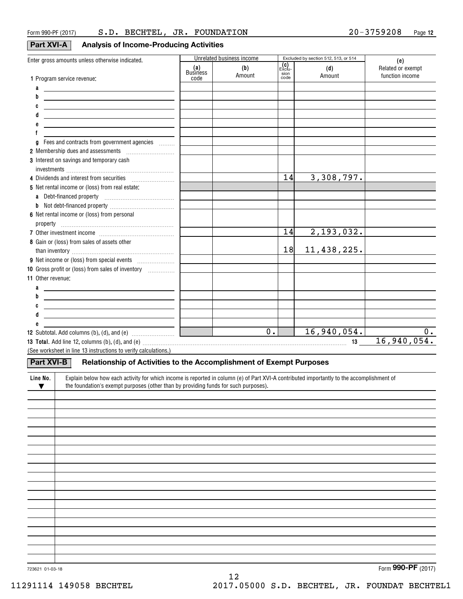| <b>Part XVI-A</b> |  |  | <b>Analysis of Income-Producing Activities</b> |
|-------------------|--|--|------------------------------------------------|
|                   |  |  |                                                |

| Enter gross amounts unless otherwise indicated.                                                                                                                                                                                              |                 | Unrelated business income |              | Excluded by section 512, 513, or 514 | (e)               |
|----------------------------------------------------------------------------------------------------------------------------------------------------------------------------------------------------------------------------------------------|-----------------|---------------------------|--------------|--------------------------------------|-------------------|
|                                                                                                                                                                                                                                              | (a)<br>Business | (b)                       | Exclu-       | (d)                                  | Related or exempt |
| 1 Program service revenue:                                                                                                                                                                                                                   | code            | Amount                    | sion<br>code | Amount                               | function income   |
| a<br><u> Alexandria de la contrada de la contrada de la contrada de la contrada de la contrada de la contrada de la c</u>                                                                                                                    |                 |                           |              |                                      |                   |
| b<br><u> 1989 - Jan Samuel Barbara, martin da shekara 1989 - An tsara 1989 - An tsara 1989 - An tsara 1989 - An tsara</u>                                                                                                                    |                 |                           |              |                                      |                   |
| C                                                                                                                                                                                                                                            |                 |                           |              |                                      |                   |
| <u> 1989 - Johann Barn, amerikansk politiker (d. 1989)</u><br>d                                                                                                                                                                              |                 |                           |              |                                      |                   |
| <u> 1989 - Johann Stein, fransk politik (d. 1989)</u>                                                                                                                                                                                        |                 |                           |              |                                      |                   |
| <u> 1989 - Johann John Stone, markin fizikar (h. 1982).</u>                                                                                                                                                                                  |                 |                           |              |                                      |                   |
| Fees and contracts from government agencies<br>g                                                                                                                                                                                             |                 |                           |              |                                      |                   |
| 2 Membership dues and assessments [111] Membership dues and assessments                                                                                                                                                                      |                 |                           |              |                                      |                   |
| 3 Interest on savings and temporary cash                                                                                                                                                                                                     |                 |                           |              |                                      |                   |
|                                                                                                                                                                                                                                              |                 |                           |              |                                      |                   |
| 4 Dividends and interest from securities                                                                                                                                                                                                     |                 |                           | 14           | 3,308,797.                           |                   |
| 5 Net rental income or (loss) from real estate:                                                                                                                                                                                              |                 |                           |              |                                      |                   |
| a Debt-financed property [11] [11] Debt-financed property                                                                                                                                                                                    |                 |                           |              |                                      |                   |
|                                                                                                                                                                                                                                              |                 |                           |              |                                      |                   |
|                                                                                                                                                                                                                                              |                 |                           |              |                                      |                   |
| 6 Net rental income or (loss) from personal                                                                                                                                                                                                  |                 |                           |              |                                      |                   |
|                                                                                                                                                                                                                                              |                 |                           | 14           | 2,193,032.                           |                   |
|                                                                                                                                                                                                                                              |                 |                           |              |                                      |                   |
| 8 Gain or (loss) from sales of assets other                                                                                                                                                                                                  |                 |                           | 18           |                                      |                   |
|                                                                                                                                                                                                                                              |                 |                           |              | 11,438,225.                          |                   |
|                                                                                                                                                                                                                                              |                 |                           |              |                                      |                   |
| 10 Gross profit or (loss) from sales of inventory                                                                                                                                                                                            |                 |                           |              |                                      |                   |
| 11 Other revenue:                                                                                                                                                                                                                            |                 |                           |              |                                      |                   |
| <u> 1989 - Johann Barn, mars eta bainar eta bainar eta baina eta baina eta baina eta baina eta baina eta baina e</u>                                                                                                                         |                 |                           |              |                                      |                   |
| b                                                                                                                                                                                                                                            |                 |                           |              |                                      |                   |
| <u> 1989 - Johann Barn, fransk politik (d. 1989)</u>                                                                                                                                                                                         |                 |                           |              |                                      |                   |
| <u> 1989 - Johann Barn, mars and de Brasilian (b. 1989)</u>                                                                                                                                                                                  |                 |                           |              |                                      |                   |
|                                                                                                                                                                                                                                              |                 |                           |              |                                      |                   |
|                                                                                                                                                                                                                                              |                 | $\overline{\bullet}$ .    |              | 16,940,054.                          | 0.                |
|                                                                                                                                                                                                                                              |                 |                           |              |                                      | 16,940,054.       |
| (See worksheet in line 13 instructions to verify calculations.)                                                                                                                                                                              |                 |                           |              |                                      |                   |
| <b>Part XVI-B</b><br>Relationship of Activities to the Accomplishment of Exempt Purposes                                                                                                                                                     |                 |                           |              |                                      |                   |
|                                                                                                                                                                                                                                              |                 |                           |              |                                      |                   |
| Explain below how each activity for which income is reported in column (e) of Part XVI-A contributed importantly to the accomplishment of<br>Line No.<br>the foundation's exempt purposes (other than by providing funds for such purposes). |                 |                           |              |                                      |                   |
| $\blacktriangledown$                                                                                                                                                                                                                         |                 |                           |              |                                      |                   |
|                                                                                                                                                                                                                                              |                 |                           |              |                                      |                   |
|                                                                                                                                                                                                                                              |                 |                           |              |                                      |                   |
|                                                                                                                                                                                                                                              |                 |                           |              |                                      |                   |
|                                                                                                                                                                                                                                              |                 |                           |              |                                      |                   |
|                                                                                                                                                                                                                                              |                 |                           |              |                                      |                   |
|                                                                                                                                                                                                                                              |                 |                           |              |                                      |                   |
|                                                                                                                                                                                                                                              |                 |                           |              |                                      |                   |
|                                                                                                                                                                                                                                              |                 |                           |              |                                      |                   |
|                                                                                                                                                                                                                                              |                 |                           |              |                                      |                   |
|                                                                                                                                                                                                                                              |                 |                           |              |                                      |                   |
|                                                                                                                                                                                                                                              |                 |                           |              |                                      |                   |
|                                                                                                                                                                                                                                              |                 |                           |              |                                      |                   |
|                                                                                                                                                                                                                                              |                 |                           |              |                                      |                   |
|                                                                                                                                                                                                                                              |                 |                           |              |                                      |                   |
|                                                                                                                                                                                                                                              |                 |                           |              |                                      |                   |
|                                                                                                                                                                                                                                              |                 |                           |              |                                      |                   |
|                                                                                                                                                                                                                                              |                 |                           |              |                                      |                   |
|                                                                                                                                                                                                                                              |                 |                           |              |                                      |                   |

12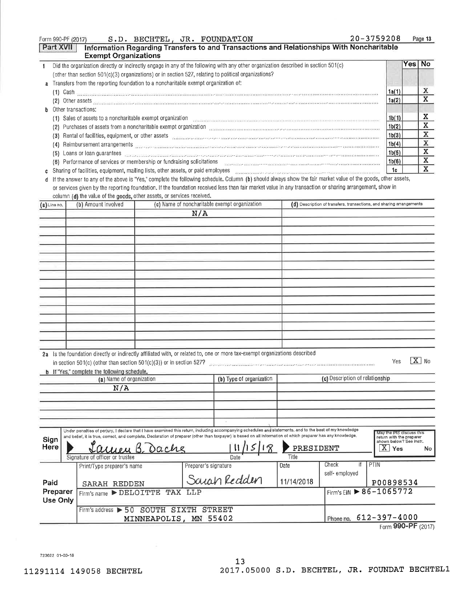| Form 990-PF (2017) |  | S.D. BECHTEL, JR. FOUNDATION | $20 - 3759208$                                                                                       |
|--------------------|--|------------------------------|------------------------------------------------------------------------------------------------------|
|                    |  |                              | Part XVII   Information Regarding Transfers to and Transactions and Relationships With Noncharitable |

1c

x

|    | <b>Late VALL</b><br><u>INTONINATION NEGATUM TRANSICIS to and Transactions and neighborisms with Nonenantasie</u><br><b>Exempt Organizations</b>                                                                                       |                    |      |           |
|----|---------------------------------------------------------------------------------------------------------------------------------------------------------------------------------------------------------------------------------------|--------------------|------|-----------|
|    | Did the organization directly or indirectly engage in any of the following with any other organization described in section 501(c)                                                                                                    |                    | Yesl | <b>No</b> |
|    | (other than section 501(c)(3) organizations) or in section 527, relating to political organizations?                                                                                                                                  |                    |      |           |
| a  | Transfers from the reporting foundation to a noncharitable exempt organization of:                                                                                                                                                    |                    |      |           |
|    | Cash continuous animais anno 1999 anns an comparativamente anno 1999 anno 1999. Tha ann an comparativamente anno<br>(1)                                                                                                               | 1a(1)              |      | х         |
|    | (2) Other assets with the communication communication of the communication of the communication of the communication                                                                                                                  | 1a(2)              |      |           |
| h. | Other transactions:                                                                                                                                                                                                                   |                    |      |           |
|    | Sales of assets to a noncharitable exempt organization contained and contained accountation of assets to a noncharitable exempt organization<br>(1).                                                                                  | 1 <sub>b</sub> (1) |      | x         |
|    | Purchases of assets from a noncharitable exempt organization management contains a construction of assets from a noncharitable exempt organization management of the state of the state of the state of the state of the state<br>(2) | 1 <sub>b</sub> (2) |      | x         |
|    | Rental of facilities, equipment, or other assets and concernation continuous continuous continuous continuous continuous<br>(3)                                                                                                       | 1 <sub>b</sub> (3) |      |           |
|    | (4)                                                                                                                                                                                                                                   | 1 <sub>b</sub> (4) |      | х         |
|    | Loans or loan guarantees and contained and contained and contained and contained and contained and contained and contained and contained and contained and contained and contained and contained and contained and contained a<br>(5) | 1b(5)              |      | x         |
|    | (6) Performance of services or membership or fundraising solicitations<br>ROOMSTOON DOODSTOL IN MANAGEMENT DOORSTOL ALLEEN IN LIFE WATER WARREN DOORSTOL AND                                                                          | 1 <sub>b</sub> (6) |      |           |

(6) Performance of services or membership or fundraising solicitations . Sharing of facilities, equipment, mailing lists, other assets, or paid employees ...........................

d If the answer to any of the above is "Yes," complete the following schedule. Column (b) should always show the fair market value of the goods, other assets, or services given by the reporting foundation. If the foundation received less than fair market value in any transaction or sharing arrangement, show in column (d) the value of the goods, other assets, or services received.

| $(a)$ Line no. | (b) Amount involved                                                                                                                                                                                                            | (c) Name of noncharitable exempt organization                                                                                                                                                                                                                                                                                                                                               | (d) Description of transfers, transactions, and sharing arrangements |
|----------------|--------------------------------------------------------------------------------------------------------------------------------------------------------------------------------------------------------------------------------|---------------------------------------------------------------------------------------------------------------------------------------------------------------------------------------------------------------------------------------------------------------------------------------------------------------------------------------------------------------------------------------------|----------------------------------------------------------------------|
|                |                                                                                                                                                                                                                                | N/A                                                                                                                                                                                                                                                                                                                                                                                         |                                                                      |
|                |                                                                                                                                                                                                                                |                                                                                                                                                                                                                                                                                                                                                                                             |                                                                      |
|                |                                                                                                                                                                                                                                |                                                                                                                                                                                                                                                                                                                                                                                             |                                                                      |
|                |                                                                                                                                                                                                                                |                                                                                                                                                                                                                                                                                                                                                                                             |                                                                      |
|                |                                                                                                                                                                                                                                |                                                                                                                                                                                                                                                                                                                                                                                             |                                                                      |
|                |                                                                                                                                                                                                                                |                                                                                                                                                                                                                                                                                                                                                                                             |                                                                      |
|                |                                                                                                                                                                                                                                |                                                                                                                                                                                                                                                                                                                                                                                             |                                                                      |
|                |                                                                                                                                                                                                                                |                                                                                                                                                                                                                                                                                                                                                                                             |                                                                      |
|                |                                                                                                                                                                                                                                |                                                                                                                                                                                                                                                                                                                                                                                             |                                                                      |
|                |                                                                                                                                                                                                                                |                                                                                                                                                                                                                                                                                                                                                                                             |                                                                      |
|                |                                                                                                                                                                                                                                |                                                                                                                                                                                                                                                                                                                                                                                             |                                                                      |
|                |                                                                                                                                                                                                                                |                                                                                                                                                                                                                                                                                                                                                                                             |                                                                      |
|                |                                                                                                                                                                                                                                |                                                                                                                                                                                                                                                                                                                                                                                             |                                                                      |
|                |                                                                                                                                                                                                                                |                                                                                                                                                                                                                                                                                                                                                                                             |                                                                      |
|                |                                                                                                                                                                                                                                |                                                                                                                                                                                                                                                                                                                                                                                             |                                                                      |
|                |                                                                                                                                                                                                                                |                                                                                                                                                                                                                                                                                                                                                                                             |                                                                      |
|                | the state of the state of the state of the state of the state of the state of the state of the state of the state of the state of the state of the state of the state of the state of the state of the state of the state of t | the contract of the contract of the contract of the contract of the contract of the contract of the contract of<br>$\sim$ $\sim$ $\sim$ $\sim$ $\sim$<br>$\mathcal{A}$ and a set of the set of the set of the set of the set of the set of the set of the set of the set of the set of the set of the set of the set of the set of the set of the set of the set of the set of the set of t |                                                                      |

| 2a Is the foundation directly or indirectly affiliated with, or related to, one or more tax-exempt organizations described |                             |  |
|----------------------------------------------------------------------------------------------------------------------------|-----------------------------|--|
| in section 501(c) (other than section $501(c)(3)$ ) or in section 527?                                                     | Yes $\boxed{\mathbf{X}}$ No |  |

| $\cdots$                                                                      | $H_1$ ). There is not extra related to a | Let Departurian of relationshi |
|-------------------------------------------------------------------------------|------------------------------------------|--------------------------------|
| <b>b</b> If "Yes," complete the following schedule.                           |                                          |                                |
| In section 501(c) (other than section 501(c)(3)) or in section 527 $\epsilon$ |                                          |                                |

|                      |                                                                                                | (a) Name of organization                                                                                                                                                                                                                                                                                                                                                        | (b) Type of organization |                    | (c) Description of relationship |                                                                                                         |
|----------------------|------------------------------------------------------------------------------------------------|---------------------------------------------------------------------------------------------------------------------------------------------------------------------------------------------------------------------------------------------------------------------------------------------------------------------------------------------------------------------------------|--------------------------|--------------------|---------------------------------|---------------------------------------------------------------------------------------------------------|
|                      |                                                                                                | N/A                                                                                                                                                                                                                                                                                                                                                                             |                          |                    |                                 |                                                                                                         |
|                      |                                                                                                |                                                                                                                                                                                                                                                                                                                                                                                 |                          |                    |                                 |                                                                                                         |
|                      |                                                                                                |                                                                                                                                                                                                                                                                                                                                                                                 |                          |                    |                                 |                                                                                                         |
|                      |                                                                                                |                                                                                                                                                                                                                                                                                                                                                                                 |                          |                    |                                 |                                                                                                         |
| Sign<br>Here         |                                                                                                | Under penalties of perjury, I declare that I have examined this return, including accompanying schedules and statements, and to the best of my knowledge<br>and belief, it is true, correct, and complete, Declaration of preparer (other than taxpayer) is based on all information of which preparer has any knowledge.<br>Lauren B. Dachs<br>Signature of officer or trustee | Date <sup>1</sup>        | PRESIDENT<br>Title |                                 | May the IRS discuss this<br>return with the preparer<br>shown below? See instr.<br>$X \vert Y$ es<br>No |
|                      |                                                                                                | Print/Type preparer's name                                                                                                                                                                                                                                                                                                                                                      | Preparer's signature     | Date               | if<br>Check                     | PTIN                                                                                                    |
| Paid                 |                                                                                                | REDDEN<br>SARAH                                                                                                                                                                                                                                                                                                                                                                 | Sarah Redden             | 11/14/2018         | self-employed                   | P00898534                                                                                               |
| Preparer<br>Use Only |                                                                                                | Firm's name > DELOITTE<br>TAX LLP                                                                                                                                                                                                                                                                                                                                               |                          |                    | Firm's EIN ▶ 86-1065772         |                                                                                                         |
|                      | <b>STREET</b><br>SIXTH<br>SOUTH<br>Firm's address $\triangleright$ 50<br>MINNEAPOLIS, MN 55402 |                                                                                                                                                                                                                                                                                                                                                                                 |                          |                    |                                 | 612-397-4000                                                                                            |

Form **990-PF** (2017)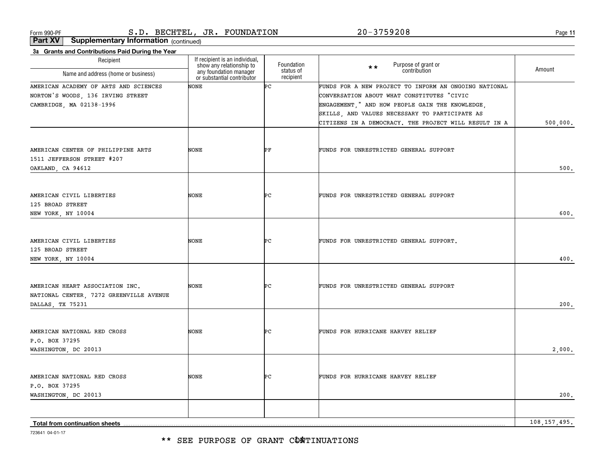### \*\* SEE PURPOSE OF GRANT CÔATINUATIONS

| Recipient<br>Name and address (home or business)                                               | If recipient is an individual,<br>show any relationship to<br>any foundation manager<br>or substantial contributor | Foundation<br>status of | Purpose of grant or<br>$\star \star$<br>contribution  | Amount         |
|------------------------------------------------------------------------------------------------|--------------------------------------------------------------------------------------------------------------------|-------------------------|-------------------------------------------------------|----------------|
|                                                                                                |                                                                                                                    | recipient               |                                                       |                |
| AMERICAN ACADEMY OF ARTS AND SCIENCES                                                          | NONE                                                                                                               | Þс                      | FUNDS FOR A NEW PROJECT TO INFORM AN ONGOING NATIONAL |                |
| NORTON'S WOODS, 136 IRVING STREET                                                              |                                                                                                                    |                         | CONVERSATION ABOUT WHAT CONSTITUTES "CIVIC            |                |
| CAMBRIDGE, MA 02138-1996                                                                       |                                                                                                                    |                         | ENGAGEMENT," AND HOW PEOPLE GAIN THE KNOWLEDGE,       |                |
|                                                                                                |                                                                                                                    |                         | SKILLS, AND VALUES NECESSARY TO PARTICIPATE AS        |                |
|                                                                                                |                                                                                                                    |                         | CITIZENS IN A DEMOCRACY. THE PROJECT WILL RESULT IN A | 500,000.       |
| AMERICAN CENTER OF PHILIPPINE ARTS<br>1511 JEFFERSON STREET #207<br>OAKLAND, CA 94612          | NONE                                                                                                               | ÞF                      | FUNDS FOR UNRESTRICTED GENERAL SUPPORT                | 500.           |
|                                                                                                |                                                                                                                    |                         |                                                       |                |
| AMERICAN CIVIL LIBERTIES<br>125 BROAD STREET<br>NEW YORK, NY 10004                             | NONE                                                                                                               | ÞС                      | FUNDS FOR UNRESTRICTED GENERAL SUPPORT                | 600.           |
|                                                                                                |                                                                                                                    |                         |                                                       |                |
| AMERICAN CIVIL LIBERTIES                                                                       | NONE                                                                                                               | ÞС                      | FUNDS FOR UNRESTRICTED GENERAL SUPPORT.               |                |
| 125 BROAD STREET                                                                               |                                                                                                                    |                         |                                                       |                |
| NEW YORK, NY 10004                                                                             |                                                                                                                    |                         |                                                       | 400.           |
| AMERICAN HEART ASSOCIATION INC.<br>NATIONAL CENTER, 7272 GREENVILLE AVENUE<br>DALLAS, TX 75231 | NONE                                                                                                               | ÞС                      | FUNDS FOR UNRESTRICTED GENERAL SUPPORT                | 200.           |
|                                                                                                |                                                                                                                    |                         |                                                       |                |
| AMERICAN NATIONAL RED CROSS<br>P.O. BOX 37295                                                  | NONE                                                                                                               | ÞС                      | FUNDS FOR HURRICANE HARVEY RELIEF                     |                |
| WASHINGTON, DC 20013                                                                           |                                                                                                                    |                         |                                                       | 2,000.         |
| AMERICAN NATIONAL RED CROSS<br>P.O. BOX 37295                                                  | NONE                                                                                                               | ÞС                      | FUNDS FOR HURRICANE HARVEY RELIEF                     |                |
| WASHINGTON, DC 20013                                                                           |                                                                                                                    |                         |                                                       | 200.           |
| Total from continuation sheets                                                                 |                                                                                                                    |                         |                                                       | 108, 157, 495. |
|                                                                                                |                                                                                                                    |                         |                                                       |                |

**Total from continuation sheets**

723641 04-01-17

**11**

Form 990-PF Page S.D. BECHTEL, JR. FOUNDATION 20-3759208

**3a Grants and Contributions Paid During the Year**

**Part XV Supplementary Information** (continued)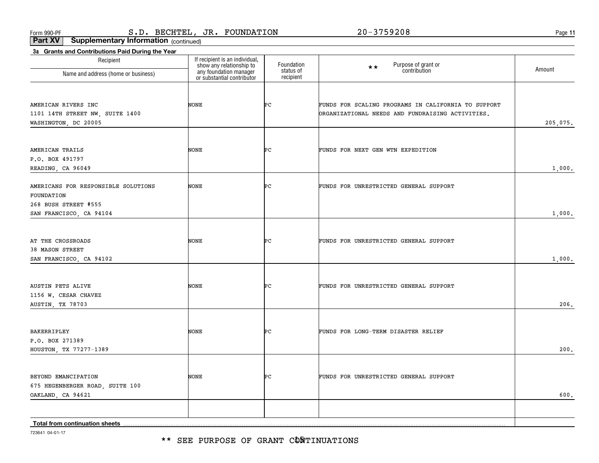\*\* SEE PURPOSE OF GRANT CÔÑTINUATIONS

723641 04-01-17

| Recipient<br>Name and address (home or business)                                                     | If recipient is an individual,<br>show any relationship to<br>any foundation manager<br>or substantial contributor | Foundation<br>status of | Purpose of grant or<br>$**$<br>contribution                                                             | Amount   |
|------------------------------------------------------------------------------------------------------|--------------------------------------------------------------------------------------------------------------------|-------------------------|---------------------------------------------------------------------------------------------------------|----------|
|                                                                                                      |                                                                                                                    | recipient               |                                                                                                         |          |
| AMERICAN RIVERS INC<br>1101 14TH STREET NW, SUITE 1400<br>WASHINGTON, DC 20005                       | NONE                                                                                                               | ÞС                      | FUNDS FOR SCALING PROGRAMS IN CALIFORNIA TO SUPPORT<br>ORGANIZATIONAL NEEDS AND FUNDRAISING ACTIVITIES. | 205,075. |
| AMERICAN TRAILS<br>P.O. BOX 491797<br>READING, CA 96049                                              | NONE                                                                                                               | ÞС                      | FUNDS FOR NEXT GEN WTN EXPEDITION                                                                       | 1,000.   |
| AMERICANS FOR RESPONSIBLE SOLUTIONS<br>FOUNDATION<br>268 BUSH STREET #555<br>SAN FRANCISCO, CA 94104 | NONE                                                                                                               | ÞС                      | FUNDS FOR UNRESTRICTED GENERAL SUPPORT                                                                  | 1,000.   |
|                                                                                                      |                                                                                                                    |                         |                                                                                                         |          |
| AT THE CROSSROADS<br>38 MASON STREET<br>SAN FRANCISCO, CA 94102                                      | NONE                                                                                                               | ÞС                      | FUNDS FOR UNRESTRICTED GENERAL SUPPORT                                                                  | 1,000.   |
| <b>AUSTIN PETS ALIVE</b><br>1156 W. CESAR CHAVEZ<br>AUSTIN, TX 78703                                 | NONE                                                                                                               | ÞС                      | FUNDS FOR UNRESTRICTED GENERAL SUPPORT                                                                  | 206.     |
| <b>BAKERRIPLEY</b><br>P.O. BOX 271389<br>HOUSTON, TX 77277-1389                                      | NONE                                                                                                               | ÞС                      | FUNDS FOR LONG-TERM DISASTER RELIEF                                                                     | 200.     |
| BEYOND EMANCIPATION<br>675 HEGENBERGER ROAD, SUITE 100<br>OAKLAND, CA 94621                          | NONE                                                                                                               | ÞС                      | FUNDS FOR UNRESTRICTED GENERAL SUPPORT                                                                  | 600.     |
|                                                                                                      |                                                                                                                    |                         |                                                                                                         |          |
| Total from continuation sheets                                                                       |                                                                                                                    |                         |                                                                                                         |          |

## **Part XV Supplementary Information** (continued)

**3a Grants and Contributions Paid During the Year**

Form 990-PF Page S.D. BECHTEL, JR. FOUNDATION 20-3759208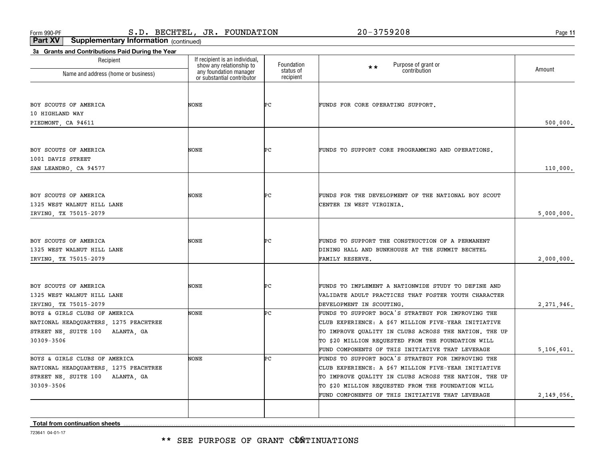**11**

**Part XV Supplementary Information** (continued)

| Recipient                                           | If recipient is an individual,<br>show any relationship to | Foundation             | Purpose of grant or<br>$\star\star$                                                                         |              |
|-----------------------------------------------------|------------------------------------------------------------|------------------------|-------------------------------------------------------------------------------------------------------------|--------------|
| Name and address (home or business)                 | any foundation manager<br>or substantial contributor       | status of<br>recipient | contribution                                                                                                | Amount       |
|                                                     |                                                            |                        |                                                                                                             |              |
| BOY SCOUTS OF AMERICA                               | NONE                                                       | ÞС                     | FUNDS FOR CORE OPERATING SUPPORT.                                                                           |              |
| 10 HIGHLAND WAY                                     |                                                            |                        |                                                                                                             |              |
| PIEDMONT, CA 94611                                  |                                                            |                        |                                                                                                             | 500,000.     |
|                                                     |                                                            |                        |                                                                                                             |              |
| BOY SCOUTS OF AMERICA                               | NONE                                                       | ÞС                     | FUNDS TO SUPPORT CORE PROGRAMMING AND OPERATIONS.                                                           |              |
| 1001 DAVIS STREET                                   |                                                            |                        |                                                                                                             |              |
| SAN LEANDRO, CA 94577                               |                                                            |                        |                                                                                                             | 110,000.     |
| BOY SCOUTS OF AMERICA                               | NONE                                                       | ÞС                     | FUNDS FOR THE DEVELOPMENT OF THE NATIONAL BOY SCOUT                                                         |              |
| 1325 WEST WALNUT HILL LANE                          |                                                            |                        | CENTER IN WEST VIRGINIA.                                                                                    |              |
| IRVING, TX 75015-2079                               |                                                            |                        |                                                                                                             | 5,000,000.   |
|                                                     |                                                            |                        |                                                                                                             |              |
| BOY SCOUTS OF AMERICA                               | NONE                                                       | ÞС                     | FUNDS TO SUPPORT THE CONSTRUCTION OF A PERMANENT                                                            |              |
| 1325 WEST WALNUT HILL LANE                          |                                                            |                        | DINING HALL AND BUNKHOUSE AT THE SUMMIT BECHTEL                                                             |              |
| IRVING, TX 75015-2079                               |                                                            |                        | FAMILY RESERVE.                                                                                             | 2,000,000.   |
|                                                     |                                                            |                        |                                                                                                             |              |
| BOY SCOUTS OF AMERICA<br>1325 WEST WALNUT HILL LANE | NONE                                                       | ÞС                     | FUNDS TO IMPLEMENT A NATIONWIDE STUDY TO DEFINE AND<br>VALIDATE ADULT PRACTICES THAT FOSTER YOUTH CHARACTER |              |
| IRVING, TX 75015-2079                               |                                                            |                        | DEVELOPMENT IN SCOUTING.                                                                                    | 2, 271, 946. |
| BOYS & GIRLS CLUBS OF AMERICA                       | NONE                                                       | ÞС                     | FUNDS TO SUPPORT BGCA'S STRATEGY FOR IMPROVING THE                                                          |              |
| NATIONAL HEADQUARTERS, 1275 PEACHTREE               |                                                            |                        | CLUB EXPERIENCE: A \$67 MILLION FIVE-YEAR INITIATIVE                                                        |              |
| STREET NE, SUITE 100 ALANTA, GA                     |                                                            |                        | TO IMPROVE QUALITY IN CLUBS ACROSS THE NATION. THE UP                                                       |              |
| 30309-3506                                          |                                                            |                        | TO \$20 MILLION REQUESTED FROM THE FOUNDATION WILL                                                          |              |
|                                                     |                                                            |                        | FUND COMPONENTS OF THIS INITIATIVE THAT LEVERAGE                                                            | 5, 106, 601. |
| BOYS & GIRLS CLUBS OF AMERICA                       | <b>NONE</b>                                                | ÞС                     | FUNDS TO SUPPORT BGCA'S STRATEGY FOR IMPROVING THE                                                          |              |
| NATIONAL HEADQUARTERS, 1275 PEACHTREE               |                                                            |                        | CLUB EXPERIENCE: A \$67 MILLION FIVE-YEAR INITIATIVE                                                        |              |
| STREET NE, SUITE 100 ALANTA, GA                     |                                                            |                        | TO IMPROVE QUALITY IN CLUBS ACROSS THE NATION. THE UP                                                       |              |
| 30309-3506                                          |                                                            |                        | TO \$20 MILLION REQUESTED FROM THE FOUNDATION WILL                                                          |              |
|                                                     |                                                            |                        | FUND COMPONENTS OF THIS INITIATIVE THAT LEVERAGE                                                            | 2,149,056.   |
|                                                     |                                                            |                        |                                                                                                             |              |
| <b>Total from continuation sheets</b>               |                                                            |                        |                                                                                                             |              |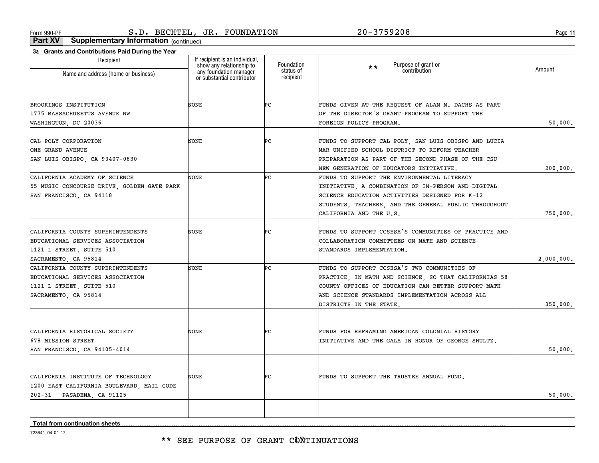**11**

**Part XV Supplementary Information** (continued)

| 3a Grants and Contributions Paid During the Year |                                                                                  |                         |                                                       |            |
|--------------------------------------------------|----------------------------------------------------------------------------------|-------------------------|-------------------------------------------------------|------------|
| Recipient                                        | If recipient is an individual,                                                   | Foundation<br>status of | Purpose of grant or<br>$\star\star$<br>contribution   | Amount     |
| Name and address (home or business)              | show any relationship to<br>any foundation manager<br>or substantial contributor | recipient               |                                                       |            |
|                                                  |                                                                                  |                         |                                                       |            |
| BROOKINGS INSTITUTION                            | NONE                                                                             | ÞС                      | FUNDS GIVEN AT THE REQUEST OF ALAN M. DACHS AS PART   |            |
| 1775 MASSACHUSETTS AVENUE NW                     |                                                                                  |                         | OF THE DIRECTOR'S GRANT PROGRAM TO SUPPORT THE        |            |
| WASHINGTON, DC 20036                             |                                                                                  |                         | FOREIGN POLICY PROGRAM.                               | 50,000.    |
| CAL POLY CORPORATION                             | NONE                                                                             | ÞС                      | FUNDS TO SUPPORT CAL POLY, SAN LUIS OBISPO AND LUCIA  |            |
| ONE GRAND AVENUE                                 |                                                                                  |                         | MAR UNIFIED SCHOOL DISTRICT TO REFORM TEACHER         |            |
| SAN LUIS OBISPO, CA 93407-0830                   |                                                                                  |                         | PREPARATION AS PART OF THE SECOND PHASE OF THE CSU    |            |
|                                                  |                                                                                  |                         | NEW GENERATION OF EDUCATORS INITIATIVE.               | 200,000.   |
| CALIFORNIA ACADEMY OF SCIENCE                    | NONE                                                                             | Þс                      | FUNDS TO SUPPORT THE ENVIRONMENTAL LITERACY           |            |
| 55 MUSIC CONCOURSE DRIVE, GOLDEN GATE PARK       |                                                                                  |                         | INITIATIVE, A COMBINATION OF IN-PERSON AND DIGITAL    |            |
| SAN FRANCISCO, CA 94118                          |                                                                                  |                         | SCIENCE EDUCATION ACTIVITIES DESIGNED FOR K-12        |            |
|                                                  |                                                                                  |                         | STUDENTS, TEACHERS, AND THE GENERAL PUBLIC THROUGHOUT |            |
|                                                  |                                                                                  |                         | CALIFORNIA AND THE U.S.                               | 750,000.   |
|                                                  |                                                                                  |                         |                                                       |            |
| CALIFORNIA COUNTY SUPERINTENDENTS                | NONE                                                                             | ÞС                      | FUNDS TO SUPPORT CCSESA'S COMMUNITIES OF PRACTICE AND |            |
| EDUCATIONAL SERVICES ASSOCIATION                 |                                                                                  |                         | COLLABORATION COMMITTEES ON MATH AND SCIENCE          |            |
| 1121 L STREET, SUITE 510                         |                                                                                  |                         | STANDARDS IMPLEMENTATION.                             |            |
| SACRAMENTO, CA 95814                             |                                                                                  |                         |                                                       | 2,000,000. |
| CALIFORNIA COUNTY SUPERINTENDENTS                | NONE                                                                             | Þс                      | FUNDS TO SUPPORT CCSESA'S TWO COMMUNITIES OF          |            |
| EDUCATIONAL SERVICES ASSOCIATION                 |                                                                                  |                         | PRACTICE, IN MATH AND SCIENCE, SO THAT CALIFORNIAS 58 |            |
| 1121 L STREET, SUITE 510                         |                                                                                  |                         | COUNTY OFFICES OF EDUCATION CAN BETTER SUPPORT MATH   |            |
| SACRAMENTO, CA 95814                             |                                                                                  |                         | AND SCIENCE STANDARDS IMPLEMENTATION ACROSS ALL       |            |
|                                                  |                                                                                  |                         | DISTRICTS IN THE STATE.                               | 350,000.   |
|                                                  |                                                                                  |                         |                                                       |            |
| CALIFORNIA HISTORICAL SOCIETY                    | NONE                                                                             | ÞС                      | FUNDS FOR REFRAMING AMERICAN COLONIAL HISTORY         |            |
| 678 MISSION STREET                               |                                                                                  |                         | INITIATIVE AND THE GALA IN HONOR OF GEORGE SHULTZ.    |            |
| SAN FRANCISCO, CA 94105-4014                     |                                                                                  |                         |                                                       | 50,000.    |
|                                                  |                                                                                  |                         |                                                       |            |
| CALIFORNIA INSTITUTE OF TECHNOLOGY               | NONE                                                                             | ÞС                      | FUNDS TO SUPPORT THE TRUSTEE ANNUAL FUND.             |            |
| 1200 EAST CALIFORNIA BOULEVARD, MAIL CODE        |                                                                                  |                         |                                                       |            |
| $202 - 31$<br>PASADENA, CA 91125                 |                                                                                  |                         |                                                       | 50,000.    |
|                                                  |                                                                                  |                         |                                                       |            |
| <b>Total from continuation sheets</b>            |                                                                                  |                         |                                                       |            |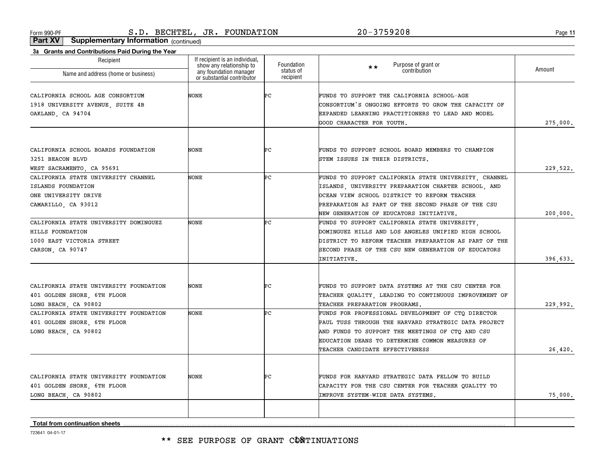**11**

**Part XV Supplementary Information** (continued)

| Recipient                              | If recipient is an individual,<br>show any relationship to | Foundation             | Purpose of grant or<br>$\star \star$                  | Amount   |
|----------------------------------------|------------------------------------------------------------|------------------------|-------------------------------------------------------|----------|
| Name and address (home or business)    | any foundation manager<br>or substantial contributor       | status of<br>recipient | contribution                                          |          |
| CALIFORNIA SCHOOL AGE CONSORTIUM       | NONE                                                       | Þс                     | FUNDS TO SUPPORT THE CALIFORNIA SCHOOL-AGE            |          |
| 1918 UNIVERSITY AVENUE, SUITE 4B       |                                                            |                        | CONSORTIUM'S ONGOING EFFORTS TO GROW THE CAPACITY OF  |          |
| OAKLAND, CA 94704                      |                                                            |                        | EXPANDED LEARNING PRACTITIONERS TO LEAD AND MODEL     |          |
|                                        |                                                            |                        | GOOD CHARACTER FOR YOUTH.                             | 275,000. |
|                                        |                                                            |                        |                                                       |          |
| CALIFORNIA SCHOOL BOARDS FOUNDATION    | NONE                                                       | ÞС                     | FUNDS TO SUPPORT SCHOOL BOARD MEMBERS TO CHAMPION     |          |
| 3251 BEACON BLVD                       |                                                            |                        | STEM ISSUES IN THEIR DISTRICTS.                       |          |
| WEST SACRAMENTO, CA 95691              |                                                            |                        |                                                       | 229,522. |
| CALIFORNIA STATE UNIVERSITY CHANNEL    | NONE                                                       | Þс                     | FUNDS TO SUPPORT CALIFORNIA STATE UNIVERSITY, CHANNEL |          |
| ISLANDS FOUNDATION                     |                                                            |                        | ISLANDS, UNIVERSITY PREPARATION CHARTER SCHOOL, AND   |          |
| ONE UNIVERSITY DRIVE                   |                                                            |                        | OCEAN VIEW SCHOOL DISTRICT TO REFORM TEACHER          |          |
| CAMARILLO, CA 93012                    |                                                            |                        | PREPARATION AS PART OF THE SECOND PHASE OF THE CSU    |          |
|                                        |                                                            |                        | NEW GENERATION OF EDUCATORS INITIATIVE.               | 200,000. |
| CALIFORNIA STATE UNIVERSITY DOMINGUEZ  | NONE                                                       | Þс                     | FUNDS TO SUPPORT CALIFORNIA STATE UNIVERSITY.         |          |
| HILLS FOUNDATION                       |                                                            |                        | DOMINGUEZ HILLS AND LOS ANGELES UNIFIED HIGH SCHOOL   |          |
| 1000 EAST VICTORIA STREET              |                                                            |                        | DISTRICT TO REFORM TEACHER PREPARATION AS PART OF THE |          |
| CARSON, CA 90747                       |                                                            |                        | SECOND PHASE OF THE CSU NEW GENERATION OF EDUCATORS   |          |
|                                        |                                                            |                        | INITIATIVE.                                           | 396,633. |
| CALIFORNIA STATE UNIVERSITY FOUNDATION | NONE                                                       | ÞС                     | FUNDS TO SUPPORT DATA SYSTEMS AT THE CSU CENTER FOR   |          |
| 401 GOLDEN SHORE, 6TH FLOOR            |                                                            |                        | TEACHER QUALITY, LEADING TO CONTINUOUS IMPROVEMENT OF |          |
| LONG BEACH, CA 90802                   |                                                            |                        | TEACHER PREPARATION PROGRAMS.                         | 229,992. |
| CALIFORNIA STATE UNIVERSITY FOUNDATION | <b>NONE</b>                                                | ÞС                     | FUNDS FOR PROFESSIONAL DEVELOPMENT OF CTQ DIRECTOR    |          |
| 401 GOLDEN SHORE, 6TH FLOOR            |                                                            |                        | PAUL TUSS THROUGH THE HARVARD STRATEGIC DATA PROJECT  |          |
| LONG BEACH, CA 90802                   |                                                            |                        | AND FUNDS TO SUPPORT THE MEETINGS OF CTQ AND CSU      |          |
|                                        |                                                            |                        | EDUCATION DEANS TO DETERMINE COMMON MEASURES OF       |          |
|                                        |                                                            |                        | TEACHER CANDIDATE EFFECTIVENESS                       | 26,420.  |
|                                        |                                                            |                        |                                                       |          |
| CALIFORNIA STATE UNIVERSITY FOUNDATION | NONE                                                       | ÞС                     | FUNDS FOR HARVARD STRATEGIC DATA FELLOW TO BUILD      |          |
| 401 GOLDEN SHORE, 6TH FLOOR            |                                                            |                        | CAPACITY FOR THE CSU CENTER FOR TEACHER QUALITY TO    |          |
| LONG BEACH, CA 90802                   |                                                            |                        | IMPROVE SYSTEM-WIDE DATA SYSTEMS.                     | 75,000.  |
|                                        |                                                            |                        |                                                       |          |
| <b>Total from continuation sheets</b>  |                                                            |                        |                                                       |          |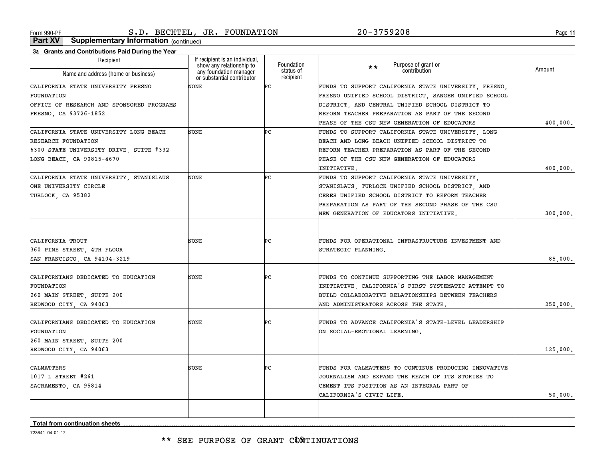**11**

**Part XV Supplementary Information** (continued)

| 3a Grants and Contributions Paid During the Year                                                          |                                                                                      |                         |                                                                                                                                                                                                         |          |
|-----------------------------------------------------------------------------------------------------------|--------------------------------------------------------------------------------------|-------------------------|---------------------------------------------------------------------------------------------------------------------------------------------------------------------------------------------------------|----------|
| Recipient<br>Name and address (home or business)                                                          | If recipient is an individual,<br>show any relationship to<br>any foundation manager | Foundation<br>status of | Purpose of grant or<br>$***$<br>contribution                                                                                                                                                            | Amount   |
|                                                                                                           | or substantial contributor                                                           | recipient               |                                                                                                                                                                                                         |          |
| CALIFORNIA STATE UNIVERSITY FRESNO                                                                        | NONE                                                                                 | Þс                      | FUNDS TO SUPPORT CALIFORNIA STATE UNIVERSITY, FRESNO,                                                                                                                                                   |          |
| FOUNDATION                                                                                                |                                                                                      |                         | FRESNO UNIFIED SCHOOL DISTRICT, SANGER UNIFIED SCHOOL                                                                                                                                                   |          |
| OFFICE OF RESEARCH AND SPONSORED PROGRAMS                                                                 |                                                                                      |                         | DISTRICT, AND CENTRAL UNIFIED SCHOOL DISTRICT TO                                                                                                                                                        |          |
| FRESNO, CA 93726-1852                                                                                     |                                                                                      |                         | REFORM TEACHER PREPARATION AS PART OF THE SECOND                                                                                                                                                        |          |
|                                                                                                           |                                                                                      |                         | PHASE OF THE CSU NEW GENERATION OF EDUCATORS                                                                                                                                                            | 400.000. |
| CALIFORNIA STATE UNIVERSITY LONG BEACH                                                                    | NONE                                                                                 | Þс                      | FUNDS TO SUPPORT CALIFORNIA STATE UNIVERSITY, LONG                                                                                                                                                      |          |
| RESEARCH FOUNDATION                                                                                       |                                                                                      |                         | BEACH AND LONG BEACH UNIFIED SCHOOL DISTRICT TO                                                                                                                                                         |          |
| 6300 STATE UNIVERSITY DRIVE, SUITE #332                                                                   |                                                                                      |                         | REFORM TEACHER PREPARATION AS PART OF THE SECOND                                                                                                                                                        |          |
| LONG BEACH, CA 90815-4670                                                                                 |                                                                                      |                         | PHASE OF THE CSU NEW GENERATION OF EDUCATORS                                                                                                                                                            |          |
|                                                                                                           |                                                                                      |                         | INITIATIVE.                                                                                                                                                                                             | 400,000. |
| CALIFORNIA STATE UNIVERSITY, STANISLAUS                                                                   | NONE                                                                                 | Þс                      | FUNDS TO SUPPORT CALIFORNIA STATE UNIVERSITY.                                                                                                                                                           |          |
| ONE UNIVERSITY CIRCLE                                                                                     |                                                                                      |                         | STANISLAUS, TURLOCK UNIFIED SCHOOL DISTRICT, AND                                                                                                                                                        |          |
| TURLOCK, CA 95382                                                                                         |                                                                                      |                         | CERES UNIFIED SCHOOL DISTRICT TO REFORM TEACHER                                                                                                                                                         |          |
|                                                                                                           |                                                                                      |                         | PREPARATION AS PART OF THE SECOND PHASE OF THE CSU                                                                                                                                                      |          |
|                                                                                                           |                                                                                      |                         | NEW GENERATION OF EDUCATORS INITIATIVE.                                                                                                                                                                 | 300,000. |
| CALIFORNIA TROUT<br>360 PINE STREET, 4TH FLOOR<br>SAN FRANCISCO, CA 94104-3219                            | NONE                                                                                 | ÞС                      | FUNDS FOR OPERATIONAL INFRASTRUCTURE INVESTMENT AND<br>STRATEGIC PLANNING.                                                                                                                              | 85,000.  |
| CALIFORNIANS DEDICATED TO EDUCATION<br>FOUNDATION<br>260 MAIN STREET, SUITE 200<br>REDWOOD CITY, CA 94063 | NONE                                                                                 | ÞС                      | FUNDS TO CONTINUE SUPPORTING THE LABOR MANAGEMENT<br>INITIATIVE, CALIFORNIA'S FIRST SYSTEMATIC ATTEMPT TO<br>BUILD COLLABORATIVE RELATIONSHIPS BETWEEN TEACHERS<br>AND ADMINISTRATORS ACROSS THE STATE. | 250,000. |
| CALIFORNIANS DEDICATED TO EDUCATION<br>FOUNDATION<br>260 MAIN STREET, SUITE 200<br>REDWOOD CITY, CA 94063 | NONE                                                                                 | ÞС                      | FUNDS TO ADVANCE CALIFORNIA'S STATE-LEVEL LEADERSHIP<br>ON SOCIAL-EMOTIONAL LEARNING.                                                                                                                   | 125,000. |
| CALMATTERS<br>1017 L STREET #261<br>SACRAMENTO, CA 95814                                                  | NONE                                                                                 | ÞС                      | FUNDS FOR CALMATTERS TO CONTINUE PRODUCING INNOVATIVE<br>JOURNALISM AND EXPAND THE REACH OF ITS STORIES TO<br>CEMENT ITS POSITION AS AN INTEGRAL PART OF<br>CALIFORNIA'S CIVIC LIFE.                    | 50,000.  |
| <b>Total from continuation sheets</b>                                                                     |                                                                                      |                         |                                                                                                                                                                                                         |          |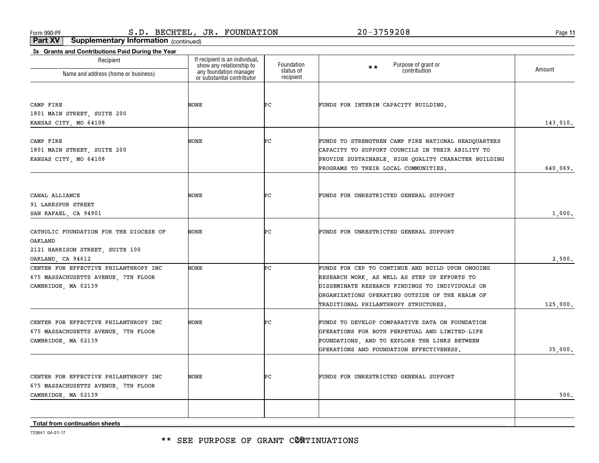**11**

**Part XV Supplementary Information** (continued)

| Recipient                              | If recipient is an individual,<br>show any relationship to | Foundation             | Purpose of grant or<br>$***$<br>contribution         | Amount   |
|----------------------------------------|------------------------------------------------------------|------------------------|------------------------------------------------------|----------|
| Name and address (home or business)    | any foundation manager<br>or substantial contributor       | status of<br>recipient |                                                      |          |
|                                        |                                                            |                        |                                                      |          |
| CAMP FIRE                              | NONE                                                       | ÞС                     | FUNDS FOR INTERIM CAPACITY BUILDING.                 |          |
| 1801 MAIN STREET, SUITE 200            |                                                            |                        |                                                      |          |
| KANSAS CITY, MO 64108                  |                                                            |                        |                                                      | 143,010. |
| CAMP FIRE                              | NONE                                                       | ÞС                     | FUNDS TO STRENGTHEN CAMP FIRE NATIONAL HEADQUARTERS  |          |
| 1801 MAIN STREET, SUITE 200            |                                                            |                        | CAPACITY TO SUPPORT COUNCILS IN THEIR ABILITY TO     |          |
| KANSAS CITY, MO 64108                  |                                                            |                        | PROVIDE SUSTAINABLE, HIGH QUALITY CHARACTER BUILDING |          |
|                                        |                                                            |                        | PROGRAMS TO THEIR LOCAL COMMUNITIES.                 | 640,069. |
|                                        |                                                            |                        |                                                      |          |
| CANAL ALLIANCE                         | NONE                                                       | ÞС                     | FUNDS FOR UNRESTRICTED GENERAL SUPPORT               |          |
| 91 LARKSPUR STREET                     |                                                            |                        |                                                      |          |
| SAN RAFAEL, CA 94901                   |                                                            |                        |                                                      | 1,000.   |
| CATHOLIC FOUNDATION FOR THE DIOCESE OF | <b>NONE</b>                                                | ÞС                     | FUNDS FOR UNRESTRICTED GENERAL SUPPORT               |          |
| OAKLAND                                |                                                            |                        |                                                      |          |
| 2121 HARRISON STREET, SUITE 100        |                                                            |                        |                                                      |          |
| OAKLAND, CA 94612                      |                                                            |                        |                                                      | 2,500.   |
| CENTER FOR EFFECTIVE PHILANTHROPY INC  | <b>NONE</b>                                                | Þс                     | FUNDS FOR CEP TO CONTINUE AND BUILD UPON ONGOING     |          |
| 675 MASSACHUSETTS AVENUE, 7TH FLOOR    |                                                            |                        | RESEARCH WORK, AS WELL AS STEP UP EFFORTS TO         |          |
| CAMBRIDGE, MA 02139                    |                                                            |                        | DISSEMINATE RESEARCH FINDINGS TO INDIVIDUALS OR      |          |
|                                        |                                                            |                        | ORGANIZATIONS OPERATING OUTSIDE OF THE REALM OF      |          |
|                                        |                                                            |                        | TRADITIONAL PHILANTHROPY STRUCTURES.                 | 125,000. |
| CENTER FOR EFFECTIVE PHILANTHROPY INC  | NONE                                                       | ÞС                     | FUNDS TO DEVELOP COMPARATIVE DATA ON FOUNDATION      |          |
| 675 MASSACHUSETTS AVENUE, 7TH FLOOR    |                                                            |                        | OPERATIONS FOR BOTH PERPETUAL AND LIMITED-LIFE       |          |
| CAMBRIDGE, MA 02139                    |                                                            |                        | FOUNDATIONS, AND TO EXPLORE THE LINKS BETWEEN        |          |
|                                        |                                                            |                        | OPERATIONS AND FOUNDATION EFFECTIVENESS.             | 35,000.  |
|                                        |                                                            |                        |                                                      |          |
| CENTER FOR EFFECTIVE PHILANTHROPY INC  | NONE                                                       | ÞС                     | FUNDS FOR UNRESTRICTED GENERAL SUPPORT               |          |
| 675 MASSACHUSETTS AVENUE, 7TH FLOOR    |                                                            |                        |                                                      |          |
| CAMBRIDGE, MA 02139                    |                                                            |                        |                                                      | 500.     |
|                                        |                                                            |                        |                                                      |          |
| <b>Total from continuation sheets</b>  |                                                            |                        |                                                      |          |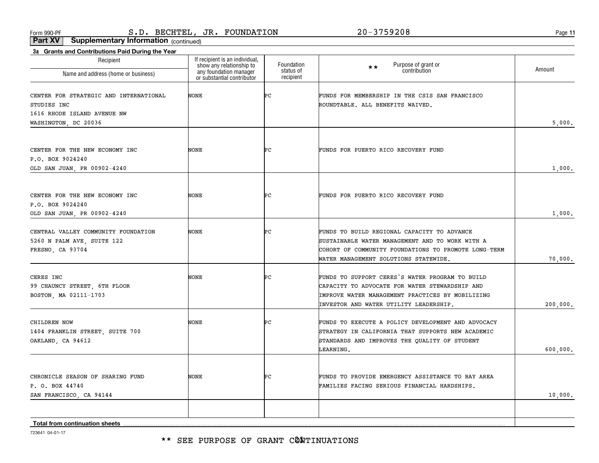**11**

**Part XV Supplementary Information** (continued)

| 3a Grants and Contributions Paid During the Year<br>Recipient | If recipient is an individual,                                                   | Foundation             | Purpose of grant or<br>$\star\star$                  | Amount   |
|---------------------------------------------------------------|----------------------------------------------------------------------------------|------------------------|------------------------------------------------------|----------|
| Name and address (home or business)                           | show any relationship to<br>any foundation manager<br>or substantial contributor | status of<br>recipient | contribution                                         |          |
| CENTER FOR STRATEGIC AND INTERNATIONAL                        | NONE                                                                             | ÞС                     | FUNDS FOR MEMBERSHIP IN THE CSIS SAN FRANCISCO       |          |
| STUDIES INC                                                   |                                                                                  |                        | ROUNDTABLE. ALL BENEFITS WAIVED.                     |          |
| 1616 RHODE ISLAND AVENUE NW                                   |                                                                                  |                        |                                                      |          |
| WASHINGTON, DC 20036                                          |                                                                                  |                        |                                                      | 5.000.   |
| CENTER FOR THE NEW ECONOMY INC                                | NONE                                                                             | ÞС                     | FUNDS FOR PUERTO RICO RECOVERY FUND                  |          |
| P.O. BOX 9024240                                              |                                                                                  |                        |                                                      |          |
| OLD SAN JUAN, PR 00902-4240                                   |                                                                                  |                        |                                                      | 1,000.   |
|                                                               |                                                                                  |                        |                                                      |          |
| CENTER FOR THE NEW ECONOMY INC                                | NONE                                                                             | ÞС                     | FUNDS FOR PUERTO RICO RECOVERY FUND                  |          |
| P.O. BOX 9024240                                              |                                                                                  |                        |                                                      |          |
| OLD SAN JUAN, PR 00902-4240                                   |                                                                                  |                        |                                                      | 1,000.   |
| CENTRAL VALLEY COMMUNITY FOUNDATION                           | NONE                                                                             | ÞС                     | FUNDS TO BUILD REGIONAL CAPACITY TO ADVANCE          |          |
| 5260 N PALM AVE, SUITE 122                                    |                                                                                  |                        | SUSTAINABLE WATER MANAGEMENT AND TO WORK WITH A      |          |
| FRESNO, CA 93704                                              |                                                                                  |                        | COHORT OF COMMUNITY FOUNDATIONS TO PROMOTE LONG-TERM |          |
|                                                               |                                                                                  |                        | WATER MANAGEMENT SOLUTIONS STATEWIDE.                | 70,000.  |
| CERES INC                                                     | NONE                                                                             | ÞС                     | FUNDS TO SUPPORT CERES'S WATER PROGRAM TO BUILD      |          |
| 99 CHAUNCY STREET, 6TH FLOOR                                  |                                                                                  |                        | CAPACITY TO ADVOCATE FOR WATER STEWARDSHIP AND       |          |
| BOSTON, MA 02111-1703                                         |                                                                                  |                        | IMPROVE WATER MANAGEMENT PRACTICES BY MOBILIZING     |          |
|                                                               |                                                                                  |                        | INVESTOR AND WATER UTILITY LEADERSHIP.               | 200,000. |
| CHILDREN NOW                                                  | NONE                                                                             | ÞС                     | FUNDS TO EXECUTE A POLICY DEVELOPMENT AND ADVOCACY   |          |
| 1404 FRANKLIN STREET, SUITE 700                               |                                                                                  |                        | STRATEGY IN CALIFORNIA THAT SUPPORTS NEW ACADEMIC    |          |
| OAKLAND, CA 94612                                             |                                                                                  |                        | STANDARDS AND IMPROVES THE QUALITY OF STUDENT        |          |
|                                                               |                                                                                  |                        | LEARNING.                                            | 600,000. |
|                                                               |                                                                                  |                        |                                                      |          |
| CHRONICLE SEASON OF SHARING FUND                              | NONE                                                                             | ÞС                     | FUNDS TO PROVIDE EMERGENCY ASSISTANCE TO BAY AREA    |          |
| P. O. BOX 44740                                               |                                                                                  |                        | FAMILIES FACING SERIOUS FINANCIAL HARDSHIPS.         |          |
| SAN FRANCISCO, CA 94144                                       |                                                                                  |                        |                                                      | 10,000.  |
|                                                               |                                                                                  |                        |                                                      |          |
| <b>Total from continuation sheets</b>                         |                                                                                  |                        |                                                      |          |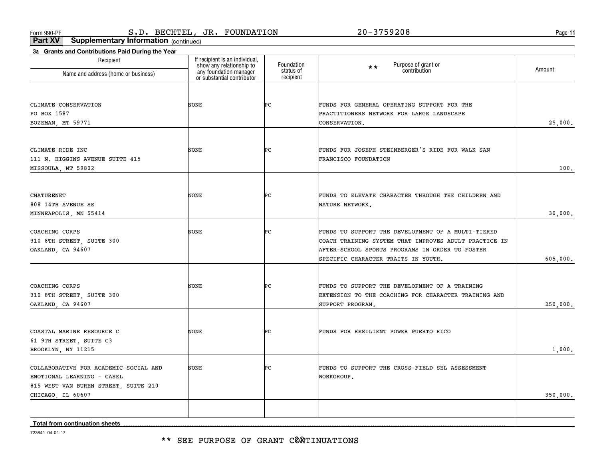**11**

**Part XV Supplementary Information** (continued)

| 3a Grants and Contributions Paid During the Year<br>Recipient |                                                                                                                    |                                      |                                                       |          |
|---------------------------------------------------------------|--------------------------------------------------------------------------------------------------------------------|--------------------------------------|-------------------------------------------------------|----------|
| Name and address (home or business)                           | If recipient is an individual,<br>show any relationship to<br>any foundation manager<br>or substantial contributor | Foundation<br>status of<br>recipient | Purpose of grant or<br>contribution<br>$\star\star$   | Amount   |
|                                                               |                                                                                                                    |                                      |                                                       |          |
|                                                               |                                                                                                                    |                                      |                                                       |          |
| CLIMATE CONSERVATION                                          | NONE                                                                                                               | ÞС                                   | FUNDS FOR GENERAL OPERATING SUPPORT FOR THE           |          |
| PO BOX 1587                                                   |                                                                                                                    |                                      | PRACTITIONERS NETWORK FOR LARGE LANDSCAPE             |          |
| BOZEMAN, MT 59771                                             |                                                                                                                    |                                      | CONSERVATION.                                         | 25,000.  |
| CLIMATE RIDE INC                                              | NONE                                                                                                               | ÞС                                   | FUNDS FOR JOSEPH STEINBERGER'S RIDE FOR WALK SAN      |          |
| 111 N. HIGGINS AVENUE SUITE 415                               |                                                                                                                    |                                      | FRANCISCO FOUNDATION                                  |          |
| MISSOULA, MT 59802                                            |                                                                                                                    |                                      |                                                       | 100.     |
|                                                               |                                                                                                                    |                                      |                                                       |          |
| <b>CNATURENET</b>                                             | NONE                                                                                                               | ÞС                                   | FUNDS TO ELEVATE CHARACTER THROUGH THE CHILDREN AND   |          |
| 808 14TH AVENUE SE                                            |                                                                                                                    |                                      | NATURE NETWORK.                                       |          |
| MINNEAPOLIS, MN 55414                                         |                                                                                                                    |                                      |                                                       | 30,000.  |
| COACHING CORPS                                                | NONE                                                                                                               | ÞС                                   | FUNDS TO SUPPORT THE DEVELOPMENT OF A MULTI-TIERED    |          |
| 310 8TH STREET, SUITE 300                                     |                                                                                                                    |                                      | COACH TRAINING SYSTEM THAT IMPROVES ADULT PRACTICE IN |          |
| OAKLAND, CA 94607                                             |                                                                                                                    |                                      | AFTER-SCHOOL SPORTS PROGRAMS IN ORDER TO FOSTER       |          |
|                                                               |                                                                                                                    |                                      | SPECIFIC CHARACTER TRAITS IN YOUTH.                   | 605,000. |
| COACHING CORPS                                                | NONE                                                                                                               | ÞС                                   | FUNDS TO SUPPORT THE DEVELOPMENT OF A TRAINING        |          |
| 310 8TH STREET, SUITE 300                                     |                                                                                                                    |                                      | EXTENSION TO THE COACHING FOR CHARACTER TRAINING AND  |          |
| OAKLAND, CA 94607                                             |                                                                                                                    |                                      | SUPPORT PROGRAM.                                      | 250,000. |
|                                                               |                                                                                                                    |                                      |                                                       |          |
| COASTAL MARINE RESOURCE C                                     | NONE                                                                                                               | ÞС                                   | FUNDS FOR RESILIENT POWER PUERTO RICO                 |          |
| 61 9TH STREET, SUITE C3                                       |                                                                                                                    |                                      |                                                       |          |
| BROOKLYN, NY 11215                                            |                                                                                                                    |                                      |                                                       | 1,000.   |
| COLLABORATIVE FOR ACADEMIC SOCIAL AND                         | NONE                                                                                                               | ÞС                                   | FUNDS TO SUPPORT THE CROSS-FIELD SEL ASSESSMENT       |          |
| EMOTIONAL LEARNING - CASEL                                    |                                                                                                                    |                                      | WORKGROUP.                                            |          |
| 815 WEST VAN BUREN STREET, SUITE 210                          |                                                                                                                    |                                      |                                                       |          |
| CHICAGO, IL 60607                                             |                                                                                                                    |                                      |                                                       | 350,000. |
|                                                               |                                                                                                                    |                                      |                                                       |          |
| <b>Total from continuation sheets</b>                         |                                                                                                                    |                                      |                                                       |          |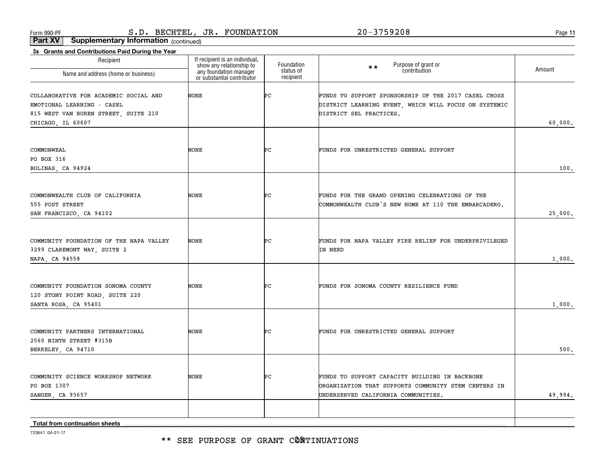\*\* SEE PURPOSE OF GRANT CØNTINUATIONS

723641 04-01-17

| Recipient                               | If recipient is an individual,<br>show any relationship to<br>any foundation manager | Foundation<br>status of | Purpose of grant or<br>$\star \star$<br>contribution  | Amount  |
|-----------------------------------------|--------------------------------------------------------------------------------------|-------------------------|-------------------------------------------------------|---------|
| Name and address (home or business)     | or substantial contributor                                                           | recipient               |                                                       |         |
| COLLABORATIVE FOR ACADEMIC SOCIAL AND   | NONE                                                                                 | ÞС                      | FUNDS TO SUPPORT SPONSORSHIP OF THE 2017 CASEL CROSS  |         |
| EMOTIONAL LEARNING - CASEL              |                                                                                      |                         | DISTRICT LEARNING EVENT, WHICH WILL FOCUS ON SYSTEMIC |         |
| 815 WEST VAN BUREN STREET, SUITE 210    |                                                                                      |                         | DISTRICT SEL PRACTICES.                               |         |
| CHICAGO, IL 60607                       |                                                                                      |                         |                                                       | 60,000. |
|                                         |                                                                                      |                         |                                                       |         |
| COMMONWEAL<br>PO BOX 316                | NONE                                                                                 | ÞС                      | FUNDS FOR UNRESTRICTED GENERAL SUPPORT                |         |
| BOLINAS, CA 94924                       |                                                                                      |                         |                                                       | 100.    |
|                                         |                                                                                      |                         |                                                       |         |
| COMMONWEALTH CLUB OF CALIFORNIA         | NONE                                                                                 | ÞС                      | FUNDS FOR THE GRAND OPENING CELEBRATIONS OF THE       |         |
| 555 POST STREET                         |                                                                                      |                         | COMMONWEALTH CLUB'S NEW HOME AT 110 THE EMBARCADERO.  |         |
| SAN FRANCISCO, CA 94102                 |                                                                                      |                         |                                                       | 25,000. |
|                                         |                                                                                      |                         |                                                       |         |
| COMMUNITY FOUNDATION OF THE NAPA VALLEY | NONE                                                                                 | ÞС                      | FUNDS FOR NAPA VALLEY FIRE RELIEF FOR UNDERPRIVILEGED |         |
| 3299 CLAREMONT WAY, SUITE 2             |                                                                                      |                         | IN NEED                                               |         |
| NAPA, CA 94558                          |                                                                                      |                         |                                                       | 1,000.  |
|                                         |                                                                                      |                         |                                                       |         |
| COMMUNITY FOUNDATION SONOMA COUNTY      | NONE                                                                                 | ÞС                      | FUNDS FOR SONOMA COUNTY RESILIENCE FUND               |         |
| 120 STONY POINT ROAD, SUITE 220         |                                                                                      |                         |                                                       |         |
| SANTA ROSA, CA 95401                    |                                                                                      |                         |                                                       | 1,000.  |
|                                         |                                                                                      |                         |                                                       |         |
| COMMUNITY PARTNERS INTERNATIONAL        | NONE                                                                                 | ÞС                      | FUNDS FOR UNRESTRICTED GENERAL SUPPORT                |         |
| 2560 NINTH STREET #315B                 |                                                                                      |                         |                                                       | 500.    |
| BERKELEY, CA 94710                      |                                                                                      |                         |                                                       |         |
| COMMUNITY SCIENCE WORKSHOP NETWORK      | NONE                                                                                 | ÞС                      | FUNDS TO SUPPORT CAPACITY BUILDING IN BACKBONE        |         |
| PO BOX 1307                             |                                                                                      |                         | ORGANIZATION THAT SUPPORTS COMMUNITY STEM CENTERS IN  |         |
| SANGER, CA 93657                        |                                                                                      |                         | UNDERSERVED CALIFORNIA COMMUNITIES.                   | 49,994. |
|                                         |                                                                                      |                         |                                                       |         |
| Total from continuation sheets          |                                                                                      |                         |                                                       |         |

**Part XV Supplementary Information** (continued)

**3a Grants and Contributions Paid During the Year**

Recipient

**11**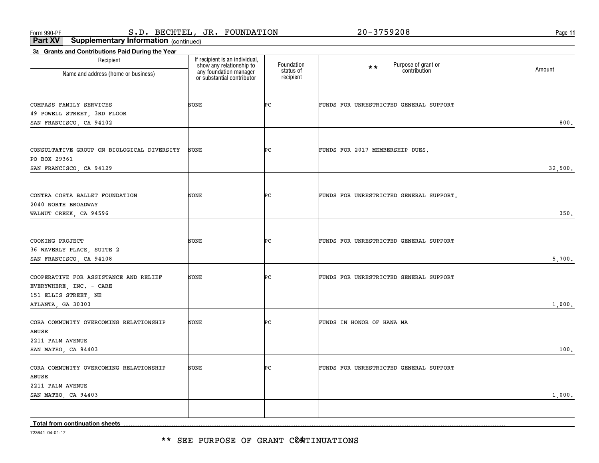\*\* SEE PURPOSE OF GRANT CØ**A**TINUATIONS

| Recipient<br>Name and address (home or business)                                                              | If recipient is an individual,<br>show any relationship to<br>any foundation manager<br>or substantial contributor | Foundation<br>status of<br>recipient | Purpose of grant or<br>$\star\star$<br>contribution | Amount  |
|---------------------------------------------------------------------------------------------------------------|--------------------------------------------------------------------------------------------------------------------|--------------------------------------|-----------------------------------------------------|---------|
| COMPASS FAMILY SERVICES<br>49 POWELL STREET, 3RD FLOOR<br>SAN FRANCISCO, CA 94102                             | NONE                                                                                                               | ÞС                                   | FUNDS FOR UNRESTRICTED GENERAL SUPPORT              | 800.    |
| CONSULTATIVE GROUP ON BIOLOGICAL DIVERSITY<br>PO BOX 29361<br>SAN FRANCISCO, CA 94129                         | NONE                                                                                                               | ÞС                                   | FUNDS FOR 2017 MEMBERSHIP DUES.                     | 32,500. |
| CONTRA COSTA BALLET FOUNDATION<br>2040 NORTH BROADWAY<br>WALNUT CREEK, CA 94596                               | <b>NONE</b>                                                                                                        | ÞС                                   | FUNDS FOR UNRESTRICTED GENERAL SUPPORT.             | 350.    |
| COOKING PROJECT<br>36 WAVERLY PLACE, SUITE 2<br>SAN FRANCISCO, CA 94108                                       | <b>NONE</b>                                                                                                        | ÞС                                   | FUNDS FOR UNRESTRICTED GENERAL SUPPORT              | 5,700.  |
| COOPERATIVE FOR ASSISTANCE AND RELIEF<br>EVERYWHERE, INC. - CARE<br>151 ELLIS STREET, NE<br>ATLANTA, GA 30303 | NONE                                                                                                               | ÞС                                   | FUNDS FOR UNRESTRICTED GENERAL SUPPORT              | 1,000.  |
| CORA COMMUNITY OVERCOMING RELATIONSHIP<br>ABUSE<br>2211 PALM AVENUE<br>SAN MATEO, CA 94403                    | NONE                                                                                                               | ÞС                                   | FUNDS IN HONOR OF HANA MA                           | 100.    |
| CORA COMMUNITY OVERCOMING RELATIONSHIP<br>ABUSE<br>2211 PALM AVENUE<br>SAN MATEO, CA 94403                    | NONE                                                                                                               | ÞС                                   | FUNDS FOR UNRESTRICTED GENERAL SUPPORT              | 1,000.  |
| <b>Total from continuation sheets</b>                                                                         |                                                                                                                    |                                      |                                                     |         |

**3a Grants and Contributions Paid During the Year**

Recipient

**11**

Form 990-PF Page S.D. BECHTEL, JR. FOUNDATION 20-3759208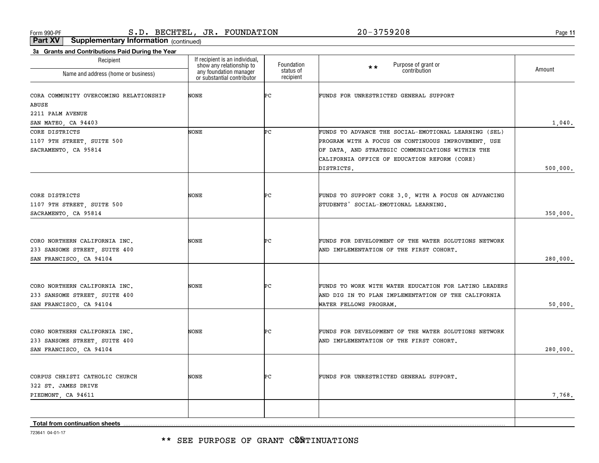**11**

**Part XV Supplementary Information** (continued)

| Recipient                                                | If recipient is an individual,                                                   | Foundation             | Purpose of grant or<br>$\star\star$                                                             |          |
|----------------------------------------------------------|----------------------------------------------------------------------------------|------------------------|-------------------------------------------------------------------------------------------------|----------|
| Name and address (home or business)                      | show any relationship to<br>any foundation manager<br>or substantial contributor | status of<br>recipient | contribution                                                                                    | Amount   |
| CORA COMMUNITY OVERCOMING RELATIONSHIP                   | NONE                                                                             | ÞС                     | FUNDS FOR UNRESTRICTED GENERAL SUPPORT                                                          |          |
| ABUSE                                                    |                                                                                  |                        |                                                                                                 |          |
| 2211 PALM AVENUE                                         |                                                                                  |                        |                                                                                                 |          |
| SAN MATEO, CA 94403                                      |                                                                                  |                        |                                                                                                 | 1,040.   |
| CORE DISTRICTS                                           | NONE                                                                             | Þс                     | FUNDS TO ADVANCE THE SOCIAL-EMOTIONAL LEARNING (SEL)                                            |          |
| 1107 9TH STREET, SUITE 500                               |                                                                                  |                        | PROGRAM WITH A FOCUS ON CONTINUOUS IMPROVEMENT, USE                                             |          |
| SACRAMENTO, CA 95814                                     |                                                                                  |                        | OF DATA, AND STRATEGIC COMMUNICATIONS WITHIN THE                                                |          |
|                                                          |                                                                                  |                        | CALIFORNIA OFFICE OF EDUCATION REFORM (CORE)                                                    |          |
|                                                          |                                                                                  |                        | DISTRICTS.                                                                                      | 500,000. |
|                                                          |                                                                                  |                        |                                                                                                 |          |
| CORE DISTRICTS                                           | NONE                                                                             | ÞС                     | FUNDS TO SUPPORT CORE 3.0, WITH A FOCUS ON ADVANCING                                            |          |
| 1107 9TH STREET, SUITE 500                               |                                                                                  |                        | STUDENTS' SOCIAL-EMOTIONAL LEARNING.                                                            |          |
| SACRAMENTO, CA 95814                                     |                                                                                  |                        |                                                                                                 | 350,000. |
|                                                          |                                                                                  |                        |                                                                                                 |          |
|                                                          |                                                                                  |                        |                                                                                                 |          |
| CORO NORTHERN CALIFORNIA INC.                            | NONE                                                                             | ÞС                     | FUNDS FOR DEVELOPMENT OF THE WATER SOLUTIONS NETWORK<br>AND IMPLEMENTATION OF THE FIRST COHORT. |          |
| 233 SANSOME STREET, SUITE 400<br>SAN FRANCISCO, CA 94104 |                                                                                  |                        |                                                                                                 | 280,000. |
|                                                          |                                                                                  |                        |                                                                                                 |          |
|                                                          |                                                                                  |                        |                                                                                                 |          |
| CORO NORTHERN CALIFORNIA INC.                            | NONE                                                                             | ÞС                     | FUNDS TO WORK WITH WATER EDUCATION FOR LATINO LEADERS                                           |          |
| 233 SANSOME STREET, SUITE 400                            |                                                                                  |                        | AND DIG IN TO PLAN IMPLEMENTATION OF THE CALIFORNIA                                             |          |
| SAN FRANCISCO, CA 94104                                  |                                                                                  |                        | WATER FELLOWS PROGRAM.                                                                          | 50,000.  |
|                                                          |                                                                                  |                        |                                                                                                 |          |
| CORO NORTHERN CALIFORNIA INC.                            | NONE                                                                             | ÞС                     | FUNDS FOR DEVELOPMENT OF THE WATER SOLUTIONS NETWORK                                            |          |
| 233 SANSOME STREET, SUITE 400                            |                                                                                  |                        | AND IMPLEMENTATION OF THE FIRST COHORT.                                                         |          |
| SAN FRANCISCO, CA 94104                                  |                                                                                  |                        |                                                                                                 | 280,000. |
|                                                          |                                                                                  |                        |                                                                                                 |          |
| CORPUS CHRISTI CATHOLIC CHURCH                           | NONE                                                                             | ÞС                     | FUNDS FOR UNRESTRICTED GENERAL SUPPORT.                                                         |          |
| 322 ST. JAMES DRIVE                                      |                                                                                  |                        |                                                                                                 |          |
| PIEDMONT, CA 94611                                       |                                                                                  |                        |                                                                                                 | 7,768.   |
|                                                          |                                                                                  |                        |                                                                                                 |          |
| <b>Total from continuation sheets</b>                    |                                                                                  |                        |                                                                                                 |          |
|                                                          |                                                                                  |                        |                                                                                                 |          |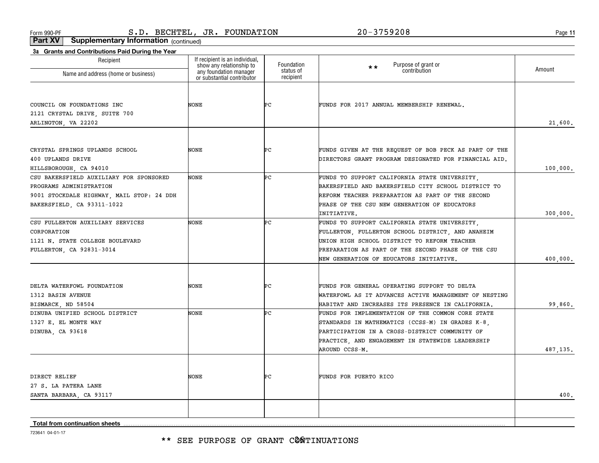**11**

**Part XV Supplementary Information** (continued)

| 3a Grants and Contributions Paid During the Year |                                                                                      |                        |                                                       |           |
|--------------------------------------------------|--------------------------------------------------------------------------------------|------------------------|-------------------------------------------------------|-----------|
| Recipient                                        | If recipient is an individual,<br>show any relationship to<br>any foundation manager | Foundation             | Purpose of grant or<br>$**$                           | Amount    |
| Name and address (home or business)              | or substantial contributor                                                           | status of<br>recipient | contribution                                          |           |
|                                                  |                                                                                      |                        |                                                       |           |
| COUNCIL ON FOUNDATIONS INC                       | NONE                                                                                 | ÞС                     | FUNDS FOR 2017 ANNUAL MEMBERSHIP RENEWAL.             |           |
| 2121 CRYSTAL DRIVE, SUITE 700                    |                                                                                      |                        |                                                       |           |
| ARLINGTON, VA 22202                              |                                                                                      |                        |                                                       | 21,600.   |
|                                                  |                                                                                      |                        |                                                       |           |
| CRYSTAL SPRINGS UPLANDS SCHOOL                   | NONE                                                                                 | ÞС                     | FUNDS GIVEN AT THE REQUEST OF BOB PECK AS PART OF THE |           |
| 400 UPLANDS DRIVE                                |                                                                                      |                        | DIRECTORS GRANT PROGRAM DESIGNATED FOR FINANCIAL AID. |           |
| HILLSBOROUGH, CA 94010                           |                                                                                      |                        |                                                       | 100,000.  |
| CSU BAKERSFIELD AUXILIARY FOR SPONSORED          | NONE                                                                                 | Þс                     | FUNDS TO SUPPORT CALIFORNIA STATE UNIVERSITY.         |           |
| PROGRAMS ADMINISTRATION                          |                                                                                      |                        | BAKERSFIELD AND BAKERSFIELD CITY SCHOOL DISTRICT TO   |           |
| 9001 STOCKDALE HIGHWAY, MAIL STOP: 24 DDH        |                                                                                      |                        | REFORM TEACHER PREPARATION AS PART OF THE SECOND      |           |
| BAKERSFIELD, CA 93311-1022                       |                                                                                      |                        | PHASE OF THE CSU NEW GENERATION OF EDUCATORS          |           |
|                                                  |                                                                                      |                        | INITIATIVE.                                           | 300,000.  |
| CSU FULLERTON AUXILIARY SERVICES                 | NONE                                                                                 | Þс                     | FUNDS TO SUPPORT CALIFORNIA STATE UNIVERSITY.         |           |
| CORPORATION                                      |                                                                                      |                        | FULLERTON, FULLERTON SCHOOL DISTRICT, AND ANAHEIM     |           |
| 1121 N. STATE COLLEGE BOULEVARD                  |                                                                                      |                        | UNION HIGH SCHOOL DISTRICT TO REFORM TEACHER          |           |
| FULLERTON, CA 92831-3014                         |                                                                                      |                        | PREPARATION AS PART OF THE SECOND PHASE OF THE CSU    |           |
|                                                  |                                                                                      |                        | NEW GENERATION OF EDUCATORS INITIATIVE.               | 400,000.  |
| DELTA WATERFOWL FOUNDATION                       | NONE                                                                                 | ÞС                     | FUNDS FOR GENERAL OPERATING SUPPORT TO DELTA          |           |
| 1312 BASIN AVENUE                                |                                                                                      |                        | WATERFOWL AS IT ADVANCES ACTIVE MANAGEMENT OF NESTING |           |
| BISMARCK, ND 58504                               |                                                                                      |                        | HABITAT AND INCREASES ITS PRESENCE IN CALIFORNIA.     | 99,860.   |
| DINUBA UNIFIED SCHOOL DISTRICT                   | NONE                                                                                 | ÞС                     | FUNDS FOR IMPLEMENTATION OF THE COMMON CORE STATE     |           |
| 1327 E. EL MONTE WAY                             |                                                                                      |                        | STANDARDS IN MATHEMATICS (CCSS-M) IN GRADES K-8,      |           |
| DINUBA, CA 93618                                 |                                                                                      |                        | PARTICIPATION IN A CROSS-DISTRICT COMMUNITY OF        |           |
|                                                  |                                                                                      |                        | PRACTICE, AND ENGAGEMENT IN STATEWIDE LEADERSHIP      |           |
|                                                  |                                                                                      |                        | AROUND CCSS-M.                                        | 487, 135. |
|                                                  |                                                                                      |                        |                                                       |           |
| DIRECT RELIEF                                    | NONE                                                                                 | ÞС                     | FUNDS FOR PUERTO RICO                                 |           |
| 27 S. LA PATERA LANE                             |                                                                                      |                        |                                                       |           |
| SANTA BARBARA, CA 93117                          |                                                                                      |                        |                                                       | 400.      |
|                                                  |                                                                                      |                        |                                                       |           |
| <b>Total from continuation sheets</b>            |                                                                                      |                        |                                                       |           |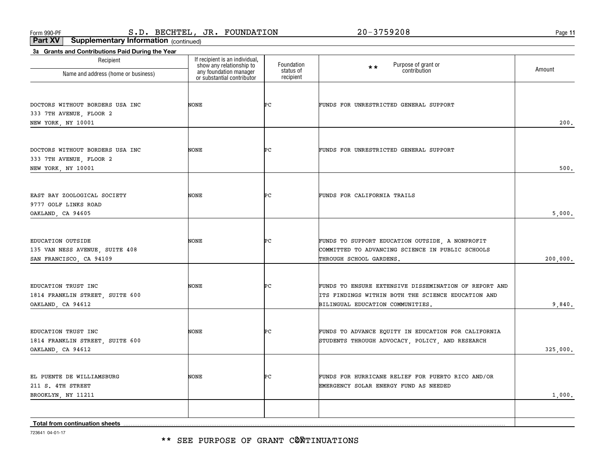**11**

**Part XV Supplementary Information** (continued)

| Recipient                                                                        |                                                                                                                    | Foundation             | Purpose of grant or<br>contribution<br>$\star\star$                                                                                             |          |
|----------------------------------------------------------------------------------|--------------------------------------------------------------------------------------------------------------------|------------------------|-------------------------------------------------------------------------------------------------------------------------------------------------|----------|
| Name and address (home or business)                                              | If recipient is an individual,<br>show any relationship to<br>any foundation manager<br>or substantial contributor | status of<br>recipient |                                                                                                                                                 | Amount   |
| DOCTORS WITHOUT BORDERS USA INC<br>333 7TH AVENUE, FLOOR 2<br>NEW YORK, NY 10001 | NONE                                                                                                               | ÞС                     | FUNDS FOR UNRESTRICTED GENERAL SUPPORT                                                                                                          | 200.     |
| DOCTORS WITHOUT BORDERS USA INC<br>333 7TH AVENUE, FLOOR 2<br>NEW YORK, NY 10001 | NONE                                                                                                               | ÞС                     | FUNDS FOR UNRESTRICTED GENERAL SUPPORT                                                                                                          | 500.     |
| EAST BAY ZOOLOGICAL SOCIETY<br>9777 GOLF LINKS ROAD<br>OAKLAND, CA 94605         | NONE                                                                                                               | ÞС                     | FUNDS FOR CALIFORNIA TRAILS                                                                                                                     | 5,000.   |
| EDUCATION OUTSIDE<br>135 VAN NESS AVENUE, SUITE 408<br>SAN FRANCISCO, CA 94109   | NONE                                                                                                               | ÞС                     | FUNDS TO SUPPORT EDUCATION OUTSIDE, A NONPROFIT<br>COMMITTED TO ADVANCING SCIENCE IN PUBLIC SCHOOLS<br>THROUGH SCHOOL GARDENS.                  | 200,000. |
| EDUCATION TRUST INC<br>1814 FRANKLIN STREET, SUITE 600<br>OAKLAND, CA 94612      | NONE                                                                                                               | ÞС                     | FUNDS TO ENSURE EXTENSIVE DISSEMINATION OF REPORT AND<br>ITS FINDINGS WITHIN BOTH THE SCIENCE EDUCATION AND<br>BILINGUAL EDUCATION COMMUNITIES. | 9,840.   |
| EDUCATION TRUST INC<br>1814 FRANKLIN STREET, SUITE 600<br>OAKLAND, CA 94612      | NONE                                                                                                               | ÞС                     | FUNDS TO ADVANCE EQUITY IN EDUCATION FOR CALIFORNIA<br>STUDENTS THROUGH ADVOCACY, POLICY, AND RESEARCH                                          | 325,000. |
| EL PUENTE DE WILLIAMSBURG<br>211 S. 4TH STREET<br>BROOKLYN, NY 11211             | NONE                                                                                                               | ÞС                     | FUNDS FOR HURRICANE RELIEF FOR PUERTO RICO AND/OR<br>EMERGENCY SOLAR ENERGY FUND AS NEEDED                                                      | 1,000.   |
| <b>Total from continuation sheets</b>                                            |                                                                                                                    |                        |                                                                                                                                                 |          |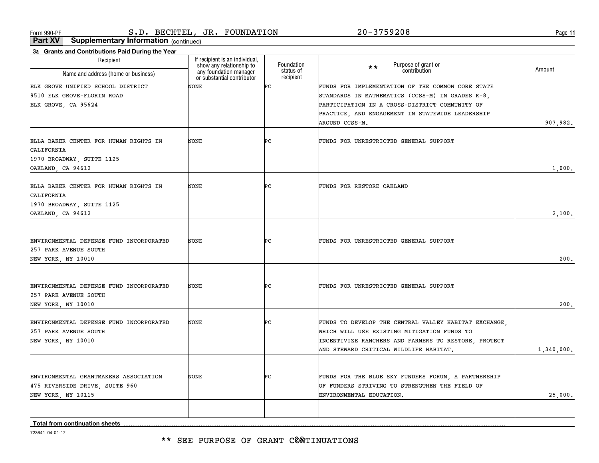\*\* SEE PURPOSE OF GRANT CØNTINUATIONS

723641 04-01-17

| Recipient<br>Name and address (home or business) | If recipient is an individual,<br>show any relationship to<br>any foundation manager | Foundation<br>status of | Purpose of grant or<br>$\star\star$<br>contribution   | Amount     |
|--------------------------------------------------|--------------------------------------------------------------------------------------|-------------------------|-------------------------------------------------------|------------|
|                                                  | or substantial contributor                                                           | recipient               |                                                       |            |
| ELK GROVE UNIFIED SCHOOL DISTRICT                | NONE                                                                                 | ÞС                      | FUNDS FOR IMPLEMENTATION OF THE COMMON CORE STATE     |            |
| 9510 ELK GROVE-FLORIN ROAD                       |                                                                                      |                         | STANDARDS IN MATHEMATICS (CCSS-M) IN GRADES K-8,      |            |
| ELK GROVE, CA 95624                              |                                                                                      |                         | PARTICIPATION IN A CROSS-DISTRICT COMMUNITY OF        |            |
|                                                  |                                                                                      |                         | PRACTICE, AND ENGAGEMENT IN STATEWIDE LEADERSHIP      |            |
|                                                  |                                                                                      |                         | AROUND CCSS-M.                                        | 907,982.   |
| ELLA BAKER CENTER FOR HUMAN RIGHTS IN            | <b>NONE</b>                                                                          | ÞС                      | FUNDS FOR UNRESTRICTED GENERAL SUPPORT                |            |
| CALIFORNIA                                       |                                                                                      |                         |                                                       |            |
| 1970 BROADWAY, SUITE 1125                        |                                                                                      |                         |                                                       |            |
| OAKLAND, CA 94612                                |                                                                                      |                         |                                                       | 1,000,     |
|                                                  |                                                                                      |                         |                                                       |            |
| ELLA BAKER CENTER FOR HUMAN RIGHTS IN            | NONE                                                                                 | ÞС                      | FUNDS FOR RESTORE OAKLAND                             |            |
| CALIFORNIA                                       |                                                                                      |                         |                                                       |            |
| 1970 BROADWAY, SUITE 1125                        |                                                                                      |                         |                                                       |            |
| OAKLAND, CA 94612                                |                                                                                      |                         |                                                       | 2,100.     |
|                                                  |                                                                                      |                         |                                                       |            |
| ENVIRONMENTAL DEFENSE FUND INCORPORATED          |                                                                                      | ÞС                      | FUNDS FOR UNRESTRICTED GENERAL SUPPORT                |            |
| 257 PARK AVENUE SOUTH                            | <b>NONE</b>                                                                          |                         |                                                       |            |
| NEW YORK, NY 10010                               |                                                                                      |                         |                                                       | 200.       |
|                                                  |                                                                                      |                         |                                                       |            |
|                                                  |                                                                                      |                         |                                                       |            |
| ENVIRONMENTAL DEFENSE FUND INCORPORATED          | <b>NONE</b>                                                                          | ÞС                      | FUNDS FOR UNRESTRICTED GENERAL SUPPORT                |            |
| 257 PARK AVENUE SOUTH                            |                                                                                      |                         |                                                       |            |
| NEW YORK, NY 10010                               |                                                                                      |                         |                                                       | 200.       |
|                                                  |                                                                                      |                         |                                                       |            |
| ENVIRONMENTAL DEFENSE FUND INCORPORATED          | NONE                                                                                 | ÞС                      | FUNDS TO DEVELOP THE CENTRAL VALLEY HABITAT EXCHANGE, |            |
| 257 PARK AVENUE SOUTH                            |                                                                                      |                         | WHICH WILL USE EXISTING MITIGATION FUNDS TO           |            |
| NEW YORK, NY 10010                               |                                                                                      |                         | INCENTIVIZE RANCHERS AND FARMERS TO RESTORE, PROTECT  |            |
|                                                  |                                                                                      |                         | AND STEWARD CRITICAL WILDLIFE HABITAT.                | 1,340,000. |
|                                                  |                                                                                      |                         |                                                       |            |
| ENVIRONMENTAL GRANTMAKERS ASSOCIATION            | <b>NONE</b>                                                                          | ÞС                      | FUNDS FOR THE BLUE SKY FUNDERS FORUM, A PARTNERSHIP   |            |
| 475 RIVERSIDE DRIVE, SUITE 960                   |                                                                                      |                         | OF FUNDERS STRIVING TO STRENGTHEN THE FIELD OF        |            |
| NEW YORK, NY 10115                               |                                                                                      |                         | ENVIRONMENTAL EDUCATION.                              | 25,000.    |
|                                                  |                                                                                      |                         |                                                       |            |
| Total from continuation sheets                   |                                                                                      |                         |                                                       |            |
|                                                  |                                                                                      |                         |                                                       |            |

**Part XV Supplementary Information** (continued)

**3a Grants and Contributions Paid During the Year**

Form 990-PF Page S.D. BECHTEL, JR. FOUNDATION 20-3759208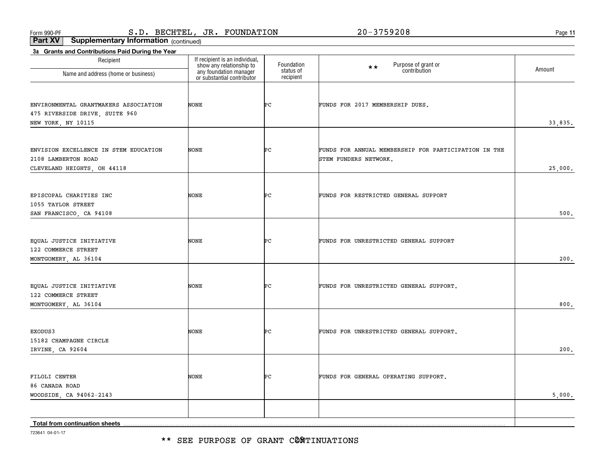\*\* SEE PURPOSE OF GRANT CØNTINUATIONS

723641 04-01-17

| Recipient<br>Name and address (home or business)                                              | If recipient is an individual,<br>show any relationship to<br>any foundation manager<br>or substantial contributor | Foundation<br>status of<br>recipient | Purpose of grant or<br>$\star \star$<br>contribution                          | Amount  |
|-----------------------------------------------------------------------------------------------|--------------------------------------------------------------------------------------------------------------------|--------------------------------------|-------------------------------------------------------------------------------|---------|
| ENVIRONMENTAL GRANTMAKERS ASSOCIATION<br>475 RIVERSIDE DRIVE, SUITE 960<br>NEW YORK, NY 10115 | NONE                                                                                                               | ÞС                                   | FUNDS FOR 2017 MEMBERSHIP DUES.                                               | 33,835. |
| ENVISION EXCELLENCE IN STEM EDUCATION<br>2108 LAMBERTON ROAD<br>CLEVELAND HEIGHTS, OH 44118   | NONE                                                                                                               | ÞС                                   | FUNDS FOR ANNUAL MEMBERSHIP FOR PARTICIPATION IN THE<br>STEM FUNDERS NETWORK. | 25,000. |
| EPISCOPAL CHARITIES INC<br>1055 TAYLOR STREET<br>SAN FRANCISCO, CA 94108                      | NONE                                                                                                               | ÞС                                   | FUNDS FOR RESTRICTED GENERAL SUPPORT                                          | 500.    |
| EQUAL JUSTICE INITIATIVE<br>122 COMMERCE STREET<br>MONTGOMERY, AL 36104                       | NONE                                                                                                               | ÞС                                   | FUNDS FOR UNRESTRICTED GENERAL SUPPORT                                        | 200.    |
| EQUAL JUSTICE INITIATIVE<br>122 COMMERCE STREET<br>MONTGOMERY, AL 36104                       | NONE                                                                                                               | ÞС                                   | FUNDS FOR UNRESTRICTED GENERAL SUPPORT.                                       | 800.    |
| EXODUS3<br>15182 CHAMPAGNE CIRCLE<br>IRVINE, CA 92604                                         | NONE                                                                                                               | ÞС                                   | FUNDS FOR UNRESTRICTED GENERAL SUPPORT.                                       | 200.    |
| FILOLI CENTER<br>86 CANADA ROAD<br>WOODSIDE, CA 94062-2143                                    | NONE                                                                                                               | ÞС                                   | FUNDS FOR GENERAL OPERATING SUPPORT.                                          | 5,000.  |
| Total from continuation sheets                                                                |                                                                                                                    |                                      |                                                                               |         |

**3a Grants and Contributions Paid During the Year**

Recipient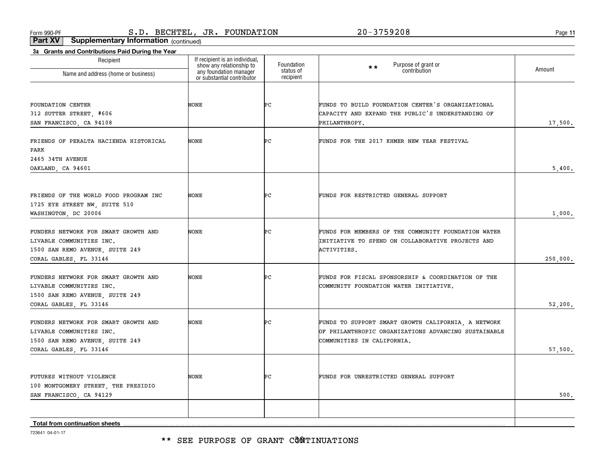**11**

**Part XV Supplementary Information** (continued)

| Recipient                              | If recipient is an individual,                                                   | Foundation             | Purpose of grant or                                  |          |
|----------------------------------------|----------------------------------------------------------------------------------|------------------------|------------------------------------------------------|----------|
| Name and address (home or business)    | show any relationship to<br>any foundation manager<br>or substantial contributor | status of<br>recipient | $\star\star$<br>contribution                         | Amount   |
|                                        |                                                                                  |                        |                                                      |          |
| FOUNDATION CENTER                      | NONE                                                                             | ÞС                     | FUNDS TO BUILD FOUNDATION CENTER'S ORGANIZATIONAL    |          |
| 312 SUTTER STREET, #606                |                                                                                  |                        | CAPACITY AND EXPAND THE PUBLIC'S UNDERSTANDING OF    |          |
| SAN FRANCISCO, CA 94108                |                                                                                  |                        | PHILANTHROPY.                                        | 17,500.  |
| FRIENDS OF PERALTA HACIENDA HISTORICAL | <b>NONE</b>                                                                      | ÞС                     | FUNDS FOR THE 2017 KHMER NEW YEAR FESTIVAL           |          |
| PARK                                   |                                                                                  |                        |                                                      |          |
| 2465 34TH AVENUE                       |                                                                                  |                        |                                                      |          |
| OAKLAND, CA 94601                      |                                                                                  |                        |                                                      | 5,400.   |
|                                        |                                                                                  |                        |                                                      |          |
| FRIENDS OF THE WORLD FOOD PROGRAM INC  | NONE                                                                             | ÞС                     | FUNDS FOR RESTRICTED GENERAL SUPPORT                 |          |
| 1725 EYE STREET NW, SUITE 510          |                                                                                  |                        |                                                      |          |
| WASHINGTON, DC 20006                   |                                                                                  |                        |                                                      | 1,000.   |
| FUNDERS NETWORK FOR SMART GROWTH AND   | <b>NONE</b>                                                                      | ÞС                     | FUNDS FOR MEMBERS OF THE COMMUNITY FOUNDATION WATER  |          |
| LIVABLE COMMUNITIES INC.               |                                                                                  |                        | INITIATIVE TO SPEND ON COLLABORATIVE PROJECTS AND    |          |
| 1500 SAN REMO AVENUE, SUITE 249        |                                                                                  |                        | ACTIVITIES.                                          |          |
| CORAL GABLES, FL 33146                 |                                                                                  |                        |                                                      | 250,000. |
| FUNDERS NETWORK FOR SMART GROWTH AND   | <b>NONE</b>                                                                      | ÞС                     | FUNDS FOR FISCAL SPONSORSHIP & COORDINATION OF THE   |          |
| LIVABLE COMMUNITIES INC.               |                                                                                  |                        | COMMUNITY FOUNDATION WATER INITIATIVE.               |          |
| 1500 SAN REMO AVENUE, SUITE 249        |                                                                                  |                        |                                                      |          |
| CORAL GABLES, FL 33146                 |                                                                                  |                        |                                                      | 52,200.  |
| FUNDERS NETWORK FOR SMART GROWTH AND   | NONE                                                                             | ÞС                     | FUNDS TO SUPPORT SMART GROWTH CALIFORNIA, A NETWORK  |          |
| LIVABLE COMMUNITIES INC.               |                                                                                  |                        | OF PHILANTHROPIC ORGANIZATIONS ADVANCING SUSTAINABLE |          |
| 1500 SAN REMO AVENUE, SUITE 249        |                                                                                  |                        | COMMUNITIES IN CALIFORNIA.                           |          |
| CORAL GABLES, FL 33146                 |                                                                                  |                        |                                                      | 57,500.  |
|                                        |                                                                                  |                        |                                                      |          |
| FUTURES WITHOUT VIOLENCE               | NONE                                                                             | ÞС                     | FUNDS FOR UNRESTRICTED GENERAL SUPPORT               |          |
| 100 MONTGOMERY STREET, THE PRESIDIO    |                                                                                  |                        |                                                      |          |
| SAN FRANCISCO, CA 94129                |                                                                                  |                        |                                                      | 500.     |
|                                        |                                                                                  |                        |                                                      |          |
| Total from continuation sheets         |                                                                                  |                        |                                                      |          |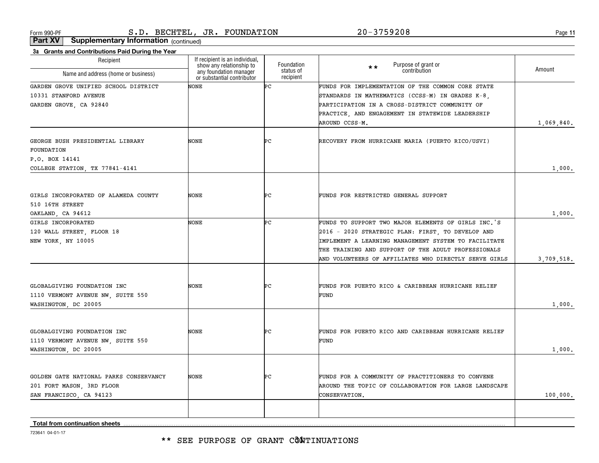\*\* SEE PURPOSE OF GRANT CÔNTINUATIONS

723641 04-01-17

| Recipient<br>Name and address (home or business) | If recipient is an individual,<br>show any relationship to<br>any foundation manager<br>or substantial contributor | Foundation<br>status of<br>recipient | Purpose of grant or<br>$\star\star$<br>contribution   | Amount     |
|--------------------------------------------------|--------------------------------------------------------------------------------------------------------------------|--------------------------------------|-------------------------------------------------------|------------|
| GARDEN GROVE UNIFIED SCHOOL DISTRICT             | NONE                                                                                                               | Þс                                   | FUNDS FOR IMPLEMENTATION OF THE COMMON CORE STATE     |            |
| 10331 STANFORD AVENUE                            |                                                                                                                    |                                      | STANDARDS IN MATHEMATICS (CCSS-M) IN GRADES K-8,      |            |
| GARDEN GROVE, CA 92840                           |                                                                                                                    |                                      | PARTICIPATION IN A CROSS-DISTRICT COMMUNITY OF        |            |
|                                                  |                                                                                                                    |                                      | PRACTICE, AND ENGAGEMENT IN STATEWIDE LEADERSHIP      |            |
|                                                  |                                                                                                                    |                                      | AROUND CCSS-M.                                        | 1,069,840. |
| GEORGE BUSH PRESIDENTIAL LIBRARY                 | NONE                                                                                                               | ÞС                                   | RECOVERY FROM HURRICANE MARIA (PUERTO RICO/USVI)      |            |
| FOUNDATION                                       |                                                                                                                    |                                      |                                                       |            |
| P.O. BOX 14141                                   |                                                                                                                    |                                      |                                                       |            |
|                                                  |                                                                                                                    |                                      |                                                       | 1,000.     |
| COLLEGE STATION, TX 77841-4141                   |                                                                                                                    |                                      |                                                       |            |
| GIRLS INCORPORATED OF ALAMEDA COUNTY             | NONE                                                                                                               | ÞС                                   | FUNDS FOR RESTRICTED GENERAL SUPPORT                  |            |
| 510 16TH STREET                                  |                                                                                                                    |                                      |                                                       |            |
| OAKLAND, CA 94612                                |                                                                                                                    |                                      |                                                       | 1,000.     |
| GIRLS INCORPORATED                               | NONE                                                                                                               | Þс                                   | FUNDS TO SUPPORT TWO MAJOR ELEMENTS OF GIRLS INC. S   |            |
| 120 WALL STREET, FLOOR 18                        |                                                                                                                    |                                      | 2016 - 2020 STRATEGIC PLAN: FIRST, TO DEVELOP AND     |            |
| NEW YORK, NY 10005                               |                                                                                                                    |                                      | IMPLEMENT A LEARNING MANAGEMENT SYSTEM TO FACILITATE  |            |
|                                                  |                                                                                                                    |                                      | THE TRAINING AND SUPPORT OF THE ADULT PROFESSIONALS   |            |
|                                                  |                                                                                                                    |                                      | AND VOLUNTEERS OF AFFILIATES WHO DIRECTLY SERVE GIRLS | 3,709,518. |
|                                                  |                                                                                                                    |                                      |                                                       |            |
| GLOBALGIVING FOUNDATION INC                      | NONE                                                                                                               | ÞС                                   | FUNDS FOR PUERTO RICO & CARIBBEAN HURRICANE RELIEF    |            |
| 1110 VERMONT AVENUE NW, SUITE 550                |                                                                                                                    |                                      | FUND                                                  |            |
| WASHINGTON, DC 20005                             |                                                                                                                    |                                      |                                                       | 1,000.     |
|                                                  |                                                                                                                    |                                      |                                                       |            |
| GLOBALGIVING FOUNDATION INC                      | NONE                                                                                                               | ÞС                                   | FUNDS FOR PUERTO RICO AND CARIBBEAN HURRICANE RELIEF  |            |
| 1110 VERMONT AVENUE NW, SUITE 550                |                                                                                                                    |                                      | FUND                                                  |            |
| WASHINGTON, DC 20005                             |                                                                                                                    |                                      |                                                       | 1,000.     |
|                                                  |                                                                                                                    |                                      |                                                       |            |
|                                                  |                                                                                                                    |                                      |                                                       |            |
| GOLDEN GATE NATIONAL PARKS CONSERVANCY           | NONE                                                                                                               | ÞС                                   | FUNDS FOR A COMMUNITY OF PRACTITIONERS TO CONVENE     |            |
| 201 FORT MASON, 3RD FLOOR                        |                                                                                                                    |                                      | AROUND THE TOPIC OF COLLABORATION FOR LARGE LANDSCAPE |            |
| SAN FRANCISCO, CA 94123                          |                                                                                                                    |                                      | CONSERVATION.                                         | 100,000.   |
|                                                  |                                                                                                                    |                                      |                                                       |            |
| Total from continuation sheets                   |                                                                                                                    |                                      |                                                       |            |

**Part XV Supplementary Information** (continued)

**3a Grants and Contributions Paid During the Year**

Recipient

**11**Form 990-PF Page S.D. BECHTEL, JR. FOUNDATION 20-3759208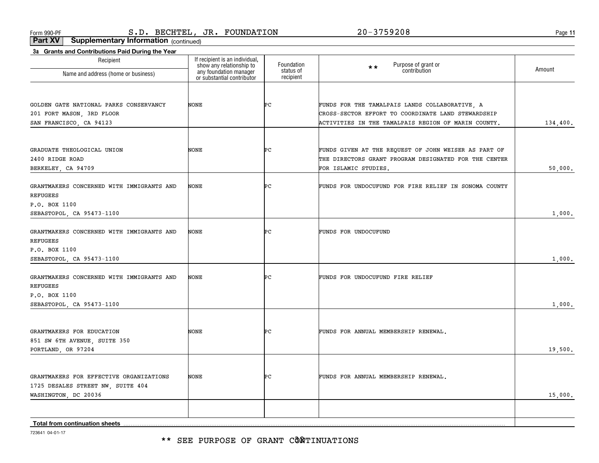\*\* SEE PURPOSE OF GRANT CÔÑTINUATIONS

723641 04-01-17

| . . <b>. .</b> . <b>.</b> . <b>.</b><br>Name and address (home or business) | show any relationship to<br>any foundation manager<br>or substantial contributor | Foundation<br>status of<br>recipient | Purpose of grant or<br>contribution<br>$\star \star$  | Amount   |
|-----------------------------------------------------------------------------|----------------------------------------------------------------------------------|--------------------------------------|-------------------------------------------------------|----------|
|                                                                             |                                                                                  |                                      |                                                       |          |
| GOLDEN GATE NATIONAL PARKS CONSERVANCY                                      | <b>NONE</b>                                                                      | Þс                                   | FUNDS FOR THE TAMALPAIS LANDS COLLABORATIVE, A        |          |
| 201 FORT MASON, 3RD FLOOR                                                   |                                                                                  |                                      | CROSS-SECTOR EFFORT TO COORDINATE LAND STEWARDSHIP    |          |
| SAN FRANCISCO, CA 94123                                                     |                                                                                  |                                      | ACTIVITIES IN THE TAMALPAIS REGION OF MARIN COUNTY.   | 134,400. |
|                                                                             |                                                                                  |                                      |                                                       |          |
| GRADUATE THEOLOGICAL UNION                                                  | <b>NONE</b>                                                                      | ÞС                                   | FUNDS GIVEN AT THE REQUEST OF JOHN WEISER AS PART OF  |          |
| 2400 RIDGE ROAD                                                             |                                                                                  |                                      | THE DIRECTORS GRANT PROGRAM DESIGNATED FOR THE CENTER |          |
| BERKELEY, CA 94709                                                          |                                                                                  |                                      | FOR ISLAMIC STUDIES.                                  | 50,000.  |
| GRANTMAKERS CONCERNED WITH IMMIGRANTS AND<br><b>REFUGEES</b>                | NONE                                                                             | ÞС                                   | FUNDS FOR UNDOCUFUND FOR FIRE RELIEF IN SONOMA COUNTY |          |
| P.O. BOX 1100<br>SEBASTOPOL, CA 95473-1100                                  |                                                                                  |                                      |                                                       | 1,000.   |
|                                                                             |                                                                                  |                                      |                                                       |          |
| GRANTMAKERS CONCERNED WITH IMMIGRANTS AND<br><b>REFUGEES</b>                | <b>NONE</b>                                                                      | ÞС                                   | FUNDS FOR UNDOCUFUND                                  |          |
| P.O. BOX 1100                                                               |                                                                                  |                                      |                                                       |          |
| SEBASTOPOL, CA 95473-1100                                                   |                                                                                  |                                      |                                                       | 1,000.   |
| GRANTMAKERS CONCERNED WITH IMMIGRANTS AND<br><b>REFUGEES</b>                | NONE                                                                             | ÞС                                   | FUNDS FOR UNDOCUFUND FIRE RELIEF                      |          |
| P.O. BOX 1100                                                               |                                                                                  |                                      |                                                       |          |
| SEBASTOPOL, CA 95473-1100                                                   |                                                                                  |                                      |                                                       | 1,000.   |
|                                                                             |                                                                                  |                                      |                                                       |          |
| GRANTMAKERS FOR EDUCATION                                                   | <b>NONE</b>                                                                      | ÞС                                   | FUNDS FOR ANNUAL MEMBERSHIP RENEWAL.                  |          |
| 851 SW 6TH AVENUE, SUITE 350                                                |                                                                                  |                                      |                                                       |          |
| PORTLAND, OR 97204                                                          |                                                                                  |                                      |                                                       | 19,500.  |
|                                                                             |                                                                                  |                                      |                                                       |          |
| GRANTMAKERS FOR EFFECTIVE ORGANIZATIONS                                     | NONE                                                                             | ÞС                                   | FUNDS FOR ANNUAL MEMBERSHIP RENEWAL.                  |          |
| 1725 DESALES STREET NW, SUITE 404                                           |                                                                                  |                                      |                                                       | 15,000.  |
| WASHINGTON, DC 20036                                                        |                                                                                  |                                      |                                                       |          |
|                                                                             |                                                                                  |                                      |                                                       |          |
| Total from continuation sheets                                              |                                                                                  |                                      |                                                       |          |

**Part XV Supplementary Information** (continued)

**3a Grants and Contributions Paid During the Year**

Recipient

If recipient is an individual,

**11**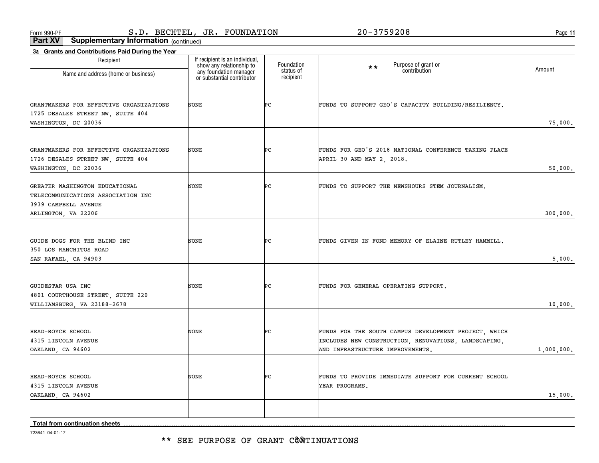\*\* SEE PURPOSE OF GRANT CÔÑTINUATIONS

723641 04-01-17

| Recipient<br>Name and address (home or business)                                                                    | Il recipient is an individual,<br>show any relationship to<br>any foundation manager<br>or substantial contributor | Foundation<br>status of<br>recipient | Purpose of grant or<br>$\star \star$<br>contribution                                                                                              | Amount     |
|---------------------------------------------------------------------------------------------------------------------|--------------------------------------------------------------------------------------------------------------------|--------------------------------------|---------------------------------------------------------------------------------------------------------------------------------------------------|------------|
| GRANTMAKERS FOR EFFECTIVE ORGANIZATIONS<br>1725 DESALES STREET NW, SUITE 404<br>WASHINGTON, DC 20036                | <b>NONE</b>                                                                                                        | ÞС                                   | FUNDS TO SUPPORT GEO'S CAPACITY BUILDING/RESILIENCY.                                                                                              | 75,000.    |
| GRANTMAKERS FOR EFFECTIVE ORGANIZATIONS<br>1726 DESALES STREET NW, SUITE 404<br>WASHINGTON, DC 20036                | NONE                                                                                                               | ÞС                                   | FUNDS FOR GEO'S 2018 NATIONAL CONFERENCE TAKING PLACE<br>APRIL 30 AND MAY 2, 2018.                                                                | 50,000.    |
| GREATER WASHINGTON EDUCATIONAL<br>TELECOMMUNICATIONS ASSOCIATION INC<br>3939 CAMPBELL AVENUE<br>ARLINGTON, VA 22206 | <b>NONE</b>                                                                                                        | ÞС                                   | FUNDS TO SUPPORT THE NEWSHOURS STEM JOURNALISM.                                                                                                   | 300,000.   |
| GUIDE DOGS FOR THE BLIND INC<br>350 LOS RANCHITOS ROAD<br>SAN RAFAEL, CA 94903                                      | NONE                                                                                                               | ÞС                                   | FUNDS GIVEN IN FOND MEMORY OF ELAINE RUTLEY HAMMILL.                                                                                              | 5,000.     |
| GUIDESTAR USA INC<br>4801 COURTHOUSE STREET, SUITE 220<br>WILLIAMSBURG, VA 23188-2678                               | <b>NONE</b>                                                                                                        | ÞС                                   | FUNDS FOR GENERAL OPERATING SUPPORT.                                                                                                              | 10,000.    |
| HEAD-ROYCE SCHOOL<br>4315 LINCOLN AVENUE<br>OAKLAND, CA 94602                                                       | <b>NONE</b>                                                                                                        | ÞС                                   | FUNDS FOR THE SOUTH CAMPUS DEVELOPMENT PROJECT, WHICH<br>INCLUDES NEW CONSTRUCTION, RENOVATIONS, LANDSCAPING,<br>AND INFRASTRUCTURE IMPROVEMENTS. | 1,000,000. |
| HEAD-ROYCE SCHOOL<br>4315 LINCOLN AVENUE<br>OAKLAND, CA 94602                                                       | <b>NONE</b>                                                                                                        | Þс                                   | FUNDS TO PROVIDE IMMEDIATE SUPPORT FOR CURRENT SCHOOL<br>YEAR PROGRAMS.                                                                           | 15,000.    |
| Total from continuation sheets                                                                                      |                                                                                                                    |                                      |                                                                                                                                                   |            |

**Part XV Supplementary Information** (continued)

**3a Grants and Contributions Paid During the Year**

Recipient

If recipient is an individual,

**11**

Form 990-PF Page S.D. BECHTEL, JR. FOUNDATION 20-3759208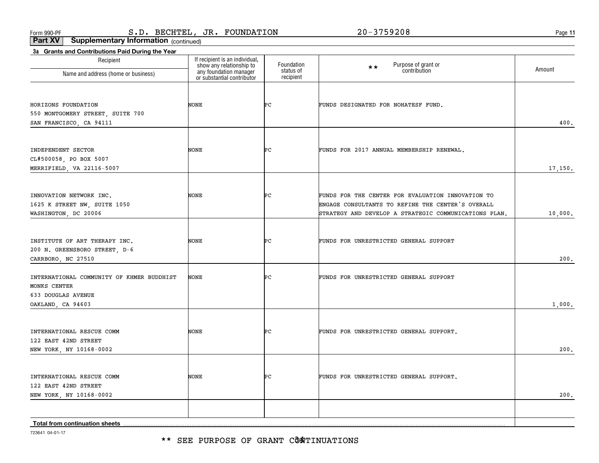\*\* SEE PURPOSE OF GRANT CÔATINUATIONS

723641 04-01-17

| Recipient                                 | If recipient is an individual,<br>show any relationship to | Foundation<br>status of | Purpose of grant or<br>$\star \star$<br>contribution  | Amount  |
|-------------------------------------------|------------------------------------------------------------|-------------------------|-------------------------------------------------------|---------|
| Name and address (home or business)       | any foundation manager<br>or substantial contributor       | recipient               |                                                       |         |
| HORIZONS FOUNDATION                       | NONE                                                       | ÞС                      | FUNDS DESIGNATED FOR NOHATESF FUND.                   |         |
| 550 MONTGOMERY STREET, SUITE 700          |                                                            |                         |                                                       |         |
| SAN FRANCISCO, CA 94111                   |                                                            |                         |                                                       | 400.    |
|                                           |                                                            |                         |                                                       |         |
| INDEPENDENT SECTOR                        | NONE                                                       | ÞС                      | FUNDS FOR 2017 ANNUAL MEMBERSHIP RENEWAL.             |         |
| CL#500058, PO BOX 5007                    |                                                            |                         |                                                       |         |
| MERRIFIELD, VA 22116-5007                 |                                                            |                         |                                                       | 17,150. |
|                                           |                                                            |                         |                                                       |         |
| INNOVATION NETWORK INC.                   | NONE                                                       | ÞС                      | FUNDS FOR THE CENTER FOR EVALUATION INNOVATION TO     |         |
| 1625 K STREET NW, SUITE 1050              |                                                            |                         | ENGAGE CONSULTANTS TO REFINE THE CENTER'S OVERALL     |         |
| WASHINGTON, DC 20006                      |                                                            |                         | STRATEGY AND DEVELOP A STRATEGIC COMMUNICATIONS PLAN. | 10,000. |
| INSTITUTE OF ART THERAPY INC.             | NONE                                                       | ÞС                      | FUNDS FOR UNRESTRICTED GENERAL SUPPORT                |         |
| 200 N. GREENSBORO STREET, D-6             |                                                            |                         |                                                       |         |
| CARRBORO, NC 27510                        |                                                            |                         |                                                       | 200.    |
| INTERNATIONAL COMMUNITY OF KHMER BUDDHIST | NONE                                                       | ÞС                      | FUNDS FOR UNRESTRICTED GENERAL SUPPORT                |         |
| MONKS CENTER                              |                                                            |                         |                                                       |         |
| 633 DOUGLAS AVENUE                        |                                                            |                         |                                                       |         |
| OAKLAND, CA 94603                         |                                                            |                         |                                                       | 1,000.  |
| INTERNATIONAL RESCUE COMM                 | NONE                                                       | ÞС                      | FUNDS FOR UNRESTRICTED GENERAL SUPPORT.               |         |
| 122 EAST 42ND STREET                      |                                                            |                         |                                                       |         |
| NEW YORK, NY 10168-0002                   |                                                            |                         |                                                       | 200.    |
|                                           |                                                            |                         |                                                       |         |
| INTERNATIONAL RESCUE COMM                 | NONE                                                       | ÞС                      | FUNDS FOR UNRESTRICTED GENERAL SUPPORT.               |         |
| 122 EAST 42ND STREET                      |                                                            |                         |                                                       |         |
| NEW YORK, NY 10168-0002                   |                                                            |                         |                                                       | 200.    |
|                                           |                                                            |                         |                                                       |         |
| Total from continuation sheets            |                                                            |                         |                                                       |         |

**Part XV Supplementary Information** (continued)

**3a Grants and Contributions Paid During the Year**

Recipient

**11**

Form 990-PF Page S.D. BECHTEL, JR. FOUNDATION 20-3759208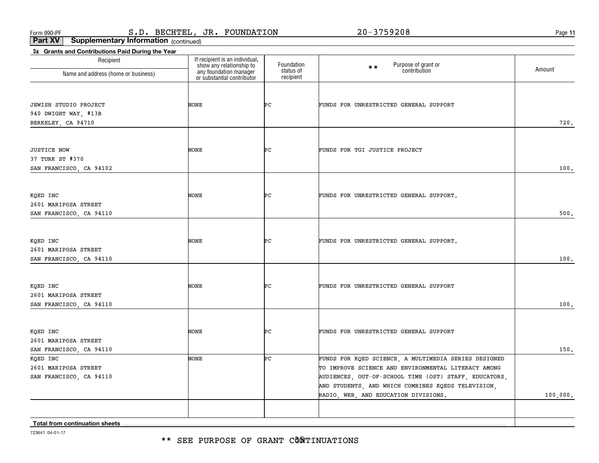**11**

**Part XV Supplementary Information** (continued)

| Recipient                                  | If recipient is an individual,                                                   | Foundation             | Purpose of grant or<br>$\star\star$                   |          |
|--------------------------------------------|----------------------------------------------------------------------------------|------------------------|-------------------------------------------------------|----------|
| Name and address (home or business)        | show any relationship to<br>any foundation manager<br>or substantial contributor | status of<br>recipient | contribution                                          | Amount   |
|                                            |                                                                                  |                        |                                                       |          |
| JEWISH STUDIO PROJECT                      | NONE                                                                             | ÞС                     | FUNDS FOR UNRESTRICTED GENERAL SUPPORT                |          |
| 940 DWIGHT WAY, #13B                       |                                                                                  |                        |                                                       |          |
| BERKELEY, CA 94710                         |                                                                                  |                        |                                                       | 720.     |
|                                            |                                                                                  |                        |                                                       |          |
| JUSTICE NOW                                | NONE                                                                             | ÞС                     | FUNDS FOR TGI JUSTICE PROJECT                         |          |
| 37 TURK ST #370<br>SAN FRANCISCO, CA 94102 |                                                                                  |                        |                                                       | 100.     |
|                                            |                                                                                  |                        |                                                       |          |
| KQED INC                                   | NONE                                                                             | ÞС                     | FUNDS FOR UNRESTRICTED GENERAL SUPPORT.               |          |
| 2601 MARIPOSA STREET                       |                                                                                  |                        |                                                       |          |
| SAN FRANCISCO, CA 94110                    |                                                                                  |                        |                                                       | 500.     |
|                                            |                                                                                  |                        |                                                       |          |
| KQED INC                                   | NONE                                                                             | ÞС                     | FUNDS FOR UNRESTRICTED GENERAL SUPPORT.               |          |
| 2601 MARIPOSA STREET                       |                                                                                  |                        |                                                       |          |
| SAN FRANCISCO, CA 94110                    |                                                                                  |                        |                                                       | 100.     |
|                                            |                                                                                  |                        |                                                       |          |
| KQED INC                                   | NONE                                                                             | ÞС                     | FUNDS FOR UNRESTRICTED GENERAL SUPPORT                |          |
| 2601 MARIPOSA STREET                       |                                                                                  |                        |                                                       |          |
| SAN FRANCISCO, CA 94110                    |                                                                                  |                        |                                                       | 100.     |
|                                            |                                                                                  |                        |                                                       |          |
| KQED INC                                   | NONE                                                                             | ÞС                     | FUNDS FOR UNRESTRICTED GENERAL SUPPORT                |          |
| 2601 MARIPOSA STREET                       |                                                                                  |                        |                                                       |          |
| SAN FRANCISCO, CA 94110                    |                                                                                  |                        |                                                       | 150.     |
| KQED INC                                   | NONE                                                                             | ÞС                     | FUNDS FOR KQED SCIENCE, A MULTIMEDIA SERIES DESIGNED  |          |
| 2601 MARIPOSA STREET                       |                                                                                  |                        | TO IMPROVE SCIENCE AND ENVIRONMENTAL LITERACY AMONG   |          |
| SAN FRANCISCO, CA 94110                    |                                                                                  |                        | AUDIENCES, OUT-OF-SCHOOL TIME (OST) STAFF, EDUCATORS, |          |
|                                            |                                                                                  |                        | AND STUDENTS, AND WHICH COMBINES KQEDS TELEVISION,    |          |
|                                            |                                                                                  |                        | RADIO, WEB, AND EDUCATION DIVISIONS.                  | 100,000. |
|                                            |                                                                                  |                        |                                                       |          |
| Total from continuation choote             |                                                                                  |                        |                                                       |          |

**Total from continuation sheets**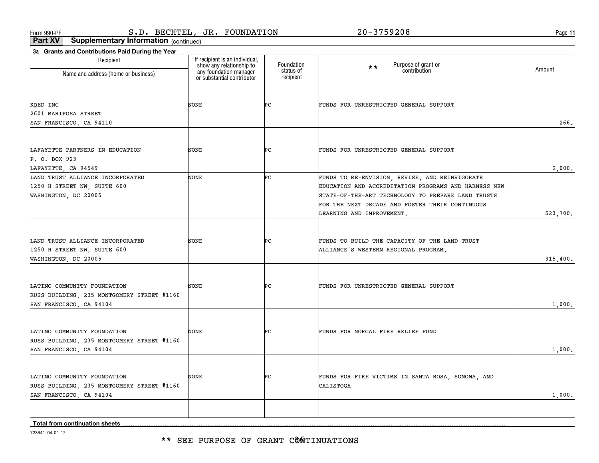\*\* SEE PURPOSE OF GRANT CÔÑTINUATIONS

723641 04-01-17

| Recipient<br>Name and address (home or business)                                                     | Il recipient is an individual,<br>show any relationship to<br>any foundation manager<br>or substantial contributor | Foundation<br>status of<br>recipient | Purpose of grant or<br>$\star \star$<br>contribution                                                                                                                                                                                         | Amount   |
|------------------------------------------------------------------------------------------------------|--------------------------------------------------------------------------------------------------------------------|--------------------------------------|----------------------------------------------------------------------------------------------------------------------------------------------------------------------------------------------------------------------------------------------|----------|
| KQED INC<br>2601 MARIPOSA STREET<br>SAN FRANCISCO, CA 94110                                          | <b>NONE</b>                                                                                                        | ÞС                                   | FUNDS FOR UNRESTRICTED GENERAL SUPPORT                                                                                                                                                                                                       | 266.     |
| LAFAYETTE PARTNERS IN EDUCATION<br>P. O. BOX 923<br>LAFAYETTE, CA 94549                              | <b>NONE</b>                                                                                                        | ÞС                                   | FUNDS FOR UNRESTRICTED GENERAL SUPPORT                                                                                                                                                                                                       | 2,000.   |
| LAND TRUST ALLIANCE INCORPORATED<br>1250 H STREET NW, SUITE 600<br>WASHINGTON, DC 20005              | NONE                                                                                                               | Þс                                   | FUNDS TO RE-ENVISION, REVISE, AND REINVIGORATE<br>EDUCATION AND ACCREDITATION PROGRAMS AND HARNESS NEW<br>STATE-OF-THE-ART TECHNOLOGY TO PREPARE LAND TRUSTS<br>FOR THE NEXT DECADE AND FOSTER THEIR CONTINUOUS<br>LEARNING AND IMPROVEMENT. | 523,700. |
| LAND TRUST ALLIANCE INCORPORATED<br>1250 H STREET NW, SUITE 600<br>WASHINGTON, DC 20005              | <b>NONE</b>                                                                                                        | ÞС                                   | FUNDS TO BUILD THE CAPACITY OF THE LAND TRUST<br>ALLIANCE'S WESTERN REGIONAL PROGRAM.                                                                                                                                                        | 315,400. |
| LATINO COMMUNITY FOUNDATION<br>RUSS BUILDING, 235 MONTGOMERY STREET #1160<br>SAN FRANCISCO, CA 94104 | <b>NONE</b>                                                                                                        | ÞС                                   | FUNDS FOR UNRESTRICTED GENERAL SUPPORT                                                                                                                                                                                                       | 1,000.   |
| LATINO COMMUNITY FOUNDATION<br>RUSS BUILDING, 235 MONTGOMERY STREET #1160<br>SAN FRANCISCO, CA 94104 | <b>NONE</b>                                                                                                        | ÞС                                   | FUNDS FOR NORCAL FIRE RELIEF FUND                                                                                                                                                                                                            | 1,000.   |
| LATINO COMMUNITY FOUNDATION<br>RUSS BUILDING, 235 MONTGOMERY STREET #1160<br>SAN FRANCISCO, CA 94104 | <b>NONE</b>                                                                                                        | ÞС                                   | FUNDS FOR FIRE VICTIMS IN SANTA ROSA, SONOMA, AND<br>CALISTOGA                                                                                                                                                                               | 1,000.   |
| <b>Total from continuation sheets</b>                                                                |                                                                                                                    |                                      |                                                                                                                                                                                                                                              |          |

**Part XV Supplementary Information** (continued)

If recipient is an individual,

**3a Grants and Contributions Paid During the Year**

Recipient

**11**Form 990-PF Page S.D. BECHTEL, JR. FOUNDATION 20-3759208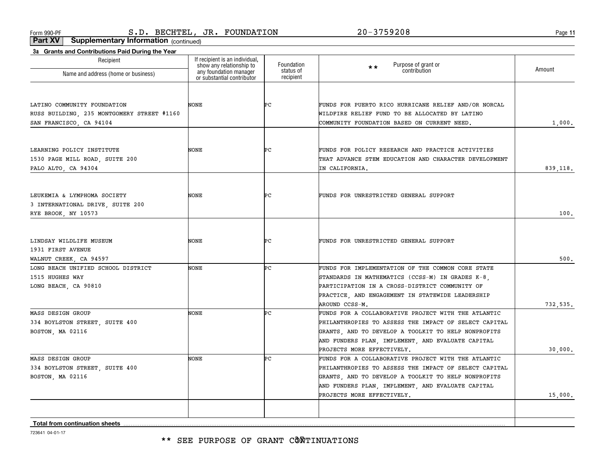**11**

**Part XV Supplementary Information** (continued)

| Recipient                                             | If recipient is an individual,<br>show any relationship to | Foundation             | Purpose of grant or                                                                                   |          |
|-------------------------------------------------------|------------------------------------------------------------|------------------------|-------------------------------------------------------------------------------------------------------|----------|
| Name and address (home or business)                   | any foundation manager<br>or substantial contributor       | status of<br>recipient | $\star \star$<br>contribution                                                                         | Amount   |
|                                                       |                                                            |                        |                                                                                                       |          |
| LATINO COMMUNITY FOUNDATION                           | <b>NONE</b>                                                | ÞС                     | FUNDS FOR PUERTO RICO HURRICANE RELIEF AND/OR NORCAL                                                  |          |
| RUSS BUILDING, 235 MONTGOMERY STREET #1160            |                                                            |                        | WILDFIRE RELIEF FUND TO BE ALLOCATED BY LATINO                                                        |          |
| SAN FRANCISCO, CA 94104                               |                                                            |                        | COMMUNITY FOUNDATION BASED ON CURRENT NEED.                                                           | 1,000.   |
|                                                       |                                                            |                        |                                                                                                       |          |
| LEARNING POLICY INSTITUTE                             | <b>NONE</b>                                                | ÞС                     | FUNDS FOR POLICY RESEARCH AND PRACTICE ACTIVITIES                                                     |          |
| 1530 PAGE MILL ROAD, SUITE 200                        |                                                            |                        | THAT ADVANCE STEM EDUCATION AND CHARACTER DEVELOPMENT                                                 |          |
| PALO ALTO, CA 94304                                   |                                                            |                        | IN CALIFORNIA.                                                                                        | 839,118. |
|                                                       |                                                            |                        |                                                                                                       |          |
| LEUKEMIA & LYMPHOMA SOCIETY                           | <b>NONE</b>                                                | ÞС                     | FUNDS FOR UNRESTRICTED GENERAL SUPPORT                                                                |          |
| 3 INTERNATIONAL DRIVE, SUITE 200                      |                                                            |                        |                                                                                                       |          |
| RYE BROOK, NY 10573                                   |                                                            |                        |                                                                                                       | 100.     |
|                                                       |                                                            |                        |                                                                                                       |          |
| LINDSAY WILDLIFE MUSEUM                               | <b>NONE</b>                                                | ÞС                     | FUNDS FOR UNRESTRICTED GENERAL SUPPORT                                                                |          |
| 1931 FIRST AVENUE                                     |                                                            |                        |                                                                                                       |          |
| WALNUT CREEK, CA 94597                                |                                                            | ÞС                     |                                                                                                       | 500.     |
| LONG BEACH UNIFIED SCHOOL DISTRICT<br>1515 HUGHES WAY | <b>NONE</b>                                                |                        | FUNDS FOR IMPLEMENTATION OF THE COMMON CORE STATE<br>STANDARDS IN MATHEMATICS (CCSS-M) IN GRADES K-8, |          |
| LONG BEACH, CA 90810                                  |                                                            |                        | PARTICIPATION IN A CROSS-DISTRICT COMMUNITY OF                                                        |          |
|                                                       |                                                            |                        | PRACTICE, AND ENGAGEMENT IN STATEWIDE LEADERSHIP                                                      |          |
|                                                       |                                                            |                        | AROUND CCSS-M.                                                                                        | 732,535. |
| MASS DESIGN GROUP                                     | NONE                                                       | ÞС                     | FUNDS FOR A COLLABORATIVE PROJECT WITH THE ATLANTIC                                                   |          |
| 334 BOYLSTON STREET, SUITE 400                        |                                                            |                        | PHILANTHROPIES TO ASSESS THE IMPACT OF SELECT CAPITAL                                                 |          |
| BOSTON, MA 02116                                      |                                                            |                        | GRANTS, AND TO DEVELOP A TOOLKIT TO HELP NONPROFITS                                                   |          |
|                                                       |                                                            |                        | AND FUNDERS PLAN, IMPLEMENT, AND EVALUATE CAPITAL                                                     |          |
|                                                       |                                                            |                        | PROJECTS MORE EFFECTIVELY.                                                                            | 30,000.  |
| MASS DESIGN GROUP                                     | NONE                                                       | ÞС                     | FUNDS FOR A COLLABORATIVE PROJECT WITH THE ATLANTIC                                                   |          |
| 334 BOYLSTON STREET, SUITE 400                        |                                                            |                        | PHILANTHROPIES TO ASSESS THE IMPACT OF SELECT CAPITAL                                                 |          |
| BOSTON, MA 02116                                      |                                                            |                        | GRANTS, AND TO DEVELOP A TOOLKIT TO HELP NONPROFITS                                                   |          |
|                                                       |                                                            |                        | AND FUNDERS PLAN, IMPLEMENT, AND EVALUATE CAPITAL                                                     |          |
|                                                       |                                                            |                        | PROJECTS MORE EFFECTIVELY.                                                                            | 15,000.  |
|                                                       |                                                            |                        |                                                                                                       |          |
| Total from continuation sheets                        |                                                            |                        |                                                                                                       |          |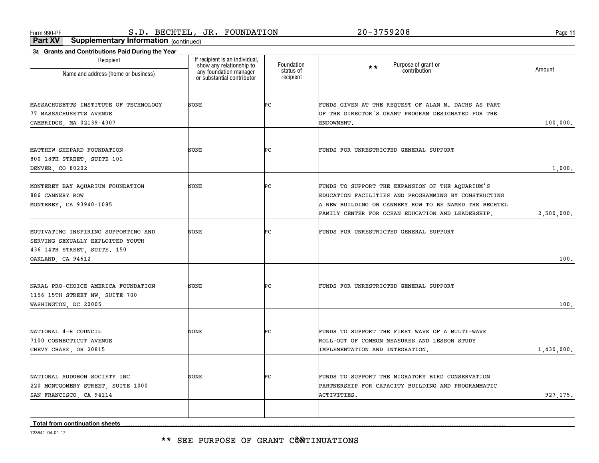\*\* SEE PURPOSE OF GRANT CÔÑTINUATIONS

723641 04-01-17

| нестріеті<br>Name and address (home or business)                                              | π τουρισιτι is an inuiviuual,<br>show any relationship to<br>any foundation manager<br>or substantial contributor | Foundation<br>status of | Purpose of grant or<br>$**$<br>contribution                                                     | Amount     |
|-----------------------------------------------------------------------------------------------|-------------------------------------------------------------------------------------------------------------------|-------------------------|-------------------------------------------------------------------------------------------------|------------|
|                                                                                               |                                                                                                                   | recipient               |                                                                                                 |            |
| MASSACHUSETTS INSTITUTE OF TECHNOLOGY                                                         | NONE                                                                                                              | ÞС                      | FUNDS GIVEN AT THE REQUEST OF ALAN M. DACHS AS PART                                             |            |
| 77 MASSACHUSETTS AVENUE                                                                       |                                                                                                                   |                         | OF THE DIRECTOR'S GRANT PROGRAM DESIGNATED FOR THE                                              |            |
| CAMBRIDGE, MA 02139-4307                                                                      |                                                                                                                   |                         | ENDOWMENT.                                                                                      | 100,000.   |
| MATTHEW SHEPARD FOUNDATION                                                                    | NONE                                                                                                              | ÞС                      | FUNDS FOR UNRESTRICTED GENERAL SUPPORT                                                          |            |
| 800 18TH STREET, SUITE 101                                                                    |                                                                                                                   |                         |                                                                                                 |            |
| DENVER, CO 80202                                                                              |                                                                                                                   |                         |                                                                                                 | 1,000.     |
| MONTEREY BAY AQUARIUM FOUNDATION                                                              | NONE                                                                                                              | Þс                      | FUNDS TO SUPPORT THE EXPANSION OF THE AQUARIUM'S                                                |            |
| 886 CANNERY ROW                                                                               |                                                                                                                   |                         | EDUCATION FACILITIES AND PROGRAMMING BY CONSTRUCTING                                            |            |
| MONTEREY, CA 93940-1085                                                                       |                                                                                                                   |                         | A NEW BUILDING ON CANNERY ROW TO BE NAMED THE BECHTEL                                           |            |
|                                                                                               |                                                                                                                   |                         | FAMILY CENTER FOR OCEAN EDUCATION AND LEADERSHIP.                                               | 2,500,000. |
| MOTIVATING INSPIRING SUPPORTING AND<br>SERVING SEXUALLY EXPLOITED YOUTH                       | NONE                                                                                                              | ÞС                      | FUNDS FOR UNRESTRICTED GENERAL SUPPORT                                                          |            |
| 436 14TH STREET, SUITE. 150<br>OAKLAND, CA 94612                                              |                                                                                                                   |                         |                                                                                                 | 100.       |
| NARAL PRO-CHOICE AMERICA FOUNDATION<br>1156 15TH STREET NW, SUITE 700<br>WASHINGTON, DC 20005 | NONE                                                                                                              | ÞС                      | FUNDS FOR UNRESTRICTED GENERAL SUPPORT                                                          | 100.       |
|                                                                                               |                                                                                                                   |                         |                                                                                                 |            |
| NATIONAL 4-H COUNCIL<br>7100 CONNECTICUT AVENUE                                               | NONE                                                                                                              | ÞС                      | FUNDS TO SUPPORT THE FIRST WAVE OF A MULTI-WAVE<br>ROLL-OUT OF COMMON MEASURES AND LESSON STUDY |            |
| CHEVY CHASE, OH 20815                                                                         |                                                                                                                   |                         | IMPLEMENTATION AND INTEGRATION.                                                                 | 1,430,000. |
| NATIONAL AUDUBON SOCIETY INC                                                                  | NONE                                                                                                              | ÞС                      | FUNDS TO SUPPORT THE MIGRATORY BIRD CONSERVATION                                                |            |
| 220 MONTGOMERY STREET, SUITE 1000                                                             |                                                                                                                   |                         | PARTNERSHIP FOR CAPACITY BUILDING AND PROGRAMMATIC                                              |            |
| SAN FRANCISCO, CA 94114                                                                       |                                                                                                                   |                         | ACTIVITIES.                                                                                     | 927, 175.  |
| Total from continuation sheets                                                                |                                                                                                                   |                         |                                                                                                 |            |
|                                                                                               |                                                                                                                   |                         |                                                                                                 |            |

**Part XV Supplementary Information** (continued)

**3a Grants and Contributions Paid During the Year**

Recipient

If recipient is an individual,

**11**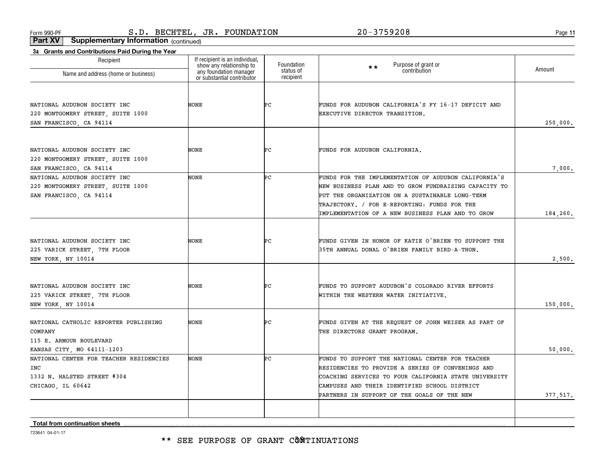**11**

**Part XV Supplementary Information** (continued)

| Recipient                                          | If recipient is an individual,<br>show any relationship to | Foundation             | Purpose of grant or<br>$\star \star$                  |          |
|----------------------------------------------------|------------------------------------------------------------|------------------------|-------------------------------------------------------|----------|
| Name and address (home or business)                | any foundation manager<br>or substantial contributor       | status of<br>recipient | contribution                                          | Amount   |
|                                                    |                                                            |                        |                                                       |          |
| NATIONAL AUDUBON SOCIETY INC                       | NONE                                                       | ÞС                     | FUNDS FOR AUDUBON CALIFORNIA'S FY 16-17 DEFICIT AND   |          |
| 220 MONTGOMERY STREET, SUITE 1000                  |                                                            |                        | EXECUTIVE DIRECTOR TRANSITION.                        |          |
| SAN FRANCISCO, CA 94114                            |                                                            |                        |                                                       | 250,000. |
| NATIONAL AUDUBON SOCIETY INC                       | NONE                                                       | ÞС                     | FUNDS FOR AUDUBON CALIFORNIA.                         |          |
| 220 MONTGOMERY STREET, SUITE 1000                  |                                                            |                        |                                                       |          |
| SAN FRANCISCO, CA 94114                            |                                                            |                        |                                                       | 7,000.   |
| NATIONAL AUDUBON SOCIETY INC                       | NONE                                                       | Þс                     | FUNDS FOR THE IMPLEMENTATION OF AUDUBON CALIFORNIA'S  |          |
| 220 MONTGOMERY STREET, SUITE 1000                  |                                                            |                        | NEW BUSINESS PLAN AND TO GROW FUNDRAISING CAPACITY TO |          |
| SAN FRANCISCO, CA 94114                            |                                                            |                        | PUT THE ORGANIZATION ON A SUSTAINABLE LONG-TERM       |          |
|                                                    |                                                            |                        | TRAJECTORY. / FOR E-REPORTING: FUNDS FOR THE          |          |
|                                                    |                                                            |                        | IMPLEMENTATION OF A NEW BUSINESS PLAN AND TO GROW     | 184,260. |
|                                                    |                                                            |                        |                                                       |          |
| NATIONAL AUDUBON SOCIETY INC                       | NONE                                                       | ÞС                     | FUNDS GIVEN IN HONOR OF KATIE O'BRIEN TO SUPPORT THE  |          |
| 225 VARICK STREET, 7TH FLOOR                       |                                                            |                        | 35TH ANNUAL DONAL O'BRIEN FAMILY BIRD-A-THON.         |          |
| NEW YORK, NY 10014                                 |                                                            |                        |                                                       | 2,500.   |
|                                                    |                                                            |                        |                                                       |          |
| NATIONAL AUDUBON SOCIETY INC                       | NONE                                                       | ÞС                     | FUNDS TO SUPPORT AUDUBON'S COLORADO RIVER EFFORTS     |          |
| 225 VARICK STREET, 7TH FLOOR<br>NEW YORK, NY 10014 |                                                            |                        | WITHIN THE WESTERN WATER INITIATIVE.                  | 150,000. |
|                                                    |                                                            |                        |                                                       |          |
| NATIONAL CATHOLIC REPORTER PUBLISHING              | NONE                                                       | ÞС                     | FUNDS GIVEN AT THE REQUEST OF JOHN WEISER AS PART OF  |          |
| COMPANY                                            |                                                            |                        | THE DIRECTORS GRANT PROGRAM.                          |          |
| 115 E. ARMOUR BOULEVARD                            |                                                            |                        |                                                       |          |
| KANSAS CITY, MO 64111-1203                         |                                                            |                        |                                                       | 50,000.  |
| NATIONAL CENTER FOR TEACHER RESIDENCIES            | NONE                                                       | ÞС                     | FUNDS TO SUPPORT THE NATIONAL CENTER FOR TEACHER      |          |
| <b>INC</b>                                         |                                                            |                        | RESIDENCIES TO PROVIDE A SERIES OF CONVENINGS AND     |          |
| 1332 N. HALSTED STREET #304                        |                                                            |                        | COACHING SERVICES TO FOUR CALIFORNIA STATE UNIVERSITY |          |
| CHICAGO, IL 60642                                  |                                                            |                        | CAMPUSES AND THEIR IDENTIFIED SCHOOL DISTRICT         |          |
|                                                    |                                                            |                        | PARTNERS IN SUPPORT OF THE GOALS OF THE NEW           | 377,517. |
|                                                    |                                                            |                        |                                                       |          |
| Total from continuation choote                     |                                                            |                        |                                                       |          |

**Total from continuation sheets**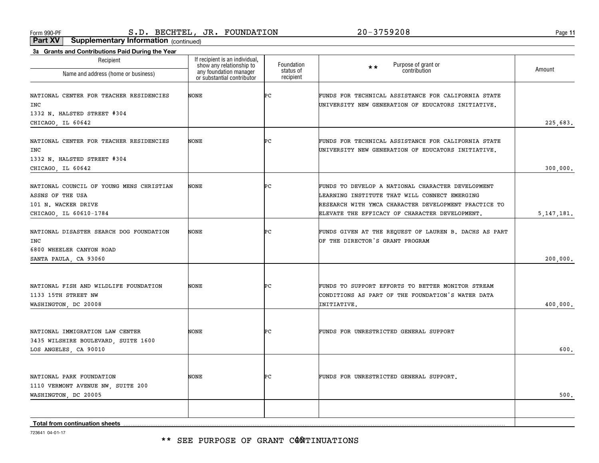**11**

**Part XV Supplementary Information** (continued)

| 3a Grants and Contributions Paid During the Year |                                                                                                                    |                         |                                                                                                       |              |
|--------------------------------------------------|--------------------------------------------------------------------------------------------------------------------|-------------------------|-------------------------------------------------------------------------------------------------------|--------------|
| Recipient<br>Name and address (home or business) | If recipient is an individual,<br>show any relationship to<br>any foundation manager<br>or substantial contributor | Foundation<br>status of | Purpose of grant or<br>contribution<br>$\star\star$                                                   | Amount       |
|                                                  |                                                                                                                    | recipient               |                                                                                                       |              |
| NATIONAL CENTER FOR TEACHER RESIDENCIES          | NONE                                                                                                               | ÞС                      | FUNDS FOR TECHNICAL ASSISTANCE FOR CALIFORNIA STATE                                                   |              |
| INC                                              |                                                                                                                    |                         | UNIVERSITY NEW GENERATION OF EDUCATORS INITIATIVE.                                                    |              |
| 1332 N. HALSTED STREET #304                      |                                                                                                                    |                         |                                                                                                       |              |
| CHICAGO, IL 60642                                |                                                                                                                    |                         |                                                                                                       | 225,683.     |
| NATIONAL CENTER FOR TEACHER RESIDENCIES          | NONE                                                                                                               | Þс                      | FUNDS FOR TECHNICAL ASSISTANCE FOR CALIFORNIA STATE                                                   |              |
| INC                                              |                                                                                                                    |                         | UNIVERSITY NEW GENERATION OF EDUCATORS INITIATIVE.                                                    |              |
| 1332 N. HALSTED STREET #304                      |                                                                                                                    |                         |                                                                                                       |              |
| CHICAGO, IL 60642                                |                                                                                                                    |                         |                                                                                                       | 300,000.     |
|                                                  |                                                                                                                    |                         |                                                                                                       |              |
| NATIONAL COUNCIL OF YOUNG MENS CHRISTIAN         | NONE                                                                                                               | Þс                      | FUNDS TO DEVELOP A NATIONAL CHARACTER DEVELOPMENT                                                     |              |
| ASSNS OF THE USA                                 |                                                                                                                    |                         | LEARNING INSTITUTE THAT WILL CONNECT EMERGING<br>RESEARCH WITH YMCA CHARACTER DEVELOPMENT PRACTICE TO |              |
| 101 N. WACKER DRIVE<br>CHICAGO, IL 60610-1784    |                                                                                                                    |                         | ELEVATE THE EFFICACY OF CHARACTER DEVELOPMENT.                                                        | 5, 147, 181. |
|                                                  |                                                                                                                    |                         |                                                                                                       |              |
| NATIONAL DISASTER SEARCH DOG FOUNDATION          | NONE                                                                                                               | ÞС                      | FUNDS GIVEN AT THE REQUEST OF LAUREN B. DACHS AS PART                                                 |              |
| INC                                              |                                                                                                                    |                         | OF THE DIRECTOR'S GRANT PROGRAM                                                                       |              |
| 6800 WHEELER CANYON ROAD                         |                                                                                                                    |                         |                                                                                                       |              |
| SANTA PAULA, CA 93060                            |                                                                                                                    |                         |                                                                                                       | 200,000.     |
|                                                  |                                                                                                                    |                         |                                                                                                       |              |
| NATIONAL FISH AND WILDLIFE FOUNDATION            | NONE                                                                                                               | ÞС                      | FUNDS TO SUPPORT EFFORTS TO BETTER MONITOR STREAM                                                     |              |
| 1133 15TH STREET NW                              |                                                                                                                    |                         | CONDITIONS AS PART OF THE FOUNDATION'S WATER DATA                                                     |              |
| WASHINGTON, DC 20008                             |                                                                                                                    |                         | INITIATIVE.                                                                                           | 400,000.     |
|                                                  |                                                                                                                    |                         |                                                                                                       |              |
|                                                  |                                                                                                                    |                         |                                                                                                       |              |
| NATIONAL IMMIGRATION LAW CENTER                  | NONE                                                                                                               | ÞС                      | FUNDS FOR UNRESTRICTED GENERAL SUPPORT                                                                |              |
| 3435 WILSHIRE BOULEVARD, SUITE 1600              |                                                                                                                    |                         |                                                                                                       |              |
| LOS ANGELES, CA 90010                            |                                                                                                                    |                         |                                                                                                       | 600.         |
|                                                  |                                                                                                                    |                         |                                                                                                       |              |
| NATIONAL PARK FOUNDATION                         | NONE                                                                                                               | ÞС                      | FUNDS FOR UNRESTRICTED GENERAL SUPPORT.                                                               |              |
| 1110 VERMONT AVENUE NW, SUITE 200                |                                                                                                                    |                         |                                                                                                       |              |
| WASHINGTON, DC 20005                             |                                                                                                                    |                         |                                                                                                       | 500.         |
|                                                  |                                                                                                                    |                         |                                                                                                       |              |
|                                                  |                                                                                                                    |                         |                                                                                                       |              |
| Total from continuation sheets                   |                                                                                                                    |                         |                                                                                                       |              |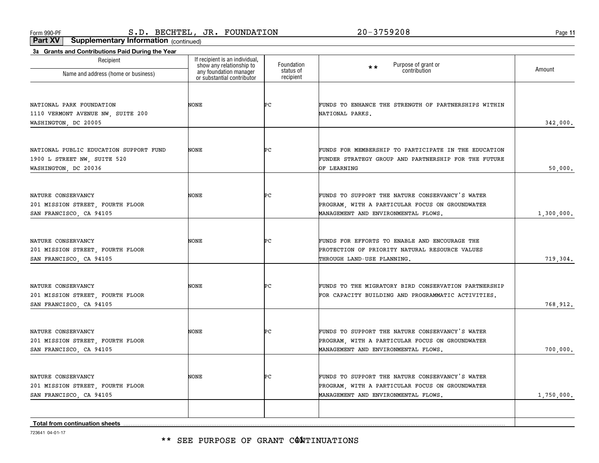**11**

**Part XV Supplementary Information** (continued)

| Recipient                                                   |                                                                                                                    | Foundation             | $\star\star$                                         |            |
|-------------------------------------------------------------|--------------------------------------------------------------------------------------------------------------------|------------------------|------------------------------------------------------|------------|
| Name and address (home or business)                         | If recipient is an individual,<br>show any relationship to<br>any foundation manager<br>or substantial contributor | status of<br>recipient | Purpose of grant or<br>contribution                  | Amount     |
|                                                             |                                                                                                                    |                        |                                                      |            |
| NATIONAL PARK FOUNDATION                                    | NONE                                                                                                               | ÞС                     | FUNDS TO ENHANCE THE STRENGTH OF PARTNERSHIPS WITHIN |            |
| 1110 VERMONT AVENUE NW, SUITE 200                           |                                                                                                                    |                        | NATIONAL PARKS.                                      |            |
| WASHINGTON, DC 20005                                        |                                                                                                                    |                        |                                                      | 342,000.   |
| NATIONAL PUBLIC EDUCATION SUPPORT FUND                      | NONE                                                                                                               | ÞС                     | FUNDS FOR MEMBERSHIP TO PARTICIPATE IN THE EDUCATION |            |
| 1900 L STREET NW, SUITE 520                                 |                                                                                                                    |                        | FUNDER STRATEGY GROUP AND PARTNERSHIP FOR THE FUTURE |            |
| WASHINGTON, DC 20036                                        |                                                                                                                    |                        | OF LEARNING                                          | 50,000.    |
|                                                             |                                                                                                                    |                        |                                                      |            |
| NATURE CONSERVANCY                                          | NONE                                                                                                               | ÞС                     | FUNDS TO SUPPORT THE NATURE CONSERVANCY'S WATER      |            |
| 201 MISSION STREET, FOURTH FLOOR                            |                                                                                                                    |                        | PROGRAM, WITH A PARTICULAR FOCUS ON GROUNDWATER      |            |
| SAN FRANCISCO, CA 94105                                     |                                                                                                                    |                        | MANAGEMENT AND ENVIRONMENTAL FLOWS.                  | 1,300,000. |
| NATURE CONSERVANCY                                          | NONE                                                                                                               | ÞС                     | FUNDS FOR EFFORTS TO ENABLE AND ENCOURAGE THE        |            |
| 201 MISSION STREET, FOURTH FLOOR                            |                                                                                                                    |                        | PROTECTION OF PRIORITY NATURAL RESOURCE VALUES       |            |
| SAN FRANCISCO, CA 94105                                     |                                                                                                                    |                        | THROUGH LAND-USE PLANNING.                           | 719,304.   |
|                                                             |                                                                                                                    |                        |                                                      |            |
| NATURE CONSERVANCY                                          | NONE                                                                                                               | ÞС                     | FUNDS TO THE MIGRATORY BIRD CONSERVATION PARTNERSHIP |            |
| 201 MISSION STREET, FOURTH FLOOR<br>SAN FRANCISCO, CA 94105 |                                                                                                                    |                        | FOR CAPACITY BUILDING AND PROGRAMMATIC ACTIVITIES.   | 768,912.   |
|                                                             |                                                                                                                    |                        |                                                      |            |
| NATURE CONSERVANCY                                          | NONE                                                                                                               | ÞС                     | FUNDS TO SUPPORT THE NATURE CONSERVANCY'S WATER      |            |
| 201 MISSION STREET, FOURTH FLOOR                            |                                                                                                                    |                        | PROGRAM, WITH A PARTICULAR FOCUS ON GROUNDWATER      |            |
| SAN FRANCISCO, CA 94105                                     |                                                                                                                    |                        | MANAGEMENT AND ENVIRONMENTAL FLOWS.                  | 700,000.   |
| NATURE CONSERVANCY                                          | NONE                                                                                                               | ÞС                     | FUNDS TO SUPPORT THE NATURE CONSERVANCY'S WATER      |            |
| 201 MISSION STREET, FOURTH FLOOR                            |                                                                                                                    |                        | PROGRAM, WITH A PARTICULAR FOCUS ON GROUNDWATER      |            |
| SAN FRANCISCO, CA 94105                                     |                                                                                                                    |                        | MANAGEMENT AND ENVIRONMENTAL FLOWS.                  | 1,750,000. |
|                                                             |                                                                                                                    |                        |                                                      |            |
| Total from continuation sheets                              |                                                                                                                    |                        |                                                      |            |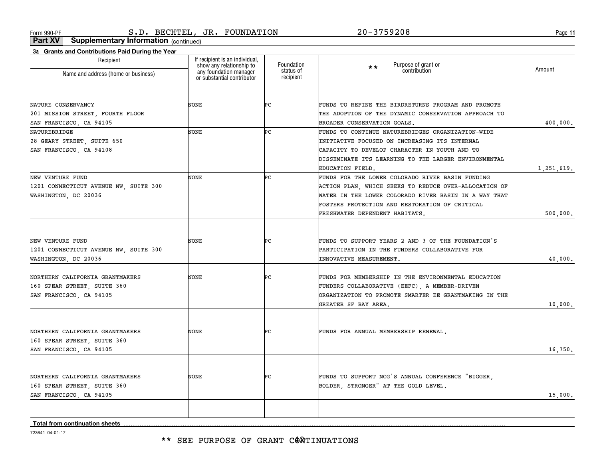**11**

**Part XV Supplementary Information** (continued)

| Recipient                             | If recipient is an individual,                                                   | Foundation             | $**$                                                  |            |
|---------------------------------------|----------------------------------------------------------------------------------|------------------------|-------------------------------------------------------|------------|
| Name and address (home or business)   | show any relationship to<br>any foundation manager<br>or substantial contributor | status of<br>recipient | Purpose of grant or<br>contribution                   | Amount     |
|                                       |                                                                                  |                        |                                                       |            |
| NATURE CONSERVANCY                    | NONE                                                                             | ÞС                     | FUNDS TO REFINE THE BIRDRETURNS PROGRAM AND PROMOTE   |            |
| 201 MISSION STREET, FOURTH FLOOR      |                                                                                  |                        | THE ADOPTION OF THE DYNAMIC CONSERVATION APPROACH TO  |            |
| SAN FRANCISCO, CA 94105               |                                                                                  |                        | BROADER CONSERVATION GOALS.                           | 400,000.   |
| NATUREBRIDGE                          | NONE                                                                             | Þс                     | FUNDS TO CONTINUE NATUREBRIDGES ORGANIZATION-WIDE     |            |
| 28 GEARY STREET, SUITE 650            |                                                                                  |                        | INITIATIVE FOCUSED ON INCREASING ITS INTERNAL         |            |
| SAN FRANCISCO, CA 94108               |                                                                                  |                        | CAPACITY TO DEVELOP CHARACTER IN YOUTH AND TO         |            |
|                                       |                                                                                  |                        | DISSEMINATE ITS LEARNING TO THE LARGER ENVIRONMENTAL  |            |
|                                       |                                                                                  |                        | EDUCATION FIELD.                                      | 1,251,619. |
| NEW VENTURE FUND                      | NONE                                                                             | Þс                     | FUNDS FOR THE LOWER COLORADO RIVER BASIN FUNDING      |            |
| 1201 CONNECTICUT AVENUE NW, SUITE 300 |                                                                                  |                        | ACTION PLAN, WHICH SEEKS TO REDUCE OVER-ALLOCATION OF |            |
| WASHINGTON, DC 20036                  |                                                                                  |                        | WATER IN THE LOWER COLORADO RIVER BASIN IN A WAY THAT |            |
|                                       |                                                                                  |                        | FOSTERS PROTECTION AND RESTORATION OF CRITICAL        |            |
|                                       |                                                                                  |                        | FRESHWATER DEPENDENT HABITATS.                        | 500,000.   |
|                                       |                                                                                  |                        |                                                       |            |
|                                       |                                                                                  |                        |                                                       |            |
| NEW VENTURE FUND                      | <b>NONE</b>                                                                      | ÞС                     | FUNDS TO SUPPORT YEARS 2 AND 3 OF THE FOUNDATION'S    |            |
| 1201 CONNECTICUT AVENUE NW, SUITE 300 |                                                                                  |                        | PARTICIPATION IN THE FUNDERS COLLABORATIVE FOR        |            |
| WASHINGTON, DC 20036                  |                                                                                  |                        | INNOVATIVE MEASUREMENT.                               | 40,000.    |
| NORTHERN CALIFORNIA GRANTMAKERS       | NONE                                                                             | ÞС                     | FUNDS FOR MEMBERSHIP IN THE ENVIRONMENTAL EDUCATION   |            |
| 160 SPEAR STREET, SUITE 360           |                                                                                  |                        | FUNDERS COLLABORATIVE (EEFC), A MEMBER-DRIVEN         |            |
| SAN FRANCISCO, CA 94105               |                                                                                  |                        | ORGANIZATION TO PROMOTE SMARTER EE GRANTMAKING IN THE |            |
|                                       |                                                                                  |                        | GREATER SF BAY AREA.                                  | 10,000.    |
|                                       |                                                                                  |                        |                                                       |            |
|                                       |                                                                                  |                        |                                                       |            |
| NORTHERN CALIFORNIA GRANTMAKERS       | NONE                                                                             | ÞС                     | FUNDS FOR ANNUAL MEMBERSHIP RENEWAL.                  |            |
| 160 SPEAR STREET, SUITE 360           |                                                                                  |                        |                                                       |            |
| SAN FRANCISCO, CA 94105               |                                                                                  |                        |                                                       | 16,750.    |
|                                       |                                                                                  |                        |                                                       |            |
| NORTHERN CALIFORNIA GRANTMAKERS       | NONE                                                                             | ÞС                     | FUNDS TO SUPPORT NCG'S ANNUAL CONFERENCE "BIGGER,     |            |
| 160 SPEAR STREET, SUITE 360           |                                                                                  |                        | BOLDER, STRONGER" AT THE GOLD LEVEL.                  |            |
| SAN FRANCISCO, CA 94105               |                                                                                  |                        |                                                       | 15,000.    |
|                                       |                                                                                  |                        |                                                       |            |
|                                       |                                                                                  |                        |                                                       |            |
| <b>Total from continuation sheets</b> |                                                                                  |                        |                                                       |            |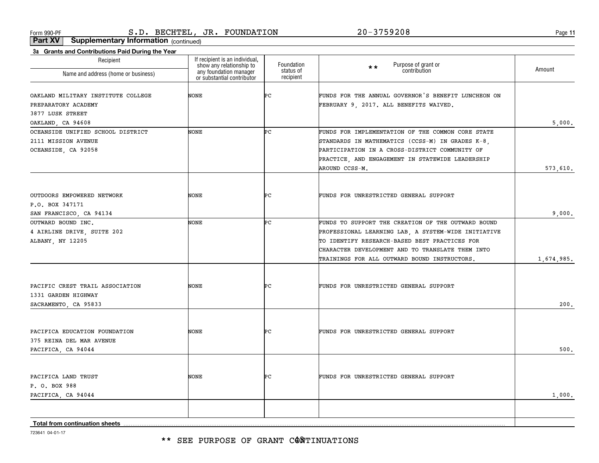**11**

**Part XV Supplementary Information** (continued)

| show any relationship to<br>any foundation manager<br>$\star \star$<br>Amount<br>contribution<br>status of<br>Name and address (home or business)<br>recipient<br>or substantial contributor<br>FUNDS FOR THE ANNUAL GOVERNOR'S BENEFIT LUNCHEON ON<br>OAKLAND MILITARY INSTITUTE COLLEGE<br>NONE<br>ÞС<br>FEBRUARY 9, 2017. ALL BENEFITS WAIVED.<br>PREPARATORY ACADEMY<br>3877 LUSK STREET<br>OAKLAND, CA 94608<br>Þс<br>OCEANSIDE UNIFIED SCHOOL DISTRICT<br>NONE<br>FUNDS FOR IMPLEMENTATION OF THE COMMON CORE STATE<br>STANDARDS IN MATHEMATICS (CCSS-M) IN GRADES K-8,<br>2111 MISSION AVENUE<br>OCEANSIDE, CA 92058<br>PARTICIPATION IN A CROSS-DISTRICT COMMUNITY OF<br>PRACTICE, AND ENGAGEMENT IN STATEWIDE LEADERSHIP<br>AROUND CCSS-M.<br>FUNDS FOR UNRESTRICTED GENERAL SUPPORT<br>OUTDOORS EMPOWERED NETWORK<br>NONE<br>ÞС.<br>P.O. BOX 347171<br>SAN FRANCISCO, CA 94134<br>Þс<br>OUTWARD BOUND INC.<br>NONE<br>FUNDS TO SUPPORT THE CREATION OF THE OUTWARD BOUND<br>4 AIRLINE DRIVE, SUITE 202<br>PROFESSIONAL LEARNING LAB, A SYSTEM-WIDE INITIATIVE<br>ALBANY, NY 12205<br>TO IDENTIFY RESEARCH-BASED BEST PRACTICES FOR<br>CHARACTER DEVELOPMENT AND TO TRANSLATE THEM INTO<br>TRAININGS FOR ALL OUTWARD BOUND INSTRUCTORS.<br>PACIFIC CREST TRAIL ASSOCIATION<br>NONE<br>ÞС<br>FUNDS FOR UNRESTRICTED GENERAL SUPPORT<br>1331 GARDEN HIGHWAY<br>SACRAMENTO, CA 95833<br>Þс<br>PACIFICA EDUCATION FOUNDATION<br>NONE<br>FUNDS FOR UNRESTRICTED GENERAL SUPPORT<br>375 REINA DEL MAR AVENUE<br>PACIFICA, CA 94044<br>ÞС<br>FUNDS FOR UNRESTRICTED GENERAL SUPPORT<br>PACIFICA LAND TRUST<br>NONE<br>P. O. BOX 988<br>PACIFICA, CA 94044<br><b>Total from continuation sheets</b> | 3a Grants and Contributions Paid During the Year<br>Recipient | If recipient is an individual, | Foundation | Purpose of grant or |            |
|------------------------------------------------------------------------------------------------------------------------------------------------------------------------------------------------------------------------------------------------------------------------------------------------------------------------------------------------------------------------------------------------------------------------------------------------------------------------------------------------------------------------------------------------------------------------------------------------------------------------------------------------------------------------------------------------------------------------------------------------------------------------------------------------------------------------------------------------------------------------------------------------------------------------------------------------------------------------------------------------------------------------------------------------------------------------------------------------------------------------------------------------------------------------------------------------------------------------------------------------------------------------------------------------------------------------------------------------------------------------------------------------------------------------------------------------------------------------------------------------------------------------------------------------------------------------------------------------------------------------------------------------------------------------------------------------------|---------------------------------------------------------------|--------------------------------|------------|---------------------|------------|
|                                                                                                                                                                                                                                                                                                                                                                                                                                                                                                                                                                                                                                                                                                                                                                                                                                                                                                                                                                                                                                                                                                                                                                                                                                                                                                                                                                                                                                                                                                                                                                                                                                                                                                      |                                                               |                                |            |                     |            |
|                                                                                                                                                                                                                                                                                                                                                                                                                                                                                                                                                                                                                                                                                                                                                                                                                                                                                                                                                                                                                                                                                                                                                                                                                                                                                                                                                                                                                                                                                                                                                                                                                                                                                                      |                                                               |                                |            |                     |            |
|                                                                                                                                                                                                                                                                                                                                                                                                                                                                                                                                                                                                                                                                                                                                                                                                                                                                                                                                                                                                                                                                                                                                                                                                                                                                                                                                                                                                                                                                                                                                                                                                                                                                                                      |                                                               |                                |            |                     |            |
|                                                                                                                                                                                                                                                                                                                                                                                                                                                                                                                                                                                                                                                                                                                                                                                                                                                                                                                                                                                                                                                                                                                                                                                                                                                                                                                                                                                                                                                                                                                                                                                                                                                                                                      |                                                               |                                |            |                     |            |
|                                                                                                                                                                                                                                                                                                                                                                                                                                                                                                                                                                                                                                                                                                                                                                                                                                                                                                                                                                                                                                                                                                                                                                                                                                                                                                                                                                                                                                                                                                                                                                                                                                                                                                      |                                                               |                                |            |                     | 5.000.     |
|                                                                                                                                                                                                                                                                                                                                                                                                                                                                                                                                                                                                                                                                                                                                                                                                                                                                                                                                                                                                                                                                                                                                                                                                                                                                                                                                                                                                                                                                                                                                                                                                                                                                                                      |                                                               |                                |            |                     |            |
|                                                                                                                                                                                                                                                                                                                                                                                                                                                                                                                                                                                                                                                                                                                                                                                                                                                                                                                                                                                                                                                                                                                                                                                                                                                                                                                                                                                                                                                                                                                                                                                                                                                                                                      |                                                               |                                |            |                     |            |
|                                                                                                                                                                                                                                                                                                                                                                                                                                                                                                                                                                                                                                                                                                                                                                                                                                                                                                                                                                                                                                                                                                                                                                                                                                                                                                                                                                                                                                                                                                                                                                                                                                                                                                      |                                                               |                                |            |                     |            |
|                                                                                                                                                                                                                                                                                                                                                                                                                                                                                                                                                                                                                                                                                                                                                                                                                                                                                                                                                                                                                                                                                                                                                                                                                                                                                                                                                                                                                                                                                                                                                                                                                                                                                                      |                                                               |                                |            |                     |            |
|                                                                                                                                                                                                                                                                                                                                                                                                                                                                                                                                                                                                                                                                                                                                                                                                                                                                                                                                                                                                                                                                                                                                                                                                                                                                                                                                                                                                                                                                                                                                                                                                                                                                                                      |                                                               |                                |            |                     | 573,610.   |
|                                                                                                                                                                                                                                                                                                                                                                                                                                                                                                                                                                                                                                                                                                                                                                                                                                                                                                                                                                                                                                                                                                                                                                                                                                                                                                                                                                                                                                                                                                                                                                                                                                                                                                      |                                                               |                                |            |                     |            |
|                                                                                                                                                                                                                                                                                                                                                                                                                                                                                                                                                                                                                                                                                                                                                                                                                                                                                                                                                                                                                                                                                                                                                                                                                                                                                                                                                                                                                                                                                                                                                                                                                                                                                                      |                                                               |                                |            |                     |            |
|                                                                                                                                                                                                                                                                                                                                                                                                                                                                                                                                                                                                                                                                                                                                                                                                                                                                                                                                                                                                                                                                                                                                                                                                                                                                                                                                                                                                                                                                                                                                                                                                                                                                                                      |                                                               |                                |            |                     |            |
|                                                                                                                                                                                                                                                                                                                                                                                                                                                                                                                                                                                                                                                                                                                                                                                                                                                                                                                                                                                                                                                                                                                                                                                                                                                                                                                                                                                                                                                                                                                                                                                                                                                                                                      |                                                               |                                |            |                     | 9.000.     |
|                                                                                                                                                                                                                                                                                                                                                                                                                                                                                                                                                                                                                                                                                                                                                                                                                                                                                                                                                                                                                                                                                                                                                                                                                                                                                                                                                                                                                                                                                                                                                                                                                                                                                                      |                                                               |                                |            |                     |            |
|                                                                                                                                                                                                                                                                                                                                                                                                                                                                                                                                                                                                                                                                                                                                                                                                                                                                                                                                                                                                                                                                                                                                                                                                                                                                                                                                                                                                                                                                                                                                                                                                                                                                                                      |                                                               |                                |            |                     |            |
|                                                                                                                                                                                                                                                                                                                                                                                                                                                                                                                                                                                                                                                                                                                                                                                                                                                                                                                                                                                                                                                                                                                                                                                                                                                                                                                                                                                                                                                                                                                                                                                                                                                                                                      |                                                               |                                |            |                     |            |
|                                                                                                                                                                                                                                                                                                                                                                                                                                                                                                                                                                                                                                                                                                                                                                                                                                                                                                                                                                                                                                                                                                                                                                                                                                                                                                                                                                                                                                                                                                                                                                                                                                                                                                      |                                                               |                                |            |                     |            |
|                                                                                                                                                                                                                                                                                                                                                                                                                                                                                                                                                                                                                                                                                                                                                                                                                                                                                                                                                                                                                                                                                                                                                                                                                                                                                                                                                                                                                                                                                                                                                                                                                                                                                                      |                                                               |                                |            |                     | 1,674,985. |
|                                                                                                                                                                                                                                                                                                                                                                                                                                                                                                                                                                                                                                                                                                                                                                                                                                                                                                                                                                                                                                                                                                                                                                                                                                                                                                                                                                                                                                                                                                                                                                                                                                                                                                      |                                                               |                                |            |                     |            |
|                                                                                                                                                                                                                                                                                                                                                                                                                                                                                                                                                                                                                                                                                                                                                                                                                                                                                                                                                                                                                                                                                                                                                                                                                                                                                                                                                                                                                                                                                                                                                                                                                                                                                                      |                                                               |                                |            |                     |            |
|                                                                                                                                                                                                                                                                                                                                                                                                                                                                                                                                                                                                                                                                                                                                                                                                                                                                                                                                                                                                                                                                                                                                                                                                                                                                                                                                                                                                                                                                                                                                                                                                                                                                                                      |                                                               |                                |            |                     |            |
|                                                                                                                                                                                                                                                                                                                                                                                                                                                                                                                                                                                                                                                                                                                                                                                                                                                                                                                                                                                                                                                                                                                                                                                                                                                                                                                                                                                                                                                                                                                                                                                                                                                                                                      |                                                               |                                |            |                     | 200.       |
|                                                                                                                                                                                                                                                                                                                                                                                                                                                                                                                                                                                                                                                                                                                                                                                                                                                                                                                                                                                                                                                                                                                                                                                                                                                                                                                                                                                                                                                                                                                                                                                                                                                                                                      |                                                               |                                |            |                     |            |
|                                                                                                                                                                                                                                                                                                                                                                                                                                                                                                                                                                                                                                                                                                                                                                                                                                                                                                                                                                                                                                                                                                                                                                                                                                                                                                                                                                                                                                                                                                                                                                                                                                                                                                      |                                                               |                                |            |                     |            |
|                                                                                                                                                                                                                                                                                                                                                                                                                                                                                                                                                                                                                                                                                                                                                                                                                                                                                                                                                                                                                                                                                                                                                                                                                                                                                                                                                                                                                                                                                                                                                                                                                                                                                                      |                                                               |                                |            |                     |            |
|                                                                                                                                                                                                                                                                                                                                                                                                                                                                                                                                                                                                                                                                                                                                                                                                                                                                                                                                                                                                                                                                                                                                                                                                                                                                                                                                                                                                                                                                                                                                                                                                                                                                                                      |                                                               |                                |            |                     | 500.       |
|                                                                                                                                                                                                                                                                                                                                                                                                                                                                                                                                                                                                                                                                                                                                                                                                                                                                                                                                                                                                                                                                                                                                                                                                                                                                                                                                                                                                                                                                                                                                                                                                                                                                                                      |                                                               |                                |            |                     |            |
|                                                                                                                                                                                                                                                                                                                                                                                                                                                                                                                                                                                                                                                                                                                                                                                                                                                                                                                                                                                                                                                                                                                                                                                                                                                                                                                                                                                                                                                                                                                                                                                                                                                                                                      |                                                               |                                |            |                     |            |
|                                                                                                                                                                                                                                                                                                                                                                                                                                                                                                                                                                                                                                                                                                                                                                                                                                                                                                                                                                                                                                                                                                                                                                                                                                                                                                                                                                                                                                                                                                                                                                                                                                                                                                      |                                                               |                                |            |                     |            |
|                                                                                                                                                                                                                                                                                                                                                                                                                                                                                                                                                                                                                                                                                                                                                                                                                                                                                                                                                                                                                                                                                                                                                                                                                                                                                                                                                                                                                                                                                                                                                                                                                                                                                                      |                                                               |                                |            |                     | 1,000.     |
|                                                                                                                                                                                                                                                                                                                                                                                                                                                                                                                                                                                                                                                                                                                                                                                                                                                                                                                                                                                                                                                                                                                                                                                                                                                                                                                                                                                                                                                                                                                                                                                                                                                                                                      |                                                               |                                |            |                     |            |
|                                                                                                                                                                                                                                                                                                                                                                                                                                                                                                                                                                                                                                                                                                                                                                                                                                                                                                                                                                                                                                                                                                                                                                                                                                                                                                                                                                                                                                                                                                                                                                                                                                                                                                      |                                                               |                                |            |                     |            |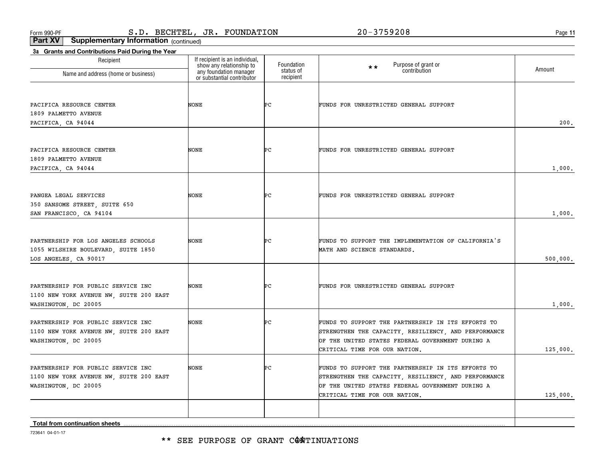**11**

**Part XV Supplementary Information** (continued)

| 3a Grants and Contributions Paid During the Year             |                                                                                                                    |                        |                                                      |          |
|--------------------------------------------------------------|--------------------------------------------------------------------------------------------------------------------|------------------------|------------------------------------------------------|----------|
| Recipient                                                    | If recipient is an individual,<br>show any relationship to<br>any foundation manager<br>or substantial contributor | Foundation             | Purpose of grant or<br>contribution<br>$\star\star$  | Amount   |
| Name and address (home or business)                          |                                                                                                                    | status of<br>recipient |                                                      |          |
|                                                              |                                                                                                                    |                        |                                                      |          |
| PACIFICA RESOURCE CENTER                                     | NONE                                                                                                               | ÞС                     | FUNDS FOR UNRESTRICTED GENERAL SUPPORT               |          |
| 1809 PALMETTO AVENUE                                         |                                                                                                                    |                        |                                                      |          |
| PACIFICA, CA 94044                                           |                                                                                                                    |                        |                                                      | 200.     |
|                                                              |                                                                                                                    |                        |                                                      |          |
| PACIFICA RESOURCE CENTER                                     | NONE                                                                                                               | ÞС                     | FUNDS FOR UNRESTRICTED GENERAL SUPPORT               |          |
| 1809 PALMETTO AVENUE                                         |                                                                                                                    |                        |                                                      |          |
| PACIFICA, CA 94044                                           |                                                                                                                    |                        |                                                      | 1,000.   |
|                                                              |                                                                                                                    |                        |                                                      |          |
| PANGEA LEGAL SERVICES                                        | NONE                                                                                                               | ÞС                     | FUNDS FOR UNRESTRICTED GENERAL SUPPORT               |          |
| 350 SANSOME STREET, SUITE 650                                |                                                                                                                    |                        |                                                      |          |
| SAN FRANCISCO, CA 94104                                      |                                                                                                                    |                        |                                                      | 1,000.   |
|                                                              |                                                                                                                    |                        |                                                      |          |
| PARTNERSHIP FOR LOS ANGELES SCHOOLS                          | NONE                                                                                                               | ÞС                     | FUNDS TO SUPPORT THE IMPLEMENTATION OF CALIFORNIA'S  |          |
| 1055 WILSHIRE BOULEVARD, SUITE 1850<br>LOS ANGELES, CA 90017 |                                                                                                                    |                        | MATH AND SCIENCE STANDARDS.                          | 500,000. |
|                                                              |                                                                                                                    |                        |                                                      |          |
| PARTNERSHIP FOR PUBLIC SERVICE INC                           | NONE                                                                                                               | ÞС                     | FUNDS FOR UNRESTRICTED GENERAL SUPPORT               |          |
| 1100 NEW YORK AVENUE NW, SUITE 200 EAST                      |                                                                                                                    |                        |                                                      |          |
| WASHINGTON, DC 20005                                         |                                                                                                                    |                        |                                                      | 1,000.   |
| PARTNERSHIP FOR PUBLIC SERVICE INC                           | NONE                                                                                                               | ÞС                     | FUNDS TO SUPPORT THE PARTNERSHIP IN ITS EFFORTS TO   |          |
| 1100 NEW YORK AVENUE NW, SUITE 200 EAST                      |                                                                                                                    |                        | STRENGTHEN THE CAPACITY, RESILIENCY, AND PERFORMANCE |          |
| WASHINGTON, DC 20005                                         |                                                                                                                    |                        | OF THE UNITED STATES FEDERAL GOVERNMENT DURING A     |          |
|                                                              |                                                                                                                    |                        | CRITICAL TIME FOR OUR NATION.                        | 125,000. |
| PARTNERSHIP FOR PUBLIC SERVICE INC                           | NONE                                                                                                               | ÞС                     | FUNDS TO SUPPORT THE PARTNERSHIP IN ITS EFFORTS TO   |          |
| 1100 NEW YORK AVENUE NW, SUITE 200 EAST                      |                                                                                                                    |                        | STRENGTHEN THE CAPACITY, RESILIENCY, AND PERFORMANCE |          |
| WASHINGTON, DC 20005                                         |                                                                                                                    |                        | OF THE UNITED STATES FEDERAL GOVERNMENT DURING A     |          |
|                                                              |                                                                                                                    |                        | CRITICAL TIME FOR OUR NATION.                        | 125,000. |
|                                                              |                                                                                                                    |                        |                                                      |          |
| <b>Total from continuation sheets</b>                        |                                                                                                                    |                        |                                                      |          |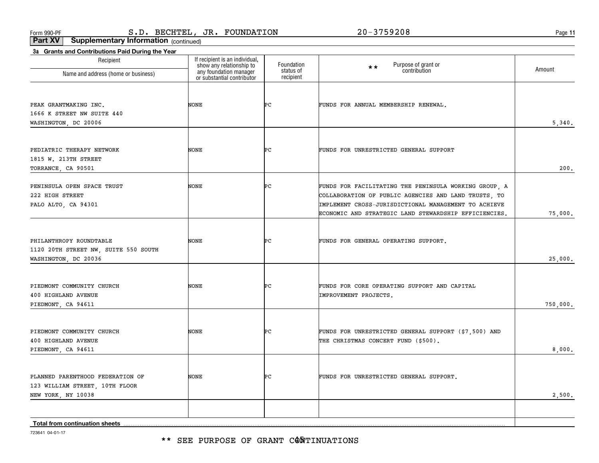**11**

**Part XV Supplementary Information** (continued)

| 3a Grants and Contributions Paid During the Year<br>Recipient |                                                                                                                    |                         |                                                       |          |
|---------------------------------------------------------------|--------------------------------------------------------------------------------------------------------------------|-------------------------|-------------------------------------------------------|----------|
| Name and address (home or business)                           | If recipient is an individual,<br>show any relationship to<br>any foundation manager<br>or substantial contributor | Foundation<br>status of | Purpose of grant or<br>contribution<br>$\star\star$   | Amount   |
|                                                               |                                                                                                                    | recipient               |                                                       |          |
| PEAK GRANTMAKING INC.                                         | NONE                                                                                                               | ÞС                      | FUNDS FOR ANNUAL MEMBERSHIP RENEWAL.                  |          |
| 1666 K STREET NW SUITE 440                                    |                                                                                                                    |                         |                                                       |          |
| WASHINGTON, DC 20006                                          |                                                                                                                    |                         |                                                       | 5,340.   |
|                                                               |                                                                                                                    |                         |                                                       |          |
| PEDIATRIC THERAPY NETWORK                                     | NONE                                                                                                               | ÞС                      | FUNDS FOR UNRESTRICTED GENERAL SUPPORT                |          |
| 1815 W. 213TH STREET                                          |                                                                                                                    |                         |                                                       |          |
| TORRANCE, CA 90501                                            |                                                                                                                    |                         |                                                       | 200.     |
| PENINSULA OPEN SPACE TRUST                                    | <b>NONE</b>                                                                                                        | ÞС                      | FUNDS FOR FACILITATING THE PENINSULA WORKING GROUP, A |          |
| 222 HIGH STREET                                               |                                                                                                                    |                         | COLLABORATION OF PUBLIC AGENCIES AND LAND TRUSTS, TO  |          |
| PALO ALTO, CA 94301                                           |                                                                                                                    |                         | IMPLEMENT CROSS-JURISDICTIONAL MANAGEMENT TO ACHIEVE  |          |
|                                                               |                                                                                                                    |                         | ECONOMIC AND STRATEGIC LAND STEWARDSHIP EFFICIENCIES. | 75,000.  |
|                                                               |                                                                                                                    |                         |                                                       |          |
|                                                               |                                                                                                                    |                         |                                                       |          |
| PHILANTHROPY ROUNDTABLE                                       | <b>NONE</b>                                                                                                        | ÞС                      | FUNDS FOR GENERAL OPERATING SUPPORT.                  |          |
| 1120 20TH STREET NW, SUITE 550 SOUTH                          |                                                                                                                    |                         |                                                       |          |
| WASHINGTON, DC 20036                                          |                                                                                                                    |                         |                                                       | 25,000.  |
|                                                               |                                                                                                                    |                         |                                                       |          |
| PIEDMONT COMMUNITY CHURCH                                     | <b>NONE</b>                                                                                                        | ÞС                      | FUNDS FOR CORE OPERATING SUPPORT AND CAPITAL          |          |
| 400 HIGHLAND AVENUE                                           |                                                                                                                    |                         | IMPROVEMENT PROJECTS.                                 |          |
| PIEDMONT, CA 94611                                            |                                                                                                                    |                         |                                                       | 750,000. |
|                                                               |                                                                                                                    |                         |                                                       |          |
| PIEDMONT COMMUNITY CHURCH                                     | <b>NONE</b>                                                                                                        | ÞС                      | FUNDS FOR UNRESTRICTED GENERAL SUPPORT (\$7,500) AND  |          |
| 400 HIGHLAND AVENUE                                           |                                                                                                                    |                         | THE CHRISTMAS CONCERT FUND (\$500).                   |          |
| PIEDMONT, CA 94611                                            |                                                                                                                    |                         |                                                       | 8,000.   |
|                                                               |                                                                                                                    |                         |                                                       |          |
| PLANNED PARENTHOOD FEDERATION OF                              | NONE                                                                                                               | ÞС                      | FUNDS FOR UNRESTRICTED GENERAL SUPPORT.               |          |
| 123 WILLIAM STREET, 10TH FLOOR                                |                                                                                                                    |                         |                                                       |          |
| NEW YORK, NY 10038                                            |                                                                                                                    |                         |                                                       | 2,500.   |
|                                                               |                                                                                                                    |                         |                                                       |          |
|                                                               |                                                                                                                    |                         |                                                       |          |
| Total from continuation sheets                                |                                                                                                                    |                         |                                                       |          |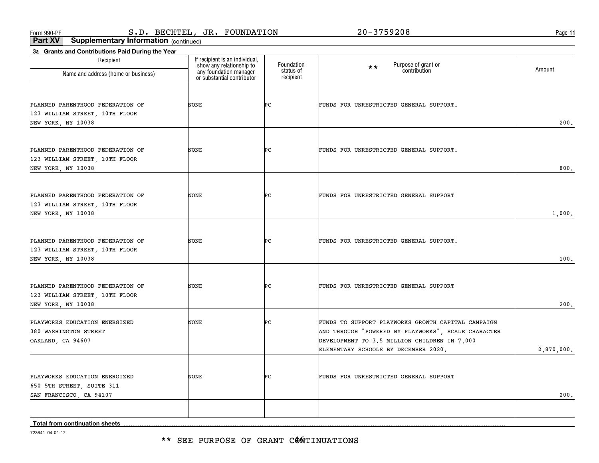**11**

**Part XV Supplementary Information** (continued)

| 3a Grants and Contributions Paid During the Year     |                                                                                                                    |                        |                                                     |            |
|------------------------------------------------------|--------------------------------------------------------------------------------------------------------------------|------------------------|-----------------------------------------------------|------------|
| Recipient                                            | If recipient is an individual,<br>show any relationship to<br>any foundation manager<br>or substantial contributor | Foundation             | Purpose of grant or<br>$***$<br>contribution        | Amount     |
| Name and address (home or business)                  |                                                                                                                    | status of<br>recipient |                                                     |            |
|                                                      |                                                                                                                    |                        |                                                     |            |
| PLANNED PARENTHOOD FEDERATION OF                     | NONE                                                                                                               | ÞС                     | FUNDS FOR UNRESTRICTED GENERAL SUPPORT.             |            |
| 123 WILLIAM STREET, 10TH FLOOR                       |                                                                                                                    |                        |                                                     |            |
| NEW YORK, NY 10038                                   |                                                                                                                    |                        |                                                     | 200.       |
|                                                      |                                                                                                                    |                        |                                                     |            |
| PLANNED PARENTHOOD FEDERATION OF                     | NONE                                                                                                               | ÞС                     | FUNDS FOR UNRESTRICTED GENERAL SUPPORT.             |            |
| 123 WILLIAM STREET, 10TH FLOOR                       |                                                                                                                    |                        |                                                     |            |
| NEW YORK, NY 10038                                   |                                                                                                                    |                        |                                                     | 800.       |
|                                                      |                                                                                                                    |                        |                                                     |            |
| PLANNED PARENTHOOD FEDERATION OF                     | NONE                                                                                                               | ÞС                     | FUNDS FOR UNRESTRICTED GENERAL SUPPORT              |            |
| 123 WILLIAM STREET, 10TH FLOOR                       |                                                                                                                    |                        |                                                     |            |
| NEW YORK, NY 10038                                   |                                                                                                                    |                        |                                                     | 1,000.     |
|                                                      |                                                                                                                    |                        |                                                     |            |
| PLANNED PARENTHOOD FEDERATION OF                     | NONE                                                                                                               | ÞС                     | FUNDS FOR UNRESTRICTED GENERAL SUPPORT.             |            |
| 123 WILLIAM STREET, 10TH FLOOR<br>NEW YORK, NY 10038 |                                                                                                                    |                        |                                                     | 100.       |
|                                                      |                                                                                                                    |                        |                                                     |            |
| PLANNED PARENTHOOD FEDERATION OF                     | NONE                                                                                                               | ÞС                     | FUNDS FOR UNRESTRICTED GENERAL SUPPORT              |            |
| 123 WILLIAM STREET, 10TH FLOOR                       |                                                                                                                    |                        |                                                     |            |
| NEW YORK, NY 10038                                   |                                                                                                                    |                        |                                                     | 200.       |
| PLAYWORKS EDUCATION ENERGIZED                        | NONE                                                                                                               | ÞС                     | FUNDS TO SUPPORT PLAYWORKS GROWTH CAPITAL CAMPAIGN  |            |
| 380 WASHINGTON STREET                                |                                                                                                                    |                        | AND THROUGH "POWERED BY PLAYWORKS", SCALE CHARACTER |            |
| OAKLAND, CA 94607                                    |                                                                                                                    |                        | DEVELOPMENT TO 3.5 MILLION CHILDREN IN 7,000        |            |
|                                                      |                                                                                                                    |                        | ELEMENTARY SCHOOLS BY DECEMBER 2020.                | 2,870,000. |
|                                                      |                                                                                                                    |                        |                                                     |            |
| PLAYWORKS EDUCATION ENERGIZED                        | NONE                                                                                                               | ÞС                     | FUNDS FOR UNRESTRICTED GENERAL SUPPORT              |            |
| 650 5TH STREET, SUITE 311                            |                                                                                                                    |                        |                                                     |            |
| SAN FRANCISCO, CA 94107                              |                                                                                                                    |                        |                                                     | 200.       |
|                                                      |                                                                                                                    |                        |                                                     |            |
| <b>Total from continuation sheets</b>                |                                                                                                                    |                        |                                                     |            |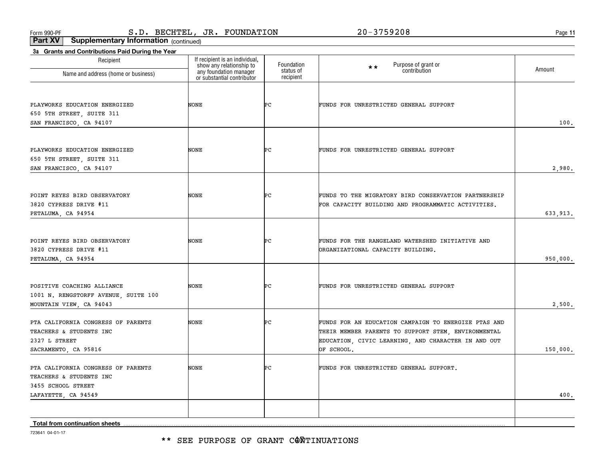**11**

**Part XV Supplementary Information** (continued)

| 3a Grants and Contributions Paid During the Year<br>Recipient                                              |                                                                                                                    |                                      |                                                                                                                                                                                  |          |
|------------------------------------------------------------------------------------------------------------|--------------------------------------------------------------------------------------------------------------------|--------------------------------------|----------------------------------------------------------------------------------------------------------------------------------------------------------------------------------|----------|
| Name and address (home or business)                                                                        | If recipient is an individual,<br>show any relationship to<br>any foundation manager<br>or substantial contributor | Foundation<br>status of<br>recipient | Purpose of grant or<br>contribution<br>$\star\star$                                                                                                                              | Amount   |
| PLAYWORKS EDUCATION ENERGIZED<br>650 5TH STREET, SUITE 311                                                 | NONE                                                                                                               | ÞС                                   | FUNDS FOR UNRESTRICTED GENERAL SUPPORT                                                                                                                                           |          |
| SAN FRANCISCO, CA 94107                                                                                    |                                                                                                                    |                                      |                                                                                                                                                                                  | 100.     |
| PLAYWORKS EDUCATION ENERGIZED<br>650 5TH STREET, SUITE 311<br>SAN FRANCISCO, CA 94107                      | NONE                                                                                                               | ÞС                                   | FUNDS FOR UNRESTRICTED GENERAL SUPPORT                                                                                                                                           | 2,980.   |
| POINT REYES BIRD OBSERVATORY<br>3820 CYPRESS DRIVE #11<br>PETALUMA, CA 94954                               | NONE                                                                                                               | ÞС                                   | FUNDS TO THE MIGRATORY BIRD CONSERVATION PARTNERSHIP<br>FOR CAPACITY BUILDING AND PROGRAMMATIC ACTIVITIES.                                                                       | 633,913. |
| POINT REYES BIRD OBSERVATORY<br>3820 CYPRESS DRIVE #11<br>PETALUMA, CA 94954                               | NONE                                                                                                               | ÞС                                   | FUNDS FOR THE RANGELAND WATERSHED INITIATIVE AND<br>ORGANIZATIONAL CAPACITY BUILDING.                                                                                            | 950,000. |
| POSITIVE COACHING ALLIANCE<br>1001 N. RENGSTORFF AVENUE, SUITE 100<br>MOUNTAIN VIEW, CA 94043              | NONE                                                                                                               | ÞС                                   | FUNDS FOR UNRESTRICTED GENERAL SUPPORT                                                                                                                                           | 2,500.   |
| PTA CALIFORNIA CONGRESS OF PARENTS<br>TEACHERS & STUDENTS INC<br>2327 L STREET<br>SACRAMENTO, CA 95816     | NONE                                                                                                               | ÞС                                   | FUNDS FOR AN EDUCATION CAMPAIGN TO ENERGIZE PTAS AND<br>THEIR MEMBER PARENTS TO SUPPORT STEM, ENVIRONMENTAL<br>EDUCATION, CIVIC LEARNING, AND CHARACTER IN AND OUT<br>OF SCHOOL. | 150,000. |
| PTA CALIFORNIA CONGRESS OF PARENTS<br>TEACHERS & STUDENTS INC<br>3455 SCHOOL STREET<br>LAFAYETTE, CA 94549 | NONE                                                                                                               | ÞС                                   | FUNDS FOR UNRESTRICTED GENERAL SUPPORT.                                                                                                                                          | 400.     |
| <b>Total from continuation sheets</b>                                                                      |                                                                                                                    |                                      |                                                                                                                                                                                  |          |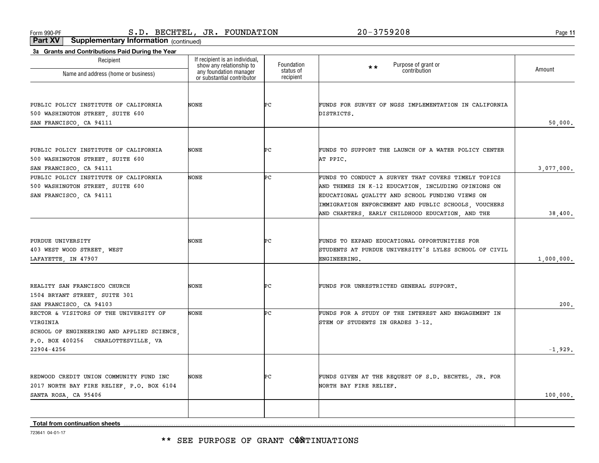**11**

**Part XV Supplementary Information** (continued)

| 3a Grants and Contributions Paid During the Year            |                                                                                                                    |                         |                                                       |            |
|-------------------------------------------------------------|--------------------------------------------------------------------------------------------------------------------|-------------------------|-------------------------------------------------------|------------|
| Recipient                                                   | If recipient is an individual,<br>show any relationship to<br>any foundation manager<br>or substantial contributor | Foundation<br>status of | Purpose of grant or<br>$**$<br>contribution           | Amount     |
| Name and address (home or business)                         |                                                                                                                    | recipient               |                                                       |            |
|                                                             |                                                                                                                    |                         |                                                       |            |
| PUBLIC POLICY INSTITUTE OF CALIFORNIA                       | NONE                                                                                                               | ÞС                      | FUNDS FOR SURVEY OF NGSS IMPLEMENTATION IN CALIFORNIA |            |
| 500 WASHINGTON STREET, SUITE 600                            |                                                                                                                    |                         | DISTRICTS.                                            |            |
| SAN FRANCISCO, CA 94111                                     |                                                                                                                    |                         |                                                       | 50,000.    |
|                                                             |                                                                                                                    |                         |                                                       |            |
| PUBLIC POLICY INSTITUTE OF CALIFORNIA                       | NONE                                                                                                               | ÞС                      | FUNDS TO SUPPORT THE LAUNCH OF A WATER POLICY CENTER  |            |
| 500 WASHINGTON STREET, SUITE 600<br>SAN FRANCISCO, CA 94111 |                                                                                                                    |                         | AT PPIC.                                              | 3,077,000. |
| PUBLIC POLICY INSTITUTE OF CALIFORNIA                       | NONE                                                                                                               | Þс                      | FUNDS TO CONDUCT A SURVEY THAT COVERS TIMELY TOPICS   |            |
| 500 WASHINGTON STREET, SUITE 600                            |                                                                                                                    |                         | AND THEMES IN K-12 EDUCATION, INCLUDING OPINIONS ON   |            |
| SAN FRANCISCO, CA 94111                                     |                                                                                                                    |                         | EDUCATIONAL QUALITY AND SCHOOL FUNDING VIEWS ON       |            |
|                                                             |                                                                                                                    |                         | IMMIGRATION ENFORCEMENT AND PUBLIC SCHOOLS, VOUCHERS  |            |
|                                                             |                                                                                                                    |                         | AND CHARTERS, EARLY CHILDHOOD EDUCATION, AND THE      | 38,400.    |
|                                                             |                                                                                                                    |                         |                                                       |            |
| PURDUE UNIVERSITY                                           | NONE                                                                                                               | ÞС                      | FUNDS TO EXPAND EDUCATIONAL OPPORTUNITIES FOR         |            |
| 403 WEST WOOD STREET, WEST                                  |                                                                                                                    |                         | STUDENTS AT PURDUE UNIVERSITY'S LYLES SCHOOL OF CIVIL |            |
| LAFAYETTE, IN 47907                                         |                                                                                                                    |                         | ENGINEERING.                                          | 1,000,000. |
|                                                             |                                                                                                                    |                         |                                                       |            |
| REALITY SAN FRANCISCO CHURCH                                | NONE                                                                                                               | ÞС                      | FUNDS FOR UNRESTRICTED GENERAL SUPPORT.               |            |
| 1504 BRYANT STREET, SUITE 301<br>SAN FRANCISCO, CA 94103    |                                                                                                                    |                         |                                                       | 200.       |
| RECTOR & VISITORS OF THE UNIVERSITY OF                      | NONE                                                                                                               | ÞС                      | FUNDS FOR A STUDY OF THE INTEREST AND ENGAGEMENT IN   |            |
| VIRGINIA                                                    |                                                                                                                    |                         | STEM OF STUDENTS IN GRADES 3-12.                      |            |
| SCHOOL OF ENGINEERING AND APPLIED SCIENCE,                  |                                                                                                                    |                         |                                                       |            |
| P.O. BOX 400256 CHARLOTTESVILLE VA                          |                                                                                                                    |                         |                                                       |            |
| 22904-4256                                                  |                                                                                                                    |                         |                                                       | $-1,929.$  |
|                                                             |                                                                                                                    |                         |                                                       |            |
| REDWOOD CREDIT UNION COMMUNITY FUND INC                     | NONE                                                                                                               | ÞС                      | FUNDS GIVEN AT THE REQUEST OF S.D. BECHTEL, JR. FOR   |            |
| 2017 NORTH BAY FIRE RELIEF, P.O. BOX 6104                   |                                                                                                                    |                         | NORTH BAY FIRE RELIEF.                                |            |
| SANTA ROSA, CA 95406                                        |                                                                                                                    |                         |                                                       | 100,000.   |
|                                                             |                                                                                                                    |                         |                                                       |            |
| <b>Total from continuation sheets</b>                       |                                                                                                                    |                         |                                                       |            |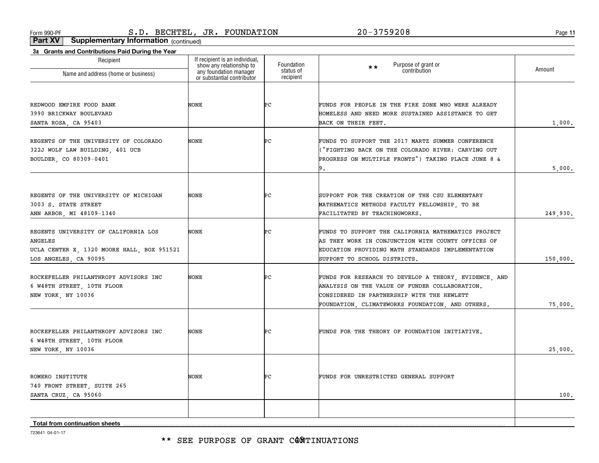**11**

**Part XV Supplementary Information** (continued)

| 3a Grants and Contributions Paid During the Year |                                                                                      |                        |                                                       |          |
|--------------------------------------------------|--------------------------------------------------------------------------------------|------------------------|-------------------------------------------------------|----------|
| Recipient                                        | If recipient is an individual,<br>show any relationship to<br>any foundation manager | Foundation             | Purpose of grant or<br>$\star \star$<br>contribution  | Amount   |
| Name and address (home or business)              | or substantial contributor                                                           | status of<br>recipient |                                                       |          |
|                                                  |                                                                                      |                        |                                                       |          |
| REDWOOD EMPIRE FOOD BANK                         | NONE                                                                                 | ÞС                     | FUNDS FOR PEOPLE IN THE FIRE ZONE WHO WERE ALREADY    |          |
| 3990 BRICKWAY BOULEVARD                          |                                                                                      |                        | HOMELESS AND NEED MORE SUSTAINED ASSISTANCE TO GET    |          |
| SANTA ROSA, CA 95403                             |                                                                                      |                        | BACK ON THEIR FEET.                                   | 1,000.   |
| REGENTS OF THE UNIVERSITY OF COLORADO            | NONE                                                                                 | ÞС                     | FUNDS TO SUPPORT THE 2017 MARTZ SUMMER CONFERENCE     |          |
| 322J WOLF LAW BUILDING, 401 UCB                  |                                                                                      |                        | ("FIGHTING BACK ON THE COLORADO RIVER: CARVING OUT    |          |
| BOULDER, CO 80309-0401                           |                                                                                      |                        | PROGRESS ON MULTIPLE FRONTS") TAKING PLACE JUNE 8 &   |          |
|                                                  |                                                                                      |                        |                                                       | 5,000.   |
|                                                  |                                                                                      |                        |                                                       |          |
| REGENTS OF THE UNIVERSITY OF MICHIGAN            | NONE                                                                                 | ÞС                     | SUPPORT FOR THE CREATION OF THE CSU ELEMENTARY        |          |
| 3003 S. STATE STREET                             |                                                                                      |                        | MATHEMATICS METHODS FACULTY FELLOWSHIP, TO BE         |          |
| ANN ARBOR, MI 48109-1340                         |                                                                                      |                        | FACILITATED BY TEACHINGWORKS.                         | 249,930. |
| REGENTS UNIVERSITY OF CALIFORNIA LOS             | NONE                                                                                 | Þс                     | FUNDS TO SUPPORT THE CALIFORNIA MATHEMATICS PROJECT   |          |
| ANGELES                                          |                                                                                      |                        | AS THEY WORK IN CONJUNCTION WITH COUNTY OFFICES OF    |          |
| UCLA CENTER X, 1320 MOORE HALL, BOX 951521       |                                                                                      |                        | EDUCATION PROVIDING MATH STANDARDS IMPLEMENTATION     |          |
| LOS ANGELES, CA 90095                            |                                                                                      |                        | SUPPORT TO SCHOOL DISTRICTS.                          | 150,000. |
| ROCKEFELLER PHILANTHROPY ADVISORS INC            | NONE                                                                                 | ÞС                     | FUNDS FOR RESEARCH TO DEVELOP A THEORY, EVIDENCE, AND |          |
| 6 W48TH STREET, 10TH FLOOR                       |                                                                                      |                        | ANALYSIS ON THE VALUE OF FUNDER COLLABORATION.        |          |
| NEW YORK, NY 10036                               |                                                                                      |                        | CONSIDERED IN PARTNERSHIP WITH THE HEWLETT            |          |
|                                                  |                                                                                      |                        | FOUNDATION, CLIMATEWORKS FOUNDATION, AND OTHERS.      | 75,000.  |
|                                                  |                                                                                      |                        |                                                       |          |
| ROCKEFELLER PHILANTHROPY ADVISORS INC            | NONE                                                                                 | Þс                     | FUNDS FOR THE THEORY OF FOUNDATION INITIATIVE.        |          |
| 6 W48TH STREET, 10TH FLOOR                       |                                                                                      |                        |                                                       |          |
| NEW YORK, NY 10036                               |                                                                                      |                        |                                                       | 25,000.  |
|                                                  |                                                                                      |                        |                                                       |          |
| ROMERO INSTITUTE                                 | NONE                                                                                 | ÞС                     | FUNDS FOR UNRESTRICTED GENERAL SUPPORT                |          |
| 740 FRONT STREET, SUITE 265                      |                                                                                      |                        |                                                       |          |
| SANTA CRUZ, CA 95060                             |                                                                                      |                        |                                                       | 100.     |
|                                                  |                                                                                      |                        |                                                       |          |
| <b>Total from continuation sheets</b>            |                                                                                      |                        |                                                       |          |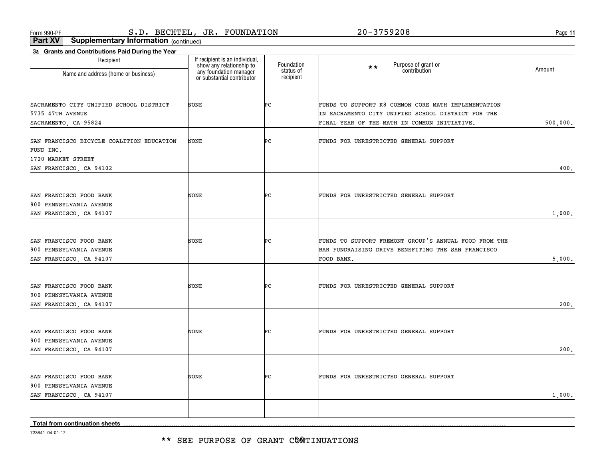\*\* SEE PURPOSE OF GRANT C5NTINUATIONS

723641 04-01-17

| Recipient<br>Name and address (home or business)   | If recipient is an individual,<br>show any relationship to<br>any foundation manager<br>or substantial contributor | Foundation<br>status of | Purpose of grant or<br>$* *$<br>contribution          | Amount   |
|----------------------------------------------------|--------------------------------------------------------------------------------------------------------------------|-------------------------|-------------------------------------------------------|----------|
|                                                    |                                                                                                                    | recipient               |                                                       |          |
|                                                    |                                                                                                                    |                         |                                                       |          |
| SACRAMENTO CITY UNIFIED SCHOOL DISTRICT            | <b>NONE</b>                                                                                                        | ÞС                      | FUNDS TO SUPPORT K8 COMMON CORE MATH IMPLEMENTATION   |          |
| 5735 47TH AVENUE                                   |                                                                                                                    |                         | IN SACRAMENTO CITY UNIFIED SCHOOL DISTRICT FOR THE    |          |
| SACRAMENTO, CA 95824                               |                                                                                                                    |                         | FINAL YEAR OF THE MATH IN COMMON INITIATIVE.          | 500,000. |
| SAN FRANCISCO BICYCLE COALITION EDUCATION          | NONE                                                                                                               | ÞС                      | FUNDS FOR UNRESTRICTED GENERAL SUPPORT                |          |
| FUND INC.                                          |                                                                                                                    |                         |                                                       |          |
| 1720 MARKET STREET                                 |                                                                                                                    |                         |                                                       |          |
| SAN FRANCISCO, CA 94102                            |                                                                                                                    |                         |                                                       | 400.     |
|                                                    |                                                                                                                    |                         |                                                       |          |
| SAN FRANCISCO FOOD BANK                            | <b>NONE</b>                                                                                                        | ÞС                      | FUNDS FOR UNRESTRICTED GENERAL SUPPORT                |          |
| 900 PENNSYLVANIA AVENUE                            |                                                                                                                    |                         |                                                       |          |
| SAN FRANCISCO, CA 94107                            |                                                                                                                    |                         |                                                       | 1,000.   |
|                                                    |                                                                                                                    |                         |                                                       |          |
|                                                    | NONE                                                                                                               | ÞС                      | FUNDS TO SUPPORT FREMONT GROUP'S ANNUAL FOOD FROM THE |          |
| SAN FRANCISCO FOOD BANK<br>900 PENNSYLVANIA AVENUE |                                                                                                                    |                         | BAR FUNDRAISING DRIVE BENEFITING THE SAN FRANCISCO    |          |
| SAN FRANCISCO, CA 94107                            |                                                                                                                    |                         | FOOD BANK.                                            | 5,000.   |
|                                                    |                                                                                                                    |                         |                                                       |          |
|                                                    | <b>NONE</b>                                                                                                        | ÞС                      | FUNDS FOR UNRESTRICTED GENERAL SUPPORT                |          |
| SAN FRANCISCO FOOD BANK<br>900 PENNSYLVANIA AVENUE |                                                                                                                    |                         |                                                       |          |
| SAN FRANCISCO, CA 94107                            |                                                                                                                    |                         |                                                       | 200.     |
|                                                    |                                                                                                                    |                         |                                                       |          |
|                                                    |                                                                                                                    |                         |                                                       |          |
| SAN FRANCISCO FOOD BANK                            | NONE                                                                                                               | ÞС                      | FUNDS FOR UNRESTRICTED GENERAL SUPPORT                |          |
| 900 PENNSYLVANIA AVENUE                            |                                                                                                                    |                         |                                                       |          |
| SAN FRANCISCO, CA 94107                            |                                                                                                                    |                         |                                                       | 200.     |
|                                                    |                                                                                                                    |                         |                                                       |          |
| SAN FRANCISCO FOOD BANK                            | <b>NONE</b>                                                                                                        | ÞС                      | FUNDS FOR UNRESTRICTED GENERAL SUPPORT                |          |
| 900 PENNSYLVANIA AVENUE                            |                                                                                                                    |                         |                                                       |          |
| SAN FRANCISCO, CA 94107                            |                                                                                                                    |                         |                                                       | 1,000.   |
|                                                    |                                                                                                                    |                         |                                                       |          |
| Total from continuation sheets                     |                                                                                                                    |                         |                                                       |          |

**Part XV Supplementary Information** (continued)

**3a Grants and Contributions Paid During the Year**

**11**

Form 990-PF Page S.D. BECHTEL, JR. FOUNDATION 20-3759208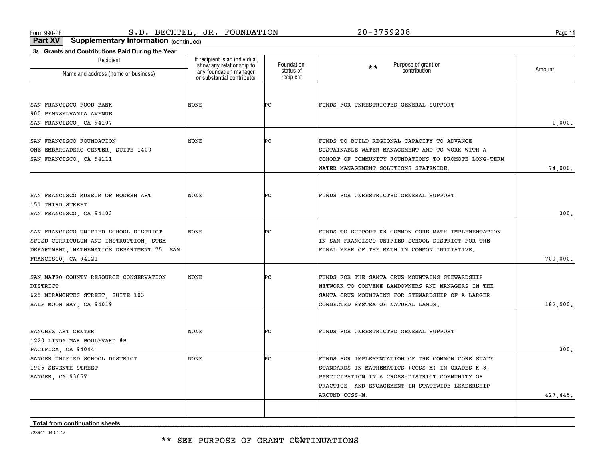**11**

**Part XV Supplementary Information** (continued)

| 3a Grants and Contributions Paid During the Year |                                                                                      |                         |                                                      |          |
|--------------------------------------------------|--------------------------------------------------------------------------------------|-------------------------|------------------------------------------------------|----------|
| Recipient                                        | If recipient is an individual,<br>show any relationship to<br>any foundation manager | Foundation<br>status of | Purpose of grant or<br>$\star \star$<br>contribution | Amount   |
| Name and address (home or business)              | or substantial contributor                                                           | recipient               |                                                      |          |
|                                                  |                                                                                      |                         |                                                      |          |
| SAN FRANCISCO FOOD BANK                          | NONE                                                                                 | Þс                      | FUNDS FOR UNRESTRICTED GENERAL SUPPORT               |          |
| 900 PENNSYLVANIA AVENUE                          |                                                                                      |                         |                                                      |          |
| SAN FRANCISCO, CA 94107                          |                                                                                      |                         |                                                      | 1,000.   |
| SAN FRANCISCO FOUNDATION                         | NONE                                                                                 | Þс                      | FUNDS TO BUILD REGIONAL CAPACITY TO ADVANCE          |          |
| ONE EMBARCADERO CENTER, SUITE 1400               |                                                                                      |                         | SUSTAINABLE WATER MANAGEMENT AND TO WORK WITH A      |          |
| SAN FRANCISCO, CA 94111                          |                                                                                      |                         | COHORT OF COMMUNITY FOUNDATIONS TO PROMOTE LONG-TERM |          |
|                                                  |                                                                                      |                         | WATER MANAGEMENT SOLUTIONS STATEWIDE.                | 74,000.  |
|                                                  |                                                                                      |                         |                                                      |          |
| SAN FRANCISCO MUSEUM OF MODERN ART               | NONE                                                                                 | Þс                      | FUNDS FOR UNRESTRICTED GENERAL SUPPORT               |          |
| 151 THIRD STREET                                 |                                                                                      |                         |                                                      |          |
| SAN FRANCISCO, CA 94103                          |                                                                                      |                         |                                                      | 300.     |
|                                                  |                                                                                      |                         |                                                      |          |
| SAN FRANCISCO UNIFIED SCHOOL DISTRICT            | NONE                                                                                 | Þс                      | FUNDS TO SUPPORT K8 COMMON CORE MATH IMPLEMENTATION  |          |
| SFUSD CURRICULUM AND INSTRUCTION, STEM           |                                                                                      |                         | IN SAN FRANCISCO UNIFIED SCHOOL DISTRICT FOR THE     |          |
| DEPARTMENT, MATHEMATICS DEPARTMENT 75 SAN        |                                                                                      |                         | FINAL YEAR OF THE MATH IN COMMON INITIATIVE.         |          |
| FRANCISCO, CA 94121                              |                                                                                      |                         |                                                      | 700,000. |
| SAN MATEO COUNTY RESOURCE CONSERVATION           | NONE                                                                                 | ÞС                      | FUNDS FOR THE SANTA CRUZ MOUNTAINS STEWARDSHIP       |          |
| DISTRICT                                         |                                                                                      |                         | NETWORK TO CONVENE LANDOWNERS AND MANAGERS IN THE    |          |
| 625 MIRAMONTES STREET, SUITE 103                 |                                                                                      |                         | SANTA CRUZ MOUNTAINS FOR STEWARDSHIP OF A LARGER     |          |
| HALF MOON BAY, CA 94019                          |                                                                                      |                         | CONNECTED SYSTEM OF NATURAL LANDS.                   | 182,500. |
|                                                  |                                                                                      |                         |                                                      |          |
| SANCHEZ ART CENTER                               | NONE                                                                                 | ÞС                      | FUNDS FOR UNRESTRICTED GENERAL SUPPORT               |          |
| 1220 LINDA MAR BOULEVARD #B                      |                                                                                      |                         |                                                      |          |
| PACIFICA, CA 94044                               |                                                                                      |                         |                                                      | 300.     |
| SANGER UNIFIED SCHOOL DISTRICT                   | NONE                                                                                 | Þс                      | FUNDS FOR IMPLEMENTATION OF THE COMMON CORE STATE    |          |
| 1905 SEVENTH STREET                              |                                                                                      |                         | STANDARDS IN MATHEMATICS (CCSS-M) IN GRADES K-8,     |          |
| SANGER, CA 93657                                 |                                                                                      |                         | PARTICIPATION IN A CROSS-DISTRICT COMMUNITY OF       |          |
|                                                  |                                                                                      |                         | PRACTICE, AND ENGAGEMENT IN STATEWIDE LEADERSHIP     |          |
|                                                  |                                                                                      |                         | AROUND CCSS-M.                                       | 427,445. |
|                                                  |                                                                                      |                         |                                                      |          |
| <b>Total from continuation sheets</b>            |                                                                                      |                         |                                                      |          |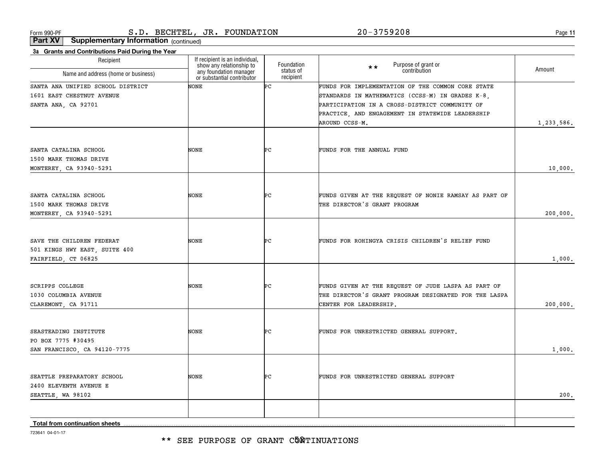**11**

**Part XV Supplementary Information** (continued)

| Recipient                           | If recipient is an individual,<br>show any relationship to<br>any foundation manager<br>or substantial contributor | Foundation             | Purpose of grant or<br>contribution<br>$\star \star$  | Amount     |
|-------------------------------------|--------------------------------------------------------------------------------------------------------------------|------------------------|-------------------------------------------------------|------------|
| Name and address (home or business) |                                                                                                                    | status of<br>recipient |                                                       |            |
| SANTA ANA UNIFIED SCHOOL DISTRICT   | NONE                                                                                                               | Þс                     | FUNDS FOR IMPLEMENTATION OF THE COMMON CORE STATE     |            |
| 1601 EAST CHESTNUT AVENUE           |                                                                                                                    |                        | STANDARDS IN MATHEMATICS (CCSS-M) IN GRADES K-8,      |            |
| SANTA ANA, CA 92701                 |                                                                                                                    |                        | PARTICIPATION IN A CROSS-DISTRICT COMMUNITY OF        |            |
|                                     |                                                                                                                    |                        | PRACTICE, AND ENGAGEMENT IN STATEWIDE LEADERSHIP      |            |
|                                     |                                                                                                                    |                        | AROUND CCSS-M.                                        | 1,233,586. |
|                                     |                                                                                                                    |                        |                                                       |            |
| SANTA CATALINA SCHOOL               | NONE                                                                                                               | ÞС                     | FUNDS FOR THE ANNUAL FUND                             |            |
| 1500 MARK THOMAS DRIVE              |                                                                                                                    |                        |                                                       |            |
| MONTEREY, CA 93940-5291             |                                                                                                                    |                        |                                                       | 10,000.    |
|                                     |                                                                                                                    |                        |                                                       |            |
| SANTA CATALINA SCHOOL               | NONE                                                                                                               | ÞС                     | FUNDS GIVEN AT THE REQUEST OF NONIE RAMSAY AS PART OF |            |
| 1500 MARK THOMAS DRIVE              |                                                                                                                    |                        | THE DIRECTOR'S GRANT PROGRAM                          |            |
| MONTEREY, CA 93940-5291             |                                                                                                                    |                        |                                                       | 200,000.   |
| SAVE THE CHILDREN FEDERAT           | NONE                                                                                                               | ÞС                     | FUNDS FOR ROHINGYA CRISIS CHILDREN'S RELIEF FUND      |            |
| 501 KINGS HWY EAST, SUITE 400       |                                                                                                                    |                        |                                                       |            |
| FAIRFIELD, CT 06825                 |                                                                                                                    |                        |                                                       | 1,000.     |
|                                     |                                                                                                                    |                        |                                                       |            |
| <b>SCRIPPS COLLEGE</b>              | NONE                                                                                                               | ÞС                     | FUNDS GIVEN AT THE REQUEST OF JUDE LASPA AS PART OF   |            |
| 1030 COLUMBIA AVENUE                |                                                                                                                    |                        | THE DIRECTOR'S GRANT PROGRAM DESIGNATED FOR THE LASPA |            |
| CLAREMONT, CA 91711                 |                                                                                                                    |                        | CENTER FOR LEADERSHIP.                                | 200,000.   |
|                                     |                                                                                                                    |                        |                                                       |            |
| SEASTEADING INSTITUTE               | NONE                                                                                                               | ÞС                     | FUNDS FOR UNRESTRICTED GENERAL SUPPORT.               |            |
| PO BOX 7775 #30495                  |                                                                                                                    |                        |                                                       |            |
| SAN FRANCISCO, CA 94120-7775        |                                                                                                                    |                        |                                                       | 1,000.     |
| SEATTLE PREPARATORY SCHOOL          | NONE                                                                                                               | ÞС                     | FUNDS FOR UNRESTRICTED GENERAL SUPPORT                |            |
| 2400 ELEVENTH AVENUE E              |                                                                                                                    |                        |                                                       |            |
| SEATTLE, WA 98102                   |                                                                                                                    |                        |                                                       | 200.       |
|                                     |                                                                                                                    |                        |                                                       |            |
| Total from continuation sheets      |                                                                                                                    |                        |                                                       |            |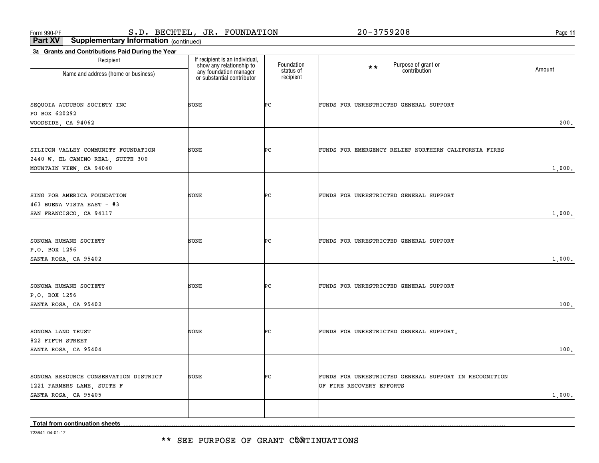\*\* SEE PURPOSE OF GRANT C5NTINUATIONS

723641 04-01-17

| Recipient                             | If recipient is an individual,<br>show any relationship to | Foundation             | Purpose of grant or<br>contribution<br>$\star\star$   |        |
|---------------------------------------|------------------------------------------------------------|------------------------|-------------------------------------------------------|--------|
| Name and address (home or business)   | any foundation manager<br>or substantial contributor       | status of<br>recipient |                                                       | Amount |
|                                       |                                                            |                        |                                                       |        |
| SEQUOIA AUDUBON SOCIETY INC           | NONE                                                       | Þс                     | FUNDS FOR UNRESTRICTED GENERAL SUPPORT                |        |
| PO BOX 620292                         |                                                            |                        |                                                       |        |
| WOODSIDE, CA 94062                    |                                                            |                        |                                                       | 200.   |
| SILICON VALLEY COMMUNITY FOUNDATION   | NONE                                                       | ÞС                     | FUNDS FOR EMERGENCY RELIEF NORTHERN CALIFORNIA FIRES  |        |
| 2440 W. EL CAMINO REAL, SUITE 300     |                                                            |                        |                                                       |        |
| MOUNTAIN VIEW, CA 94040               |                                                            |                        |                                                       | 1,000. |
|                                       |                                                            |                        |                                                       |        |
| SING FOR AMERICA FOUNDATION           | NONE                                                       | ÞС                     | FUNDS FOR UNRESTRICTED GENERAL SUPPORT                |        |
| 463 BUENA VISTA EAST - #3             |                                                            |                        |                                                       |        |
| SAN FRANCISCO, CA 94117               |                                                            |                        |                                                       | 1,000. |
|                                       |                                                            |                        |                                                       |        |
| SONOMA HUMANE SOCIETY                 | NONE                                                       | ÞС                     | FUNDS FOR UNRESTRICTED GENERAL SUPPORT                |        |
| P.O. BOX 1296                         |                                                            |                        |                                                       |        |
| SANTA ROSA, CA 95402                  |                                                            |                        |                                                       | 1,000. |
|                                       |                                                            |                        |                                                       |        |
| SONOMA HUMANE SOCIETY                 | NONE                                                       | ÞС                     | FUNDS FOR UNRESTRICTED GENERAL SUPPORT                |        |
| P.O. BOX 1296                         |                                                            |                        |                                                       |        |
| SANTA ROSA, CA 95402                  |                                                            |                        |                                                       | 100.   |
|                                       |                                                            |                        |                                                       |        |
| SONOMA LAND TRUST                     | NONE                                                       | ÞС                     | FUNDS FOR UNRESTRICTED GENERAL SUPPORT.               |        |
| 822 FIFTH STREET                      |                                                            |                        |                                                       |        |
| SANTA ROSA, CA 95404                  |                                                            |                        |                                                       | 100.   |
|                                       |                                                            |                        |                                                       |        |
| SONOMA RESOURCE CONSERVATION DISTRICT | NONE                                                       | ÞС                     | FUNDS FOR UNRESTRICTED GENERAL SUPPORT IN RECOGNITION |        |
| 1221 FARMERS LANE, SUITE F            |                                                            |                        | OF FIRE RECOVERY EFFORTS                              |        |
| SANTA ROSA, CA 95405                  |                                                            |                        |                                                       | 1,000. |
|                                       |                                                            |                        |                                                       |        |
| <b>Total from continuation sheets</b> |                                                            |                        |                                                       |        |

**Part XV Supplementary Information** (continued)

**3a Grants and Contributions Paid During the Year**

Recipient

**11**

Form 990-PF Page S.D. BECHTEL, JR. FOUNDATION 20-3759208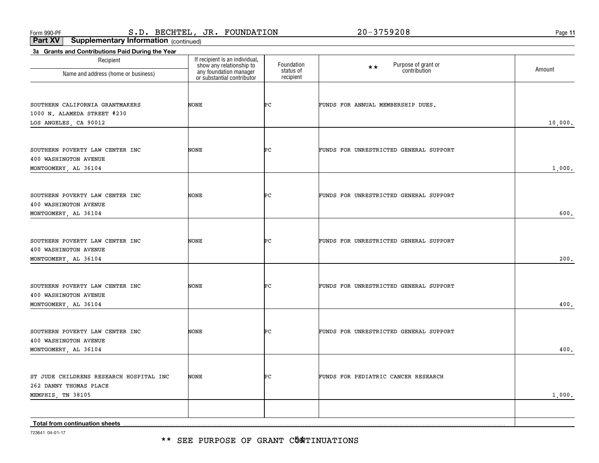\*\* SEE PURPOSE OF GRANT C5ATINUATIONS

723641 04-01-17

| . . <b>. .</b> . <b>.</b> . <b>. .</b>                                                 | show any relationship to                             | Foundation<br>status of | Purpose of grant or<br>contribution<br>$\star\star$ | Amount  |
|----------------------------------------------------------------------------------------|------------------------------------------------------|-------------------------|-----------------------------------------------------|---------|
| Name and address (home or business)                                                    | any foundation manager<br>or substantial contributor | recipient               |                                                     |         |
| SOUTHERN CALIFORNIA GRANTMAKERS<br>1000 N. ALAMEDA STREET #230                         | NONE                                                 | Þс                      | FUNDS FOR ANNUAL MEMBERSHIP DUES.                   | 10,000. |
| LOS ANGELES, CA 90012                                                                  |                                                      |                         |                                                     |         |
| SOUTHERN POVERTY LAW CENTER INC<br>400 WASHINGTON AVENUE<br>MONTGOMERY, AL 36104       | NONE                                                 | ÞС                      | FUNDS FOR UNRESTRICTED GENERAL SUPPORT              | 1,000.  |
| SOUTHERN POVERTY LAW CENTER INC<br>400 WASHINGTON AVENUE<br>MONTGOMERY, AL 36104       | NONE                                                 | ÞС                      | FUNDS FOR UNRESTRICTED GENERAL SUPPORT              | 600.    |
| SOUTHERN POVERTY LAW CENTER INC<br>400 WASHINGTON AVENUE<br>MONTGOMERY, AL 36104       | NONE                                                 | ÞС                      | FUNDS FOR UNRESTRICTED GENERAL SUPPORT              | 200.    |
| SOUTHERN POVERTY LAW CENTER INC<br>400 WASHINGTON AVENUE<br>MONTGOMERY, AL 36104       | NONE                                                 | ÞС                      | FUNDS FOR UNRESTRICTED GENERAL SUPPORT              | 400.    |
| SOUTHERN POVERTY LAW CENTER INC<br>400 WASHINGTON AVENUE<br>MONTGOMERY, AL 36104       | NONE                                                 | ÞС                      | FUNDS FOR UNRESTRICTED GENERAL SUPPORT              | 400.    |
| ST JUDE CHILDRENS RESEARCH HOSPITAL INC<br>262 DANNY THOMAS PLACE<br>MEMPHIS, TN 38105 | NONE                                                 | ÞС                      | FUNDS FOR PEDIATRIC CANCER RESEARCH                 | 1,000.  |
|                                                                                        |                                                      |                         |                                                     |         |
| Total from continuation sheets                                                         |                                                      |                         |                                                     |         |

**Part XV Supplementary Information** (continued)

**3a Grants and Contributions Paid During the Year**

Recipient

Form 990-PF Page S.D. BECHTEL, JR. FOUNDATION 20-3759208

If recipient is an individual, show any relationship to

**11**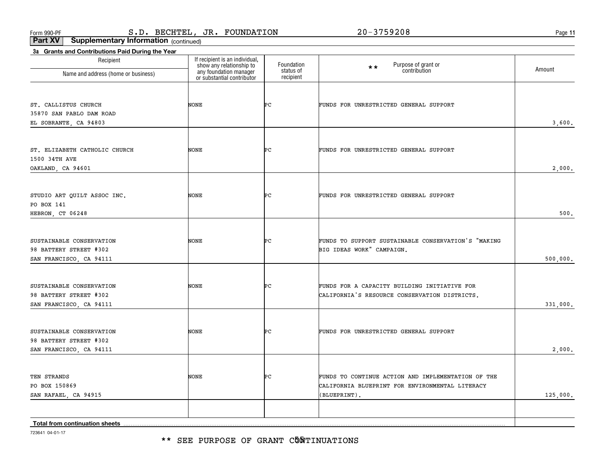\*\* SEE PURPOSE OF GRANT CÕÑTINUATIONS

723641 04-01-17

| . . <b>. .</b> . <b>.</b> . <b>.</b><br>Name and address (home or business)   | show any relationship to<br>any foundation manager<br>or substantial contributor | Foundation<br>status of | Purpose of grant or<br>contribution<br>$\star \star$                                                                  | Amount   |
|-------------------------------------------------------------------------------|----------------------------------------------------------------------------------|-------------------------|-----------------------------------------------------------------------------------------------------------------------|----------|
|                                                                               |                                                                                  | recipient               |                                                                                                                       |          |
| ST. CALLISTUS CHURCH<br>35870 SAN PABLO DAM ROAD<br>EL SOBRANTE, CA 94803     | NONE                                                                             | ÞС                      | FUNDS FOR UNRESTRICTED GENERAL SUPPORT                                                                                | 3,600.   |
|                                                                               |                                                                                  |                         |                                                                                                                       |          |
| ST. ELIZABETH CATHOLIC CHURCH<br>1500 34TH AVE<br>OAKLAND, CA 94601           | NONE                                                                             | ÞС                      | FUNDS FOR UNRESTRICTED GENERAL SUPPORT                                                                                | 2,000.   |
|                                                                               |                                                                                  |                         |                                                                                                                       |          |
| STUDIO ART QUILT ASSOC INC.<br>PO BOX 141                                     | NONE                                                                             | ÞС                      | FUNDS FOR UNRESTRICTED GENERAL SUPPORT                                                                                |          |
| HEBRON, CT 06248                                                              |                                                                                  |                         |                                                                                                                       | 500.     |
| SUSTAINABLE CONSERVATION<br>98 BATTERY STREET #302<br>SAN FRANCISCO, CA 94111 | NONE                                                                             | ÞС                      | FUNDS TO SUPPORT SUSTAINABLE CONSERVATION'S "MAKING<br>BIG IDEAS WORK" CAMPAIGN.                                      | 500,000. |
| SUSTAINABLE CONSERVATION<br>98 BATTERY STREET #302<br>SAN FRANCISCO, CA 94111 | NONE                                                                             | ÞС                      | FUNDS FOR A CAPACITY BUILDING INITIATIVE FOR<br>CALIFORNIA'S RESOURCE CONSERVATION DISTRICTS.                         | 331,000. |
| SUSTAINABLE CONSERVATION<br>98 BATTERY STREET #302<br>SAN FRANCISCO, CA 94111 | NONE                                                                             | ÞС                      | FUNDS FOR UNRESTRICTED GENERAL SUPPORT                                                                                | 2,000.   |
| TEN STRANDS<br>PO BOX 150869<br>SAN RAFAEL, CA 94915                          | NONE                                                                             | ÞС                      | FUNDS TO CONTINUE ACTION AND IMPLEMENTATION OF THE<br>CALIFORNIA BLUEPRINT FOR ENVIRONMENTAL LITERACY<br>(BLUEPRINT). | 125,000. |
| Total from continuation sheets                                                |                                                                                  |                         |                                                                                                                       |          |
| 709641 04 01 17                                                               |                                                                                  |                         |                                                                                                                       |          |

## Form 990-PF Page S.D. BECHTEL, JR. FOUNDATION 20-3759208

If recipient is an individual, show any relationship to

**Part XV Supplementary Information** (continued)

**3a Grants and Contributions Paid During the Year**

Recipient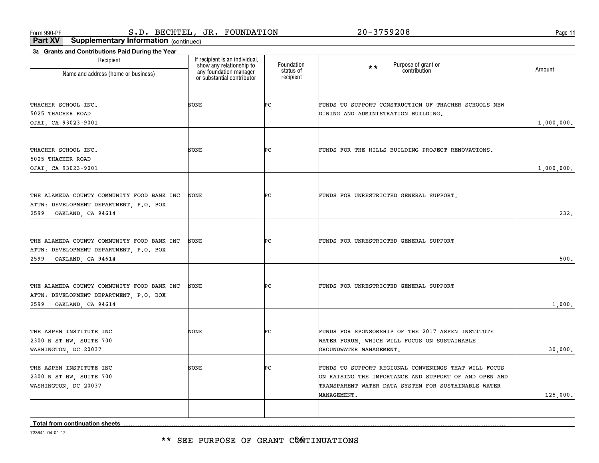**11**

**Part XV Supplementary Information** (continued)

| 3a Grants and Contributions Paid During the Year<br>Recipient                        | If recipient is an individual,                                                   | Foundation             |                                                       |            |
|--------------------------------------------------------------------------------------|----------------------------------------------------------------------------------|------------------------|-------------------------------------------------------|------------|
| Name and address (home or business)                                                  | show any relationship to<br>any foundation manager<br>or substantial contributor | status of<br>recipient | Purpose of grant or<br>contribution<br>$\star\star$   | Amount     |
|                                                                                      |                                                                                  |                        |                                                       |            |
| THACHER SCHOOL INC.                                                                  | NONE                                                                             | ÞС                     | FUNDS TO SUPPORT CONSTRUCTION OF THACHER SCHOOLS NEW  |            |
| 5025 THACHER ROAD                                                                    |                                                                                  |                        | DINING AND ADMINISTRATION BUILDING.                   |            |
| OJAI, CA 93023-9001                                                                  |                                                                                  |                        |                                                       | 1,000,000. |
|                                                                                      |                                                                                  |                        |                                                       |            |
| THACHER SCHOOL INC.                                                                  | NONE                                                                             | ÞС                     | FUNDS FOR THE HILLS BUILDING PROJECT RENOVATIONS.     |            |
| 5025 THACHER ROAD                                                                    |                                                                                  |                        |                                                       |            |
| OJAI, CA 93023-9001                                                                  |                                                                                  |                        |                                                       | 1,000,000. |
|                                                                                      |                                                                                  |                        |                                                       |            |
| THE ALAMEDA COUNTY COMMUNITY FOOD BANK INC                                           | NONE                                                                             | ÞС                     | FUNDS FOR UNRESTRICTED GENERAL SUPPORT.               |            |
| ATTN: DEVELOPMENT DEPARTMENT, P.O. BOX<br>2599                                       |                                                                                  |                        |                                                       | 232.       |
| OAKLAND, CA 94614                                                                    |                                                                                  |                        |                                                       |            |
|                                                                                      |                                                                                  |                        |                                                       |            |
| THE ALAMEDA COUNTY COMMUNITY FOOD BANK INC<br>ATTN: DEVELOPMENT DEPARTMENT, P.O. BOX | <b>NONE</b>                                                                      | ÞС                     | FUNDS FOR UNRESTRICTED GENERAL SUPPORT                |            |
| 2599<br>OAKLAND, CA 94614                                                            |                                                                                  |                        |                                                       | 500.       |
|                                                                                      |                                                                                  |                        |                                                       |            |
| THE ALAMEDA COUNTY COMMUNITY FOOD BANK INC                                           | <b>NONE</b>                                                                      | ÞС                     | FUNDS FOR UNRESTRICTED GENERAL SUPPORT                |            |
| ATTN: DEVELOPMENT DEPARTMENT, P.O. BOX                                               |                                                                                  |                        |                                                       |            |
| 2599<br>OAKLAND, CA 94614                                                            |                                                                                  |                        |                                                       | 1,000.     |
|                                                                                      |                                                                                  |                        |                                                       |            |
| THE ASPEN INSTITUTE INC                                                              | <b>NONE</b>                                                                      | ÞС                     | FUNDS FOR SPONSORSHIP OF THE 2017 ASPEN INSTITUTE     |            |
| 2300 N ST NW, SUITE 700                                                              |                                                                                  |                        | WATER FORUM, WHICH WILL FOCUS ON SUSTAINABLE          |            |
| WASHINGTON, DC 20037                                                                 |                                                                                  |                        | GROUNDWATER MANAGEMENT.                               | 30,000.    |
| THE ASPEN INSTITUTE INC                                                              | NONE                                                                             | ÞС                     | FUNDS TO SUPPORT REGIONAL CONVENINGS THAT WILL FOCUS  |            |
| 2300 N ST NW, SUITE 700                                                              |                                                                                  |                        | ON RAISING THE IMPORTANCE AND SUPPORT OF AND OPEN AND |            |
| WASHINGTON, DC 20037                                                                 |                                                                                  |                        | TRANSPARENT WATER DATA SYSTEM FOR SUSTAINABLE WATER   |            |
|                                                                                      |                                                                                  |                        | <b>MANAGEMENT.</b>                                    | 125,000.   |
|                                                                                      |                                                                                  |                        |                                                       |            |
| Total from continuation sheets                                                       |                                                                                  |                        |                                                       |            |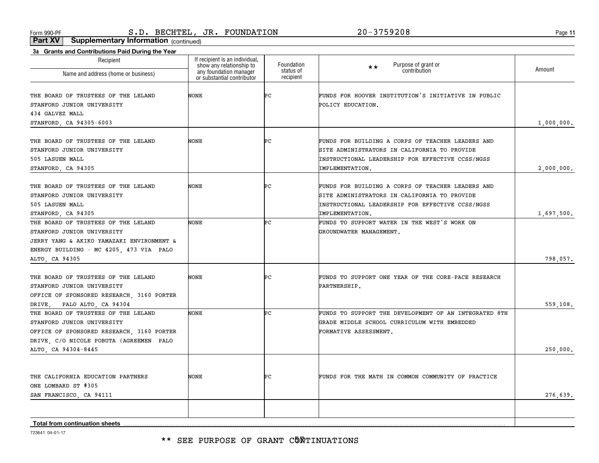**11**

**Part XV Supplementary Information** (continued)

| 3a Grants and Contributions Paid During the Year<br>Recipient                                                                                                                    | If recipient is an individual,<br>show any relationship to |                                      |                                                                                                                                                                          |            |
|----------------------------------------------------------------------------------------------------------------------------------------------------------------------------------|------------------------------------------------------------|--------------------------------------|--------------------------------------------------------------------------------------------------------------------------------------------------------------------------|------------|
| Name and address (home or business)                                                                                                                                              | any foundation manager<br>or substantial contributor       | Foundation<br>status of<br>recipient | Purpose of grant or<br>$***$<br>contribution                                                                                                                             | Amount     |
| THE BOARD OF TRUSTEES OF THE LELAND<br>STANFORD JUNIOR UNIVERSITY                                                                                                                | <b>NONE</b>                                                | ÞС                                   | FUNDS FOR HOOVER INSTITUTION'S INITIATIVE IN PUBLIC<br>POLICY EDUCATION.                                                                                                 |            |
| 434 GALVEZ MALL<br>STANFORD, CA 94305-6003                                                                                                                                       |                                                            |                                      |                                                                                                                                                                          | 1,000,000. |
| THE BOARD OF TRUSTEES OF THE LELAND<br>STANFORD JUNIOR UNIVERSITY<br>505 LASUEN MALL<br>STANFORD, CA 94305                                                                       | <b>NONE</b>                                                | ÞС                                   | FUNDS FOR BUILDING A CORPS OF TEACHER LEADERS AND<br>SITE ADMINISTRATORS IN CALIFORNIA TO PROVIDE<br>INSTRUCTIONAL LEADERSHIP FOR EFFECTIVE CCSS/NGSS<br>IMPLEMENTATION. | 2,000,000. |
| THE BOARD OF TRUSTEES OF THE LELAND<br>STANFORD JUNIOR UNIVERSITY<br>505 LASUEN MALL<br>STANFORD, CA 94305                                                                       | <b>NONE</b>                                                | ÞС                                   | FUNDS FOR BUILDING A CORPS OF TEACHER LEADERS AND<br>SITE ADMINISTRATORS IN CALIFORNIA TO PROVIDE<br>INSTRUCTIONAL LEADERSHIP FOR EFFECTIVE CCSS/NGSS<br>IMPLEMENTATION. | 1,697,500. |
| THE BOARD OF TRUSTEES OF THE LELAND<br>STANFORD JUNIOR UNIVERSITY<br>JERRY YANG & AKIKO YAMAZAKI ENVIRONMENT &<br>ENERGY BUILDING - MC 4205, 473 VIA PALO<br>ALTO, CA 94305      | <b>NONE</b>                                                | ÞС                                   | FUNDS TO SUPPORT WATER IN THE WEST'S WORK ON<br>GROUNDWATER MANAGEMENT.                                                                                                  | 798,057.   |
| THE BOARD OF TRUSTEES OF THE LELAND<br>STANFORD JUNIOR UNIVERSITY<br>OFFICE OF SPONSORED RESEARCH 3160 PORTER<br>PALO ALTO, CA 94304<br>DRIVE                                    | <b>NONE</b>                                                | ÞС                                   | FUNDS TO SUPPORT ONE YEAR OF THE CORE-PACE RESEARCH<br>PARTNERSHIP.                                                                                                      | 559,108.   |
| THE BOARD OF TRUSTEES OF THE LELAND<br>STANFORD JUNIOR UNIVERSITY<br>OFFICE OF SPONSORED RESEARCH, 3160 PORTER<br>DRIVE, C/O NICOLE POBUTA (AGREEMEN PALO<br>ALTO, CA 94304-8445 | NONE                                                       | ÞС                                   | FUNDS TO SUPPORT THE DEVELOPMENT OF AN INTEGRATED 8TH<br>GRADE MIDDLE SCHOOL CURRICULUM WITH EMBEDDED<br>FORMATIVE ASSESSMENT.                                           | 250,000.   |
| THE CALIFORNIA EDUCATION PARTNERS<br>ONE LOMBARD ST #305<br>SAN FRANCISCO, CA 94111                                                                                              | <b>NONE</b>                                                | ÞС                                   | FUNDS FOR THE MATH IN COMMON COMMUNITY OF PRACTICE                                                                                                                       | 276,639.   |
| Total from continuation sheets                                                                                                                                                   |                                                            |                                      |                                                                                                                                                                          |            |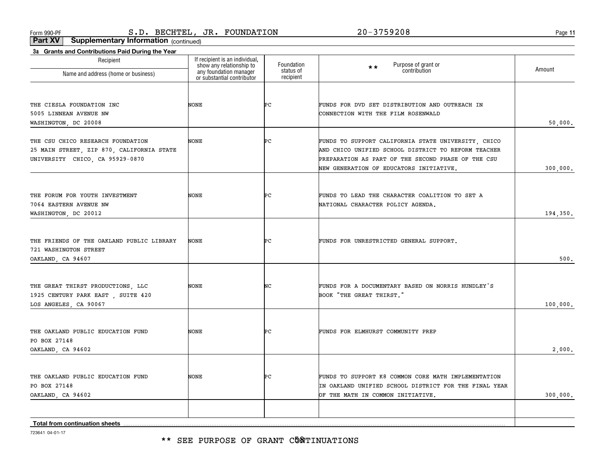\*\* SEE PURPOSE OF GRANT C58TINUATIONS

723641 04-01-17

| Recipient<br>Name and address (home or business)                                                                  | If recipient is an individual,<br>show any relationship to<br>any foundation manager<br>or substantial contributor | Foundation<br>status of | Purpose of grant or<br>contribution<br>$**$                                                                                                                                                                 | Amount   |
|-------------------------------------------------------------------------------------------------------------------|--------------------------------------------------------------------------------------------------------------------|-------------------------|-------------------------------------------------------------------------------------------------------------------------------------------------------------------------------------------------------------|----------|
|                                                                                                                   |                                                                                                                    | recipient               |                                                                                                                                                                                                             |          |
| THE CIESLA FOUNDATION INC<br>5005 LINNEAN AVENUE NW<br>WASHINGTON, DC 20008                                       | NONE                                                                                                               | ÞС                      | FUNDS FOR DVD SET DISTRIBUTION AND OUTREACH IN<br>CONNECTION WITH THE FILM ROSENWALD                                                                                                                        | 50,000.  |
| THE CSU CHICO RESEARCH FOUNDATION<br>25 MAIN STREET, ZIP 870, CALIFORNIA STATE<br>UNIVERSITY CHICO, CA 95929-0870 | NONE                                                                                                               | Þс                      | FUNDS TO SUPPORT CALIFORNIA STATE UNIVERSITY, CHICO<br>AND CHICO UNIFIED SCHOOL DISTRICT TO REFORM TEACHER<br>PREPARATION AS PART OF THE SECOND PHASE OF THE CSU<br>NEW GENERATION OF EDUCATORS INITIATIVE. | 300,000. |
| THE FORUM FOR YOUTH INVESTMENT<br>7064 EASTERN AVENUE NW<br>WASHINGTON, DC 20012                                  | NONE                                                                                                               | ÞС                      | FUNDS TO LEAD THE CHARACTER COALITION TO SET A<br>NATIONAL CHARACTER POLICY AGENDA.                                                                                                                         | 194,350. |
| THE FRIENDS OF THE OAKLAND PUBLIC LIBRARY<br>721 WASHINGTON STREET<br>OAKLAND, CA 94607                           | NONE                                                                                                               | ÞС                      | FUNDS FOR UNRESTRICTED GENERAL SUPPORT.                                                                                                                                                                     | 500.     |
| THE GREAT THIRST PRODUCTIONS, LLC<br>1925 CENTURY PARK EAST, SUITE 420<br>LOS ANGELES, CA 90067                   | NONE                                                                                                               | NC                      | FUNDS FOR A DOCUMENTARY BASED ON NORRIS HUNDLEY'S<br>BOOK "THE GREAT THIRST."                                                                                                                               | 100,000. |
| THE OAKLAND PUBLIC EDUCATION FUND<br>PO BOX 27148<br>OAKLAND, CA 94602                                            | NONE                                                                                                               | ÞС                      | FUNDS FOR ELMHURST COMMUNITY PREP                                                                                                                                                                           | 2,000.   |
| THE OAKLAND PUBLIC EDUCATION FUND<br>PO BOX 27148<br>OAKLAND, CA 94602                                            | NONE                                                                                                               | ÞС                      | FUNDS TO SUPPORT K8 COMMON CORE MATH IMPLEMENTATION<br>IN OAKLAND UNIFIED SCHOOL DISTRICT FOR THE FINAL YEAR<br>OF THE MATH IN COMMON INITIATIVE.                                                           | 300,000. |
| <b>Total from continuation sheets</b>                                                                             |                                                                                                                    |                         |                                                                                                                                                                                                             |          |

**Part XV Supplementary Information** (continued)

**3a Grants and Contributions Paid During the Year**

Form 990-PF Page S.D. BECHTEL, JR. FOUNDATION 20-3759208

**11**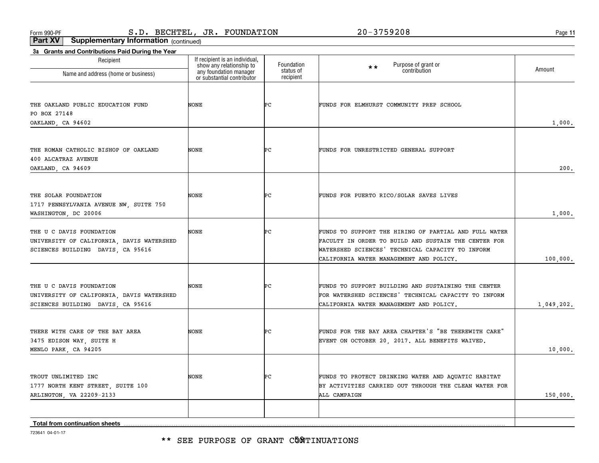\*\* SEE PURPOSE OF GRANT C5NTINUATIONS

| Recipient                                                                                                  | If recipient is an individual,<br>show any relationship to | Foundation             | Purpose of grant or<br>$\star\star$<br>contribution                                                                                                                                                          | Amount     |
|------------------------------------------------------------------------------------------------------------|------------------------------------------------------------|------------------------|--------------------------------------------------------------------------------------------------------------------------------------------------------------------------------------------------------------|------------|
| Name and address (home or business)                                                                        | any foundation manager<br>or substantial contributor       | status of<br>recipient |                                                                                                                                                                                                              |            |
| THE OAKLAND PUBLIC EDUCATION FUND<br>PO BOX 27148<br>OAKLAND, CA 94602                                     | NONE                                                       | ÞС                     | FUNDS FOR ELMHURST COMMUNITY PREP SCHOOL                                                                                                                                                                     | 1,000.     |
| THE ROMAN CATHOLIC BISHOP OF OAKLAND<br>400 ALCATRAZ AVENUE<br>OAKLAND, CA 94609                           | NONE                                                       | Þс                     | FUNDS FOR UNRESTRICTED GENERAL SUPPORT                                                                                                                                                                       | 200.       |
| THE SOLAR FOUNDATION<br>1717 PENNSYLVANIA AVENUE NW, SUITE 750<br>WASHINGTON, DC 20006                     | NONE                                                       | ÞС                     | FUNDS FOR PUERTO RICO/SOLAR SAVES LIVES                                                                                                                                                                      | 1,000.     |
| THE U C DAVIS FOUNDATION<br>UNIVERSITY OF CALIFORNIA, DAVIS WATERSHED<br>SCIENCES BUILDING DAVIS, CA 95616 | NONE                                                       | ÞС                     | FUNDS TO SUPPORT THE HIRING OF PARTIAL AND FULL WATER<br>FACULTY IN ORDER TO BUILD AND SUSTAIN THE CENTER FOR<br>WATERSHED SCIENCES' TECHNICAL CAPACITY TO INFORM<br>CALIFORNIA WATER MANAGEMENT AND POLICY. | 100,000.   |
| THE U C DAVIS FOUNDATION<br>UNIVERSITY OF CALIFORNIA, DAVIS WATERSHED<br>SCIENCES BUILDING DAVIS, CA 95616 | NONE                                                       | ÞС                     | FUNDS TO SUPPORT BUILDING AND SUSTAINING THE CENTER<br>FOR WATERSHED SCIENCES' TECHNICAL CAPACITY TO INFORM<br>CALIFORNIA WATER MANAGEMENT AND POLICY.                                                       | 1,049,202. |
| THERE WITH CARE OF THE BAY AREA<br>3475 EDISON WAY, SUITE H<br>MENLO PARK, CA 94205                        | NONE                                                       | ÞС                     | FUNDS FOR THE BAY AREA CHAPTER'S "BE THEREWITH CARE"<br>EVENT ON OCTOBER 20, 2017. ALL BENEFITS WAIVED.                                                                                                      | 10,000.    |
| TROUT UNLIMITED INC<br>1777 NORTH KENT STREET, SUITE 100<br>ARLINGTON, VA 22209-2133                       | NONE                                                       | ÞС                     | FUNDS TO PROTECT DRINKING WATER AND AQUATIC HABITAT<br>BY ACTIVITIES CARRIED OUT THROUGH THE CLEAN WATER FOR<br>ALL CAMPAIGN                                                                                 | 150,000.   |
| Total from continuation sheets                                                                             |                                                            |                        |                                                                                                                                                                                                              |            |

**Part XV Supplementary Information** (continued)

**3a Grants and Contributions Paid During the Year**

Recipient

723641 04-01-17

**11**

Form 990-PF Page S.D. BECHTEL, JR. FOUNDATION 20-3759208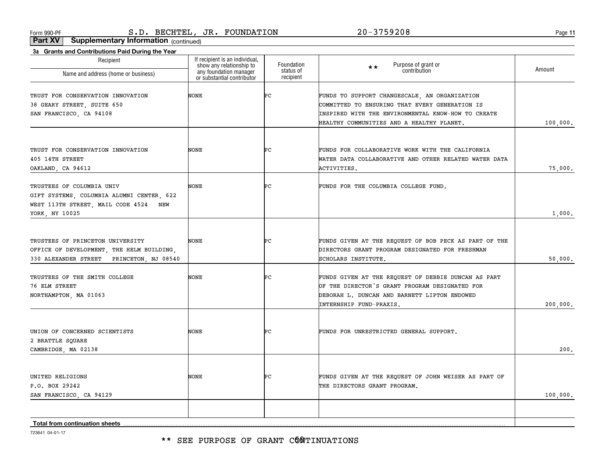any foundation manager or substantial contributor status of recipienton **Amount** Name and address (home or business) TRUST FOR CONSERVATION INNOVATION 38 GEARY STREET, SUITE 650 SAN FRANCISCO, CA 94108 100,000. NONE PC FUNDS TO SUPPORT CHANGESCALE, AN ORGANIZATION COMMITTED TO ENSURING THAT EVERY GENERATION IS INSPIRED WITH THE ENVIRONMENTAL KNOW-HOW TO CREATE TRUSTEES OF COLUMBIA UNIV TRUSTEES OF THE SMITH COLLEGE TRUST FOR CONSERVATION INNOVATION GIFT SYSTEMS, COLUMBIA ALUMNI CENTER, 622 TRUSTEES OF PRINCETON UNIVERSITY 76 ELM STREET UNION OF CONCERNED SCIENTISTS 405 14TH STREET WEST 113TH STREET, MAIL CODE 4524 NEW OFFICE OF DEVELOPMENT, THE HELM BUILDING, NORTHAMPTON, MA 01063 2 BRATTLE SQUARE NONENONENONENONENONEPCPCPC $|_{\mathsf{PC}}$ PCFUNDS FOR THE COLUMBIA COLLEGE FUND. FUNDS GIVEN AT THE REQUEST OF DEBBIE DUNCAN AS PART FUNDS FOR COLLABORATIVE WORK WITH THE CALIFORNIA FUNDS GIVEN AT THE REQUEST OF BOB PECK AS PART OF THE OF THE DIRECTOR'S GRANT PROGRAM DESIGNATED FOR FUNDS FOR UNRESTRICTED GENERAL SUPPORT. WATER DATA COLLABORATIVE AND OTHER RELATED WATER DATA 75,000. DIRECTORS GRANT PROGRAM DESIGNATED FOR FRESHMAN DEBORAH L. DUNCAN AND BARNETT LIPTON ENDOWED 200,000. 1,000. HEALTHY COMMUNITIES AND A HEALTHY PLANET. OAKLAND, CA 94612 YORK, NY 10025 330 ALEXANDER STREET PRINCETON, NJ 08540 CAMBRIDGE, MA 02138 UNITED RELIGIONS TO THE REQUEST OF JOHN WEISER AS PART OF A RELIGIONS P.O. BOX 29242 **THE DIRECTORS GRANT PROGRAM.** SAN FRANCISCO, CA 94129 100,000. ACTIVITIES.SCHOLARS INSTITUTE. INTERNSHIP FUND-PRAXIS. 50,000. 200.

Foundation

#### **Total from continuation sheets**

723641 04-01-17

\*\*

Form 990-PF Page S.D. BECHTEL, JR. FOUNDATION 20-3759208 **Part XV Supplementary Information** (continued)

> If recipient is an individual, show any relationship to

**3a Grants and Contributions Paid During the Year**

Recipient

Purpose of grant or **contribution** 

**11**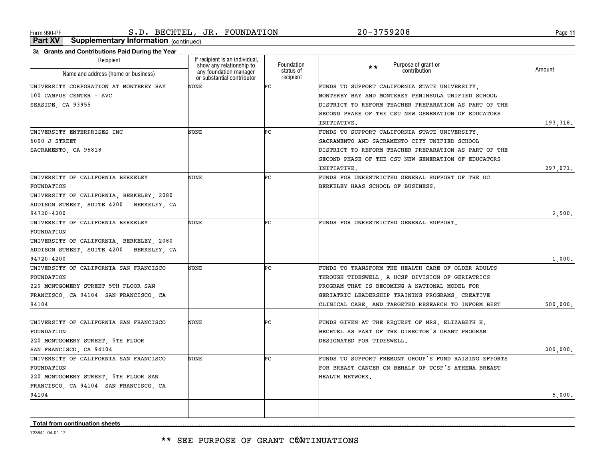**11**

**Part XV Supplementary Information** (continued)

| Recipient                                | If recipient is an individual,<br>show any relationship to | Foundation             | Purpose of grant or<br>$**$                           |          |
|------------------------------------------|------------------------------------------------------------|------------------------|-------------------------------------------------------|----------|
| Name and address (home or business)      | any foundation manager<br>or substantial contributor       | status of<br>recipient | contribution                                          | Amount   |
| UNIVERSITY CORPORATION AT MONTEREY BAY   | NONE                                                       | Þс                     | FUNDS TO SUPPORT CALIFORNIA STATE UNIVERSITY,         |          |
| 100 CAMPUS CENTER - AVC                  |                                                            |                        | MONTEREY BAY AND MONTEREY PENINSULA UNIFIED SCHOOL    |          |
| SEASIDE, CA 93955                        |                                                            |                        | DISTRICT TO REFORM TEACHER PREPARATION AS PART OF THE |          |
|                                          |                                                            |                        | SECOND PHASE OF THE CSU NEW GENERATION OF EDUCATORS   |          |
|                                          |                                                            |                        | INITIATIVE.                                           | 193,318. |
| UNIVERSITY ENTERPRISES INC               | NONE                                                       | Þс                     | FUNDS TO SUPPORT CALIFORNIA STATE UNIVERSITY,         |          |
| 6000 J STREET                            |                                                            |                        | SACRAMENTO AND SACRAMENTO CITY UNIFIED SCHOOL         |          |
| SACRAMENTO, CA 95818                     |                                                            |                        | DISTRICT TO REFORM TEACHER PREPARATION AS PART OF THE |          |
|                                          |                                                            |                        | SECOND PHASE OF THE CSU NEW GENERATION OF EDUCATORS   |          |
|                                          |                                                            |                        | INITIATIVE.                                           | 297,071. |
| UNIVERSITY OF CALIFORNIA BERKELEY        | NONE                                                       | Þс                     | FUNDS FOR UNRESTRICTED GENERAL SUPPORT OF THE UC      |          |
| FOUNDATION                               |                                                            |                        | BERKELEY HAAS SCHOOL OF BUSINESS.                     |          |
| UNIVERSITY OF CALIFORNIA, BERKELEY, 2080 |                                                            |                        |                                                       |          |
| ADDISON STREET, SUITE 4200 BERKELEY, CA  |                                                            |                        |                                                       |          |
| 94720-4200                               |                                                            |                        |                                                       | 2,500.   |
| UNIVERSITY OF CALIFORNIA BERKELEY        | NONE                                                       | Þс                     | FUNDS FOR UNRESTRICTED GENERAL SUPPORT.               |          |
| FOUNDATION                               |                                                            |                        |                                                       |          |
| UNIVERSITY OF CALIFORNIA, BERKELEY, 2080 |                                                            |                        |                                                       |          |
| ADDISON STREET, SUITE 4200 BERKELEY, CA  |                                                            |                        |                                                       |          |
| 94720-4200                               |                                                            |                        |                                                       | 1,000.   |
| UNIVERSITY OF CALIFORNIA SAN FRANCISCO   | NONE                                                       | Þс                     | FUNDS TO TRANSFORM THE HEALTH CARE OF OLDER ADULTS    |          |
| FOUNDATION                               |                                                            |                        | THROUGH TIDESWELL, A UCSF DIVISION OF GERIATRICS      |          |
| 220 MONTGOMERY STREET 5TH FLOOR SAN      |                                                            |                        | PROGRAM THAT IS BECOMING A NATIONAL MODEL FOR         |          |
| FRANCISCO, CA 94104 SAN FRANCISCO, CA    |                                                            |                        | GERIATRIC LEADERSHIP TRAINING PROGRAMS, CREATIVE      |          |
| 94104                                    |                                                            |                        | CLINICAL CARE, AND TARGETED RESEARCH TO INFORM BEST   | 500,000. |
|                                          |                                                            |                        |                                                       |          |
| UNIVERSITY OF CALIFORNIA SAN FRANCISCO   | <b>NONE</b>                                                | ÞС                     | FUNDS GIVEN AT THE REQUEST OF MRS. ELIZABETH H.       |          |
| FOUNDATION                               |                                                            |                        | BECHTEL AS PART OF THE DIRECTOR'S GRANT PROGRAM       |          |
| 220 MONTGOMERY STREET, 5TH FLOOR         |                                                            |                        | DESIGNATED FOR TIDESWELL.                             |          |
| SAN FRANCISCO, CA 94104                  |                                                            |                        |                                                       | 200,000. |
| UNIVERSITY OF CALIFORNIA SAN FRANCISCO   | <b>NONE</b>                                                | ÞС                     | FUNDS TO SUPPORT FREMONT GROUP'S FUND RAISING EFFORTS |          |
| FOUNDATION                               |                                                            |                        | FOR BREAST CANCER ON BEHALF OF UCSF'S ATHENA BREAST   |          |
| 220 MONTGOMERY STREET, 5TH FLOOR SAN     |                                                            |                        | HEALTH NETWORK.                                       |          |
| FRANCISCO, CA 94104 SAN FRANCISCO, CA    |                                                            |                        |                                                       |          |
| 94104                                    |                                                            |                        |                                                       | 5.000.   |
|                                          |                                                            |                        |                                                       |          |
| <b>Total from continuation sheets</b>    |                                                            |                        |                                                       |          |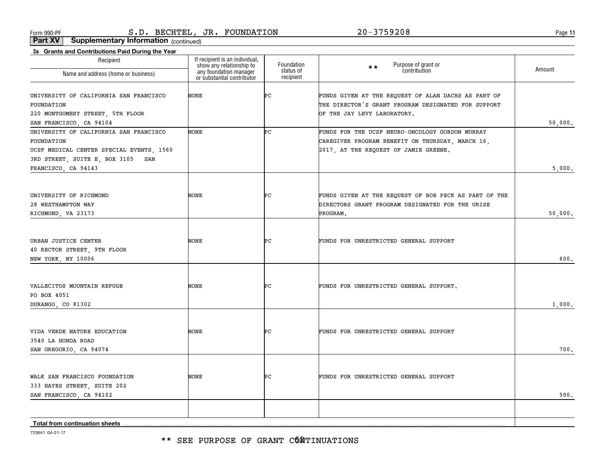\*\* SEE PURPOSE OF GRANT CÓÑTINUATIONS

723641 04-01-17

| Recipient<br>Name and address (home or business)                                                                                                             | If recipient is an individual,<br>show any relationship to<br>any foundation manager<br>or substantial contributor | Foundation<br>status of<br>recipient | Purpose of grant or<br>contribution<br>$\star\star$                                                                                          | Amount  |
|--------------------------------------------------------------------------------------------------------------------------------------------------------------|--------------------------------------------------------------------------------------------------------------------|--------------------------------------|----------------------------------------------------------------------------------------------------------------------------------------------|---------|
| UNIVERSITY OF CALIFORNIA SAN FRANCISCO<br>FOUNDATION<br>220 MONTGOMERY STREET, 5TH FLOOR<br>SAN FRANCISCO, CA 94104                                          | NONE                                                                                                               | Þс                                   | FUNDS GIVEN AT THE REQUEST OF ALAN DACHS AS PART OF<br>THE DIRECTOR'S GRANT PROGRAM DESIGNATED FOR SUPPORT<br>OF THE JAY LEVY LABORATORY.    | 50,000. |
| UNIVERSITY OF CALIFORNIA SAN FRANCISCO<br>FOUNDATION<br>UCSF MEDICAL CENTER SPECIAL EVENTS, 1560<br>3RD STREET, SUITE E, BOX 3105 SAN<br>FRANCISCO, CA 94143 | NONE                                                                                                               | Þс                                   | FUNDS FOR THE UCSF NEURO-ONCOLOGY GORDON MURRAY<br>CAREGIVER PROGRAM BENEFIT ON THURSDAY, MARCH 16,<br>2017, AT THE REQUEST OF JAMIE GREENE. | 5,000.  |
| UNIVERSITY OF RICHMOND<br>28 WESTHAMPTON WAY<br>RICHMOND, VA 23173                                                                                           | NONE                                                                                                               | ÞС                                   | FUNDS GIVEN AT THE REQUEST OF BOB PECK AS PART OF THE<br>DIRECTORS GRANT PROGRAM DESIGNATED FOR THE URISE<br>PROGRAM.                        | 50,000. |
| URBAN JUSTICE CENTER<br>40 RECTOR STREET, 9TH FLOOR<br>NEW YORK, NY 10006                                                                                    | NONE                                                                                                               | Þс                                   | FUNDS FOR UNRESTRICTED GENERAL SUPPORT                                                                                                       | 600.    |
| VALLECITOS MOUNTAIN REFUGE<br>PO BOX 4051<br>DURANGO, CO 81302                                                                                               | NONE                                                                                                               | ÞС                                   | FUNDS FOR UNRESTRICTED GENERAL SUPPORT.                                                                                                      | 1,000,  |
| VIDA VERDE NATURE EDUCATION<br>3540 LA HONDA ROAD<br>SAN GREGORIO, CA 94074                                                                                  | <b>NONE</b>                                                                                                        | ÞС                                   | FUNDS FOR UNRESTRICTED GENERAL SUPPORT                                                                                                       | 700.    |
| WALK SAN FRANCISCO FOUNDATION<br>333 HAYES STREET, SUITE 202<br>SAN FRANCISCO, CA 94102                                                                      | <b>NONE</b>                                                                                                        | ÞС                                   | FUNDS FOR UNRESTRICTED GENERAL SUPPORT                                                                                                       | 500.    |
| Total from continuation sheets                                                                                                                               |                                                                                                                    |                                      |                                                                                                                                              |         |

**Part XV Supplementary Information** (continued)

**3a Grants and Contributions Paid During the Year**

Form 990-PF Page S.D. BECHTEL, JR. FOUNDATION 20-3759208

**11**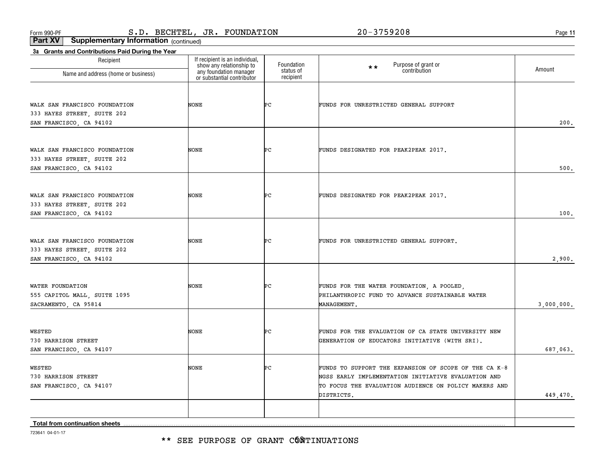**11**

**Part XV Supplementary Information** (continued)

| 3a Grants and Contributions Paid During the Year<br>Recipient                           |                                                                                                                    |                                      |                                                                                                                                                                                     |            |
|-----------------------------------------------------------------------------------------|--------------------------------------------------------------------------------------------------------------------|--------------------------------------|-------------------------------------------------------------------------------------------------------------------------------------------------------------------------------------|------------|
| Name and address (home or business)                                                     | If recipient is an individual,<br>show any relationship to<br>any foundation manager<br>or substantial contributor | Foundation<br>status of<br>recipient | Purpose of grant or<br>contribution<br>$\star\star$                                                                                                                                 | Amount     |
| WALK SAN FRANCISCO FOUNDATION                                                           | NONE                                                                                                               | ÞС                                   | FUNDS FOR UNRESTRICTED GENERAL SUPPORT                                                                                                                                              |            |
| 333 HAYES STREET, SUITE 202<br>SAN FRANCISCO, CA 94102                                  |                                                                                                                    |                                      |                                                                                                                                                                                     | 200.       |
| WALK SAN FRANCISCO FOUNDATION<br>333 HAYES STREET, SUITE 202<br>SAN FRANCISCO, CA 94102 | NONE                                                                                                               | ÞС                                   | FUNDS DESIGNATED FOR PEAK2PEAK 2017.                                                                                                                                                | 500.       |
| WALK SAN FRANCISCO FOUNDATION<br>333 HAYES STREET, SUITE 202<br>SAN FRANCISCO, CA 94102 | NONE                                                                                                               | ÞС                                   | FUNDS DESIGNATED FOR PEAK2PEAK 2017.                                                                                                                                                | 100.       |
| WALK SAN FRANCISCO FOUNDATION<br>333 HAYES STREET, SUITE 202<br>SAN FRANCISCO, CA 94102 | NONE                                                                                                               | ÞС                                   | FUNDS FOR UNRESTRICTED GENERAL SUPPORT.                                                                                                                                             | 2,900.     |
| WATER FOUNDATION<br>555 CAPITOL MALL, SUITE 1095<br>SACRAMENTO, CA 95814                | NONE                                                                                                               | ÞС                                   | FUNDS FOR THE WATER FOUNDATION, A POOLED,<br>PHILANTHROPIC FUND TO ADVANCE SUSTAINABLE WATER<br>MANAGEMENT.                                                                         | 3,000,000. |
| WESTED<br>730 HARRISON STREET<br>SAN FRANCISCO, CA 94107                                | NONE                                                                                                               | ÞС                                   | FUNDS FOR THE EVALUATION OF CA STATE UNIVERSITY NEW<br>GENERATION OF EDUCATORS INITIATIVE (WITH SRI).                                                                               | 687,063.   |
| WESTED<br>730 HARRISON STREET<br>SAN FRANCISCO, CA 94107                                | NONE                                                                                                               | ÞС                                   | FUNDS TO SUPPORT THE EXPANSION OF SCOPE OF THE CA K-8<br>NGSS EARLY IMPLEMENTATION INITIATIVE EVALUATION AND<br>TO FOCUS THE EVALUATION AUDIENCE ON POLICY MAKERS AND<br>DISTRICTS. | 449,470.   |
| <b>Total from continuation sheets</b>                                                   |                                                                                                                    |                                      |                                                                                                                                                                                     |            |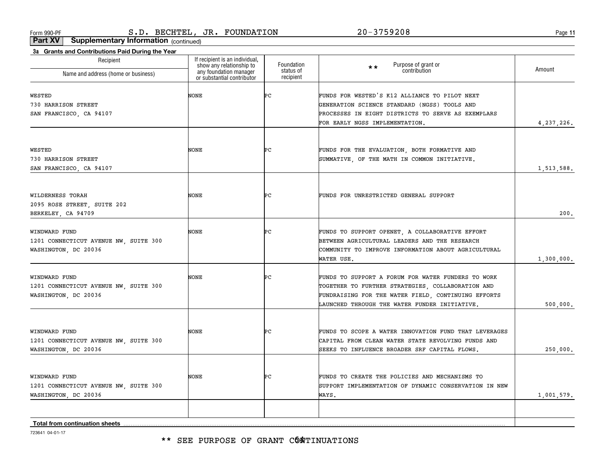**11**

**Part XV Supplementary Information** (continued)

| 3a Grants and Contributions Paid During the Year<br>Recipient | If recipient is an individual,<br>show any relationship to<br>any foundation manager | Foundation             | Purpose of grant or                                   |              |
|---------------------------------------------------------------|--------------------------------------------------------------------------------------|------------------------|-------------------------------------------------------|--------------|
| Name and address (home or business)                           | or substantial contributor                                                           | status of<br>recipient | $\star\star$<br>contribution                          | Amount       |
| WESTED                                                        | <b>NONE</b>                                                                          | ÞС                     | FUNDS FOR WESTED'S K12 ALLIANCE TO PILOT NEXT         |              |
| 730 HARRISON STREET                                           |                                                                                      |                        | GENERATION SCIENCE STANDARD (NGSS) TOOLS AND          |              |
| SAN FRANCISCO, CA 94107                                       |                                                                                      |                        | PROCESSES IN EIGHT DISTRICTS TO SERVE AS EXEMPLARS    |              |
|                                                               |                                                                                      |                        | FOR EARLY NGSS IMPLEMENTATION.                        | 4, 237, 226. |
|                                                               |                                                                                      |                        |                                                       |              |
| WESTED                                                        | <b>NONE</b>                                                                          | ÞС                     | FUNDS FOR THE EVALUATION, BOTH FORMATIVE AND          |              |
| 730 HARRISON STREET<br>SAN FRANCISCO, CA 94107                |                                                                                      |                        | SUMMATIVE, OF THE MATH IN COMMON INITIATIVE.          | 1,513,588.   |
|                                                               |                                                                                      |                        |                                                       |              |
| WILDERNESS TORAH                                              | <b>NONE</b>                                                                          | ÞС                     | FUNDS FOR UNRESTRICTED GENERAL SUPPORT                |              |
| 2095 ROSE STREET, SUITE 202                                   |                                                                                      |                        |                                                       |              |
| BERKELEY, CA 94709                                            |                                                                                      |                        |                                                       | 200.         |
| WINDWARD FUND                                                 | <b>NONE</b>                                                                          | ÞС                     | FUNDS TO SUPPORT OPENET, A COLLABORATIVE EFFORT       |              |
| 1201 CONNECTICUT AVENUE NW, SUITE 300                         |                                                                                      |                        | BETWEEN AGRICULTURAL LEADERS AND THE RESEARCH         |              |
| WASHINGTON, DC 20036                                          |                                                                                      |                        | COMMUNITY TO IMPROVE INFORMATION ABOUT AGRICULTURAL   |              |
|                                                               |                                                                                      |                        | WATER USE.                                            | 1,300,000.   |
| WINDWARD FUND                                                 | <b>NONE</b>                                                                          | ÞС                     | FUNDS TO SUPPORT A FORUM FOR WATER FUNDERS TO WORK    |              |
| 1201 CONNECTICUT AVENUE NW, SUITE 300                         |                                                                                      |                        | TOGETHER TO FURTHER STRATEGIES, COLLABORATION AND     |              |
| WASHINGTON, DC 20036                                          |                                                                                      |                        | FUNDRAISING FOR THE WATER FIELD, CONTINUING EFFORTS   |              |
|                                                               |                                                                                      |                        | LAUNCHED THROUGH THE WATER FUNDER INITIATIVE.         | 500,000.     |
|                                                               |                                                                                      |                        |                                                       |              |
| WINDWARD FUND                                                 | <b>NONE</b>                                                                          | ÞС                     | FUNDS TO SCOPE A WATER INNOVATION FUND THAT LEVERAGES |              |
| 1201 CONNECTICUT AVENUE NW, SUITE 300                         |                                                                                      |                        | CAPITAL FROM CLEAN WATER STATE REVOLVING FUNDS AND    |              |
| WASHINGTON, DC 20036                                          |                                                                                      |                        | SEEKS TO INFLUENCE BROADER SRF CAPITAL FLOWS.         | 250,000.     |
| WINDWARD FUND                                                 | NONE                                                                                 | ÞС                     | FUNDS TO CREATE THE POLICIES AND MECHANISMS TO        |              |
| 1201 CONNECTICUT AVENUE NW, SUITE 300                         |                                                                                      |                        | SUPPORT IMPLEMENTATION OF DYNAMIC CONSERVATION IN NEW |              |
| WASHINGTON, DC 20036                                          |                                                                                      |                        | WAYS.                                                 | 1,001,579.   |
|                                                               |                                                                                      |                        |                                                       |              |
| Total from continuation sheets                                |                                                                                      |                        |                                                       |              |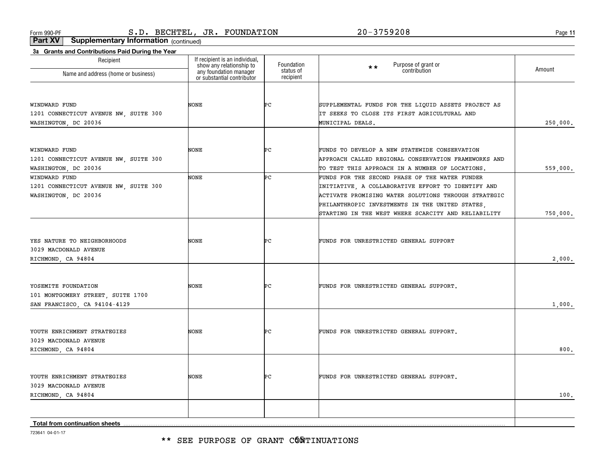\*\* SEE PURPOSE OF GRANT CÓÑTINUATIONS

723641 04-01-17

| Recipient<br>Name and address (home or business) | If recipient is an individual,<br>show any relationship to<br>any foundation manager | Foundation<br>status of | Purpose of grant or<br>contribution<br>$\star \star$ | Amount   |
|--------------------------------------------------|--------------------------------------------------------------------------------------|-------------------------|------------------------------------------------------|----------|
|                                                  | or substantial contributor                                                           | recipient               |                                                      |          |
|                                                  |                                                                                      |                         |                                                      |          |
| WINDWARD FUND                                    | NONE                                                                                 | ÞС                      | SUPPLEMENTAL FUNDS FOR THE LIQUID ASSETS PROJECT AS  |          |
| 1201 CONNECTICUT AVENUE NW, SUITE 300            |                                                                                      |                         | IT SEEKS TO CLOSE ITS FIRST AGRICULTURAL AND         |          |
| WASHINGTON, DC 20036                             |                                                                                      |                         | MUNICIPAL DEALS.                                     | 250,000, |
|                                                  |                                                                                      |                         |                                                      |          |
| WINDWARD FUND                                    | NONE                                                                                 | ÞС                      | FUNDS TO DEVELOP A NEW STATEWIDE CONSERVATION        |          |
| 1201 CONNECTICUT AVENUE NW, SUITE 300            |                                                                                      |                         | APPROACH CALLED REGIONAL CONSERVATION FRAMEWORKS AND |          |
| WASHINGTON, DC 20036                             |                                                                                      |                         | TO TEST THIS APPROACH IN A NUMBER OF LOCATIONS.      | 559,000, |
| WINDWARD FUND                                    | NONE                                                                                 | Þс                      | FUNDS FOR THE SECOND PHASE OF THE WATER FUNDER       |          |
| 1201 CONNECTICUT AVENUE NW, SUITE 300            |                                                                                      |                         | INITIATIVE, A COLLABORATIVE EFFORT TO IDENTIFY AND   |          |
| WASHINGTON, DC 20036                             |                                                                                      |                         | ACTIVATE PROMISING WATER SOLUTIONS THROUGH STRATEGIC |          |
|                                                  |                                                                                      |                         | PHILANTHROPIC INVESTMENTS IN THE UNITED STATES,      |          |
|                                                  |                                                                                      |                         | STARTING IN THE WEST WHERE SCARCITY AND RELIABILITY  | 750,000, |
|                                                  |                                                                                      |                         |                                                      |          |
| YES NATURE TO NEIGHBORHOODS                      | NONE                                                                                 | ÞС                      | FUNDS FOR UNRESTRICTED GENERAL SUPPORT               |          |
| 3029 MACDONALD AVENUE                            |                                                                                      |                         |                                                      |          |
| RICHMOND, CA 94804                               |                                                                                      |                         |                                                      | 2,000,   |
|                                                  |                                                                                      |                         |                                                      |          |
|                                                  |                                                                                      |                         |                                                      |          |
| YOSEMITE FOUNDATION                              | NONE                                                                                 | ÞС                      | FUNDS FOR UNRESTRICTED GENERAL SUPPORT.              |          |
| 101 MONTGOMERY STREET, SUITE 1700                |                                                                                      |                         |                                                      | 1,000,   |
| SAN FRANCISCO, CA 94104-4129                     |                                                                                      |                         |                                                      |          |
|                                                  |                                                                                      |                         |                                                      |          |
| YOUTH ENRICHMENT STRATEGIES                      | NONE                                                                                 | ÞС                      | FUNDS FOR UNRESTRICTED GENERAL SUPPORT.              |          |
| 3029 MACDONALD AVENUE                            |                                                                                      |                         |                                                      |          |
| RICHMOND, CA 94804                               |                                                                                      |                         |                                                      | 800.     |
|                                                  |                                                                                      |                         |                                                      |          |
| YOUTH ENRICHMENT STRATEGIES                      | NONE                                                                                 | ÞС                      | FUNDS FOR UNRESTRICTED GENERAL SUPPORT.              |          |
| 3029 MACDONALD AVENUE                            |                                                                                      |                         |                                                      |          |
| RICHMOND, CA 94804                               |                                                                                      |                         |                                                      | 100.     |
|                                                  |                                                                                      |                         |                                                      |          |
| <b>Total from continuation sheets</b>            |                                                                                      |                         |                                                      |          |
|                                                  |                                                                                      |                         |                                                      |          |

## **Part XV Supplementary Information** (continued)

**3a Grants and Contributions Paid During the Year**

Form 990-PF Page S.D. BECHTEL, JR. FOUNDATION 20-3759208

**11**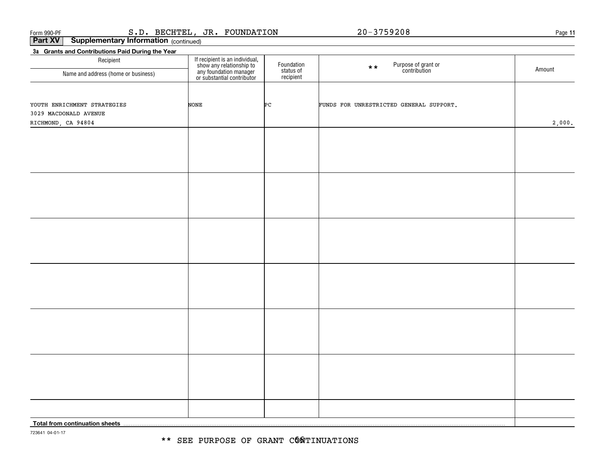**11**

**Part XV Supplementary Information** (continued)

| 3a Grants and Contributions Paid During the Year |                                                                                                                    |                        |                                                       |        |
|--------------------------------------------------|--------------------------------------------------------------------------------------------------------------------|------------------------|-------------------------------------------------------|--------|
| Recipient                                        | If recipient is an individual,<br>show any relationship to<br>any foundation manager<br>or substantial contributor | Foundation             | Purpose of grant or<br>contribution<br>$\star\,\star$ | Amount |
| Name and address (home or business)              |                                                                                                                    | status of<br>recipient |                                                       |        |
|                                                  |                                                                                                                    |                        |                                                       |        |
| YOUTH ENRICHMENT STRATEGIES                      | NONE                                                                                                               | ÞС                     | FUNDS FOR UNRESTRICTED GENERAL SUPPORT.               |        |
| 3029 MACDONALD AVENUE                            |                                                                                                                    |                        |                                                       |        |
| RICHMOND, CA 94804                               |                                                                                                                    |                        |                                                       | 2,000. |
|                                                  |                                                                                                                    |                        |                                                       |        |
|                                                  |                                                                                                                    |                        |                                                       |        |
|                                                  |                                                                                                                    |                        |                                                       |        |
|                                                  |                                                                                                                    |                        |                                                       |        |
|                                                  |                                                                                                                    |                        |                                                       |        |
|                                                  |                                                                                                                    |                        |                                                       |        |
|                                                  |                                                                                                                    |                        |                                                       |        |
|                                                  |                                                                                                                    |                        |                                                       |        |
|                                                  |                                                                                                                    |                        |                                                       |        |
|                                                  |                                                                                                                    |                        |                                                       |        |
|                                                  |                                                                                                                    |                        |                                                       |        |
|                                                  |                                                                                                                    |                        |                                                       |        |
|                                                  |                                                                                                                    |                        |                                                       |        |
|                                                  |                                                                                                                    |                        |                                                       |        |
|                                                  |                                                                                                                    |                        |                                                       |        |
|                                                  |                                                                                                                    |                        |                                                       |        |
|                                                  |                                                                                                                    |                        |                                                       |        |
|                                                  |                                                                                                                    |                        |                                                       |        |
|                                                  |                                                                                                                    |                        |                                                       |        |
|                                                  |                                                                                                                    |                        |                                                       |        |
|                                                  |                                                                                                                    |                        |                                                       |        |
|                                                  |                                                                                                                    |                        |                                                       |        |
|                                                  |                                                                                                                    |                        |                                                       |        |
|                                                  |                                                                                                                    |                        |                                                       |        |
|                                                  |                                                                                                                    |                        |                                                       |        |
|                                                  |                                                                                                                    |                        |                                                       |        |
| Total from continuation sheets                   |                                                                                                                    |                        |                                                       |        |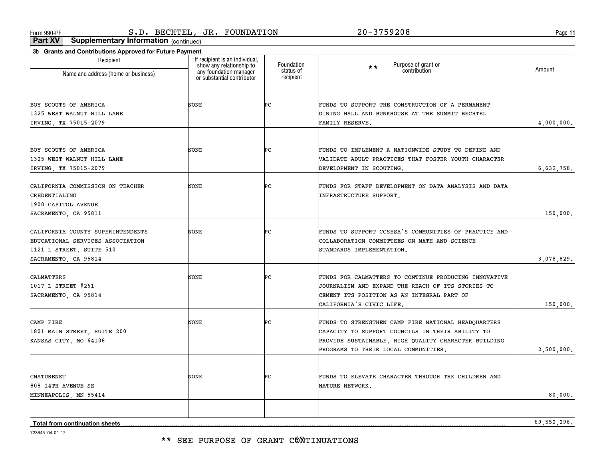**11**

### **3b Grants and Contributions Approved for Future Payment Part XV Supplementary Information** (continued)

| of and and continuations approved for Future Fayment<br>Recipient                                                         | If recipient is an individual,<br>show any relationship to<br>any foundation manager | Foundation<br>status of | Purpose of grant or<br>contribution<br>$**$                                                                                                                                                             | Amount      |
|---------------------------------------------------------------------------------------------------------------------------|--------------------------------------------------------------------------------------|-------------------------|---------------------------------------------------------------------------------------------------------------------------------------------------------------------------------------------------------|-------------|
| Name and address (home or business)                                                                                       | or substantial contributor                                                           | recipient               |                                                                                                                                                                                                         |             |
| BOY SCOUTS OF AMERICA<br>1325 WEST WALNUT HILL LANE<br>IRVING, TX 75015-2079                                              | <b>NONE</b>                                                                          | ÞС                      | FUNDS TO SUPPORT THE CONSTRUCTION OF A PERMANENT<br>DINING HALL AND BUNKHOUSE AT THE SUMMIT BECHTEL<br>FAMILY RESERVE.                                                                                  | 4,000,000.  |
| BOY SCOUTS OF AMERICA<br>1325 WEST WALNUT HILL LANE<br>IRVING, TX 75015-2079                                              | NONE                                                                                 | ÞС                      | FUNDS TO IMPLEMENT A NATIONWIDE STUDY TO DEFINE AND<br>VALIDATE ADULT PRACTICES THAT FOSTER YOUTH CHARACTER<br>DEVELOPMENT IN SCOUTING.                                                                 | 6,632,758.  |
| CALIFORNIA COMMISSION ON TEACHER<br>CREDENTIALING<br>1900 CAPITOL AVENUE                                                  | NONE                                                                                 | ÞС                      | FUNDS FOR STAFF DEVELOPMENT ON DATA ANALYSIS AND DATA<br>INFRASTRUCTURE SUPPORT.                                                                                                                        |             |
| SACRAMENTO, CA 95811                                                                                                      |                                                                                      |                         |                                                                                                                                                                                                         | 150,000.    |
| CALIFORNIA COUNTY SUPERINTENDENTS<br>EDUCATIONAL SERVICES ASSOCIATION<br>1121 L STREET, SUITE 510<br>SACRAMENTO, CA 95814 | NONE                                                                                 | ÞС                      | FUNDS TO SUPPORT CCSESA'S COMMUNITIES OF PRACTICE AND<br>COLLABORATION COMMITTEES ON MATH AND SCIENCE<br>STANDARDS IMPLEMENTATION.                                                                      | 3,078,829.  |
| CALMATTERS<br>1017 L STREET #261<br>SACRAMENTO, CA 95814                                                                  | NONE                                                                                 | ÞС                      | FUNDS FOR CALMATTERS TO CONTINUE PRODUCING INNOVATIVE<br>JOURNALISM AND EXPAND THE REACH OF ITS STORIES TO<br>CEMENT ITS POSITION AS AN INTEGRAL PART OF<br>CALIFORNIA'S CIVIC LIFE.                    | 150,000.    |
| CAMP FIRE<br>1801 MAIN STREET, SUITE 200<br>KANSAS CITY, MO 64108                                                         | NONE                                                                                 | ÞС                      | FUNDS TO STRENGTHEN CAMP FIRE NATIONAL HEADQUARTERS<br>CAPACITY TO SUPPORT COUNCILS IN THEIR ABILITY TO<br>PROVIDE SUSTAINABLE, HIGH QUALITY CHARACTER BUILDING<br>PROGRAMS TO THEIR LOCAL COMMUNITIES. | 2,500,000.  |
| <b>CNATURENET</b><br>808 14TH AVENUE SE<br>MINNEAPOLIS, MN 55414                                                          | NONE                                                                                 | PС                      | FUNDS TO ELEVATE CHARACTER THROUGH THE CHILDREN AND<br>NATURE NETWORK.                                                                                                                                  | 80,000.     |
|                                                                                                                           |                                                                                      |                         |                                                                                                                                                                                                         |             |
| Total from continuation sheets                                                                                            |                                                                                      |                         |                                                                                                                                                                                                         | 69,552,296. |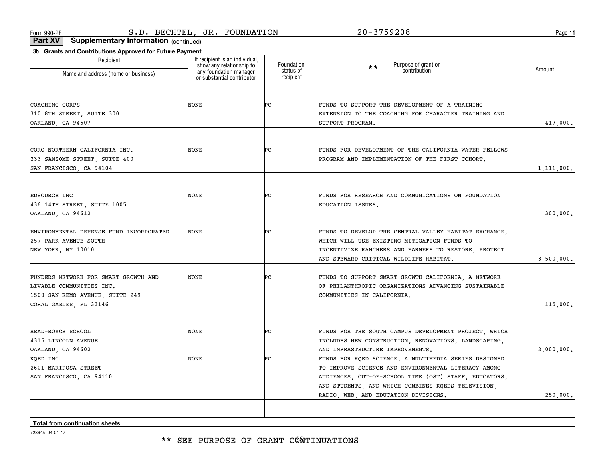**11**

**Part XV Supplementary Information** (continued)

| Recipient                                        | If recipient is an individual,                                                   | Foundation             | Purpose of grant or<br>$\star\star$                   |            |
|--------------------------------------------------|----------------------------------------------------------------------------------|------------------------|-------------------------------------------------------|------------|
| Name and address (home or business)              | show any relationship to<br>any foundation manager<br>or substantial contributor | status of<br>recipient | contribution                                          | Amount     |
|                                                  |                                                                                  |                        |                                                       |            |
| COACHING CORPS                                   | <b>NONE</b>                                                                      | ÞС                     | FUNDS TO SUPPORT THE DEVELOPMENT OF A TRAINING        |            |
| 310 8TH STREET, SUITE 300                        |                                                                                  |                        | EXTENSION TO THE COACHING FOR CHARACTER TRAINING AND  |            |
| OAKLAND, CA 94607                                |                                                                                  |                        | SUPPORT PROGRAM.                                      | 417,000.   |
|                                                  |                                                                                  |                        |                                                       |            |
| CORO NORTHERN CALIFORNIA INC.                    | NONE                                                                             | ÞС                     | FUNDS FOR DEVELOPMENT OF THE CALIFORNIA WATER FELLOWS |            |
| 233 SANSOME STREET, SUITE 400                    |                                                                                  |                        | PROGRAM AND IMPLEMENTATION OF THE FIRST COHORT.       |            |
| SAN FRANCISCO, CA 94104                          |                                                                                  |                        |                                                       | 1,111,000. |
|                                                  |                                                                                  |                        |                                                       |            |
| EDSOURCE INC                                     | <b>NONE</b>                                                                      | ÞС                     | FUNDS FOR RESEARCH AND COMMUNICATIONS ON FOUNDATION   |            |
| 436 14TH STREET, SUITE 1005<br>OAKLAND, CA 94612 |                                                                                  |                        | EDUCATION ISSUES.                                     | 300,000.   |
|                                                  |                                                                                  |                        |                                                       |            |
| ENVIRONMENTAL DEFENSE FUND INCORPORATED          | <b>NONE</b>                                                                      | ÞС                     | FUNDS TO DEVELOP THE CENTRAL VALLEY HABITAT EXCHANGE. |            |
| 257 PARK AVENUE SOUTH                            |                                                                                  |                        | WHICH WILL USE EXISTING MITIGATION FUNDS TO           |            |
| NEW YORK, NY 10010                               |                                                                                  |                        | INCENTIVIZE RANCHERS AND FARMERS TO RESTORE, PROTECT  |            |
|                                                  |                                                                                  |                        | AND STEWARD CRITICAL WILDLIFE HABITAT.                | 3,500,000. |
| FUNDERS NETWORK FOR SMART GROWTH AND             | <b>NONE</b>                                                                      | ÞС                     | FUNDS TO SUPPORT SMART GROWTH CALIFORNIA, A NETWORK   |            |
| LIVABLE COMMUNITIES INC.                         |                                                                                  |                        | OF PHILANTHROPIC ORGANIZATIONS ADVANCING SUSTAINABLE  |            |
| 1500 SAN REMO AVENUE, SUITE 249                  |                                                                                  |                        | COMMUNITIES IN CALIFORNIA.                            |            |
| CORAL GABLES, FL 33146                           |                                                                                  |                        |                                                       | 115,000.   |
|                                                  |                                                                                  |                        |                                                       |            |
| HEAD-ROYCE SCHOOL                                | NONE                                                                             | ÞС                     | FUNDS FOR THE SOUTH CAMPUS DEVELOPMENT PROJECT, WHICH |            |
| 4315 LINCOLN AVENUE                              |                                                                                  |                        | INCLUDES NEW CONSTRUCTION, RENOVATIONS, LANDSCAPING,  |            |
| OAKLAND, CA 94602                                |                                                                                  |                        | AND INFRASTRUCTURE IMPROVEMENTS.                      | 2,000,000. |
| KQED INC                                         | NONE                                                                             | Þс                     | FUNDS FOR KQED SCIENCE, A MULTIMEDIA SERIES DESIGNED  |            |
| 2601 MARIPOSA STREET                             |                                                                                  |                        | TO IMPROVE SCIENCE AND ENVIRONMENTAL LITERACY AMONG   |            |
| SAN FRANCISCO, CA 94110                          |                                                                                  |                        | AUDIENCES, OUT-OF-SCHOOL TIME (OST) STAFF, EDUCATORS, |            |
|                                                  |                                                                                  |                        | AND STUDENTS, AND WHICH COMBINES KQEDS TELEVISION,    |            |
|                                                  |                                                                                  |                        | RADIO, WEB, AND EDUCATION DIVISIONS.                  | 250,000.   |
|                                                  |                                                                                  |                        |                                                       |            |

**Total from continuation sheets**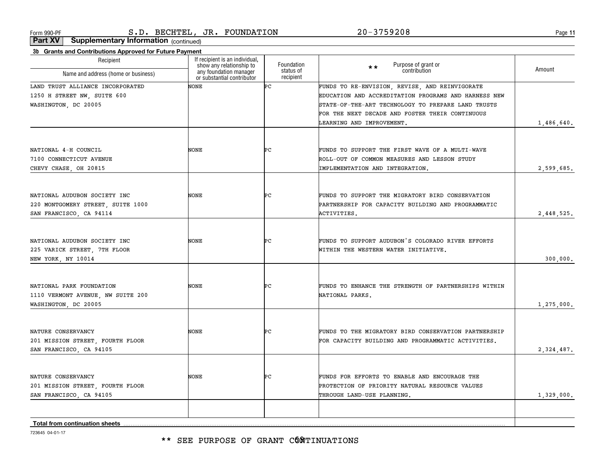\*\* SEE PURPOSE OF GRANT CÓÑTINUATIONS

| 723645 04-01-17 |
|-----------------|
|                 |

#### **Total from continuation sheets** show any relationship to any foundation manager or substantial contributor Foundation status of recipientPurpose of grant or **contribution** on **Amount** Name and address (home or business) LAND TRUST ALLIANCE INCORPORATED 1250 H STREET NW, SUITE 600 WASHINGTON, DC 20005 NONE PC FUNDS TO RE-ENVISION, REVISE, AND REINVIGORATE 1,486,640. EDUCATION AND ACCREDITATION PROGRAMS AND HARNESS NEW STATE-OF-THE-ART TECHNOLOGY TO PREPARE LAND TRUSTS FOR THE NEXT DECADE AND FOSTER THEIR CONTINUOUS NATIONAL 4-H COUNCIL NATIONAL AUDUBON SOCIETY INC NATIONAL AUDUBON SOCIETY INC NATIONAL PARK FOUNDATION NATURE CONSERVANCY 7100 CONNECTICUT AVENUE 220 MONTGOMERY STREET, SUITE 1000 225 VARICK STREET, 7TH FLOOR 1110 VERMONT AVENUE, NW SUITE 200 201 MISSION STREET, FOURTH FLOOR NONENONENONENONENONEPCPC $|_{\mathsf{PC}}$ PCPCFUNDS TO SUPPORT THE FIRST WAVE OF A MULTI-WAVE FUNDS TO SUPPORT THE MIGRATORY BIRD CONSERVATION FUNDS TO SUPPORT AUDUBON'S COLORADO RIVER EFFORTS FUNDS TO ENHANCE THE STRENGTH OF PARTNERSHIPS WITHIN FUNDS TO THE MIGRATORY BIRD CONSERVATION PARTNERSHIP ROLL-OUT OF COMMON MEASURES AND LESSON STUDY PARTNERSHIP FOR CAPACITY BUILDING AND PROGRAMMATIC 2,599,685. WITHIN THE WESTERN WATER INITIATIVE. NATIONAL PARKS. FOR CAPACITY BUILDING AND PROGRAMMATIC ACTIVITIES. 1,275,000. 2,448,525. \*\*LEARNING AND IMPROVEMENT. CHEVY CHASE, OH 20815 SAN FRANCISCO, CA 94114 NEW YORK, NY 10014 WASHINGTON, DC 20005 SAN FRANCISCO, CA 94105 NATURE CONSERVANCY CONSERVANCY CONSERVANCE NONE PC FUNDS FOR EFFORTS TO ENABLE AND ENCOURAGE THE 201 MISSION STREET, FOURTH FLOOR PROTECTION OF PRIORITY NATURAL RESOURCE VALUES SAN FRANCISCO, CA 94105 (1,329,000.) THROUGH LAND-USE PLANNING. THROUGH LAND-USE PLANNING. IMPLEMENTATION AND INTEGRATION. ACTIVITIES. 300,000. 2,324,487.

**3b Grants and Contributions Approved for Future Payment Part XV Supplementary Information** (continued)

Recipient

# Form 990-PF Page S.D. BECHTEL, JR. FOUNDATION 20-3759208

If recipient is an individual,

**11**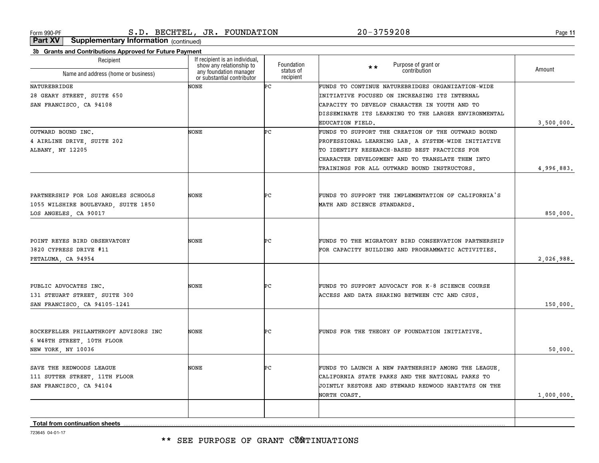**11**

**Part XV Supplementary Information** (continued)

| Recipient                             | If recipient is an individual,<br>show any relationship to<br>any foundation manager<br>or substantial contributor | Foundation             | Purpose of grant or<br>$\star\star$<br>contribution  | Amount     |
|---------------------------------------|--------------------------------------------------------------------------------------------------------------------|------------------------|------------------------------------------------------|------------|
| Name and address (home or business)   |                                                                                                                    | status of<br>recipient |                                                      |            |
| NATUREBRIDGE                          | NONE                                                                                                               | Þс                     | FUNDS TO CONTINUE NATUREBRIDGES ORGANIZATION-WIDE    |            |
| 28 GEARY STREET, SUITE 650            |                                                                                                                    |                        | INITIATIVE FOCUSED ON INCREASING ITS INTERNAL        |            |
| SAN FRANCISCO, CA 94108               |                                                                                                                    |                        | CAPACITY TO DEVELOP CHARACTER IN YOUTH AND TO        |            |
|                                       |                                                                                                                    |                        | DISSEMINATE ITS LEARNING TO THE LARGER ENVIRONMENTAL |            |
|                                       |                                                                                                                    |                        | EDUCATION FIELD.                                     | 3,500,000. |
| OUTWARD BOUND INC.                    | NONE                                                                                                               | Þс                     | FUNDS TO SUPPORT THE CREATION OF THE OUTWARD BOUND   |            |
| 4 AIRLINE DRIVE, SUITE 202            |                                                                                                                    |                        | PROFESSIONAL LEARNING LAB, A SYSTEM-WIDE INITIATIVE  |            |
| ALBANY, NY 12205                      |                                                                                                                    |                        | TO IDENTIFY RESEARCH-BASED BEST PRACTICES FOR        |            |
|                                       |                                                                                                                    |                        | CHARACTER DEVELOPMENT AND TO TRANSLATE THEM INTO     |            |
|                                       |                                                                                                                    |                        | TRAININGS FOR ALL OUTWARD BOUND INSTRUCTORS.         | 4,996,883. |
|                                       |                                                                                                                    |                        |                                                      |            |
| PARTNERSHIP FOR LOS ANGELES SCHOOLS   | NONE                                                                                                               | ÞС                     | FUNDS TO SUPPORT THE IMPLEMENTATION OF CALIFORNIA'S  |            |
| 1055 WILSHIRE BOULEVARD, SUITE 1850   |                                                                                                                    |                        | MATH AND SCIENCE STANDARDS.                          |            |
| LOS ANGELES, CA 90017                 |                                                                                                                    |                        |                                                      | 850,000.   |
|                                       |                                                                                                                    |                        |                                                      |            |
| POINT REYES BIRD OBSERVATORY          | NONE                                                                                                               | Þс                     | FUNDS TO THE MIGRATORY BIRD CONSERVATION PARTNERSHIP |            |
| 3820 CYPRESS DRIVE #11                |                                                                                                                    |                        | FOR CAPACITY BUILDING AND PROGRAMMATIC ACTIVITIES.   |            |
| PETALUMA, CA 94954                    |                                                                                                                    |                        |                                                      | 2,026,988. |
| PUBLIC ADVOCATES INC.                 | NONE                                                                                                               | ÞС                     | FUNDS TO SUPPORT ADVOCACY FOR K-8 SCIENCE COURSE     |            |
| 131 STEUART STREET, SUITE 300         |                                                                                                                    |                        | ACCESS AND DATA SHARING BETWEEN CTC AND CSUS.        |            |
| SAN FRANCISCO, CA 94105-1241          |                                                                                                                    |                        |                                                      | 150,000.   |
|                                       |                                                                                                                    |                        |                                                      |            |
| ROCKEFELLER PHILANTHROPY ADVISORS INC | NONE                                                                                                               | ÞС                     | FUNDS FOR THE THEORY OF FOUNDATION INITIATIVE.       |            |
| 6 W48TH STREET, 10TH FLOOR            |                                                                                                                    |                        |                                                      |            |
| NEW YORK, NY 10036                    |                                                                                                                    |                        |                                                      | 50,000.    |
| SAVE THE REDWOODS LEAGUE              | NONE                                                                                                               | ÞС                     | FUNDS TO LAUNCH A NEW PARTNERSHIP AMONG THE LEAGUE,  |            |
| 111 SUTTER STREET, 11TH FLOOR         |                                                                                                                    |                        | CALIFORNIA STATE PARKS AND THE NATIONAL PARKS TO     |            |
| SAN FRANCISCO, CA 94104               |                                                                                                                    |                        | JOINTLY RESTORE AND STEWARD REDWOOD HABITATS ON THE  |            |
|                                       |                                                                                                                    |                        | NORTH COAST.                                         | 1,000,000. |
|                                       |                                                                                                                    |                        |                                                      |            |
| Total from continuation sheets        |                                                                                                                    |                        |                                                      |            |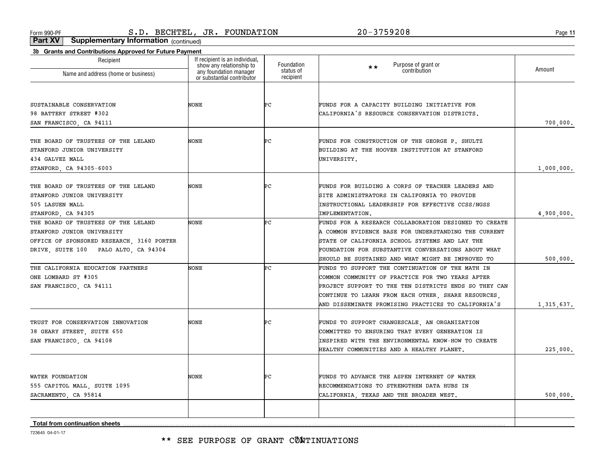**11**

**Part XV Supplementary Information** (continued)

| Recipient                                                 | If recipient is an individual,                                                   | Foundation             | Purpose of grant or<br>$**$                                         |            |
|-----------------------------------------------------------|----------------------------------------------------------------------------------|------------------------|---------------------------------------------------------------------|------------|
| Name and address (home or business)                       | show any relationship to<br>any foundation manager<br>or substantial contributor | status of<br>recipient | contribution                                                        | Amount     |
|                                                           |                                                                                  |                        |                                                                     |            |
| SUSTAINABLE CONSERVATION                                  | NONE                                                                             | ÞС                     | FUNDS FOR A CAPACITY BUILDING INITIATIVE FOR                        |            |
| 98 BATTERY STREET #302                                    |                                                                                  |                        | CALIFORNIA'S RESOURCE CONSERVATION DISTRICTS.                       |            |
| SAN FRANCISCO, CA 94111                                   |                                                                                  |                        |                                                                     | 700,000.   |
| THE BOARD OF TRUSTEES OF THE LELAND                       | NONE                                                                             | ÞС                     | FUNDS FOR CONSTRUCTION OF THE GEORGE P. SHULTZ                      |            |
| STANFORD JUNIOR UNIVERSITY                                |                                                                                  |                        | BUILDING AT THE HOOVER INSTITUTION AT STANFORD                      |            |
| 434 GALVEZ MALL                                           |                                                                                  |                        | UNIVERSITY.                                                         |            |
| STANFORD, CA 94305-6003                                   |                                                                                  |                        |                                                                     | 1,000,000. |
|                                                           |                                                                                  |                        |                                                                     |            |
| THE BOARD OF TRUSTEES OF THE LELAND                       | NONE                                                                             | ÞС                     | FUNDS FOR BUILDING A CORPS OF TEACHER LEADERS AND                   |            |
| STANFORD JUNIOR UNIVERSITY<br>505 LASUEN MALL             |                                                                                  |                        | SITE ADMINISTRATORS IN CALIFORNIA TO PROVIDE                        |            |
|                                                           |                                                                                  |                        | INSTRUCTIONAL LEADERSHIP FOR EFFECTIVE CCSS/NGSS<br>IMPLEMENTATION. |            |
| STANFORD, CA 94305<br>THE BOARD OF TRUSTEES OF THE LELAND | NONE                                                                             | Þс                     | FUNDS FOR A RESEARCH COLLABORATION DESIGNED TO CREATE               | 4,900,000. |
| STANFORD JUNIOR UNIVERSITY                                |                                                                                  |                        | A COMMON EVIDENCE BASE FOR UNDERSTANDING THE CURRENT                |            |
| OFFICE OF SPONSORED RESEARCH, 3160 PORTER                 |                                                                                  |                        | STATE OF CALIFORNIA SCHOOL SYSTEMS AND LAY THE                      |            |
| DRIVE, SUITE 100 PALO ALTO, CA 94304                      |                                                                                  |                        | FOUNDATION FOR SUBSTANTIVE CONVERSATIONS ABOUT WHAT                 |            |
|                                                           |                                                                                  |                        | SHOULD BE SUSTAINED AND WHAT MIGHT BE IMPROVED TO                   | 500,000.   |
| THE CALIFORNIA EDUCATION PARTNERS                         | NONE                                                                             | ÞС                     | FUNDS TO SUPPORT THE CONTINUATION OF THE MATH IN                    |            |
| ONE LOMBARD ST #305                                       |                                                                                  |                        | COMMON COMMUNITY OF PRACTICE FOR TWO YEARS AFTER                    |            |
| SAN FRANCISCO, CA 94111                                   |                                                                                  |                        | PROJECT SUPPORT TO THE TEN DISTRICTS ENDS SO THEY CAN               |            |
|                                                           |                                                                                  |                        | CONTINUE TO LEARN FROM EACH OTHER, SHARE RESOURCES                  |            |
|                                                           |                                                                                  |                        | AND DISSEMINATE PROMISING PRACTICES TO CALIFORNIA'S                 | 1,315,637. |
|                                                           |                                                                                  |                        |                                                                     |            |
| TRUST FOR CONSERVATION INNOVATION                         | NONE                                                                             | ÞС                     | FUNDS TO SUPPORT CHANGESCALE, AN ORGANIZATION                       |            |
| 38 GEARY STREET, SUITE 650                                |                                                                                  |                        | COMMITTED TO ENSURING THAT EVERY GENERATION IS                      |            |
| SAN FRANCISCO, CA 94108                                   |                                                                                  |                        | INSPIRED WITH THE ENVIRONMENTAL KNOW-HOW TO CREATE                  |            |
|                                                           |                                                                                  |                        | HEALTHY COMMUNITIES AND A HEALTHY PLANET.                           | 225,000.   |
|                                                           |                                                                                  |                        |                                                                     |            |
| WATER FOUNDATION                                          | NONE                                                                             | ÞС                     | FUNDS TO ADVANCE THE ASPEN INTERNET OF WATER                        |            |
| 555 CAPITOL MALL, SUITE 1095                              |                                                                                  |                        | RECOMMENDATIONS TO STRENGTHEN DATA HUBS IN                          |            |
| SACRAMENTO, CA 95814                                      |                                                                                  |                        | CALIFORNIA, TEXAS AND THE BROADER WEST.                             | 500,000.   |
|                                                           |                                                                                  |                        |                                                                     |            |
| <b>Total from continuation sheets</b>                     |                                                                                  |                        |                                                                     |            |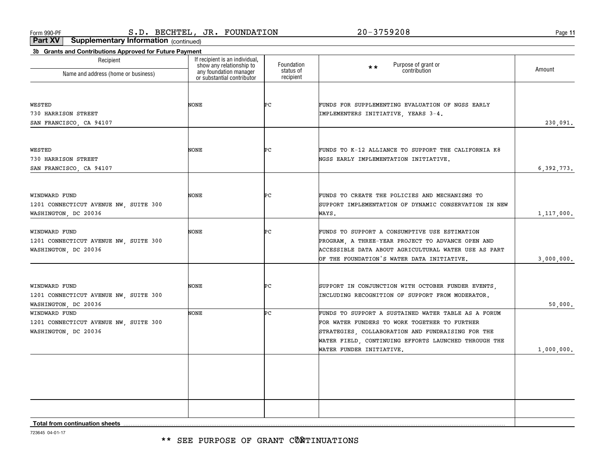**11**

**Part XV Supplementary Information** (continued)

| Recipient                                                     | If recipient is an individual,<br>show any relationship to | Foundation             | Purpose of grant or                                   |            |
|---------------------------------------------------------------|------------------------------------------------------------|------------------------|-------------------------------------------------------|------------|
| Name and address (home or business)                           | any foundation manager<br>or substantial contributor       | status of<br>recipient | $\star\star$<br>contribution                          | Amount     |
|                                                               |                                                            |                        |                                                       |            |
| WESTED                                                        | NONE                                                       | ÞС                     | FUNDS FOR SUPPLEMENTING EVALUATION OF NGSS EARLY      |            |
| 730 HARRISON STREET                                           |                                                            |                        | IMPLEMENTERS INITIATIVE, YEARS 3-4.                   |            |
| SAN FRANCISCO, CA 94107                                       |                                                            |                        |                                                       | 230,091.   |
|                                                               |                                                            |                        |                                                       |            |
| WESTED                                                        | NONE                                                       | ÞС                     | FUNDS TO K-12 ALLIANCE TO SUPPORT THE CALIFORNIA K8   |            |
| 730 HARRISON STREET                                           |                                                            |                        | NGSS EARLY IMPLEMENTATION INITIATIVE.                 |            |
| SAN FRANCISCO, CA 94107                                       |                                                            |                        |                                                       | 6,392,773. |
| WINDWARD FUND                                                 | NONE                                                       | ÞС                     | FUNDS TO CREATE THE POLICIES AND MECHANISMS TO        |            |
| 1201 CONNECTICUT AVENUE NW, SUITE 300                         |                                                            |                        | SUPPORT IMPLEMENTATION OF DYNAMIC CONSERVATION IN NEW |            |
| WASHINGTON, DC 20036                                          |                                                            |                        | WAYS.                                                 | 1,117,000. |
| WINDWARD FUND                                                 | NONE                                                       | ÞС                     | FUNDS TO SUPPORT A CONSUMPTIVE USE ESTIMATION         |            |
| 1201 CONNECTICUT AVENUE NW, SUITE 300                         |                                                            |                        | PROGRAM, A THREE-YEAR PROJECT TO ADVANCE OPEN AND     |            |
| WASHINGTON, DC 20036                                          |                                                            |                        | ACCESSIBLE DATA ABOUT AGRICULTURAL WATER USE AS PART  |            |
|                                                               |                                                            |                        | OF THE FOUNDATION'S WATER DATA INITIATIVE.            | 3,000,000. |
|                                                               |                                                            |                        |                                                       |            |
| WINDWARD FUND                                                 | NONE                                                       | ÞС                     | SUPPORT IN CONJUNCTION WITH OCTOBER FUNDER EVENTS,    |            |
| 1201 CONNECTICUT AVENUE NW, SUITE 300<br>WASHINGTON, DC 20036 |                                                            |                        | INCLUDING RECOGNITION OF SUPPORT FROM MODERATOR.      | 50,000.    |
| WINDWARD FUND                                                 | NONE                                                       | Þс                     | FUNDS TO SUPPORT A SUSTAINED WATER TABLE AS A FORUM   |            |
| 1201 CONNECTICUT AVENUE NW, SUITE 300                         |                                                            |                        | FOR WATER FUNDERS TO WORK TOGETHER TO FURTHER         |            |
| WASHINGTON, DC 20036                                          |                                                            |                        | STRATEGIES, COLLABORATION AND FUNDRAISING FOR THE     |            |
|                                                               |                                                            |                        | WATER FIELD, CONTINUING EFFORTS LAUNCHED THROUGH THE  |            |
|                                                               |                                                            |                        | WATER FUNDER INITIATIVE.                              | 1,000,000. |
|                                                               |                                                            |                        |                                                       |            |
|                                                               |                                                            |                        |                                                       |            |
|                                                               |                                                            |                        |                                                       |            |
|                                                               |                                                            |                        |                                                       |            |
| Total from continuation sheets                                |                                                            |                        |                                                       |            |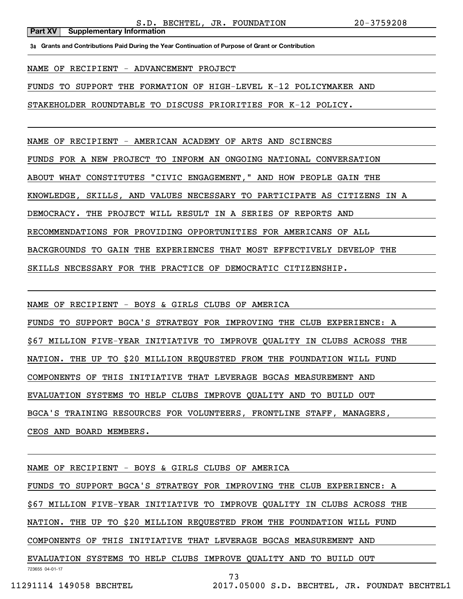**3a Grants and Contributions Paid During the Year Continuation of Purpose of Grant or Contribution**

NAME OF RECIPIENT - ADVANCEMENT PROJECT

**Part XV** Supplementary Information

FUNDS TO SUPPORT THE FORMATION OF HIGH-LEVEL K-12 POLICYMAKER AND

STAKEHOLDER ROUNDTABLE TO DISCUSS PRIORITIES FOR K-12 POLICY.

NAME OF RECIPIENT - AMERICAN ACADEMY OF ARTS AND SCIENCES

FUNDS FOR A NEW PROJECT TO INFORM AN ONGOING NATIONAL CONVERSATION

ABOUT WHAT CONSTITUTES "CIVIC ENGAGEMENT," AND HOW PEOPLE GAIN THE

KNOWLEDGE, SKILLS, AND VALUES NECESSARY TO PARTICIPATE AS CITIZENS IN A

DEMOCRACY. THE PROJECT WILL RESULT IN A SERIES OF REPORTS AND

RECOMMENDATIONS FOR PROVIDING OPPORTUNITIES FOR AMERICANS OF ALL

BACKGROUNDS TO GAIN THE EXPERIENCES THAT MOST EFFECTIVELY DEVELOP THE

SKILLS NECESSARY FOR THE PRACTICE OF DEMOCRATIC CITIZENSHIP.

NAME OF RECIPIENT - BOYS & GIRLS CLUBS OF AMERICA

FUNDS TO SUPPORT BGCA'S STRATEGY FOR IMPROVING THE CLUB EXPERIENCE: A

\$67 MILLION FIVE-YEAR INITIATIVE TO IMPROVE QUALITY IN CLUBS ACROSS THE

NATION. THE UP TO \$20 MILLION REQUESTED FROM THE FOUNDATION WILL FUND

COMPONENTS OF THIS INITIATIVE THAT LEVERAGE BGCAS MEASUREMENT AND

EVALUATION SYSTEMS TO HELP CLUBS IMPROVE QUALITY AND TO BUILD OUT

BGCA'S TRAINING RESOURCES FOR VOLUNTEERS, FRONTLINE STAFF, MANAGERS,

CEOS AND BOARD MEMBERS.

NAME OF RECIPIENT - BOYS & GIRLS CLUBS OF AMERICA

FUNDS TO SUPPORT BGCA'S STRATEGY FOR IMPROVING THE CLUB EXPERIENCE: A

\$67 MILLION FIVE-YEAR INITIATIVE TO IMPROVE QUALITY IN CLUBS ACROSS THE

NATION. THE UP TO \$20 MILLION REQUESTED FROM THE FOUNDATION WILL FUND

COMPONENTS OF THIS INITIATIVE THAT LEVERAGE BGCAS MEASUREMENT AND

723655 04-01-17 EVALUATION SYSTEMS TO HELP CLUBS IMPROVE QUALITY AND TO BUILD OUT

73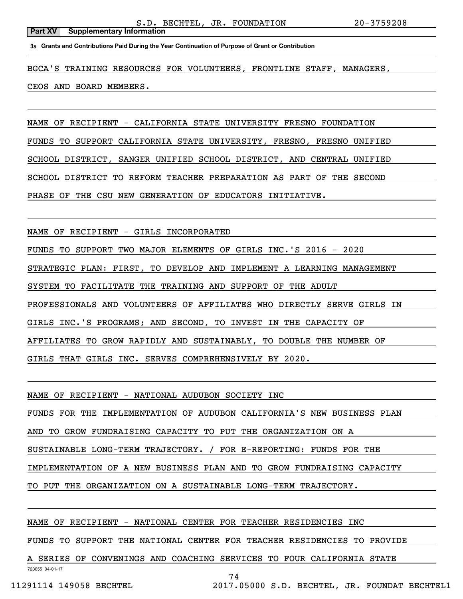### **Part XV** Supplementary Information

**3a Grants and Contributions Paid During the Year Continuation of Purpose of Grant or Contribution**

BGCA'S TRAINING RESOURCES FOR VOLUNTEERS, FRONTLINE STAFF, MANAGERS,

CEOS AND BOARD MEMBERS.

NAME OF RECIPIENT - CALIFORNIA STATE UNIVERSITY FRESNO FOUNDATION

FUNDS TO SUPPORT CALIFORNIA STATE UNIVERSITY, FRESNO, FRESNO UNIFIED

SCHOOL DISTRICT, SANGER UNIFIED SCHOOL DISTRICT, AND CENTRAL UNIFIED

SCHOOL DISTRICT TO REFORM TEACHER PREPARATION AS PART OF THE SECOND

PHASE OF THE CSU NEW GENERATION OF EDUCATORS INITIATIVE.

NAME OF RECIPIENT - GIRLS INCORPORATED

FUNDS TO SUPPORT TWO MAJOR ELEMENTS OF GIRLS INC.'S 2016 - 2020

STRATEGIC PLAN: FIRST, TO DEVELOP AND IMPLEMENT A LEARNING MANAGEMENT

SYSTEM TO FACILITATE THE TRAINING AND SUPPORT OF THE ADULT

PROFESSIONALS AND VOLUNTEERS OF AFFILIATES WHO DIRECTLY SERVE GIRLS IN

GIRLS INC.'S PROGRAMS; AND SECOND, TO INVEST IN THE CAPACITY OF

AFFILIATES TO GROW RAPIDLY AND SUSTAINABLY, TO DOUBLE THE NUMBER OF

GIRLS THAT GIRLS INC. SERVES COMPREHENSIVELY BY 2020.

NAME OF RECIPIENT - NATIONAL AUDUBON SOCIETY INC

FUNDS FOR THE IMPLEMENTATION OF AUDUBON CALIFORNIA'S NEW BUSINESS PLAN

AND TO GROW FUNDRAISING CAPACITY TO PUT THE ORGANIZATION ON A

SUSTAINABLE LONG-TERM TRAJECTORY. / FOR E-REPORTING: FUNDS FOR THE

IMPLEMENTATION OF A NEW BUSINESS PLAN AND TO GROW FUNDRAISING CAPACITY

TO PUT THE ORGANIZATION ON A SUSTAINABLE LONG-TERM TRAJECTORY.

NAME OF RECIPIENT - NATIONAL CENTER FOR TEACHER RESIDENCIES INC

FUNDS TO SUPPORT THE NATIONAL CENTER FOR TEACHER RESIDENCIES TO PROVIDE

723655 04-01-17 A SERIES OF CONVENINGS AND COACHING SERVICES TO FOUR CALIFORNIA STATE

74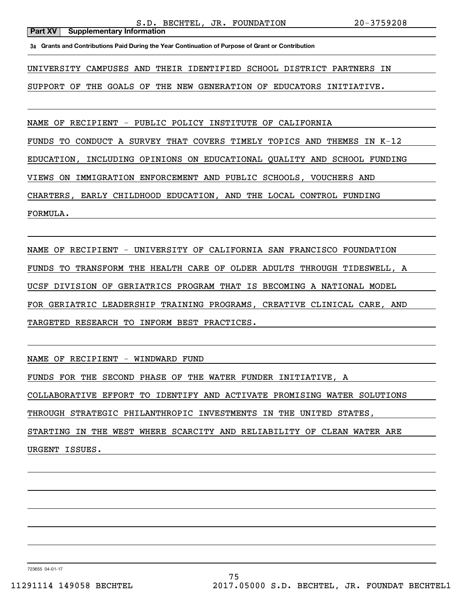#### **Part XV** Supplementary Information

**3a Grants and Contributions Paid During the Year Continuation of Purpose of Grant or Contribution**

UNIVERSITY CAMPUSES AND THEIR IDENTIFIED SCHOOL DISTRICT PARTNERS IN

SUPPORT OF THE GOALS OF THE NEW GENERATION OF EDUCATORS INITIATIVE.

NAME OF RECIPIENT - PUBLIC POLICY INSTITUTE OF CALIFORNIA

FUNDS TO CONDUCT A SURVEY THAT COVERS TIMELY TOPICS AND THEMES IN K-12

EDUCATION, INCLUDING OPINIONS ON EDUCATIONAL QUALITY AND SCHOOL FUNDING

VIEWS ON IMMIGRATION ENFORCEMENT AND PUBLIC SCHOOLS, VOUCHERS AND

CHARTERS, EARLY CHILDHOOD EDUCATION, AND THE LOCAL CONTROL FUNDING

FORMULA.

NAME OF RECIPIENT - UNIVERSITY OF CALIFORNIA SAN FRANCISCO FOUNDATION FUNDS TO TRANSFORM THE HEALTH CARE OF OLDER ADULTS THROUGH TIDESWELL, A UCSF DIVISION OF GERIATRICS PROGRAM THAT IS BECOMING A NATIONAL MODEL FOR GERIATRIC LEADERSHIP TRAINING PROGRAMS, CREATIVE CLINICAL CARE, AND TARGETED RESEARCH TO INFORM BEST PRACTICES.

NAME OF RECIPIENT - WINDWARD FUND

FUNDS FOR THE SECOND PHASE OF THE WATER FUNDER INITIATIVE, A

COLLABORATIVE EFFORT TO IDENTIFY AND ACTIVATE PROMISING WATER SOLUTIONS

THROUGH STRATEGIC PHILANTHROPIC INVESTMENTS IN THE UNITED STATES,

STARTING IN THE WEST WHERE SCARCITY AND RELIABILITY OF CLEAN WATER ARE

URGENT ISSUES.

723655 04-01-17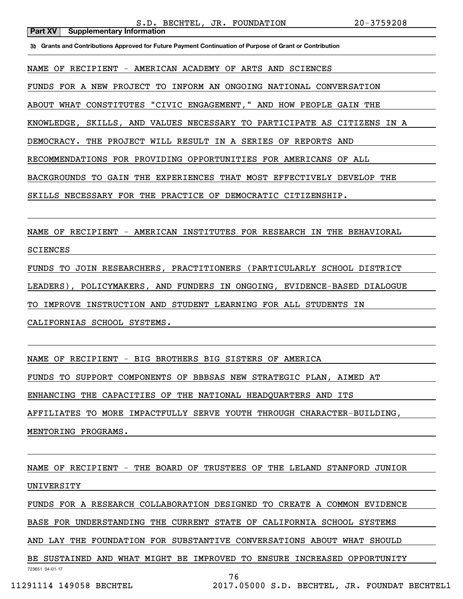#### **Part XV** | Supplementary Information

**3b Grants and Contributions Approved for Future Payment Continuation of Purpose of Grant or Contribution**

NAME OF RECIPIENT - AMERICAN ACADEMY OF ARTS AND SCIENCES

FUNDS FOR A NEW PROJECT TO INFORM AN ONGOING NATIONAL CONVERSATION

ABOUT WHAT CONSTITUTES "CIVIC ENGAGEMENT," AND HOW PEOPLE GAIN THE

KNOWLEDGE, SKILLS, AND VALUES NECESSARY TO PARTICIPATE AS CITIZENS IN A

DEMOCRACY. THE PROJECT WILL RESULT IN A SERIES OF REPORTS AND

RECOMMENDATIONS FOR PROVIDING OPPORTUNITIES FOR AMERICANS OF ALL

BACKGROUNDS TO GAIN THE EXPERIENCES THAT MOST EFFECTIVELY DEVELOP THE

SKILLS NECESSARY FOR THE PRACTICE OF DEMOCRATIC CITIZENSHIP.

NAME OF RECIPIENT - AMERICAN INSTITUTES FOR RESEARCH IN THE BEHAVIORAL

SCIENCES

FUNDS TO JOIN RESEARCHERS, PRACTITIONERS (PARTICULARLY SCHOOL DISTRICT

LEADERS), POLICYMAKERS, AND FUNDERS IN ONGOING, EVIDENCE-BASED DIALOGUE

TO IMPROVE INSTRUCTION AND STUDENT LEARNING FOR ALL STUDENTS IN

CALIFORNIAS SCHOOL SYSTEMS.

NAME OF RECIPIENT - BIG BROTHERS BIG SISTERS OF AMERICA

FUNDS TO SUPPORT COMPONENTS OF BBBSAS NEW STRATEGIC PLAN, AIMED AT

ENHANCING THE CAPACITIES OF THE NATIONAL HEADQUARTERS AND ITS

AFFILIATES TO MORE IMPACTFULLY SERVE YOUTH THROUGH CHARACTER-BUILDING,

MENTORING PROGRAMS.

NAME OF RECIPIENT - THE BOARD OF TRUSTEES OF THE LELAND STANFORD JUNIOR

UNIVERSITY

FUNDS FOR A RESEARCH COLLABORATION DESIGNED TO CREATE A COMMON EVIDENCE

BASE FOR UNDERSTANDING THE CURRENT STATE OF CALIFORNIA SCHOOL SYSTEMS

AND LAY THE FOUNDATION FOR SUBSTANTIVE CONVERSATIONS ABOUT WHAT SHOULD

BE SUSTAINED AND WHAT MIGHT BE IMPROVED TO ENSURE INCREASED OPPORTUNITY

723651 04-01-17

76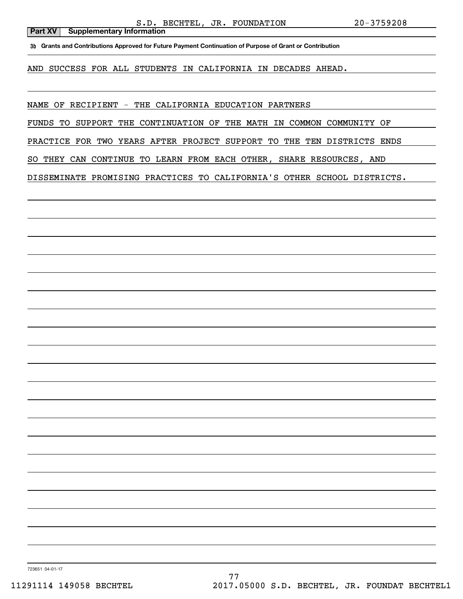#### **Part XV** Supplementary Information

**3b Grants and Contributions Approved for Future Payment Continuation of Purpose of Grant or Contribution**

AND SUCCESS FOR ALL STUDENTS IN CALIFORNIA IN DECADES AHEAD.

NAME OF RECIPIENT - THE CALIFORNIA EDUCATION PARTNERS

FUNDS TO SUPPORT THE CONTINUATION OF THE MATH IN COMMON COMMUNITY OF

PRACTICE FOR TWO YEARS AFTER PROJECT SUPPORT TO THE TEN DISTRICTS ENDS

SO THEY CAN CONTINUE TO LEARN FROM EACH OTHER, SHARE RESOURCES, AND

DISSEMINATE PROMISING PRACTICES TO CALIFORNIA'S OTHER SCHOOL DISTRICTS.

723651 04-01-17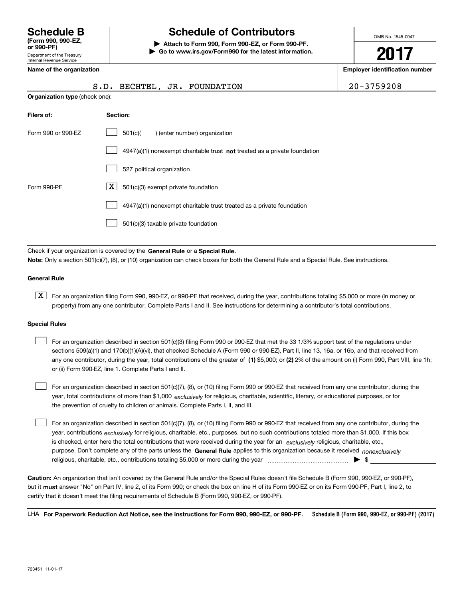# **(Form 990, 990-EZ,**

Department of the Treasury Internal Revenue Service **or 990-PF)**

## **Schedule B Schedule of Contributors**

**| Attach to Form 990, Form 990-EZ, or Form 990-PF. | Go to www.irs.gov/Form990 for the latest information.** OMB No. 1545-0047

**2017**

**Name of the organization Employer identification number**

|                                       | S.D. BECHTEL, JR. FOUNDATION                                              | $20 - 3759208$ |
|---------------------------------------|---------------------------------------------------------------------------|----------------|
| <b>Organization type (check one):</b> |                                                                           |                |
| Filers of:                            | Section:                                                                  |                |
| Form 990 or 990-EZ                    | 501(c)<br>) (enter number) organization                                   |                |
|                                       | 4947(a)(1) nonexempt charitable trust not treated as a private foundation |                |
|                                       | 527 political organization                                                |                |
| Form 990-PF                           | X<br>501(c)(3) exempt private foundation                                  |                |
|                                       | 4947(a)(1) nonexempt charitable trust treated as a private foundation     |                |

501(c)(3) taxable private foundation  $\mathcal{L}^{\text{max}}$ 

Check if your organization is covered by the **General Rule** or a **Special Rule. Note:**  Only a section 501(c)(7), (8), or (10) organization can check boxes for both the General Rule and a Special Rule. See instructions.

### **General Rule**

 $\boxed{\textbf{X}}$  For an organization filing Form 990, 990-EZ, or 990-PF that received, during the year, contributions totaling \$5,000 or more (in money or property) from any one contributor. Complete Parts I and II. See instructions for determining a contributor's total contributions.

### **Special Rules**

 $\mathcal{L}^{\text{max}}$ 

any one contributor, during the year, total contributions of the greater of  $\,$  (1) \$5,000; or **(2)** 2% of the amount on (i) Form 990, Part VIII, line 1h; For an organization described in section 501(c)(3) filing Form 990 or 990-EZ that met the 33 1/3% support test of the regulations under sections 509(a)(1) and 170(b)(1)(A)(vi), that checked Schedule A (Form 990 or 990-EZ), Part II, line 13, 16a, or 16b, and that received from or (ii) Form 990-EZ, line 1. Complete Parts I and II.  $\mathcal{L}^{\text{max}}$ 

year, total contributions of more than \$1,000 *exclusively* for religious, charitable, scientific, literary, or educational purposes, or for For an organization described in section 501(c)(7), (8), or (10) filing Form 990 or 990-EZ that received from any one contributor, during the the prevention of cruelty to children or animals. Complete Parts I, II, and III.  $\mathcal{L}^{\text{max}}$ 

purpose. Don't complete any of the parts unless the **General Rule** applies to this organization because it received *nonexclusively* year, contributions <sub>exclusively</sub> for religious, charitable, etc., purposes, but no such contributions totaled more than \$1,000. If this box is checked, enter here the total contributions that were received during the year for an  $\;$ exclusively religious, charitable, etc., For an organization described in section 501(c)(7), (8), or (10) filing Form 990 or 990-EZ that received from any one contributor, during the religious, charitable, etc., contributions totaling \$5,000 or more during the year  $\Box$ — $\Box$   $\Box$ 

**Caution:**  An organization that isn't covered by the General Rule and/or the Special Rules doesn't file Schedule B (Form 990, 990-EZ, or 990-PF),  **must** but it answer "No" on Part IV, line 2, of its Form 990; or check the box on line H of its Form 990-EZ or on its Form 990-PF, Part I, line 2, to certify that it doesn't meet the filing requirements of Schedule B (Form 990, 990-EZ, or 990-PF).

**Schedule B (Form 990, 990-EZ, or 990-PF) (2017) For Paperwork Reduction Act Notice, see the instructions for Form 990, 990-EZ, or 990-PF.** LHA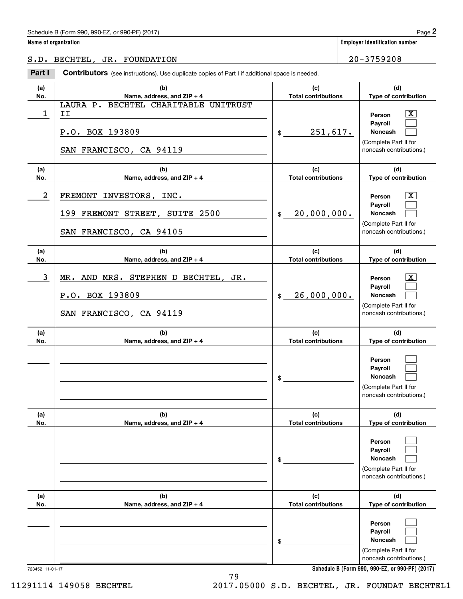### Schedule B (Form 990, 990-EZ, or 990-PF) (2017) **Page 2**

|  |  |  | Name of organization |
|--|--|--|----------------------|
|--|--|--|----------------------|

**Employer identification number** 

### S.D. BECHTEL, JR. FOUNDATION 20-3759208

**Contributors** (see instructions). Use duplicate copies of Part I if additional space is needed. Chedule B (Form 990, 990-EZ, or 990-PF) (2017)<br>**2Part I 2Part I Contributors** (see instructions). Use duplicate copies of Part I if additional space is needed.<br>2Part I **Contributors** (see instructions). Use duplicate

| (c)<br><b>Total contributions</b><br>251,617.<br>$\frac{1}{2}$<br>(c)<br><b>Total contributions</b><br>20,000,000.<br>$$\mathbb{S}$$<br>(c)<br><b>Total contributions</b> | (d)<br>Type of contribution<br>X<br>Person<br>Payroll<br>Noncash<br>(Complete Part II for<br>noncash contributions.)<br>(d)<br>Type of contribution<br>X<br>Person<br>Payroll<br>Noncash<br>(Complete Part II for<br>noncash contributions.)<br>(d)<br>Type of contribution<br>X<br>Person |
|---------------------------------------------------------------------------------------------------------------------------------------------------------------------------|--------------------------------------------------------------------------------------------------------------------------------------------------------------------------------------------------------------------------------------------------------------------------------------------|
|                                                                                                                                                                           |                                                                                                                                                                                                                                                                                            |
|                                                                                                                                                                           |                                                                                                                                                                                                                                                                                            |
|                                                                                                                                                                           |                                                                                                                                                                                                                                                                                            |
|                                                                                                                                                                           |                                                                                                                                                                                                                                                                                            |
|                                                                                                                                                                           |                                                                                                                                                                                                                                                                                            |
|                                                                                                                                                                           |                                                                                                                                                                                                                                                                                            |
|                                                                                                                                                                           |                                                                                                                                                                                                                                                                                            |
| 26,000,000.<br>$$\mathbb{S}$$                                                                                                                                             | Payroll<br><b>Noncash</b><br>(Complete Part II for<br>noncash contributions.)                                                                                                                                                                                                              |
| (c)<br><b>Total contributions</b>                                                                                                                                         | (d)<br>Type of contribution                                                                                                                                                                                                                                                                |
|                                                                                                                                                                           | Person<br>Payroll<br>Noncash<br>(Complete Part II for<br>noncash contributions.)                                                                                                                                                                                                           |
| (c)                                                                                                                                                                       | (d)<br>Type of contribution                                                                                                                                                                                                                                                                |
|                                                                                                                                                                           | Person<br>Payroll<br>Noncash<br>(Complete Part II for<br>noncash contributions.)                                                                                                                                                                                                           |
| (c)                                                                                                                                                                       | (d)                                                                                                                                                                                                                                                                                        |
|                                                                                                                                                                           | Type of contribution<br>Person<br>Payroll<br>Noncash<br>(Complete Part II for<br>noncash contributions.)                                                                                                                                                                                   |
|                                                                                                                                                                           | <b>Total contributions</b><br><b>Total contributions</b>                                                                                                                                                                                                                                   |

79

**Schedule B (Form 990, 990-EZ, or 990-PF) (2017)**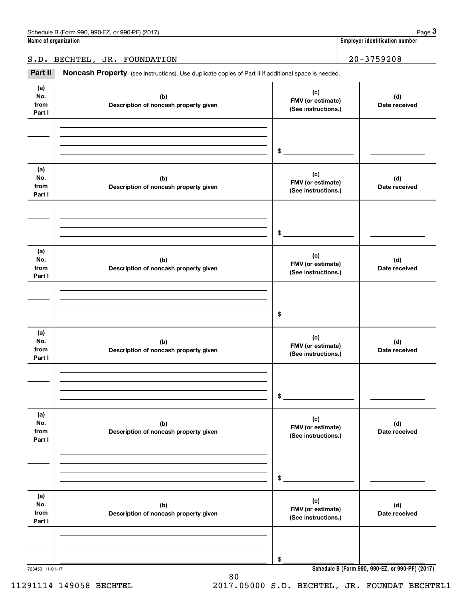### S.D. BECHTEL, JR. FOUNDATION 20-3759208

Chedule B (Form 990, 990-EZ, or 990-PF) (2017)<br> **20 ame of organization**<br> **3. D. BECHTEL, JR. FOUNDATION**<br> **Part II** Noncash Property (see instructions). Use duplicate copies of Part II if additional space is needed.

| (a)<br>No.<br>from<br>Part I | (b)<br>Description of noncash property given | (c)<br>FMV (or estimate)<br>(See instructions.) | (d)<br>Date received                            |
|------------------------------|----------------------------------------------|-------------------------------------------------|-------------------------------------------------|
|                              |                                              |                                                 |                                                 |
|                              |                                              | \$                                              |                                                 |
| (a)<br>No.<br>from<br>Part I | (b)<br>Description of noncash property given | (c)<br>FMV (or estimate)<br>(See instructions.) | (d)<br>Date received                            |
|                              |                                              | \$                                              |                                                 |
| (a)<br>No.<br>from<br>Part I | (b)<br>Description of noncash property given | (c)<br>FMV (or estimate)<br>(See instructions.) | (d)<br>Date received                            |
|                              |                                              | \$                                              |                                                 |
| (a)<br>No.<br>from<br>Part I | (b)<br>Description of noncash property given | (c)<br>FMV (or estimate)<br>(See instructions.) | (d)<br>Date received                            |
|                              |                                              | \$                                              |                                                 |
| (a)<br>No.<br>from<br>Part I | (b)<br>Description of noncash property given | (c)<br>FMV (or estimate)<br>(See instructions.) | (d)<br>Date received                            |
|                              |                                              | \$                                              |                                                 |
| (a)<br>No.<br>from<br>Part I | (b)<br>Description of noncash property given | (c)<br>FMV (or estimate)<br>(See instructions.) | (d)<br>Date received                            |
|                              |                                              |                                                 |                                                 |
|                              |                                              | \$                                              | Schedule B (Form 990, 990-EZ, or 990-PF) (2017) |

80

**Schedule B (Form 990, 990-EZ, or 990-PF) (2017)**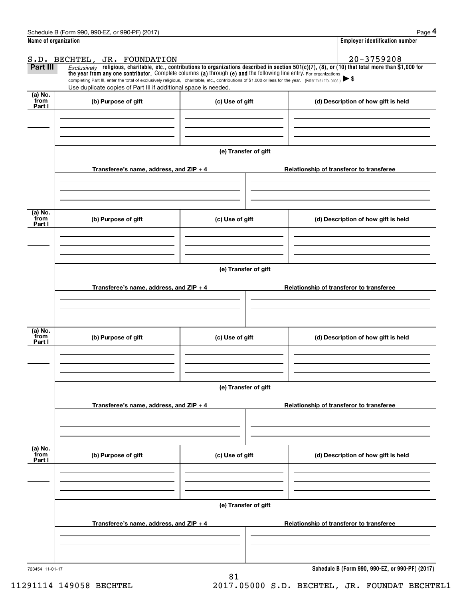|                      | Schedule B (Form 990, 990-EZ, or 990-PF) (2017)                                                                                                                                                                                                                                 |                      | Page 4                                          |
|----------------------|---------------------------------------------------------------------------------------------------------------------------------------------------------------------------------------------------------------------------------------------------------------------------------|----------------------|-------------------------------------------------|
| Name of organization |                                                                                                                                                                                                                                                                                 |                      | <b>Employer identification number</b>           |
|                      | S.D. BECHTEL, JR. FOUNDATION                                                                                                                                                                                                                                                    |                      | $20 - 3759208$                                  |
| Part III             | Exclusively religious, charitable, etc., contributions to organizations described in section $501(c)(7)$ , (8), or (10) that total more than \$1,000 for<br>the year from any one contributor. Complete columns (a) through (e) and the following line entry. For organizations |                      |                                                 |
|                      | completing Part III, enter the total of exclusively religious, charitable, etc., contributions of \$1,000 or less for the year. (Enter this info. once.) $\triangleright$ \$                                                                                                    |                      |                                                 |
| (a) No.              | Use duplicate copies of Part III if additional space is needed.                                                                                                                                                                                                                 |                      |                                                 |
| from<br>Part I       | (b) Purpose of gift                                                                                                                                                                                                                                                             | (c) Use of gift      | (d) Description of how gift is held             |
|                      |                                                                                                                                                                                                                                                                                 |                      |                                                 |
|                      |                                                                                                                                                                                                                                                                                 |                      |                                                 |
|                      |                                                                                                                                                                                                                                                                                 |                      |                                                 |
|                      |                                                                                                                                                                                                                                                                                 | (e) Transfer of gift |                                                 |
|                      |                                                                                                                                                                                                                                                                                 |                      |                                                 |
|                      | Transferee's name, address, and $ZIP + 4$                                                                                                                                                                                                                                       |                      | Relationship of transferor to transferee        |
|                      |                                                                                                                                                                                                                                                                                 |                      |                                                 |
|                      |                                                                                                                                                                                                                                                                                 |                      |                                                 |
| (a) No.              |                                                                                                                                                                                                                                                                                 |                      |                                                 |
| from<br>Part I       | (b) Purpose of gift                                                                                                                                                                                                                                                             | (c) Use of gift      | (d) Description of how gift is held             |
|                      |                                                                                                                                                                                                                                                                                 |                      |                                                 |
|                      |                                                                                                                                                                                                                                                                                 |                      |                                                 |
|                      |                                                                                                                                                                                                                                                                                 |                      |                                                 |
|                      |                                                                                                                                                                                                                                                                                 | (e) Transfer of gift |                                                 |
|                      | Transferee's name, address, and $ZIP + 4$                                                                                                                                                                                                                                       |                      | Relationship of transferor to transferee        |
|                      |                                                                                                                                                                                                                                                                                 |                      |                                                 |
|                      |                                                                                                                                                                                                                                                                                 |                      |                                                 |
|                      |                                                                                                                                                                                                                                                                                 |                      |                                                 |
| (a) No.<br>from      |                                                                                                                                                                                                                                                                                 |                      |                                                 |
| Part I               | (b) Purpose of gift                                                                                                                                                                                                                                                             | (c) Use of gift      | (d) Description of how gift is held             |
|                      |                                                                                                                                                                                                                                                                                 |                      |                                                 |
|                      |                                                                                                                                                                                                                                                                                 |                      |                                                 |
|                      |                                                                                                                                                                                                                                                                                 |                      |                                                 |
|                      |                                                                                                                                                                                                                                                                                 | (e) Transfer of gift |                                                 |
|                      | Transferee's name, address, and $ZIP + 4$                                                                                                                                                                                                                                       |                      | Relationship of transferor to transferee        |
|                      |                                                                                                                                                                                                                                                                                 |                      |                                                 |
|                      |                                                                                                                                                                                                                                                                                 |                      |                                                 |
|                      |                                                                                                                                                                                                                                                                                 |                      |                                                 |
| (a) No.<br>from      | (b) Purpose of gift                                                                                                                                                                                                                                                             | (c) Use of gift      | (d) Description of how gift is held             |
| Part I               |                                                                                                                                                                                                                                                                                 |                      |                                                 |
|                      |                                                                                                                                                                                                                                                                                 |                      |                                                 |
|                      |                                                                                                                                                                                                                                                                                 |                      |                                                 |
|                      |                                                                                                                                                                                                                                                                                 | (e) Transfer of gift |                                                 |
|                      |                                                                                                                                                                                                                                                                                 |                      |                                                 |
|                      | Transferee's name, address, and $ZIP + 4$                                                                                                                                                                                                                                       |                      | Relationship of transferor to transferee        |
|                      |                                                                                                                                                                                                                                                                                 |                      |                                                 |
|                      |                                                                                                                                                                                                                                                                                 |                      |                                                 |
|                      |                                                                                                                                                                                                                                                                                 |                      |                                                 |
| 723454 11-01-17      |                                                                                                                                                                                                                                                                                 |                      | Schedule B (Form 990, 990-EZ, or 990-PF) (2017) |

81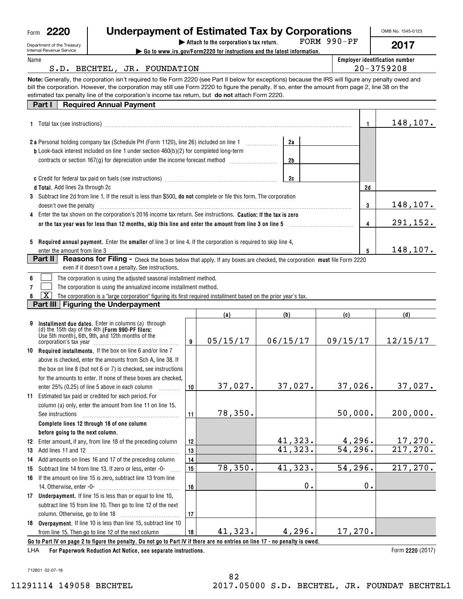| Form 2220 |                                  | <b>Underpayment of Estimated Tax by Corporations</b>                                                                                                                                                                                                                                                                                                                                                          |    |                                                                         |     |                       |                          |               | OMB No. 1545-0123              |
|-----------|----------------------------------|---------------------------------------------------------------------------------------------------------------------------------------------------------------------------------------------------------------------------------------------------------------------------------------------------------------------------------------------------------------------------------------------------------------|----|-------------------------------------------------------------------------|-----|-----------------------|--------------------------|---------------|--------------------------------|
|           | Department of the Treasury       |                                                                                                                                                                                                                                                                                                                                                                                                               |    | Attach to the corporation's tax return.                                 |     |                       | FORM 990-PF              |               | 2017                           |
| Name      | Internal Revenue Service         |                                                                                                                                                                                                                                                                                                                                                                                                               |    | Go to www.irs.gov/Form2220 for instructions and the latest information. |     |                       |                          |               | Employer identification number |
|           |                                  | S.D. BECHTEL, JR. FOUNDATION                                                                                                                                                                                                                                                                                                                                                                                  |    |                                                                         |     |                       |                          |               | $20 - 3759208$                 |
|           |                                  | Note: Generally, the corporation isn't required to file Form 2220 (see Part II below for exceptions) because the IRS will figure any penalty owed and<br>bill the corporation. However, the corporation may still use Form 2220 to figure the penalty. If so, enter the amount from page 2, line 38 on the<br>estimated tax penalty line of the corporation's income tax return, but do not attach Form 2220. |    |                                                                         |     |                       |                          |               |                                |
| Part I    |                                  | <b>Required Annual Payment</b>                                                                                                                                                                                                                                                                                                                                                                                |    |                                                                         |     |                       |                          |               |                                |
|           |                                  |                                                                                                                                                                                                                                                                                                                                                                                                               |    |                                                                         |     |                       |                          | $\mathbf{1}$  | 148,107.                       |
|           |                                  | 2 a Personal holding company tax (Schedule PH (Form 1120), line 26) included on line 1 [1]                                                                                                                                                                                                                                                                                                                    |    |                                                                         |     | 2a                    |                          |               |                                |
|           |                                  | <b>b</b> Look-back interest included on line 1 under section 460(b)(2) for completed long-term                                                                                                                                                                                                                                                                                                                |    |                                                                         |     |                       |                          |               |                                |
|           |                                  | contracts or section 167(g) for depreciation under the income forecast method [111][11] contracts or section 167(g) for depreciation under the income forecast method                                                                                                                                                                                                                                         |    |                                                                         |     | 2b                    |                          |               |                                |
|           |                                  |                                                                                                                                                                                                                                                                                                                                                                                                               |    |                                                                         |     |                       |                          |               |                                |
|           |                                  |                                                                                                                                                                                                                                                                                                                                                                                                               |    |                                                                         |     | 2c                    |                          |               |                                |
|           | d Total. Add lines 2a through 2c |                                                                                                                                                                                                                                                                                                                                                                                                               |    |                                                                         |     |                       |                          | 2d            |                                |
|           |                                  | 3 Subtract line 2d from line 1. If the result is less than \$500, do not complete or file this form. The corporation                                                                                                                                                                                                                                                                                          |    |                                                                         |     |                       |                          | 3             | 148,107.                       |
| 4         | doesn't owe the penalty          | Enter the tax shown on the corporation's 2016 income tax return. See instructions. Caution; If the tax is zero                                                                                                                                                                                                                                                                                                |    |                                                                         |     |                       |                          |               |                                |
|           |                                  | or the tax year was for less than 12 months, skip this line and enter the amount from line 3 on line 5                                                                                                                                                                                                                                                                                                        |    |                                                                         |     |                       |                          | 4             | 291,152.                       |
|           |                                  |                                                                                                                                                                                                                                                                                                                                                                                                               |    |                                                                         |     |                       |                          |               |                                |
| 5         |                                  | Required annual payment. Enter the smaller of line 3 or line 4. If the corporation is required to skip line 4,                                                                                                                                                                                                                                                                                                |    |                                                                         |     |                       |                          |               |                                |
|           | enter the amount from line 3     |                                                                                                                                                                                                                                                                                                                                                                                                               |    |                                                                         |     |                       |                          | 5             | 148,107.                       |
| Part II   |                                  | Reasons for Filing - Check the boxes below that apply. If any boxes are checked, the corporation must file Form 2220                                                                                                                                                                                                                                                                                          |    |                                                                         |     |                       |                          |               |                                |
|           |                                  | even if it doesn't owe a penalty. See instructions.                                                                                                                                                                                                                                                                                                                                                           |    |                                                                         |     |                       |                          |               |                                |
| 6         |                                  | The corporation is using the adjusted seasonal installment method.                                                                                                                                                                                                                                                                                                                                            |    |                                                                         |     |                       |                          |               |                                |
| 7         |                                  | The corporation is using the annualized income installment method.                                                                                                                                                                                                                                                                                                                                            |    |                                                                         |     |                       |                          |               |                                |
| x         |                                  | The corporation is a "large corporation" figuring its first required installment based on the prior year's tax.<br>Part III   Figuring the Underpayment                                                                                                                                                                                                                                                       |    |                                                                         |     |                       |                          |               |                                |
|           |                                  |                                                                                                                                                                                                                                                                                                                                                                                                               |    | (a)                                                                     | (b) |                       | (c)                      |               | (d)                            |
| 9         |                                  | Installment due dates. Enter in columns (a) through<br>(d) the 15th day of the 4th (Form 990-PF filers:                                                                                                                                                                                                                                                                                                       |    |                                                                         |     |                       |                          |               |                                |
|           |                                  | Use 5th month), 6th, 9th, and 12th months of the                                                                                                                                                                                                                                                                                                                                                              |    |                                                                         |     |                       |                          |               |                                |
|           |                                  |                                                                                                                                                                                                                                                                                                                                                                                                               | 9  | 05/15/17                                                                |     | 06/15/17              | 09/15/17                 |               | 12/15/17                       |
|           |                                  | 10 Required installments. If the box on line 6 and/or line 7                                                                                                                                                                                                                                                                                                                                                  |    |                                                                         |     |                       |                          |               |                                |
|           |                                  | above is checked, enter the amounts from Sch A, line 38. If                                                                                                                                                                                                                                                                                                                                                   |    |                                                                         |     |                       |                          |               |                                |
|           |                                  | the box on line 8 (but not 6 or 7) is checked, see instructions                                                                                                                                                                                                                                                                                                                                               |    |                                                                         |     |                       |                          |               |                                |
|           |                                  | for the amounts to enter. If none of these boxes are checked,                                                                                                                                                                                                                                                                                                                                                 |    |                                                                         |     |                       |                          |               |                                |
|           |                                  | enter 25% (0.25) of line 5 above in each column                                                                                                                                                                                                                                                                                                                                                               | 10 | 37,027.                                                                 |     | 37,027.               | 37,026.                  |               | 37,027.                        |
|           |                                  | 11 Estimated tax paid or credited for each period. For                                                                                                                                                                                                                                                                                                                                                        |    |                                                                         |     |                       |                          |               |                                |
|           |                                  | column (a) only, enter the amount from line 11 on line 15.                                                                                                                                                                                                                                                                                                                                                    |    | 78,350.                                                                 |     |                       | 50,000.                  |               | 200,000.                       |
|           | See instructions                 | Complete lines 12 through 18 of one column                                                                                                                                                                                                                                                                                                                                                                    | 11 |                                                                         |     |                       |                          |               |                                |
|           | before going to the next column. |                                                                                                                                                                                                                                                                                                                                                                                                               |    |                                                                         |     |                       |                          |               |                                |
|           |                                  | 12 Enter amount, if any, from line 18 of the preceding column                                                                                                                                                                                                                                                                                                                                                 | 12 |                                                                         |     | 41,323.               |                          |               |                                |
| 13        |                                  |                                                                                                                                                                                                                                                                                                                                                                                                               | 13 |                                                                         |     | $\overline{41,323}$ . | $\frac{4,296}{54,296}$ . |               | $\frac{17,270}{217,270}$       |
| 14        |                                  | Add amounts on lines 16 and 17 of the preceding column                                                                                                                                                                                                                                                                                                                                                        | 14 |                                                                         |     |                       |                          |               |                                |
| 15        |                                  | Subtract line 14 from line 13. If zero or less, enter -0-                                                                                                                                                                                                                                                                                                                                                     | 15 | 78,350.                                                                 |     | 41,323.               | 54,296.                  |               | 217, 270.                      |
|           |                                  | 16 If the amount on line 15 is zero, subtract line 13 from line                                                                                                                                                                                                                                                                                                                                               |    |                                                                         |     |                       |                          |               |                                |
|           |                                  |                                                                                                                                                                                                                                                                                                                                                                                                               | 16 |                                                                         |     | 0.                    |                          | $\mathbf 0$ . |                                |
|           |                                  | 17 Underpayment. If line 15 is less than or equal to line 10,                                                                                                                                                                                                                                                                                                                                                 |    |                                                                         |     |                       |                          |               |                                |
|           |                                  | subtract line 15 from line 10. Then go to line 12 of the next                                                                                                                                                                                                                                                                                                                                                 |    |                                                                         |     |                       |                          |               |                                |
|           | column. Otherwise, go to line 18 |                                                                                                                                                                                                                                                                                                                                                                                                               | 17 |                                                                         |     |                       |                          |               |                                |
|           |                                  | 18 Overpayment. If line 10 is less than line 15, subtract line 10                                                                                                                                                                                                                                                                                                                                             |    | 41,323.                                                                 |     | 4,296.                |                          |               |                                |
|           |                                  | from line 15. Then go to line 12 of the next column<br>Go to Part IV on page 2 to figure the penalty. Do not go to Part IV if there are no entries on line 17 - no penalty is owed.                                                                                                                                                                                                                           | 18 |                                                                         |     |                       | 17,270.                  |               |                                |

82

**For Paperwork Reduction Act Notice, see separate instructions. 2220**  LHA

Form  $2220(2017)$ 

712801 02-07-18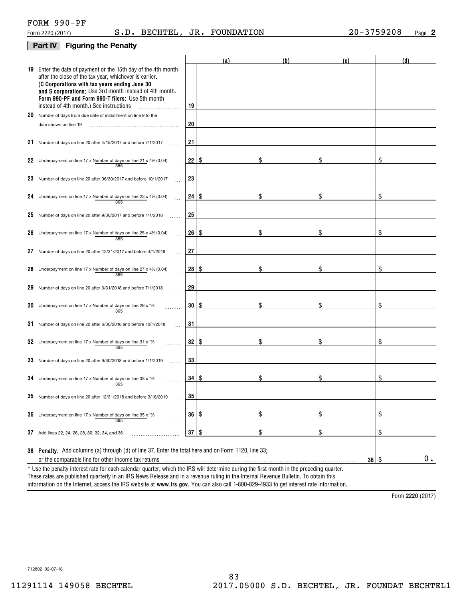### **Part IV Figuring the Penalty**

|    |                                                                                                                                                                                                                                                                                                                                    |                 | (a) | (b) | (c) |  | (d)           |
|----|------------------------------------------------------------------------------------------------------------------------------------------------------------------------------------------------------------------------------------------------------------------------------------------------------------------------------------|-----------------|-----|-----|-----|--|---------------|
|    | 19 Enter the date of payment or the 15th day of the 4th month<br>after the close of the tax year, whichever is earlier.<br>(C Corporations with tax years ending June 30<br>and S corporations: Use 3rd month instead of 4th month.<br>Form 990-PF and Form 990-T filers: Use 5th month<br>instead of 4th month.) See instructions | 19              |     |     |     |  |               |
|    | 20 Number of days from due date of installment on line 9 to the                                                                                                                                                                                                                                                                    |                 |     |     |     |  |               |
|    | date shown on line 19                                                                                                                                                                                                                                                                                                              | 20              |     |     |     |  |               |
|    | 21 Number of days on line 20 after 4/15/2017 and before 7/1/2017                                                                                                                                                                                                                                                                   | 21              |     |     |     |  |               |
|    | 22 Underpayment on line 17 x Number of days on line 21 x 4% (0.04)<br>365                                                                                                                                                                                                                                                          | 22              | -8  |     | \$  |  |               |
|    | 23 Number of days on line 20 after 06/30/2017 and before 10/1/2017                                                                                                                                                                                                                                                                 | 23              |     |     |     |  |               |
|    | 24 Underpayment on line 17 x Number of days on line 23 x 4% (0.04)<br>365                                                                                                                                                                                                                                                          | 24              | ∣\$ | \$  | \$  |  | S             |
|    | 25 Number of days on line 20 after 9/30/2017 and before 1/1/2018                                                                                                                                                                                                                                                                   | 25              |     |     |     |  |               |
|    | 26 Underpayment on line 17 x Number of days on line 25 x 4% (0.04)<br>365                                                                                                                                                                                                                                                          | 26              | -S  | S   | \$  |  | S             |
| 27 | Number of days on line 20 after 12/31/2017 and before 4/1/2018                                                                                                                                                                                                                                                                     | 27              |     |     |     |  |               |
|    | 28 Underpayment on line 17 x Number of days on line 27 x 4% (0.04)<br>365                                                                                                                                                                                                                                                          | 28              | -8  |     |     |  |               |
|    | 29 Number of days on line 20 after 3/31/2018 and before 7/1/2018                                                                                                                                                                                                                                                                   | 29              |     |     |     |  |               |
|    | 30 Underpayment on line 17 x Number of days on line 29 x *%<br>365                                                                                                                                                                                                                                                                 | 30 <sup>2</sup> | -\$ | S   | \$  |  | S             |
|    | 31 Number of days on line 20 after 6/30/2018 and before 10/1/2018                                                                                                                                                                                                                                                                  | 31              |     |     |     |  |               |
|    | 32 Underpayment on line 17 x Number of days on line 31 x *%<br>365                                                                                                                                                                                                                                                                 | 32              | -\$ | \$  | \$  |  | S             |
|    | 33 Number of days on line 20 after 9/30/2018 and before 1/1/2019                                                                                                                                                                                                                                                                   | 33              |     |     |     |  |               |
|    | 34 Underpayment on line 17 x Number of days on line 33 x $*$ %<br>365                                                                                                                                                                                                                                                              | 34 \$           |     | S   | \$  |  | \$            |
|    | 35 Number of days on line 20 after 12/31/2018 and before 3/16/2019                                                                                                                                                                                                                                                                 | 35              |     |     |     |  |               |
|    | <b>36</b> Underpayment on line 17 x Number of days on line 35 x $*$ %<br>365                                                                                                                                                                                                                                                       | 36   \$         |     | \$  | \$  |  | \$            |
|    | 37 Add lines 22, 24, 26, 28, 30, 32, 34, and 36                                                                                                                                                                                                                                                                                    | $37$ \ \$       |     | \$  | \$  |  | \$            |
|    |                                                                                                                                                                                                                                                                                                                                    |                 |     |     |     |  |               |
|    | 38 Penalty. Add columns (a) through (d) of line 37. Enter the total here and on Form 1120, line 33;                                                                                                                                                                                                                                |                 |     |     |     |  | $0$ .<br>l \$ |
|    | or the comparable line for other income tax returns                                                                                                                                                                                                                                                                                |                 |     |     | 38  |  |               |
|    | * Use the penalty interest rate for each calendar quarter, which the IRS will determine during the first month in the preceding quarter.<br>These rates are published quarterly in an IRS News Release and in a revenue ruling in the Internal Revenue Bulletin. To obtain this                                                    |                 |     |     |     |  |               |

information on the Internet, access the IRS website at **www.irs.gov**. You can also call 1-800-829-4933 to get interest rate information.

**2220**  Form (2017)

712802 02-07-18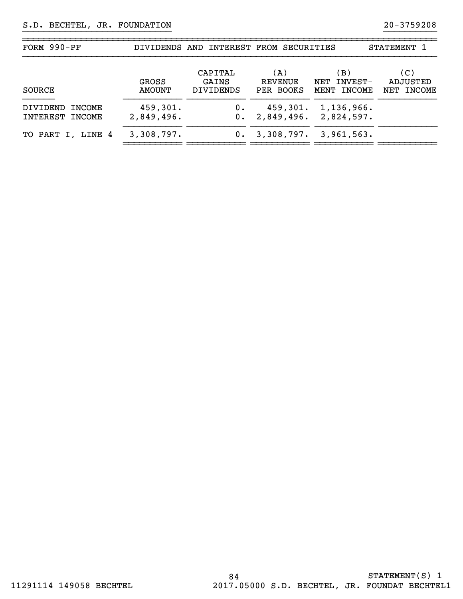| FORM $990-PF$                            |                               | DIVIDENDS AND INTEREST FROM SECURITIES |                             |                                       | STATEMENT 1                      |
|------------------------------------------|-------------------------------|----------------------------------------|-----------------------------|---------------------------------------|----------------------------------|
| SOURCE                                   | <b>GROSS</b><br><b>AMOUNT</b> | CAPITAL<br>GAINS<br><b>DIVIDENDS</b>   | (A)<br>REVENUE<br>PER BOOKS | (B )<br>INVEST-<br>NET<br>MENT INCOME | (C)<br>ADJUSTED<br>INCOME<br>NET |
| DIVIDEND<br>INCOME<br>INTEREST<br>INCOME | 459,301.<br>2,849,496.        | 0.<br>0.                               | 2,849,496.                  | 459,301. 1,136,966.<br>2,824,597.     |                                  |
| TO PART I, LINE 4                        | 3,308,797.                    | $0$ .                                  | 3,308,797.                  | 3,961,563.                            |                                  |

~~~~~~~~~~~~~~~~~~~~~~~~~~~~~~~~~~~~~~~~~~~~~~~~~~~~~~~~~~~~~~~~~~~~~~~~~~~~~~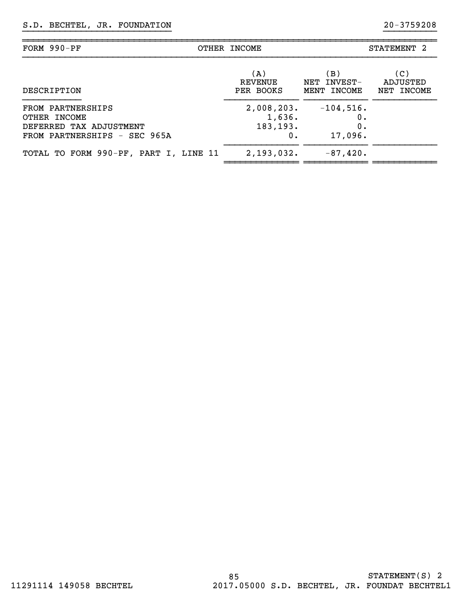| FORM 990-PF                                                                                  | OTHER INCOME                            |                                    | STATEMENT <sub>2</sub>        |
|----------------------------------------------------------------------------------------------|-----------------------------------------|------------------------------------|-------------------------------|
| DESCRIPTION                                                                                  | (A)<br><b>REVENUE</b><br>PER BOOKS      | (B )<br>NET INVEST-<br>MENT INCOME | (C)<br>ADJUSTED<br>NET INCOME |
| FROM PARTNERSHIPS<br>OTHER INCOME<br>DEFERRED TAX ADJUSTMENT<br>FROM PARTNERSHIPS - SEC 965A | 2,008,203.<br>1,636.<br>183, 193.<br>0. | $-104,516.$<br>0.<br>0.<br>17,096. |                               |
| TOTAL TO FORM 990-PF, PART I, LINE 11                                                        | 2,193,032.                              | $-87,420.$                         |                               |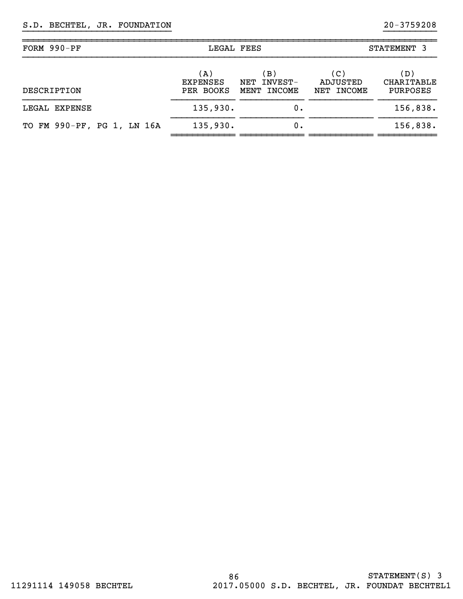| FORM 990-PF                | LEGAL FEES                          |                                         |                               | STATEMENT 3                   |
|----------------------------|-------------------------------------|-----------------------------------------|-------------------------------|-------------------------------|
| DESCRIPTION                | (A)<br><b>EXPENSES</b><br>PER BOOKS | (B)<br>INVEST-<br>NET<br>INCOME<br>MENT | (C)<br>ADJUSTED<br>NET INCOME | (D)<br>CHARITABLE<br>PURPOSES |
| LEGAL EXPENSE              | 135,930.                            | 0.                                      |                               | 156,838.                      |
| TO FM 990-PF, PG 1, LN 16A | 135,930.                            | 0.                                      |                               | 156,838.                      |

~~~~~~~~~~~~ ~~~~~~~~~~~~ ~~~~~~~~~~~~ ~~~~~~~~~~~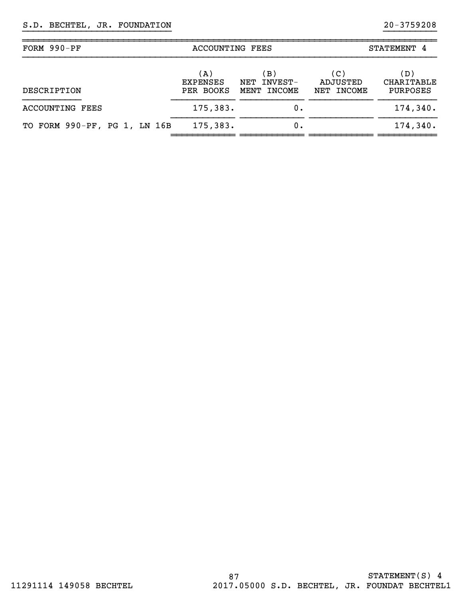| FORM 990-PF                  | <b>ACCOUNTING FEES</b>              |                                      |                               | STATEMENT 4                                 |  |  |
|------------------------------|-------------------------------------|--------------------------------------|-------------------------------|---------------------------------------------|--|--|
| DESCRIPTION                  | (A)<br><b>EXPENSES</b><br>PER BOOKS | (B)<br>INVEST-<br>NET<br>MENT INCOME | (C)<br>ADJUSTED<br>NET INCOME | (D)<br><b>CHARITABLE</b><br><b>PURPOSES</b> |  |  |
| <b>ACCOUNTING FEES</b>       | 175,383.                            | Ο.                                   |                               | 174,340.                                    |  |  |
| TO FORM 990-PF, PG 1, LN 16B | 175,383.                            | Ο.                                   |                               | 174,340.                                    |  |  |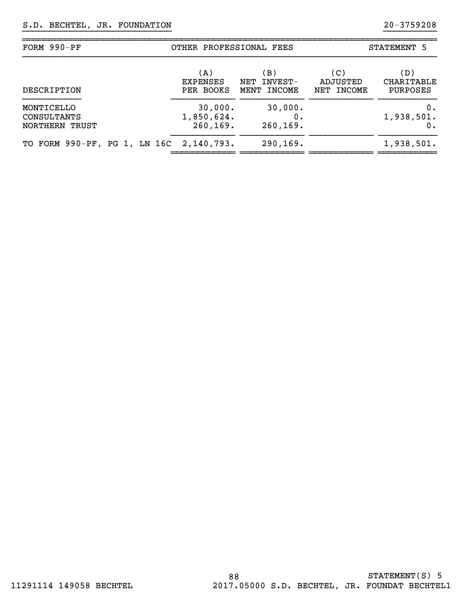| FORM $990-PF$                                  | OTHER PROFESSIONAL FEES             |                                         |                               | STATEMENT 5                          |
|------------------------------------------------|-------------------------------------|-----------------------------------------|-------------------------------|--------------------------------------|
| DESCRIPTION                                    | (A)<br><b>EXPENSES</b><br>PER BOOKS | (B)<br>INVEST-<br>NET<br>INCOME<br>MENT | (C)<br>ADJUSTED<br>NET INCOME | (D)<br>CHARITABLE<br><b>PURPOSES</b> |
| MONTICELLO<br>CONSULTANTS<br>NORTHERN<br>TRUST | 30,000.<br>1,850,624.<br>260, 169.  | 30,000.<br>0.<br>260, 169.              |                               | 0.<br>1,938,501.                     |
| TO FORM 990-PF, PG 1, LN 16C 2,140,793.        |                                     | 290, 169.                               |                               | 1,938,501.                           |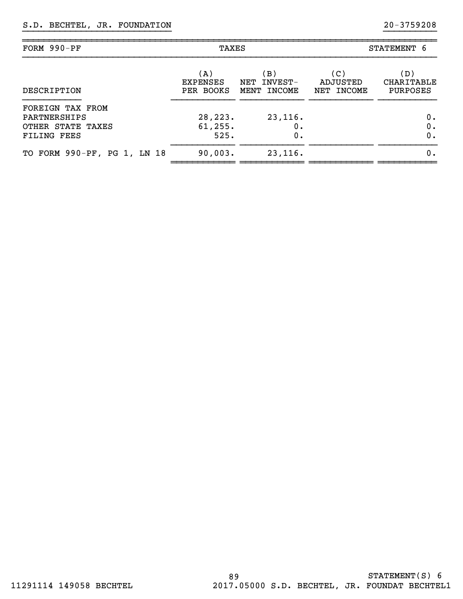| $FORM 990-PF$                                                               | TAXES                               |                                      | STATEMENT 6                    |                               |
|-----------------------------------------------------------------------------|-------------------------------------|--------------------------------------|--------------------------------|-------------------------------|
| DESCRIPTION                                                                 | (A)<br><b>EXPENSES</b><br>PER BOOKS | (B)<br>INVEST-<br>NET<br>MENT INCOME | (C )<br>ADJUSTED<br>NET INCOME | (D)<br>CHARITABLE<br>PURPOSES |
| FOREIGN TAX FROM<br>PARTNERSHIPS<br>OTHER STATE TAXES<br><b>FILING FEES</b> | 28, 223.<br>61, 255.<br>525.        | 23, 116.<br>0.<br>$0$ .              |                                | 0.<br>0.<br>0.                |
| TO FORM 990-PF, PG 1, LN 18                                                 | 90,003.                             | 23,116.                              |                                | 0.                            |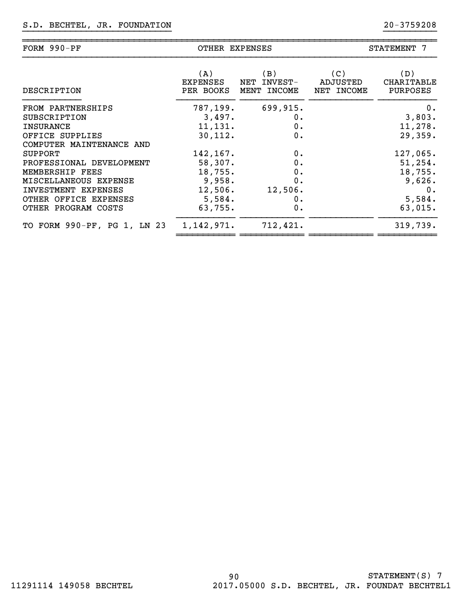| FORM $990-PF$               | OTHER EXPENSES               |                                   | STATEMENT 7                   |                               |  |
|-----------------------------|------------------------------|-----------------------------------|-------------------------------|-------------------------------|--|
| DESCRIPTION                 | (A)<br>EXPENSES<br>PER BOOKS | (B)<br>NET INVEST-<br>MENT INCOME | (C)<br>ADJUSTED<br>NET INCOME | (D)<br>CHARITABLE<br>PURPOSES |  |
| FROM PARTNERSHIPS           | 787,199.                     | 699,915.                          |                               | 0.                            |  |
| SUBSCRIPTION                | 3,497.                       | 0.                                |                               | 3,803.                        |  |
| <b>INSURANCE</b>            | 11, 131.                     | 0.                                |                               | 11,278.                       |  |
| OFFICE SUPPLIES             | 30, 112.                     | 0.                                |                               | 29,359.                       |  |
| COMPUTER MAINTENANCE AND    |                              |                                   |                               |                               |  |
| <b>SUPPORT</b>              | 142,167.                     | 0.                                |                               | 127,065.                      |  |
| PROFESSIONAL DEVELOPMENT    | 58,307.                      | 0.                                |                               | 51, 254.                      |  |
| MEMBERSHIP FEES             | 18,755.                      | 0.                                |                               | 18,755.                       |  |
| MISCELLANEOUS EXPENSE       | 9,958.                       | 0.                                |                               | 9,626.                        |  |
| INVESTMENT EXPENSES         | 12,506.                      | 12,506.                           |                               | 0.                            |  |
| OTHER OFFICE EXPENSES       | 5,584.                       | 0.                                |                               | 5,584.                        |  |
| OTHER PROGRAM COSTS         | 63,755.                      | 0.                                |                               | 63,015.                       |  |
| TO FORM 990-PF, PG 1, LN 23 | 1,142,971.                   | 712,421.                          |                               | 319,739.                      |  |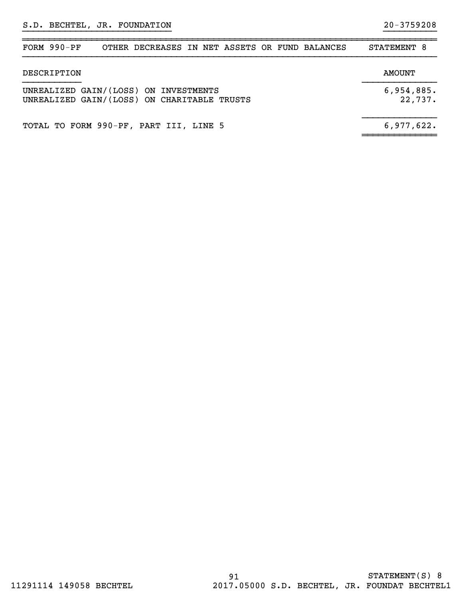| $FORM 990-PF$                                                                        | OTHER DECREASES IN NET ASSETS OR FUND BALANCES |  |  | STATEMENT 8           |  |
|--------------------------------------------------------------------------------------|------------------------------------------------|--|--|-----------------------|--|
| DESCRIPTION                                                                          |                                                |  |  | <b>AMOUNT</b>         |  |
| UNREALIZED GAIN/(LOSS) ON INVESTMENTS<br>UNREALIZED GAIN/(LOSS) ON CHARITABLE TRUSTS |                                                |  |  | 6,954,885.<br>22,737. |  |
| TOTAL TO FORM 990-PF, PART III, LINE 5                                               |                                                |  |  | 6,977,622.            |  |

~~~~~~~~~~~~~~~~~~~~~~~~~~~~~~~~~~~~~~~~~~~~~~~~~~~~~~~~~~~~~~~~~~~~~~~~~~~~~~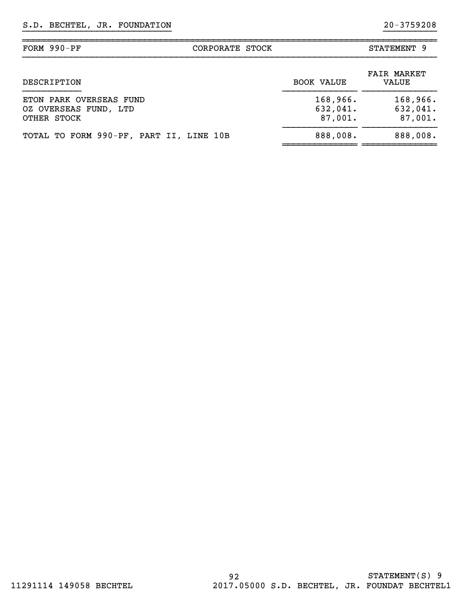| FORM $990-PF$                                                   | CORPORATE STOCK |                                 | STATEMENT 9                     |
|-----------------------------------------------------------------|-----------------|---------------------------------|---------------------------------|
| DESCRIPTION                                                     |                 | <b>BOOK VALUE</b>               | <b>FAIR MARKET</b><br>VALUE     |
| ETON PARK OVERSEAS FUND<br>OZ OVERSEAS FUND, LTD<br>OTHER STOCK |                 | 168,966.<br>632,041.<br>87,001. | 168,966.<br>632,041.<br>87,001. |
| TOTAL TO FORM 990-PF, PART II, LINE 10B                         |                 | 888,008.                        | 888,008.                        |

~~~~~~~~~~~~~~ ~~~~~~~~~~~~~~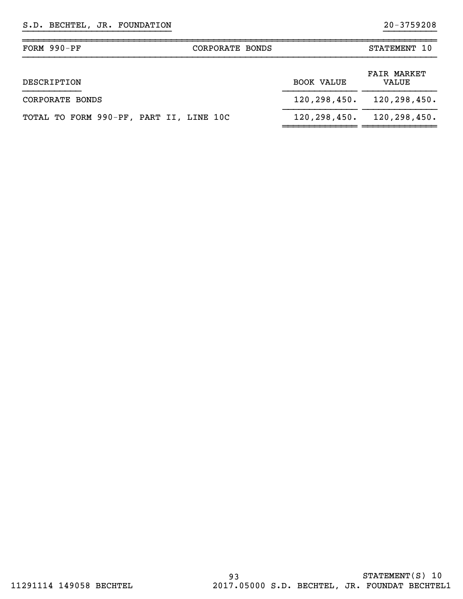| FORM $990-PF$<br>CORPORATE BONDS        |                   | STATEMENT 10                      |
|-----------------------------------------|-------------------|-----------------------------------|
| DESCRIPTION                             | <b>BOOK VALUE</b> | <b>FAIR MARKET</b><br>VALUE       |
| CORPORATE BONDS                         |                   | $120, 298, 450.$ $120, 298, 450.$ |
| TOTAL TO FORM 990-PF, PART II, LINE 10C | $120, 298, 450$ . | $120, 298, 450$ .                 |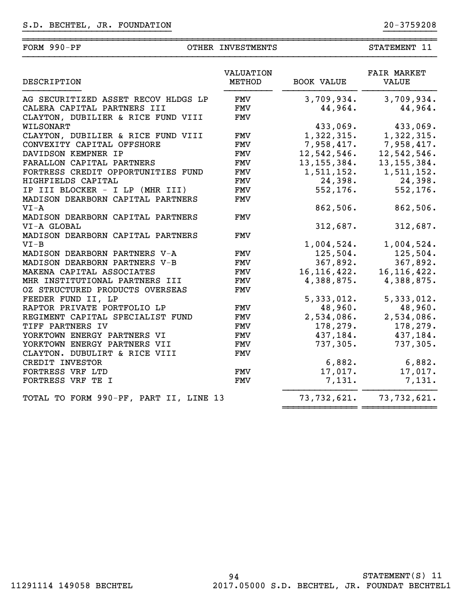| DESCRIPTION                            | VALUATION<br>METHOD | <b>BOOK VALUE</b> | <b>FAIR MARKET</b><br>VALUE |
|----------------------------------------|---------------------|-------------------|-----------------------------|
| AG SECURITIZED ASSET RECOV HLDGS LP    | FMV                 | 3,709,934.        | 3,709,934.                  |
| CALERA CAPITAL PARTNERS III            | FMV                 | 44,964.           | 44,964.                     |
| CLAYTON, DUBILIER & RICE FUND VIII     | FMV                 |                   |                             |
| WILSONART                              |                     | 433,069.          | 433,069.                    |
| CLAYTON, DUBILIER & RICE FUND VIII     | FMV                 | 1,322,315.        | 1,322,315.                  |
| CONVEXITY CAPITAL OFFSHORE             | <b>FMV</b>          | 7,958,417.        | 7,958,417.                  |
| DAVIDSON KEMPNER IP                    | <b>FMV</b>          | 12,542,546.       | 12,542,546.                 |
| FARALLON CAPITAL PARTNERS              | <b>FMV</b>          | 13, 155, 384.     | 13, 155, 384.               |
| FORTRESS CREDIT OPPORTUNITIES FUND     | <b>FMV</b>          | 1,511,152.        | 1,511,152.                  |
| HIGHFIELDS CAPITAL                     | FMV                 | 24,398.           | 24,398.                     |
| IP III BLOCKER - I LP (MHR III)        | FMV                 | 552, 176.         | 552,176.                    |
| MADISON DEARBORN CAPITAL PARTNERS      | <b>FMV</b>          |                   |                             |
| $VI - A$                               |                     | 862,506.          | 862,506.                    |
| MADISON DEARBORN CAPITAL PARTNERS      | <b>FMV</b>          |                   |                             |
| VI-A GLOBAL                            |                     | 312,687.          | 312,687.                    |
| MADISON DEARBORN CAPITAL PARTNERS      | <b>FMV</b>          |                   |                             |
| VI-B                                   |                     | 1,004,524.        | 1,004,524.                  |
| MADISON DEARBORN PARTNERS V-A          | <b>FMV</b>          | 125,504.          | 125,504.                    |
| MADISON DEARBORN PARTNERS V-B          | <b>FMV</b>          | 367,892.          | 367,892.                    |
| MAKENA CAPITAL ASSOCIATES              | FMV                 | 16, 116, 422.     | 16, 116, 422.               |
| MHR INSTITUTIONAL PARTNERS III         | FMV                 | 4,388,875.        | 4,388,875.                  |
| OZ STRUCTURED PRODUCTS OVERSEAS        | FMV                 |                   |                             |
| FEEDER FUND II, LP                     |                     | 5,333,012.        | 5,333,012.                  |
| RAPTOR PRIVATE PORTFOLIO LP            | <b>FMV</b>          | 48,960.           | 48,960.                     |
| REGIMENT CAPITAL SPECIALIST FUND       | <b>FMV</b>          | 2,534,086.        | 2,534,086.                  |
| TIFF PARTNERS IV                       | <b>FMV</b>          | 178,279.          | 178,279.                    |
| YORKTOWN ENERGY PARTNERS VI            | <b>FMV</b>          | 437,184.          | 437,184.                    |
| YORKTOWN ENERGY PARTNERS VII           | <b>FMV</b>          | 737,305.          | 737,305.                    |
| CLAYTON. DUBULIRT & RICE VIII          | FMV                 |                   |                             |
| CREDIT INVESTOR                        |                     | 6,882.            | 6,882.                      |
| FORTRESS VRF LTD                       | FMV                 | 17,017.           | 17,017.                     |
| FORTRESS VRF TE I                      | FMV                 | 7,131.            | 7,131.                      |
| TOTAL TO FORM 990-PF, PART II, LINE 13 |                     | 73, 732, 621.     | 73, 732, 621.               |

~~~~~~~~~~~~~~ ~~~~~~~~~~~~~~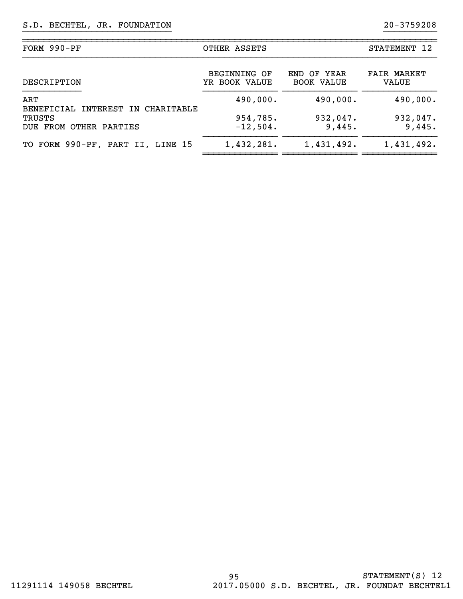| FORM 990-PF                                                           | OTHER ASSETS                  |                                  | STATEMENT 12                |
|-----------------------------------------------------------------------|-------------------------------|----------------------------------|-----------------------------|
| DESCRIPTION                                                           | BEGINNING OF<br>YR BOOK VALUE | END OF YEAR<br><b>BOOK VALUE</b> | <b>FAIR MARKET</b><br>VALUE |
| ART                                                                   | 490,000.                      | 490,000.                         | 490,000.                    |
| BENEFICIAL INTEREST IN CHARITABLE<br>TRUSTS<br>DUE FROM OTHER PARTIES | 954,785.<br>$-12,504.$        | 932,047.<br>9,445.               | 932,047.<br>9,445.          |
| TO FORM 990-PF, PART II, LINE 15                                      | 1,432,281.                    | 1,431,492.                       | 1,431,492.                  |

~~~~~~~~~~~~~~ ~~~~~~~~~~~~~~ ~~~~~~~~~~~~~~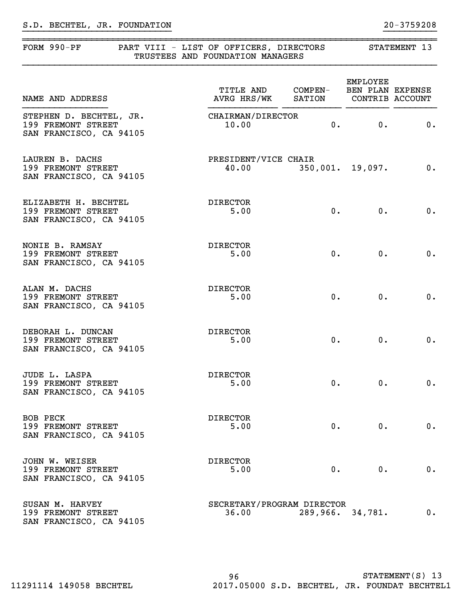| FORM $990-PF$                                                            | PART VIII - LIST OF OFFICERS, DIRECTORS<br>TRUSTEES AND FOUNDATION MANAGERS | STATEMENT 13     |          |    |
|--------------------------------------------------------------------------|-----------------------------------------------------------------------------|------------------|----------|----|
| NAME AND ADDRESS                                                         | TITLE AND COMPEN- BEN PLAN EXPENSE<br>AVRG HRS/WK SATION CONTRIB ACCOUNT    |                  | EMPLOYEE |    |
| STEPHEN D. BECHTEL, JR.<br>199 FREMONT STREET<br>SAN FRANCISCO, CA 94105 | CHAIRMAN/DIRECTOR<br>10.00                                                  |                  | 0. 0.    | 0. |
| LAUREN B. DACHS<br>199 FREMONT STREET<br>SAN FRANCISCO, CA 94105         | PRESIDENT/VICE CHAIR<br>40.00                                               | 350,001. 19,097. |          | 0. |
| ELIZABETH H. BECHTEL<br>199 FREMONT STREET<br>SAN FRANCISCO, CA 94105    | <b>DIRECTOR</b><br>5.00                                                     | 0.               | 0.       | 0. |
| NONIE B. RAMSAY<br>199 FREMONT STREET<br>SAN FRANCISCO, CA 94105         | DIRECTOR<br>5.00                                                            | 0.               | 0.       | 0. |
| ALAN M. DACHS<br>199 FREMONT STREET<br>SAN FRANCISCO, CA 94105           | DIRECTOR<br>5.00                                                            | 0.               | $0$ .    | 0. |
| DEBORAH L. DUNCAN<br>199 FREMONT STREET<br>SAN FRANCISCO, CA 94105       | DIRECTOR<br>5.00                                                            | 0.               | 0.       | 0. |
| JUDE L. LASPA<br>199 FREMONT STREET<br>SAN FRANCISCO, CA 94105           | <b>DIRECTOR</b><br>5.00                                                     | $0$ .            | 0.       | 0. |
| BOB PECK<br>199 FREMONT STREET<br>SAN FRANCISCO, CA 94105                | <b>DIRECTOR</b><br>5.00                                                     | 0.               | 0.       | 0. |
| JOHN W. WEISER<br>199 FREMONT STREET<br>SAN FRANCISCO, CA 94105          | <b>DIRECTOR</b><br>5.00                                                     | 0.               | 0.       | 0. |
| SUSAN M. HARVEY<br>199 FREMONT STREET<br>SAN FRANCISCO, CA 94105         | SECRETARY/PROGRAM DIRECTOR<br>36.00                                         | 289,966.         | 34,781.  | 0. |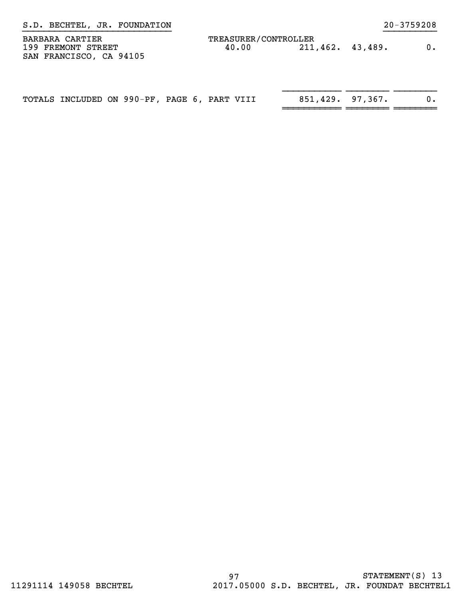| S.D. BECHTEL, JR. FOUNDATION                                     |                               |                    | $20 - 3759208$ |
|------------------------------------------------------------------|-------------------------------|--------------------|----------------|
| BARBARA CARTIER<br>199 FREMONT STREET<br>SAN FRANCISCO, CA 94105 | TREASURER/CONTROLLER<br>40.00 | $211,462.$ 43,489. | $0$ .          |
|                                                                  |                               |                    |                |

 }}}}}}}}}}} }}}}}}}} }}}}}}}} TOTALS INCLUDED ON 990-PF, PAGE 6, PART VIII 851,429. 97,367. 0.

 $\cdot$  <del>======</del>  $\cdot$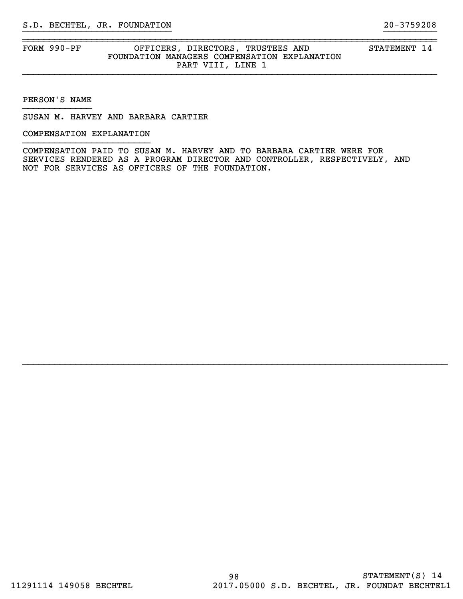### FORM 990-PF OFFICERS, DIRECTORS, TRUSTEES AND STATEMENT 14 FOUNDATION MANAGERS COMPENSATION EXPLANATION PART VIII, LINE 1

~~~~~~~~~~~~~~~~~~~~~~~~~~~~~~~~~~~~~~~~~~~~~~~~~~~~~~~~~~~~~~~~~~~~~~~~~~~~~~

}}}}}}}}}}}}}}}}}}}}}}}}}}}} }}}}}}}}}}

PERSON'S NAME }}}}}}}}}}}}}

SUSAN M. HARVEY AND BARBARA CARTIER

#### COMPENSATION EXPLANATION }}}}}}}}}}}}}}}}}}}}}}}}

COMPENSATION PAID TO SUSAN M. HARVEY AND TO BARBARA CARTIER WERE FOR SERVICES RENDERED AS A PROGRAM DIRECTOR AND CONTROLLER, RESPECTIVELY, AND NOT FOR SERVICES AS OFFICERS OF THE FOUNDATION.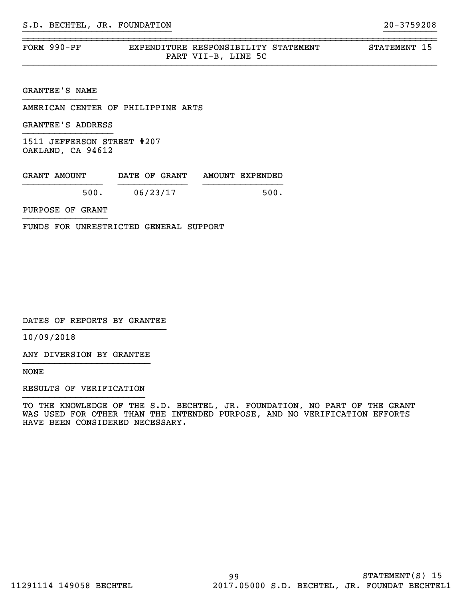FORM 990-PF **EXPENDITURE RESPONSIBILITY STATEMENT** STATEMENT 15 PART VII-B, LINE 5C

~~~~~~~~~~~~~~~~~~~~~~~~~~~~~~~~~~~~~~~~~~~~~~~~~~~~~~~~~~~~~~~~~~~~~~~~~~~~~~

}}}}}}}}}}}}}}}}}}}}}}}}}}}} }}}}}}}}}}

GRANTEE'S NAME

AMERICAN CENTER OF PHILIPPINE ARTS

GRANTEE'S ADDRESS

1511 JEFFERSON STREET #207 OAKLAND, CA 94612

| GRANT AMOUNT | DATE OF GRANT | AMOUNT EXPENDED |
|--------------|---------------|-----------------|
| 500.         | 06/23/17      | 500.            |

PURPOSE OF GRANT

FUNDS FOR UNRESTRICTED GENERAL SUPPORT

DATES OF REPORTS BY GRANTEE

10/09/2018

ANY DIVERSION BY GRANTEE }}}}}}}}}}}}}}}}}}}}}}}}

NONE

RESULTS OF VERIFICATION

TO THE KNOWLEDGE OF THE S.D. BECHTEL, JR. FOUNDATION, NO PART OF THE GRANT WAS USED FOR OTHER THAN THE INTENDED PURPOSE, AND NO VERIFICATION EFFORTS HAVE BEEN CONSIDERED NECESSARY.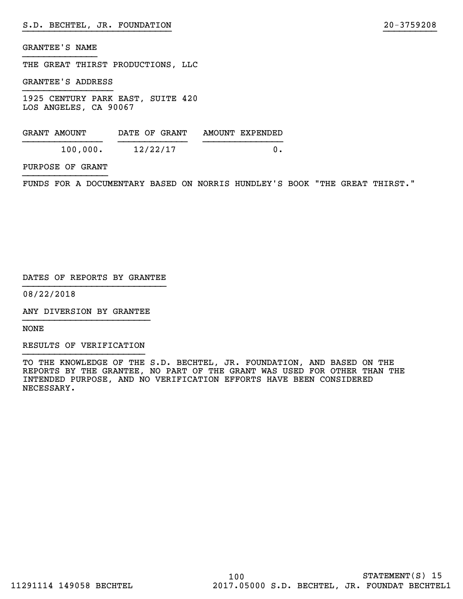### GRANTEE'S NAME

THE GREAT THIRST PRODUCTIONS, LLC

GRANTEE'S ADDRESS

1925 CENTURY PARK EAST, SUITE 420 LOS ANGELES, CA 90067

| GRANT AMOUNT | DATE OF GRANT | AMOUNT EXPENDED |
|--------------|---------------|-----------------|
| 100,000.     | 12/22/17      |                 |

### PURPOSE OF GRANT

FUNDS FOR A DOCUMENTARY BASED ON NORRIS HUNDLEY'S BOOK "THE GREAT THIRST."

}}}}}}}}}}}}}}}}}}}}}}}}}}}} }}}}}}}}}}

#### DATES OF REPORTS BY GRANTEE

08/22/2018

ANY DIVERSION BY GRANTEE }}}}}}}}}}}}}}}}}}}}}}}}

NONE

RESULTS OF VERIFICATION

TO THE KNOWLEDGE OF THE S.D. BECHTEL, JR. FOUNDATION, AND BASED ON THE REPORTS BY THE GRANTEE, NO PART OF THE GRANT WAS USED FOR OTHER THAN THE INTENDED PURPOSE, AND NO VERIFICATION EFFORTS HAVE BEEN CONSIDERED NECESSARY.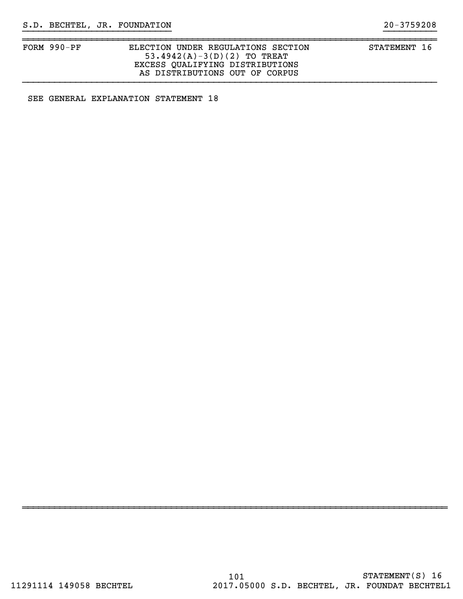~~~~~~~~~~~~~~~~~~~~~~~~~~~~~~~~~~~~~~~~~~~~~~~~~~~~~~~~~~~~~~~~~~~~~~~~~~~~~~~~

SEE GENERAL EXPLANATION STATEMENT 18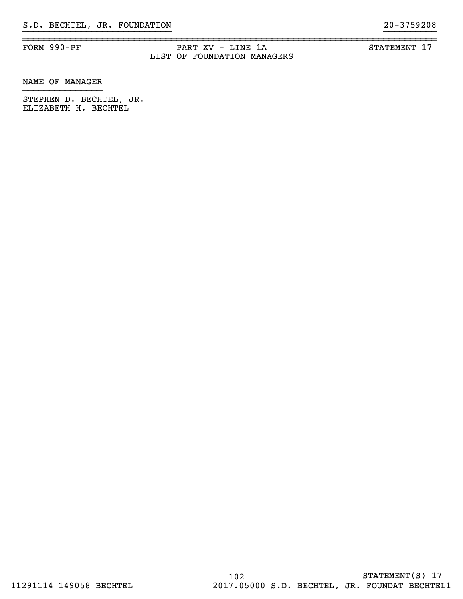~~~~~~~~~~~~~~~~~~~~~~~~~~~~~~~~~~~~~~~~~~~~~~~~~~~~~~~~~~~~~~~~~~~~~~~~~~~~~~

}}}}}}}}}}}}}}}}}}}}}}}}}}}} }}}}}}}}}}

### NAME OF MANAGER

STEPHEN D. BECHTEL, JR. ELIZABETH H. BECHTEL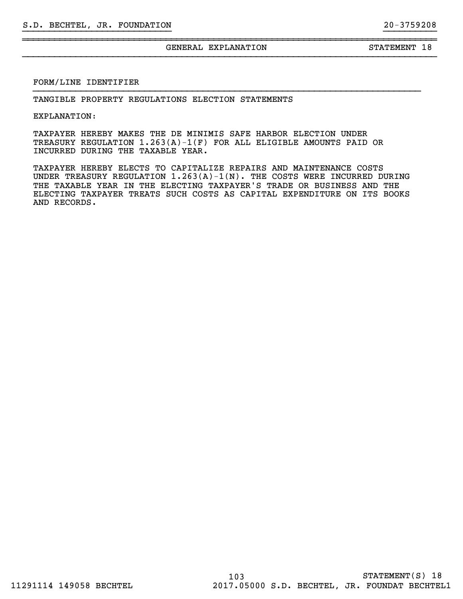GENERAL EXPLANATION STATEMENT 18

~~~~~~~~~~~~~~~~~~~~~~~~~~~~~~~~~~~~~~~~~~~~~~~~~~~~~~~~~~~~~~~~~~~~~~~~~~~~~~

}}}}}}}}}}}}}}}}}}}}}}}}}}}} }}}}}}}}}}

}}}}}}}}}}}}}}}}}}}}}}}}}}}}}}}}}}}}}}}}}}}}}}}}}}}}}}}}}}}}}}}}}}}}}}}}}

### FORM/LINE IDENTIFIER

TANGIBLE PROPERTY REGULATIONS ELECTION STATEMENTS

EXPLANATION:

TAXPAYER HEREBY MAKES THE DE MINIMIS SAFE HARBOR ELECTION UNDER TREASURY REGULATION 1.263(A)-1(F) FOR ALL ELIGIBLE AMOUNTS PAID OR INCURRED DURING THE TAXABLE YEAR.

TAXPAYER HEREBY ELECTS TO CAPITALIZE REPAIRS AND MAINTENANCE COSTS UNDER TREASURY REGULATION  $1.263(A) - 1(N)$ . THE COSTS WERE INCURRED DURING THE TAXABLE YEAR IN THE ELECTING TAXPAYER'S TRADE OR BUSINESS AND THE ELECTING TAXPAYER TREATS SUCH COSTS AS CAPITAL EXPENDITURE ON ITS BOOKS AND RECORDS.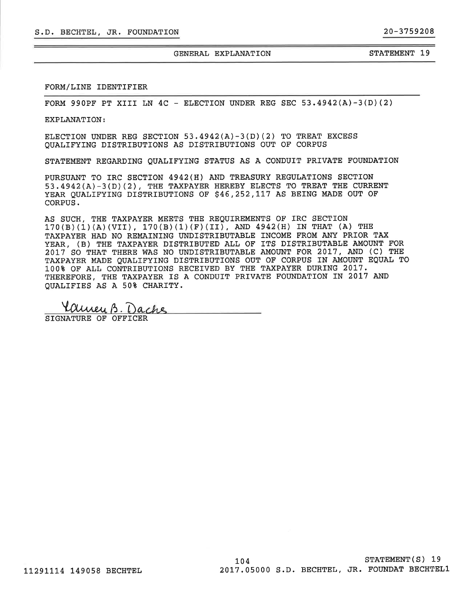GENERAL EXPLANATION STATEMENT 19

### FORM/LINE IDENTIFIER

FORM 990PF PT XIII LN 4C - ELECTION UNDER REG SEC  $53.4942(A) - 3(D)(2)$ 

#### EXPLANATION:

ELECTION UNDER REG SECTION  $53.4942(A)-3(D)(2)$  TO TREAT EXCESS QUALIFYING DISTRIBUTIONS AS DISTRIBUTIONS OUT OF CORPUS

STATEMENT REGARDING QUALIFYING STATUS AS A CONDUIT PRIVATE FOUNDATION

PURSUANT TO IRC SECTION 4942(H) AND TREASURY REGULATIONS SECTION  $53.4942(A) - 3(D)(2)$ , THE TAXPAYER HEREBY ELECTS TO TREAT THE CURRENT YEAR QUALIFYING DISTRIBUTIONS OF 546,252,117 AS BEING MADE OUT OF CORPUS.

AS SUCH, THE TAXPAYER MEETS THE REQUIREMENTS OF IRC SECTION  $170(B)(1)(A)(VII)$ ,  $170(B)(1)(F)(II)$ , AND  $4942(H)$  IN THAT (A) THE TAXPAYER HAD NO REMAINING UNDISTRIBUTABLE INCOME FROM ANY PRIOR TAX YEAR, (B) THE TAXPAYER DISTRIBUTED ALL OF ITS DISTRIBUTABLE AMOUNT FOR 2017 SO THAT THERE WAS NO UNDISTRIBUTABLE AMOUNT FOR 2017, AND (C) THE TAXPAYER MADE QUALIFYING DISTRIBUTIONS OUT OF CORPUS IN AMOUNT EQUAL TO 100% OF ALL CONTRIBUTIONS RECEIVED BY THE TAXPAYER DURING 2017. THEREFORE, THE TAXPAYER IS A CONDUIT PRIVATE FOUNDATION IN 2017 AND QUALIFIES AS A 50% CHARITY.

Clureu B. Dache

SIGNATURE OF OFFICER